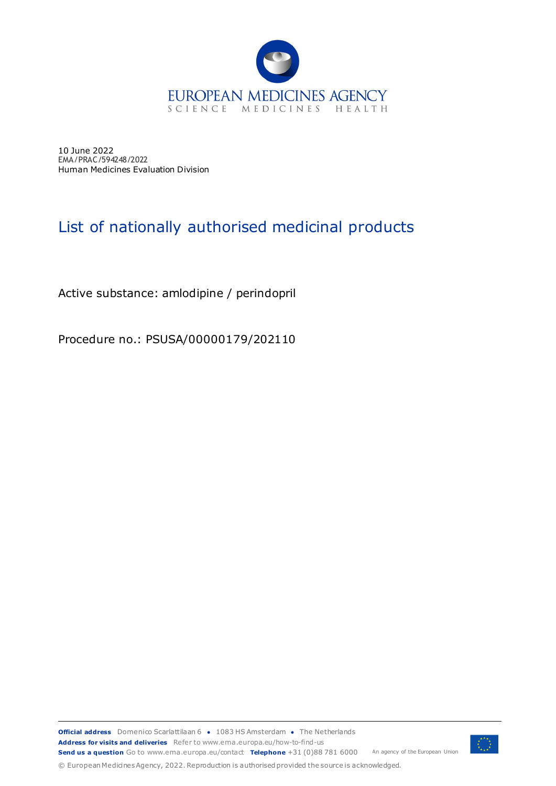

10 June 2022 EMA/PRAC/594248/2022 Human Medicines Evaluation Division

## List of nationally authorised medicinal products

Active substance: amlodipine / perindopril

Procedure no.: PSUSA/00000179/202110

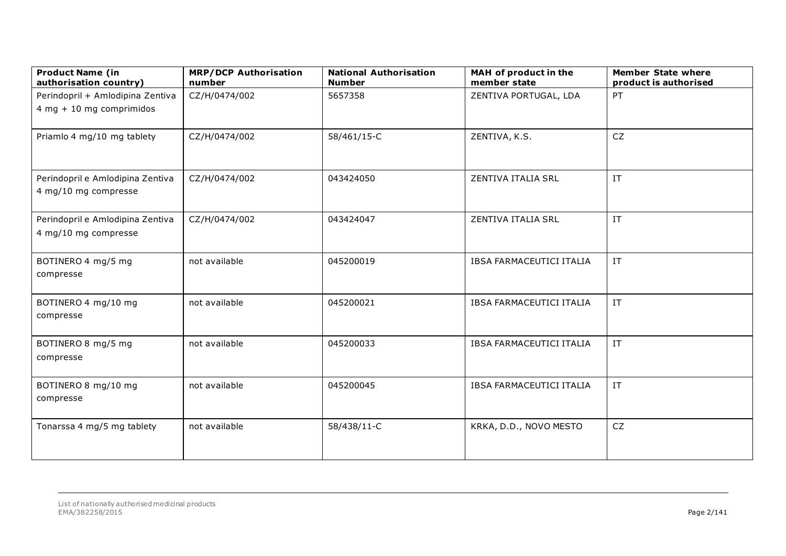| <b>Product Name (in</b><br>authorisation country)              | <b>MRP/DCP Authorisation</b><br>number | <b>National Authorisation</b><br><b>Number</b> | MAH of product in the<br>member state | <b>Member State where</b><br>product is authorised |
|----------------------------------------------------------------|----------------------------------------|------------------------------------------------|---------------------------------------|----------------------------------------------------|
| Perindopril + Amlodipina Zentiva<br>$4 mg + 10 mg$ comprimidos | CZ/H/0474/002                          | 5657358                                        | ZENTIVA PORTUGAL, LDA                 | PT                                                 |
| Priamlo 4 mg/10 mg tablety                                     | CZ/H/0474/002                          | 58/461/15-C                                    | ZENTIVA, K.S.                         | CZ                                                 |
| Perindopril e Amlodipina Zentiva<br>4 mg/10 mg compresse       | CZ/H/0474/002                          | 043424050                                      | ZENTIVA ITALIA SRL                    | IT                                                 |
| Perindopril e Amlodipina Zentiva<br>4 mg/10 mg compresse       | CZ/H/0474/002                          | 043424047                                      | ZENTIVA ITALIA SRL                    | IT                                                 |
| BOTINERO 4 mg/5 mg<br>compresse                                | not available                          | 045200019                                      | IBSA FARMACEUTICI ITALIA              | IT                                                 |
| BOTINERO 4 mg/10 mg<br>compresse                               | not available                          | 045200021                                      | IBSA FARMACEUTICI ITALIA              | IT                                                 |
| BOTINERO 8 mg/5 mg<br>compresse                                | not available                          | 045200033                                      | IBSA FARMACEUTICI ITALIA              | IT                                                 |
| BOTINERO 8 mg/10 mg<br>compresse                               | not available                          | 045200045                                      | <b>IBSA FARMACEUTICI ITALIA</b>       | IT                                                 |
| Tonarssa 4 mg/5 mg tablety                                     | not available                          | 58/438/11-C                                    | KRKA, D.D., NOVO MESTO                | CZ                                                 |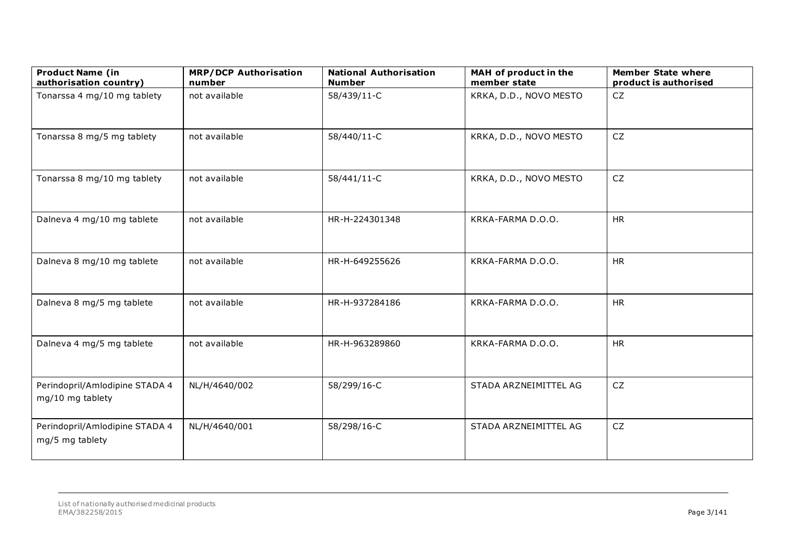| <b>Product Name (in</b><br>authorisation country)  | <b>MRP/DCP Authorisation</b><br>number | <b>National Authorisation</b><br><b>Number</b> | MAH of product in the<br>member state | <b>Member State where</b><br>product is authorised |
|----------------------------------------------------|----------------------------------------|------------------------------------------------|---------------------------------------|----------------------------------------------------|
| Tonarssa 4 mg/10 mg tablety                        | not available                          | 58/439/11-C                                    | KRKA, D.D., NOVO MESTO                | <b>CZ</b>                                          |
| Tonarssa 8 mg/5 mg tablety                         | not available                          | 58/440/11-C                                    | KRKA, D.D., NOVO MESTO                | <b>CZ</b>                                          |
| Tonarssa 8 mg/10 mg tablety                        | not available                          | 58/441/11-C                                    | KRKA, D.D., NOVO MESTO                | <b>CZ</b>                                          |
| Dalneva 4 mg/10 mg tablete                         | not available                          | HR-H-224301348                                 | KRKA-FARMA D.O.O.                     | <b>HR</b>                                          |
| Dalneva 8 mg/10 mg tablete                         | not available                          | HR-H-649255626                                 | KRKA-FARMA D.O.O.                     | <b>HR</b>                                          |
| Dalneva 8 mg/5 mg tablete                          | not available                          | HR-H-937284186                                 | KRKA-FARMA D.O.O.                     | <b>HR</b>                                          |
| Dalneva 4 mg/5 mg tablete                          | not available                          | HR-H-963289860                                 | KRKA-FARMA D.O.O.                     | HR                                                 |
| Perindopril/Amlodipine STADA 4<br>mg/10 mg tablety | NL/H/4640/002                          | 58/299/16-C                                    | STADA ARZNEIMITTEL AG                 | <b>CZ</b>                                          |
| Perindopril/Amlodipine STADA 4<br>mg/5 mg tablety  | NL/H/4640/001                          | 58/298/16-C                                    | STADA ARZNEIMITTEL AG                 | <b>CZ</b>                                          |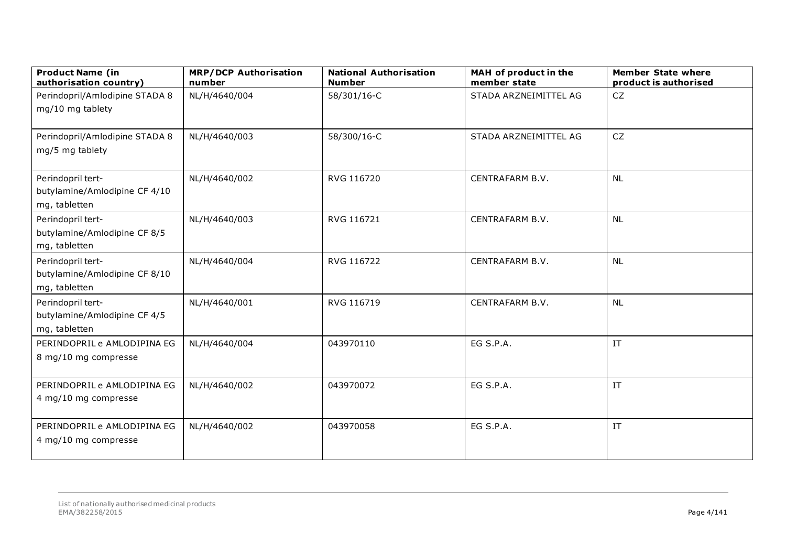| <b>Product Name (in</b><br>authorisation country)                   | <b>MRP/DCP Authorisation</b><br>number | <b>National Authorisation</b><br><b>Number</b> | MAH of product in the<br>member state | <b>Member State where</b><br>product is authorised |
|---------------------------------------------------------------------|----------------------------------------|------------------------------------------------|---------------------------------------|----------------------------------------------------|
| Perindopril/Amlodipine STADA 8<br>mg/10 mg tablety                  | NL/H/4640/004                          | 58/301/16-C                                    | STADA ARZNEIMITTEL AG                 | CZ                                                 |
| Perindopril/Amlodipine STADA 8<br>mg/5 mg tablety                   | NL/H/4640/003                          | 58/300/16-C                                    | STADA ARZNEIMITTEL AG                 | CZ                                                 |
| Perindopril tert-<br>butylamine/Amlodipine CF 4/10<br>mg, tabletten | NL/H/4640/002                          | RVG 116720                                     | CENTRAFARM B.V.                       | <b>NL</b>                                          |
| Perindopril tert-<br>butylamine/Amlodipine CF 8/5<br>mg, tabletten  | NL/H/4640/003                          | RVG 116721                                     | CENTRAFARM B.V.                       | <b>NL</b>                                          |
| Perindopril tert-<br>butylamine/Amlodipine CF 8/10<br>mg, tabletten | NL/H/4640/004                          | RVG 116722                                     | CENTRAFARM B.V.                       | <b>NL</b>                                          |
| Perindopril tert-<br>butylamine/Amlodipine CF 4/5<br>mg, tabletten  | NL/H/4640/001                          | RVG 116719                                     | CENTRAFARM B.V.                       | <b>NL</b>                                          |
| PERINDOPRIL e AMLODIPINA EG<br>8 mg/10 mg compresse                 | NL/H/4640/004                          | 043970110                                      | EG S.P.A.                             | $\ensuremath{\text{IT}}$                           |
| PERINDOPRIL e AMLODIPINA EG<br>4 mg/10 mg compresse                 | NL/H/4640/002                          | 043970072                                      | EG S.P.A.                             | IT                                                 |
| PERINDOPRIL e AMLODIPINA EG<br>4 mg/10 mg compresse                 | NL/H/4640/002                          | 043970058                                      | EG S.P.A.                             | IT                                                 |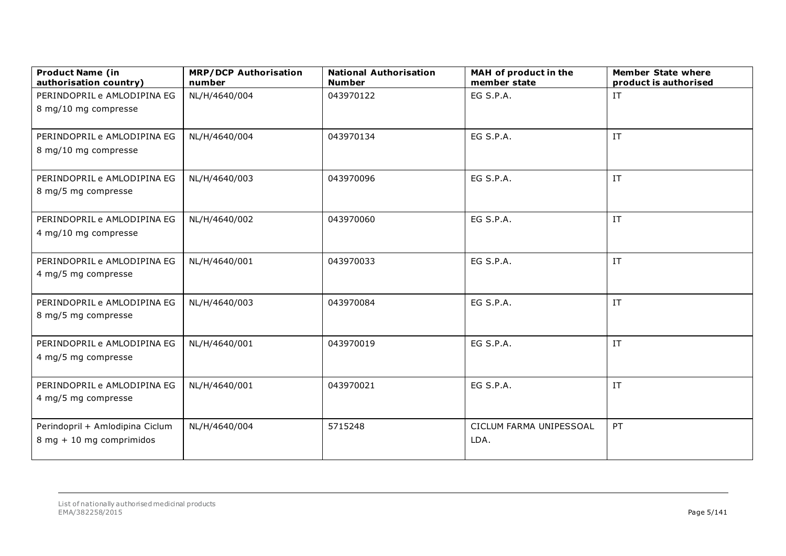| PERINDOPRIL e AMLODIPINA EG<br>NL/H/4640/004<br>EG S.P.A.<br>043970122<br>IT<br>8 mg/10 mg compresse<br>EG S.P.A.<br>IT<br>NL/H/4640/004<br>043970134<br>PERINDOPRIL e AMLODIPINA EG<br>8 mg/10 mg compresse<br>NL/H/4640/003<br>043970096<br>EG S.P.A.<br>IT<br>PERINDOPRIL e AMLODIPINA EG<br>8 mg/5 mg compresse<br>IT<br>NL/H/4640/002<br>043970060<br>EG S.P.A.<br>PERINDOPRIL e AMLODIPINA EG<br>4 mg/10 mg compresse<br>IT<br>PERINDOPRIL e AMLODIPINA EG<br>NL/H/4640/001<br>EG S.P.A.<br>043970033<br>4 mg/5 mg compresse<br>EG S.P.A.<br>IT<br>PERINDOPRIL e AMLODIPINA EG<br>NL/H/4640/003<br>043970084<br>8 mg/5 mg compresse<br>EG S.P.A.<br>IT<br>PERINDOPRIL e AMLODIPINA EG<br>043970019<br>NL/H/4640/001<br>4 mg/5 mg compresse<br>IT<br>PERINDOPRIL e AMLODIPINA EG<br>043970021<br>EG S.P.A.<br>NL/H/4640/001<br>4 mg/5 mg compresse<br>5715248<br>PT<br>Perindopril + Amlodipina Ciclum<br>NL/H/4640/004<br>CICLUM FARMA UNIPESSOAL<br>8 mg + 10 mg comprimidos<br>LDA. | <b>Product Name (in</b><br>authorisation country) | <b>MRP/DCP Authorisation</b><br>number | <b>National Authorisation</b><br><b>Number</b> | MAH of product in the<br>member state | <b>Member State where</b><br>product is authorised |
|---------------------------------------------------------------------------------------------------------------------------------------------------------------------------------------------------------------------------------------------------------------------------------------------------------------------------------------------------------------------------------------------------------------------------------------------------------------------------------------------------------------------------------------------------------------------------------------------------------------------------------------------------------------------------------------------------------------------------------------------------------------------------------------------------------------------------------------------------------------------------------------------------------------------------------------------------------------------------------------------|---------------------------------------------------|----------------------------------------|------------------------------------------------|---------------------------------------|----------------------------------------------------|
|                                                                                                                                                                                                                                                                                                                                                                                                                                                                                                                                                                                                                                                                                                                                                                                                                                                                                                                                                                                             |                                                   |                                        |                                                |                                       |                                                    |
|                                                                                                                                                                                                                                                                                                                                                                                                                                                                                                                                                                                                                                                                                                                                                                                                                                                                                                                                                                                             |                                                   |                                        |                                                |                                       |                                                    |
|                                                                                                                                                                                                                                                                                                                                                                                                                                                                                                                                                                                                                                                                                                                                                                                                                                                                                                                                                                                             |                                                   |                                        |                                                |                                       |                                                    |
|                                                                                                                                                                                                                                                                                                                                                                                                                                                                                                                                                                                                                                                                                                                                                                                                                                                                                                                                                                                             |                                                   |                                        |                                                |                                       |                                                    |
|                                                                                                                                                                                                                                                                                                                                                                                                                                                                                                                                                                                                                                                                                                                                                                                                                                                                                                                                                                                             |                                                   |                                        |                                                |                                       |                                                    |
|                                                                                                                                                                                                                                                                                                                                                                                                                                                                                                                                                                                                                                                                                                                                                                                                                                                                                                                                                                                             |                                                   |                                        |                                                |                                       |                                                    |
|                                                                                                                                                                                                                                                                                                                                                                                                                                                                                                                                                                                                                                                                                                                                                                                                                                                                                                                                                                                             |                                                   |                                        |                                                |                                       |                                                    |
|                                                                                                                                                                                                                                                                                                                                                                                                                                                                                                                                                                                                                                                                                                                                                                                                                                                                                                                                                                                             |                                                   |                                        |                                                |                                       |                                                    |
|                                                                                                                                                                                                                                                                                                                                                                                                                                                                                                                                                                                                                                                                                                                                                                                                                                                                                                                                                                                             |                                                   |                                        |                                                |                                       |                                                    |
|                                                                                                                                                                                                                                                                                                                                                                                                                                                                                                                                                                                                                                                                                                                                                                                                                                                                                                                                                                                             |                                                   |                                        |                                                |                                       |                                                    |
|                                                                                                                                                                                                                                                                                                                                                                                                                                                                                                                                                                                                                                                                                                                                                                                                                                                                                                                                                                                             |                                                   |                                        |                                                |                                       |                                                    |
|                                                                                                                                                                                                                                                                                                                                                                                                                                                                                                                                                                                                                                                                                                                                                                                                                                                                                                                                                                                             |                                                   |                                        |                                                |                                       |                                                    |
|                                                                                                                                                                                                                                                                                                                                                                                                                                                                                                                                                                                                                                                                                                                                                                                                                                                                                                                                                                                             |                                                   |                                        |                                                |                                       |                                                    |
|                                                                                                                                                                                                                                                                                                                                                                                                                                                                                                                                                                                                                                                                                                                                                                                                                                                                                                                                                                                             |                                                   |                                        |                                                |                                       |                                                    |
|                                                                                                                                                                                                                                                                                                                                                                                                                                                                                                                                                                                                                                                                                                                                                                                                                                                                                                                                                                                             |                                                   |                                        |                                                |                                       |                                                    |
|                                                                                                                                                                                                                                                                                                                                                                                                                                                                                                                                                                                                                                                                                                                                                                                                                                                                                                                                                                                             |                                                   |                                        |                                                |                                       |                                                    |
|                                                                                                                                                                                                                                                                                                                                                                                                                                                                                                                                                                                                                                                                                                                                                                                                                                                                                                                                                                                             |                                                   |                                        |                                                |                                       |                                                    |
|                                                                                                                                                                                                                                                                                                                                                                                                                                                                                                                                                                                                                                                                                                                                                                                                                                                                                                                                                                                             |                                                   |                                        |                                                |                                       |                                                    |
|                                                                                                                                                                                                                                                                                                                                                                                                                                                                                                                                                                                                                                                                                                                                                                                                                                                                                                                                                                                             |                                                   |                                        |                                                |                                       |                                                    |
|                                                                                                                                                                                                                                                                                                                                                                                                                                                                                                                                                                                                                                                                                                                                                                                                                                                                                                                                                                                             |                                                   |                                        |                                                |                                       |                                                    |
|                                                                                                                                                                                                                                                                                                                                                                                                                                                                                                                                                                                                                                                                                                                                                                                                                                                                                                                                                                                             |                                                   |                                        |                                                |                                       |                                                    |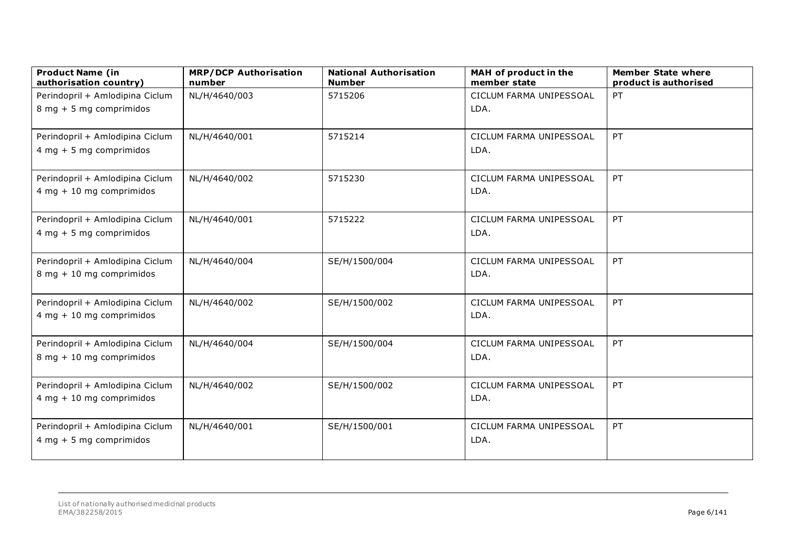| <b>Product Name (in</b><br>authorisation country)             | <b>MRP/DCP Authorisation</b><br>number | <b>National Authorisation</b><br><b>Number</b> | MAH of product in the<br>member state | <b>Member State where</b><br>product is authorised |
|---------------------------------------------------------------|----------------------------------------|------------------------------------------------|---------------------------------------|----------------------------------------------------|
| Perindopril + Amlodipina Ciclum                               | NL/H/4640/003                          | 5715206                                        | CICLUM FARMA UNIPESSOAL               | PT                                                 |
| 8 mg + 5 mg comprimidos                                       |                                        |                                                | LDA.                                  |                                                    |
| Perindopril + Amlodipina Ciclum<br>$4 mg + 5 mg$ comprimidos  | NL/H/4640/001                          | 5715214                                        | CICLUM FARMA UNIPESSOAL<br>LDA.       | PT                                                 |
|                                                               |                                        |                                                |                                       |                                                    |
| Perindopril + Amlodipina Ciclum<br>$4 mg + 10 mg$ comprimidos | NL/H/4640/002                          | 5715230                                        | CICLUM FARMA UNIPESSOAL<br>LDA.       | PT                                                 |
| Perindopril + Amlodipina Ciclum<br>$4 mg + 5 mg$ comprimidos  | NL/H/4640/001                          | 5715222                                        | CICLUM FARMA UNIPESSOAL<br>LDA.       | PT                                                 |
| Perindopril + Amlodipina Ciclum<br>8 mg + 10 mg comprimidos   | NL/H/4640/004                          | SE/H/1500/004                                  | CICLUM FARMA UNIPESSOAL<br>LDA.       | PT                                                 |
| Perindopril + Amlodipina Ciclum<br>$4 mg + 10 mg$ comprimidos | NL/H/4640/002                          | SE/H/1500/002                                  | CICLUM FARMA UNIPESSOAL<br>LDA.       | PT                                                 |
| Perindopril + Amlodipina Ciclum<br>8 mg + 10 mg comprimidos   | NL/H/4640/004                          | SE/H/1500/004                                  | CICLUM FARMA UNIPESSOAL<br>LDA.       | PT                                                 |
| Perindopril + Amlodipina Ciclum<br>$4 mg + 10 mg$ comprimidos | NL/H/4640/002                          | SE/H/1500/002                                  | CICLUM FARMA UNIPESSOAL<br>LDA.       | PT                                                 |
| Perindopril + Amlodipina Ciclum<br>$4 mg + 5 mg$ comprimidos  | NL/H/4640/001                          | SE/H/1500/001                                  | CICLUM FARMA UNIPESSOAL<br>LDA.       | PT                                                 |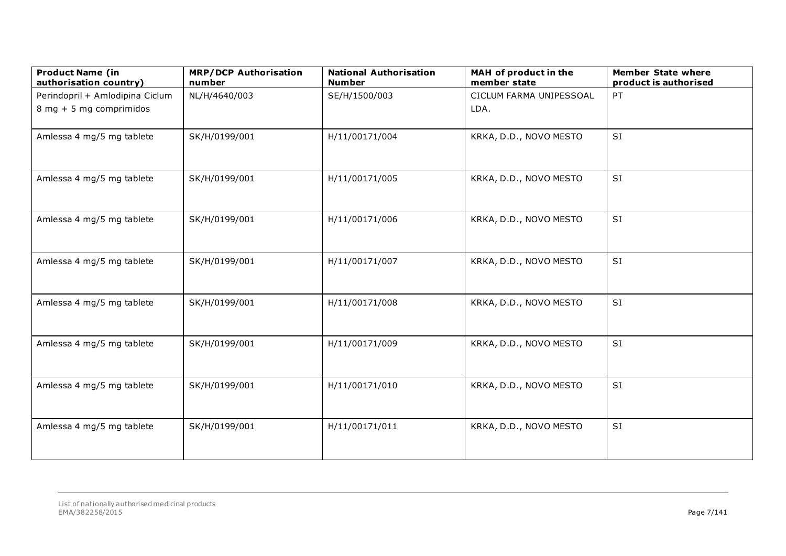| <b>Product Name (in</b><br>authorisation country) | <b>MRP/DCP Authorisation</b><br>number | <b>National Authorisation</b><br><b>Number</b> | MAH of product in the<br>member state | <b>Member State where</b><br>product is authorised |
|---------------------------------------------------|----------------------------------------|------------------------------------------------|---------------------------------------|----------------------------------------------------|
| Perindopril + Amlodipina Ciclum                   | NL/H/4640/003                          | SE/H/1500/003                                  | CICLUM FARMA UNIPESSOAL               | PT                                                 |
| 8 mg + 5 mg comprimidos                           |                                        |                                                | LDA.                                  |                                                    |
| Amlessa 4 mg/5 mg tablete                         | SK/H/0199/001                          | H/11/00171/004                                 | KRKA, D.D., NOVO MESTO                | <b>SI</b>                                          |
| Amlessa 4 mg/5 mg tablete                         | SK/H/0199/001                          | H/11/00171/005                                 | KRKA, D.D., NOVO MESTO                | SI                                                 |
| Amlessa 4 mg/5 mg tablete                         | SK/H/0199/001                          | H/11/00171/006                                 | KRKA, D.D., NOVO MESTO                | SI                                                 |
| Amlessa 4 mg/5 mg tablete                         | SK/H/0199/001                          | H/11/00171/007                                 | KRKA, D.D., NOVO MESTO                | SI                                                 |
| Amlessa 4 mg/5 mg tablete                         | SK/H/0199/001                          | H/11/00171/008                                 | KRKA, D.D., NOVO MESTO                | SI                                                 |
| Amlessa 4 mg/5 mg tablete                         | SK/H/0199/001                          | H/11/00171/009                                 | KRKA, D.D., NOVO MESTO                | SI                                                 |
| Amlessa 4 mg/5 mg tablete                         | SK/H/0199/001                          | H/11/00171/010                                 | KRKA, D.D., NOVO MESTO                | SI                                                 |
| Amlessa 4 mg/5 mg tablete                         | SK/H/0199/001                          | H/11/00171/011                                 | KRKA, D.D., NOVO MESTO                | SI                                                 |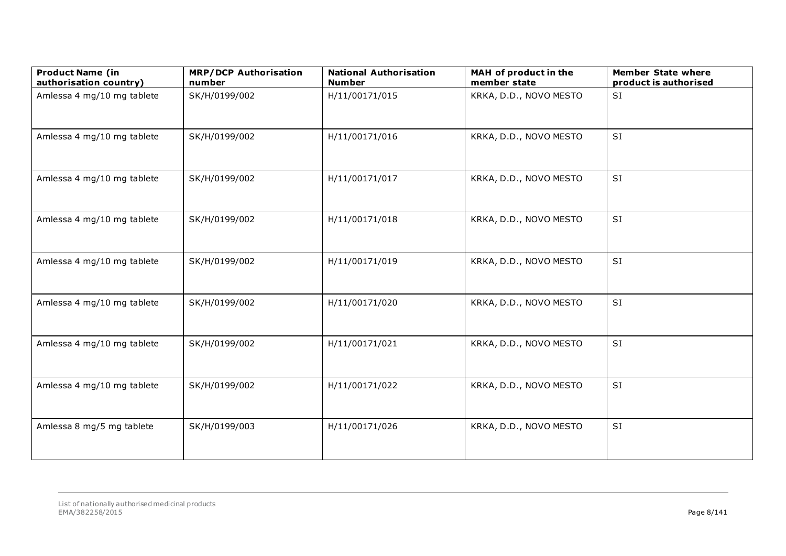| <b>Product Name (in</b><br>authorisation country) | <b>MRP/DCP Authorisation</b><br>number | <b>National Authorisation</b><br><b>Number</b> | MAH of product in the<br>member state | <b>Member State where</b><br>product is authorised |
|---------------------------------------------------|----------------------------------------|------------------------------------------------|---------------------------------------|----------------------------------------------------|
| Amlessa 4 mg/10 mg tablete                        | SK/H/0199/002                          | H/11/00171/015                                 | KRKA, D.D., NOVO MESTO                | SI                                                 |
| Amlessa 4 mg/10 mg tablete                        | SK/H/0199/002                          | H/11/00171/016                                 | KRKA, D.D., NOVO MESTO                | SI                                                 |
| Amlessa 4 mg/10 mg tablete                        | SK/H/0199/002                          | H/11/00171/017                                 | KRKA, D.D., NOVO MESTO                | <b>SI</b>                                          |
| Amlessa 4 mg/10 mg tablete                        | SK/H/0199/002                          | H/11/00171/018                                 | KRKA, D.D., NOVO MESTO                | SI                                                 |
| Amlessa 4 mg/10 mg tablete                        | SK/H/0199/002                          | H/11/00171/019                                 | KRKA, D.D., NOVO MESTO                | SI                                                 |
| Amlessa 4 mg/10 mg tablete                        | SK/H/0199/002                          | H/11/00171/020                                 | KRKA, D.D., NOVO MESTO                | SI                                                 |
| Amlessa 4 mg/10 mg tablete                        | SK/H/0199/002                          | H/11/00171/021                                 | KRKA, D.D., NOVO MESTO                | <b>SI</b>                                          |
| Amlessa 4 mg/10 mg tablete                        | SK/H/0199/002                          | H/11/00171/022                                 | KRKA, D.D., NOVO MESTO                | SI                                                 |
| Amlessa 8 mg/5 mg tablete                         | SK/H/0199/003                          | H/11/00171/026                                 | KRKA, D.D., NOVO MESTO                | SI                                                 |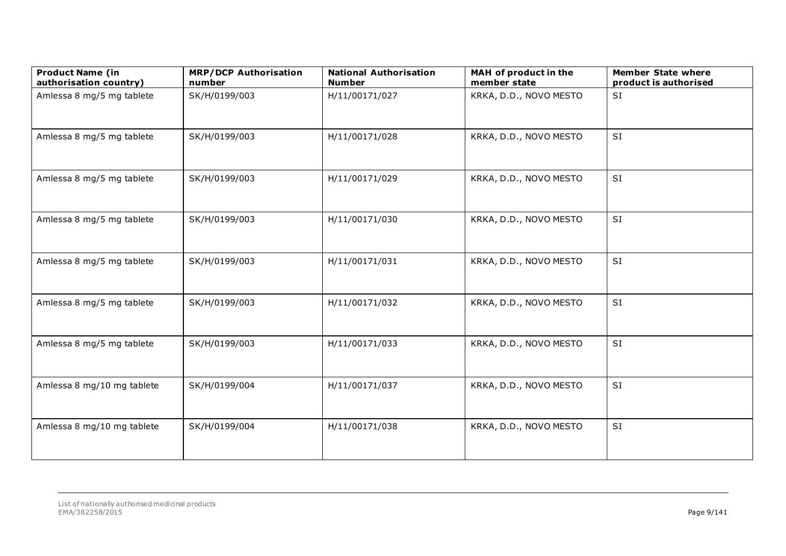| <b>Product Name (in</b><br>authorisation country) | <b>MRP/DCP Authorisation</b><br>number | <b>National Authorisation</b><br><b>Number</b> | MAH of product in the<br>member state | <b>Member State where</b><br>product is authorised |
|---------------------------------------------------|----------------------------------------|------------------------------------------------|---------------------------------------|----------------------------------------------------|
| Amlessa 8 mg/5 mg tablete                         | SK/H/0199/003                          | H/11/00171/027                                 | KRKA, D.D., NOVO MESTO                | SI                                                 |
| Amlessa 8 mg/5 mg tablete                         | SK/H/0199/003                          | H/11/00171/028                                 | KRKA, D.D., NOVO MESTO                | SI                                                 |
| Amlessa 8 mg/5 mg tablete                         | SK/H/0199/003                          | H/11/00171/029                                 | KRKA, D.D., NOVO MESTO                | <b>SI</b>                                          |
| Amlessa 8 mg/5 mg tablete                         | SK/H/0199/003                          | H/11/00171/030                                 | KRKA, D.D., NOVO MESTO                | SI                                                 |
| Amlessa 8 mg/5 mg tablete                         | SK/H/0199/003                          | H/11/00171/031                                 | KRKA, D.D., NOVO MESTO                | SI                                                 |
| Amlessa 8 mg/5 mg tablete                         | SK/H/0199/003                          | H/11/00171/032                                 | KRKA, D.D., NOVO MESTO                | SI                                                 |
| Amlessa 8 mg/5 mg tablete                         | SK/H/0199/003                          | H/11/00171/033                                 | KRKA, D.D., NOVO MESTO                | <b>SI</b>                                          |
| Amlessa 8 mg/10 mg tablete                        | SK/H/0199/004                          | H/11/00171/037                                 | KRKA, D.D., NOVO MESTO                | SI                                                 |
| Amlessa 8 mg/10 mg tablete                        | SK/H/0199/004                          | H/11/00171/038                                 | KRKA, D.D., NOVO MESTO                | SI                                                 |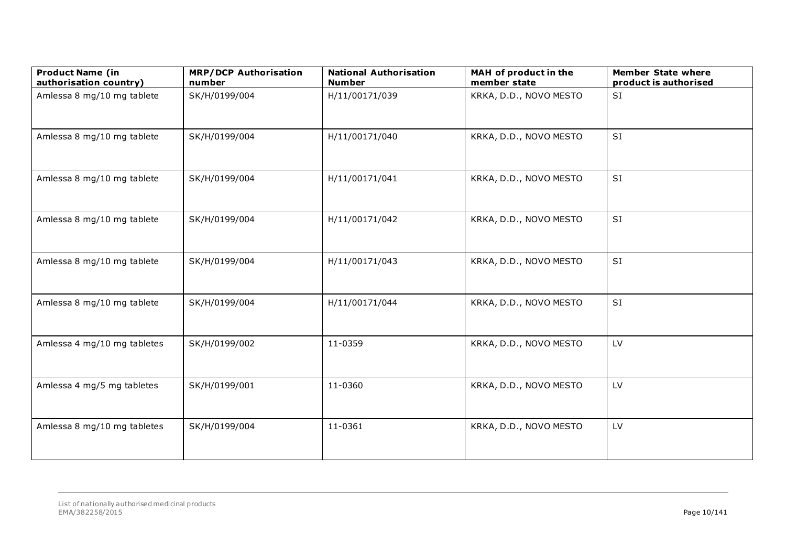| <b>Product Name (in</b><br>authorisation country) | <b>MRP/DCP Authorisation</b><br>number | <b>National Authorisation</b><br><b>Number</b> | MAH of product in the<br>member state | <b>Member State where</b><br>product is authorised |
|---------------------------------------------------|----------------------------------------|------------------------------------------------|---------------------------------------|----------------------------------------------------|
| Amlessa 8 mg/10 mg tablete                        | SK/H/0199/004                          | H/11/00171/039                                 | KRKA, D.D., NOVO MESTO                | SI                                                 |
| Amlessa 8 mg/10 mg tablete                        | SK/H/0199/004                          | H/11/00171/040                                 | KRKA, D.D., NOVO MESTO                | <b>SI</b>                                          |
| Amlessa 8 mg/10 mg tablete                        | SK/H/0199/004                          | H/11/00171/041                                 | KRKA, D.D., NOVO MESTO                | <b>SI</b>                                          |
| Amlessa 8 mg/10 mg tablete                        | SK/H/0199/004                          | H/11/00171/042                                 | KRKA, D.D., NOVO MESTO                | SI                                                 |
| Amlessa 8 mg/10 mg tablete                        | SK/H/0199/004                          | H/11/00171/043                                 | KRKA, D.D., NOVO MESTO                | SI                                                 |
| Amlessa 8 mg/10 mg tablete                        | SK/H/0199/004                          | H/11/00171/044                                 | KRKA, D.D., NOVO MESTO                | SI                                                 |
| Amlessa 4 mg/10 mg tabletes                       | SK/H/0199/002                          | 11-0359                                        | KRKA, D.D., NOVO MESTO                | LV                                                 |
| Amlessa 4 mg/5 mg tabletes                        | SK/H/0199/001                          | 11-0360                                        | KRKA, D.D., NOVO MESTO                | LV                                                 |
| Amlessa 8 mg/10 mg tabletes                       | SK/H/0199/004                          | 11-0361                                        | KRKA, D.D., NOVO MESTO                | LV                                                 |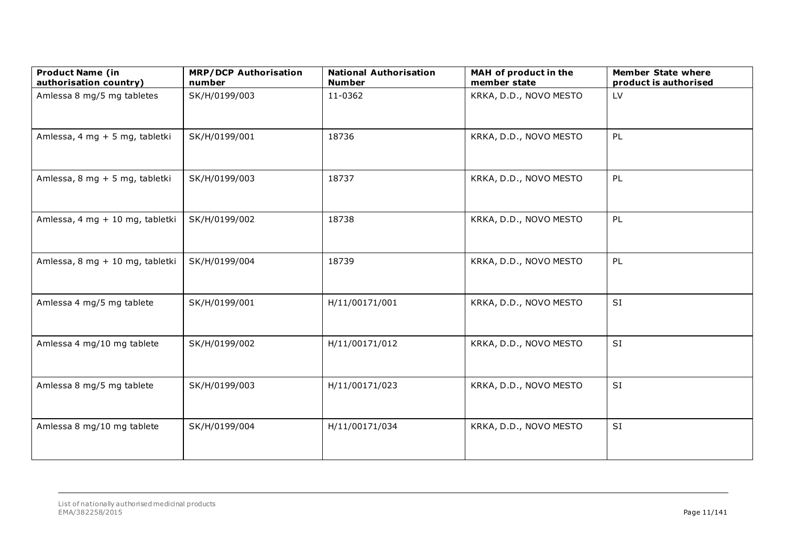| <b>Product Name (in</b><br>authorisation country) | <b>MRP/DCP Authorisation</b><br>number | <b>National Authorisation</b><br><b>Number</b> | MAH of product in the<br>member state | <b>Member State where</b><br>product is authorised |
|---------------------------------------------------|----------------------------------------|------------------------------------------------|---------------------------------------|----------------------------------------------------|
| Amlessa 8 mg/5 mg tabletes                        | SK/H/0199/003                          | 11-0362                                        | KRKA, D.D., NOVO MESTO                | LV                                                 |
| Amlessa, 4 mg + 5 mg, tabletki                    | SK/H/0199/001                          | 18736                                          | KRKA, D.D., NOVO MESTO                | PL                                                 |
| Amlessa, 8 mg + 5 mg, tabletki                    | SK/H/0199/003                          | 18737                                          | KRKA, D.D., NOVO MESTO                | PL                                                 |
| Amlessa, 4 mg + 10 mg, tabletki                   | SK/H/0199/002                          | 18738                                          | KRKA, D.D., NOVO MESTO                | PL                                                 |
| Amlessa, 8 mg + 10 mg, tabletki                   | SK/H/0199/004                          | 18739                                          | KRKA, D.D., NOVO MESTO                | PL                                                 |
| Amlessa 4 mg/5 mg tablete                         | SK/H/0199/001                          | H/11/00171/001                                 | KRKA, D.D., NOVO MESTO                | SI                                                 |
| Amlessa 4 mg/10 mg tablete                        | SK/H/0199/002                          | H/11/00171/012                                 | KRKA, D.D., NOVO MESTO                | SI                                                 |
| Amlessa 8 mg/5 mg tablete                         | SK/H/0199/003                          | H/11/00171/023                                 | KRKA, D.D., NOVO MESTO                | <b>SI</b>                                          |
| Amlessa 8 mg/10 mg tablete                        | SK/H/0199/004                          | H/11/00171/034                                 | KRKA, D.D., NOVO MESTO                | SI                                                 |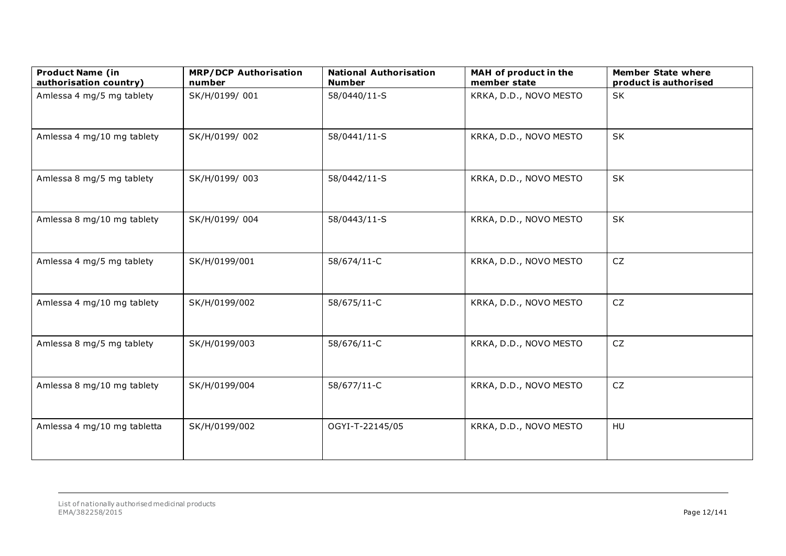| <b>Product Name (in</b><br>authorisation country) | <b>MRP/DCP Authorisation</b><br>number | <b>National Authorisation</b><br><b>Number</b> | MAH of product in the<br>member state | <b>Member State where</b><br>product is authorised |
|---------------------------------------------------|----------------------------------------|------------------------------------------------|---------------------------------------|----------------------------------------------------|
| Amlessa 4 mg/5 mg tablety                         | SK/H/0199/001                          | 58/0440/11-S                                   | KRKA, D.D., NOVO MESTO                | <b>SK</b>                                          |
| Amlessa 4 mg/10 mg tablety                        | SK/H/0199/002                          | 58/0441/11-S                                   | KRKA, D.D., NOVO MESTO                | SK                                                 |
| Amlessa 8 mg/5 mg tablety                         | SK/H/0199/003                          | 58/0442/11-S                                   | KRKA, D.D., NOVO MESTO                | SK                                                 |
| Amlessa 8 mg/10 mg tablety                        | SK/H/0199/004                          | 58/0443/11-S                                   | KRKA, D.D., NOVO MESTO                | SK                                                 |
| Amlessa 4 mg/5 mg tablety                         | SK/H/0199/001                          | 58/674/11-C                                    | KRKA, D.D., NOVO MESTO                | ${\sf CZ}$                                         |
| Amlessa 4 mg/10 mg tablety                        | SK/H/0199/002                          | 58/675/11-C                                    | KRKA, D.D., NOVO MESTO                | ${\sf CZ}$                                         |
| Amlessa 8 mg/5 mg tablety                         | SK/H/0199/003                          | 58/676/11-C                                    | KRKA, D.D., NOVO MESTO                | <b>CZ</b>                                          |
| Amlessa 8 mg/10 mg tablety                        | SK/H/0199/004                          | 58/677/11-C                                    | KRKA, D.D., NOVO MESTO                | CZ                                                 |
| Amlessa 4 mg/10 mg tabletta                       | SK/H/0199/002                          | OGYI-T-22145/05                                | KRKA, D.D., NOVO MESTO                | HU                                                 |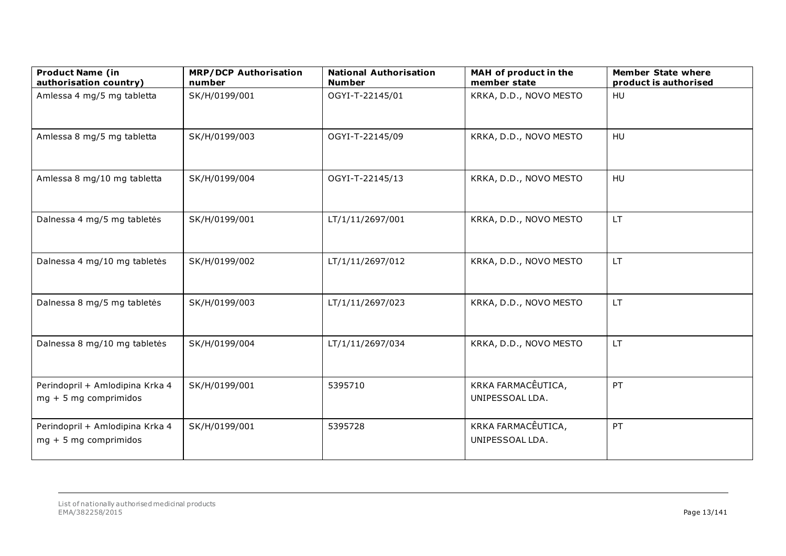| <b>Product Name (in</b><br>authorisation country)          | <b>MRP/DCP Authorisation</b><br>number | <b>National Authorisation</b><br><b>Number</b> | MAH of product in the<br>member state | <b>Member State where</b><br>product is authorised |
|------------------------------------------------------------|----------------------------------------|------------------------------------------------|---------------------------------------|----------------------------------------------------|
| Amlessa 4 mg/5 mg tabletta                                 | SK/H/0199/001                          | OGYI-T-22145/01                                | KRKA, D.D., NOVO MESTO                | HU                                                 |
| Amlessa 8 mg/5 mg tabletta                                 | SK/H/0199/003                          | OGYI-T-22145/09                                | KRKA, D.D., NOVO MESTO                | HU                                                 |
| Amlessa 8 mg/10 mg tabletta                                | SK/H/0199/004                          | OGYI-T-22145/13                                | KRKA, D.D., NOVO MESTO                | HU                                                 |
| Dalnessa 4 mg/5 mg tabletės                                | SK/H/0199/001                          | LT/1/11/2697/001                               | KRKA, D.D., NOVO MESTO                | <b>LT</b>                                          |
| Dalnessa 4 mg/10 mg tabletės                               | SK/H/0199/002                          | LT/1/11/2697/012                               | KRKA, D.D., NOVO MESTO                | <b>LT</b>                                          |
| Dalnessa 8 mg/5 mg tabletės                                | SK/H/0199/003                          | LT/1/11/2697/023                               | KRKA, D.D., NOVO MESTO                | <b>LT</b>                                          |
| Dalnessa 8 mg/10 mg tabletės                               | SK/H/0199/004                          | LT/1/11/2697/034                               | KRKA, D.D., NOVO MESTO                | <b>LT</b>                                          |
| Perindopril + Amlodipina Krka 4<br>$mg + 5 mg$ comprimidos | SK/H/0199/001                          | 5395710                                        | KRKA FARMACÊUTICA,<br>UNIPESSOAL LDA. | PT                                                 |
| Perindopril + Amlodipina Krka 4<br>$mg + 5 mg$ comprimidos | SK/H/0199/001                          | 5395728                                        | KRKA FARMACÊUTICA,<br>UNIPESSOAL LDA. | PT                                                 |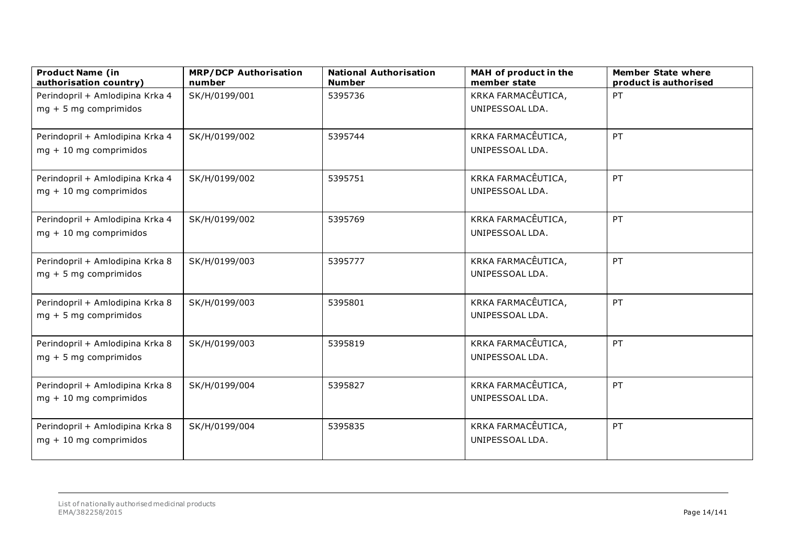| <b>Product Name (in</b><br>authorisation country)           | <b>MRP/DCP Authorisation</b><br>number | <b>National Authorisation</b><br><b>Number</b> | MAH of product in the<br>member state | <b>Member State where</b><br>product is authorised |
|-------------------------------------------------------------|----------------------------------------|------------------------------------------------|---------------------------------------|----------------------------------------------------|
| Perindopril + Amlodipina Krka 4                             | SK/H/0199/001                          | 5395736                                        | KRKA FARMACÊUTICA,                    | PT                                                 |
| $mg + 5 mg$ comprimidos                                     |                                        |                                                | UNIPESSOAL LDA.                       |                                                    |
|                                                             |                                        |                                                |                                       |                                                    |
| Perindopril + Amlodipina Krka 4                             | SK/H/0199/002                          | 5395744                                        | KRKA FARMACÊUTICA,                    | PT                                                 |
| $mg + 10$ mg comprimidos                                    |                                        |                                                | UNIPESSOAL LDA.                       |                                                    |
|                                                             |                                        |                                                |                                       |                                                    |
| Perindopril + Amlodipina Krka 4                             | SK/H/0199/002                          | 5395751                                        | KRKA FARMACÊUTICA,                    | PT                                                 |
| $mg + 10$ mg comprimidos                                    |                                        |                                                | UNIPESSOAL LDA.                       |                                                    |
|                                                             |                                        |                                                |                                       |                                                    |
| Perindopril + Amlodipina Krka 4                             | SK/H/0199/002                          | 5395769                                        | KRKA FARMACÊUTICA,                    | PT                                                 |
| $mg + 10$ mg comprimidos                                    |                                        |                                                | UNIPESSOAL LDA.                       |                                                    |
|                                                             |                                        |                                                |                                       |                                                    |
| Perindopril + Amlodipina Krka 8                             | SK/H/0199/003                          | 5395777                                        | KRKA FARMACÊUTICA,                    | PT                                                 |
| $mg + 5 mg$ comprimidos                                     |                                        |                                                | UNIPESSOAL LDA.                       |                                                    |
|                                                             |                                        |                                                |                                       |                                                    |
| Perindopril + Amlodipina Krka 8                             | SK/H/0199/003                          | 5395801                                        | KRKA FARMACÊUTICA,                    | PT                                                 |
| $mg + 5 mg$ comprimidos                                     |                                        |                                                | UNIPESSOAL LDA.                       |                                                    |
|                                                             |                                        |                                                |                                       |                                                    |
| Perindopril + Amlodipina Krka 8                             | SK/H/0199/003                          | 5395819                                        | KRKA FARMACÊUTICA,                    | PT                                                 |
| $mg + 5 mg$ comprimidos                                     |                                        |                                                | UNIPESSOAL LDA.                       |                                                    |
|                                                             |                                        |                                                |                                       |                                                    |
| Perindopril + Amlodipina Krka 8<br>$mg + 10$ mg comprimidos | SK/H/0199/004                          | 5395827                                        | KRKA FARMACÊUTICA,<br>UNIPESSOAL LDA. | PT                                                 |
|                                                             |                                        |                                                |                                       |                                                    |
| Perindopril + Amlodipina Krka 8                             | SK/H/0199/004                          | 5395835                                        | KRKA FARMACÊUTICA,                    | PT                                                 |
| $mg + 10$ mg comprimidos                                    |                                        |                                                | UNIPESSOAL LDA.                       |                                                    |
|                                                             |                                        |                                                |                                       |                                                    |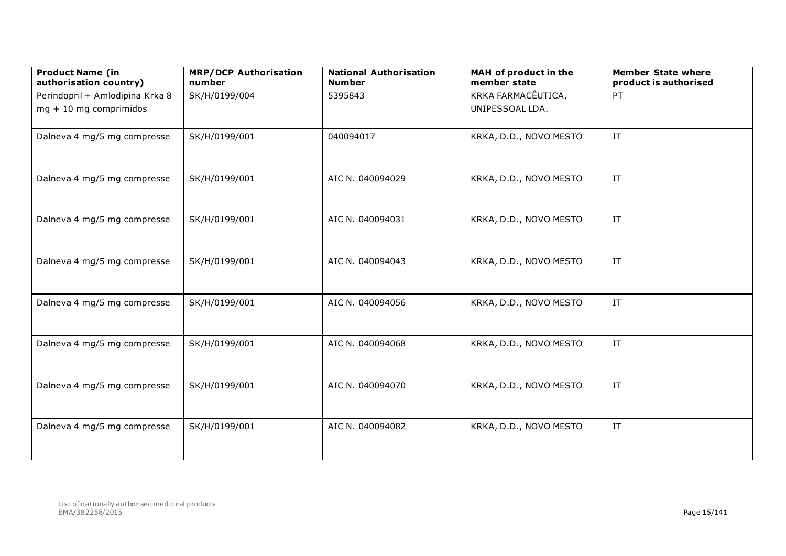| <b>Product Name (in</b><br>authorisation country) | <b>MRP/DCP Authorisation</b><br>number | <b>National Authorisation</b><br><b>Number</b> | MAH of product in the<br>member state | <b>Member State where</b><br>product is authorised |
|---------------------------------------------------|----------------------------------------|------------------------------------------------|---------------------------------------|----------------------------------------------------|
| Perindopril + Amlodipina Krka 8                   | SK/H/0199/004                          | 5395843                                        | KRKA FARMACÊUTICA,                    | PT                                                 |
| $mg + 10$ mg comprimidos                          |                                        |                                                | UNIPESSOAL LDA.                       |                                                    |
| Dalneva 4 mg/5 mg compresse                       | SK/H/0199/001                          | 040094017                                      | KRKA, D.D., NOVO MESTO                | IT                                                 |
| Dalneva 4 mg/5 mg compresse                       | SK/H/0199/001                          | AIC N. 040094029                               | KRKA, D.D., NOVO MESTO                | $\ensuremath{\text{IT}}$                           |
| Dalneva 4 mg/5 mg compresse                       | SK/H/0199/001                          | AIC N. 040094031                               | KRKA, D.D., NOVO MESTO                | $\ensuremath{\text{IT}}$                           |
| Dalneva 4 mg/5 mg compresse                       | SK/H/0199/001                          | AIC N. 040094043                               | KRKA, D.D., NOVO MESTO                | $\ensuremath{\text{IT}}$                           |
| Dalneva 4 mg/5 mg compresse                       | SK/H/0199/001                          | AIC N. 040094056                               | KRKA, D.D., NOVO MESTO                | $\ensuremath{\text{IT}}$                           |
| Dalneva 4 mg/5 mg compresse                       | SK/H/0199/001                          | AIC N. 040094068                               | KRKA, D.D., NOVO MESTO                | $\ensuremath{\text{IT}}$                           |
| Dalneva 4 mg/5 mg compresse                       | SK/H/0199/001                          | AIC N. 040094070                               | KRKA, D.D., NOVO MESTO                | $\ensuremath{\text{IT}}$                           |
| Dalneva 4 mg/5 mg compresse                       | SK/H/0199/001                          | AIC N. 040094082                               | KRKA, D.D., NOVO MESTO                | $\ensuremath{\text{IT}}$                           |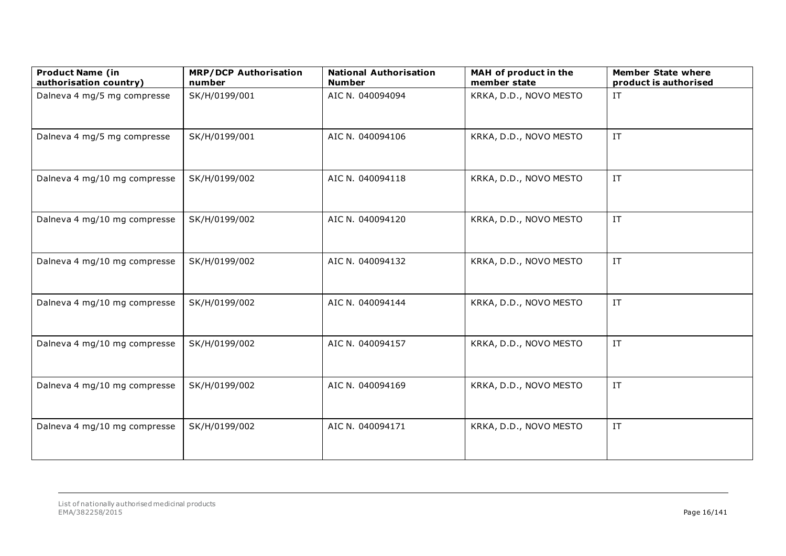| <b>Product Name (in</b><br>authorisation country) | <b>MRP/DCP Authorisation</b><br>number | <b>National Authorisation</b><br><b>Number</b> | MAH of product in the<br>member state | <b>Member State where</b><br>product is authorised |
|---------------------------------------------------|----------------------------------------|------------------------------------------------|---------------------------------------|----------------------------------------------------|
| Dalneva 4 mg/5 mg compresse                       | SK/H/0199/001                          | AIC N. 040094094                               | KRKA, D.D., NOVO MESTO                | IT                                                 |
| Dalneva 4 mg/5 mg compresse                       | SK/H/0199/001                          | AIC N. 040094106                               | KRKA, D.D., NOVO MESTO                | $\ensuremath{\text{IT}}$                           |
| Dalneva 4 mg/10 mg compresse                      | SK/H/0199/002                          | AIC N. 040094118                               | KRKA, D.D., NOVO MESTO                | $\ensuremath{\text{IT}}$                           |
| Dalneva 4 mg/10 mg compresse                      | SK/H/0199/002                          | AIC N. 040094120                               | KRKA, D.D., NOVO MESTO                | $\ensuremath{\text{IT}}$                           |
| Dalneva 4 mg/10 mg compresse                      | SK/H/0199/002                          | AIC N. 040094132                               | KRKA, D.D., NOVO MESTO                | $\ensuremath{\text{IT}}$                           |
| Dalneva 4 mg/10 mg compresse                      | SK/H/0199/002                          | AIC N. 040094144                               | KRKA, D.D., NOVO MESTO                | IT                                                 |
| Dalneva 4 mg/10 mg compresse                      | SK/H/0199/002                          | AIC N. 040094157                               | KRKA, D.D., NOVO MESTO                | $\ensuremath{\text{IT}}$                           |
| Dalneva 4 mg/10 mg compresse                      | SK/H/0199/002                          | AIC N. 040094169                               | KRKA, D.D., NOVO MESTO                | $\ensuremath{\text{IT}}$                           |
| Dalneva 4 mg/10 mg compresse                      | SK/H/0199/002                          | AIC N. 040094171                               | KRKA, D.D., NOVO MESTO                | $\ensuremath{\text{IT}}$                           |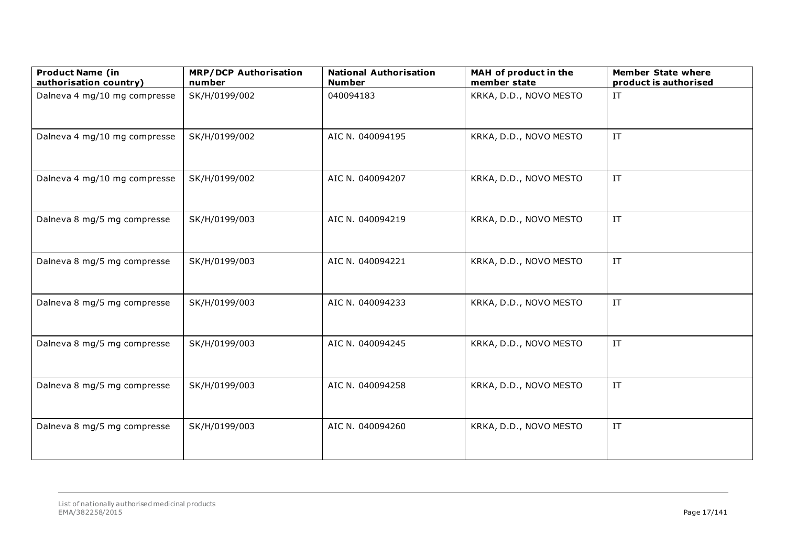| <b>Product Name (in</b><br>authorisation country) | <b>MRP/DCP Authorisation</b><br>number | <b>National Authorisation</b><br><b>Number</b> | MAH of product in the<br>member state | <b>Member State where</b><br>product is authorised |
|---------------------------------------------------|----------------------------------------|------------------------------------------------|---------------------------------------|----------------------------------------------------|
| Dalneva 4 mg/10 mg compresse                      | SK/H/0199/002                          | 040094183                                      | KRKA, D.D., NOVO MESTO                | IT                                                 |
| Dalneva 4 mg/10 mg compresse                      | SK/H/0199/002                          | AIC N. 040094195                               | KRKA, D.D., NOVO MESTO                | $\ensuremath{\text{IT}}$                           |
| Dalneva 4 mg/10 mg compresse                      | SK/H/0199/002                          | AIC N. 040094207                               | KRKA, D.D., NOVO MESTO                | IT                                                 |
| Dalneva 8 mg/5 mg compresse                       | SK/H/0199/003                          | AIC N. 040094219                               | KRKA, D.D., NOVO MESTO                | $\ensuremath{\text{IT}}$                           |
| Dalneva 8 mg/5 mg compresse                       | SK/H/0199/003                          | AIC N. 040094221                               | KRKA, D.D., NOVO MESTO                | $\ensuremath{\mathsf{IT}}$                         |
| Dalneva 8 mg/5 mg compresse                       | SK/H/0199/003                          | AIC N. 040094233                               | KRKA, D.D., NOVO MESTO                | $\ensuremath{\text{IT}}$                           |
| Dalneva 8 mg/5 mg compresse                       | SK/H/0199/003                          | AIC N. 040094245                               | KRKA, D.D., NOVO MESTO                | $\ensuremath{\text{IT}}$                           |
| Dalneva 8 mg/5 mg compresse                       | SK/H/0199/003                          | AIC N. 040094258                               | KRKA, D.D., NOVO MESTO                | $\ensuremath{\text{IT}}$                           |
| Dalneva 8 mg/5 mg compresse                       | SK/H/0199/003                          | AIC N. 040094260                               | KRKA, D.D., NOVO MESTO                | $\ensuremath{\text{IT}}$                           |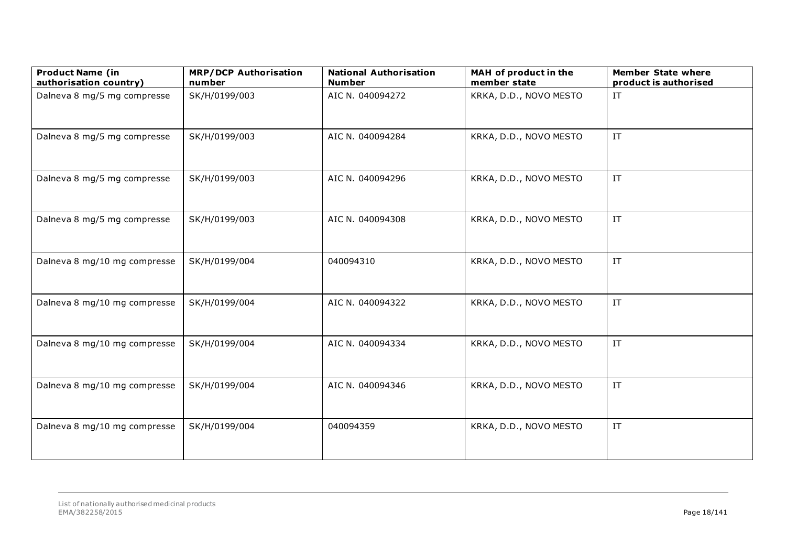| <b>Product Name (in</b><br>authorisation country) | <b>MRP/DCP Authorisation</b><br>number | <b>National Authorisation</b><br><b>Number</b> | MAH of product in the<br>member state | <b>Member State where</b><br>product is authorised |
|---------------------------------------------------|----------------------------------------|------------------------------------------------|---------------------------------------|----------------------------------------------------|
| Dalneva 8 mg/5 mg compresse                       | SK/H/0199/003                          | AIC N. 040094272                               | KRKA, D.D., NOVO MESTO                | IT                                                 |
| Dalneva 8 mg/5 mg compresse                       | SK/H/0199/003                          | AIC N. 040094284                               | KRKA, D.D., NOVO MESTO                | $\ensuremath{\text{IT}}$                           |
| Dalneva 8 mg/5 mg compresse                       | SK/H/0199/003                          | AIC N. 040094296                               | KRKA, D.D., NOVO MESTO                | $\ensuremath{\text{IT}}$                           |
| Dalneva 8 mg/5 mg compresse                       | SK/H/0199/003                          | AIC N. 040094308                               | KRKA, D.D., NOVO MESTO                | $\ensuremath{\mathsf{IT}}$                         |
| Dalneva 8 mg/10 mg compresse                      | SK/H/0199/004                          | 040094310                                      | KRKA, D.D., NOVO MESTO                | $\ensuremath{\text{IT}}$                           |
| Dalneva 8 mg/10 mg compresse                      | SK/H/0199/004                          | AIC N. 040094322                               | KRKA, D.D., NOVO MESTO                | $\ensuremath{\text{IT}}$                           |
| Dalneva 8 mg/10 mg compresse                      | SK/H/0199/004                          | AIC N. 040094334                               | KRKA, D.D., NOVO MESTO                | $\ensuremath{\mathsf{IT}}$                         |
| Dalneva 8 mg/10 mg compresse                      | SK/H/0199/004                          | AIC N. 040094346                               | KRKA, D.D., NOVO MESTO                | $\ensuremath{\text{IT}}$                           |
| Dalneva 8 mg/10 mg compresse                      | SK/H/0199/004                          | 040094359                                      | KRKA, D.D., NOVO MESTO                | $\ensuremath{\text{IT}}$                           |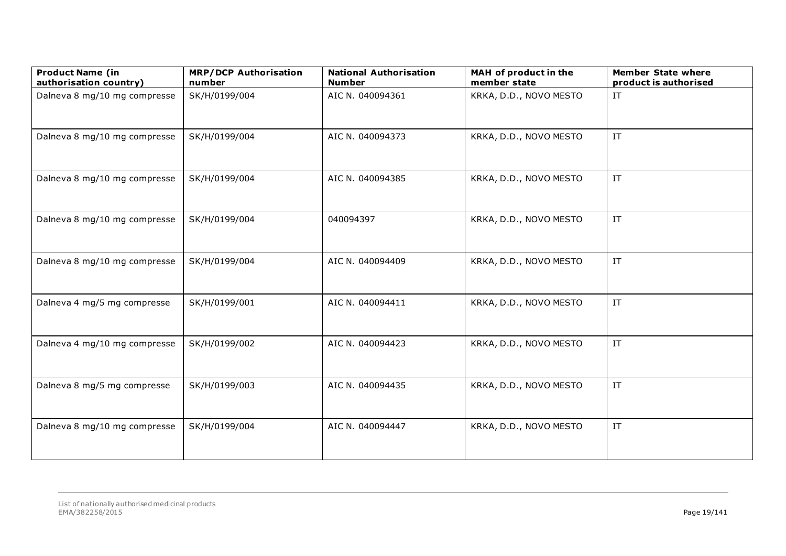| <b>Product Name (in</b><br>authorisation country) | <b>MRP/DCP Authorisation</b><br>number | <b>National Authorisation</b><br><b>Number</b> | MAH of product in the<br>member state | <b>Member State where</b><br>product is authorised |
|---------------------------------------------------|----------------------------------------|------------------------------------------------|---------------------------------------|----------------------------------------------------|
| Dalneva 8 mg/10 mg compresse                      | SK/H/0199/004                          | AIC N. 040094361                               | KRKA, D.D., NOVO MESTO                | IT                                                 |
| Dalneva 8 mg/10 mg compresse                      | SK/H/0199/004                          | AIC N. 040094373                               | KRKA, D.D., NOVO MESTO                | $\ensuremath{\text{IT}}$                           |
| Dalneva 8 mg/10 mg compresse                      | SK/H/0199/004                          | AIC N. 040094385                               | KRKA, D.D., NOVO MESTO                | $\ensuremath{\text{IT}}$                           |
| Dalneva 8 mg/10 mg compresse                      | SK/H/0199/004                          | 040094397                                      | KRKA, D.D., NOVO MESTO                | $\ensuremath{\mathsf{IT}}$                         |
| Dalneva 8 mg/10 mg compresse                      | SK/H/0199/004                          | AIC N. 040094409                               | KRKA, D.D., NOVO MESTO                | $\ensuremath{\text{IT}}$                           |
| Dalneva 4 mg/5 mg compresse                       | SK/H/0199/001                          | AIC N. 040094411                               | KRKA, D.D., NOVO MESTO                | $\ensuremath{\text{IT}}$                           |
| Dalneva 4 mg/10 mg compresse                      | SK/H/0199/002                          | AIC N. 040094423                               | KRKA, D.D., NOVO MESTO                | $\ensuremath{\mathsf{IT}}$                         |
| Dalneva 8 mg/5 mg compresse                       | SK/H/0199/003                          | AIC N. 040094435                               | KRKA, D.D., NOVO MESTO                | $\ensuremath{\text{IT}}$                           |
| Dalneva 8 mg/10 mg compresse                      | SK/H/0199/004                          | AIC N. 040094447                               | KRKA, D.D., NOVO MESTO                | $\ensuremath{\text{IT}}$                           |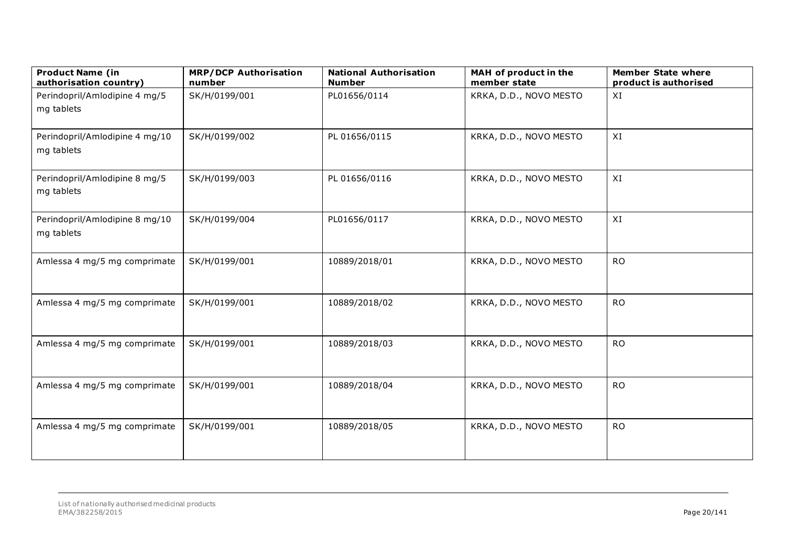| <b>Product Name (in</b><br>authorisation country) | <b>MRP/DCP Authorisation</b><br>number | <b>National Authorisation</b><br><b>Number</b> | MAH of product in the<br>member state | <b>Member State where</b><br>product is authorised |
|---------------------------------------------------|----------------------------------------|------------------------------------------------|---------------------------------------|----------------------------------------------------|
| Perindopril/Amlodipine 4 mg/5<br>mg tablets       | SK/H/0199/001                          | PL01656/0114                                   | KRKA, D.D., NOVO MESTO                | XI                                                 |
| Perindopril/Amlodipine 4 mg/10<br>mg tablets      | SK/H/0199/002                          | PL 01656/0115                                  | KRKA, D.D., NOVO MESTO                | XI                                                 |
| Perindopril/Amlodipine 8 mg/5<br>mg tablets       | SK/H/0199/003                          | PL 01656/0116                                  | KRKA, D.D., NOVO MESTO                | XI                                                 |
| Perindopril/Amlodipine 8 mg/10<br>mg tablets      | SK/H/0199/004                          | PL01656/0117                                   | KRKA, D.D., NOVO MESTO                | XI                                                 |
| Amlessa 4 mg/5 mg comprimate                      | SK/H/0199/001                          | 10889/2018/01                                  | KRKA, D.D., NOVO MESTO                | <b>RO</b>                                          |
| Amlessa 4 mg/5 mg comprimate                      | SK/H/0199/001                          | 10889/2018/02                                  | KRKA, D.D., NOVO MESTO                | <b>RO</b>                                          |
| Amlessa 4 mg/5 mg comprimate                      | SK/H/0199/001                          | 10889/2018/03                                  | KRKA, D.D., NOVO MESTO                | <b>RO</b>                                          |
| Amlessa 4 mg/5 mg comprimate                      | SK/H/0199/001                          | 10889/2018/04                                  | KRKA, D.D., NOVO MESTO                | <b>RO</b>                                          |
| Amlessa 4 mg/5 mg comprimate                      | SK/H/0199/001                          | 10889/2018/05                                  | KRKA, D.D., NOVO MESTO                | <b>RO</b>                                          |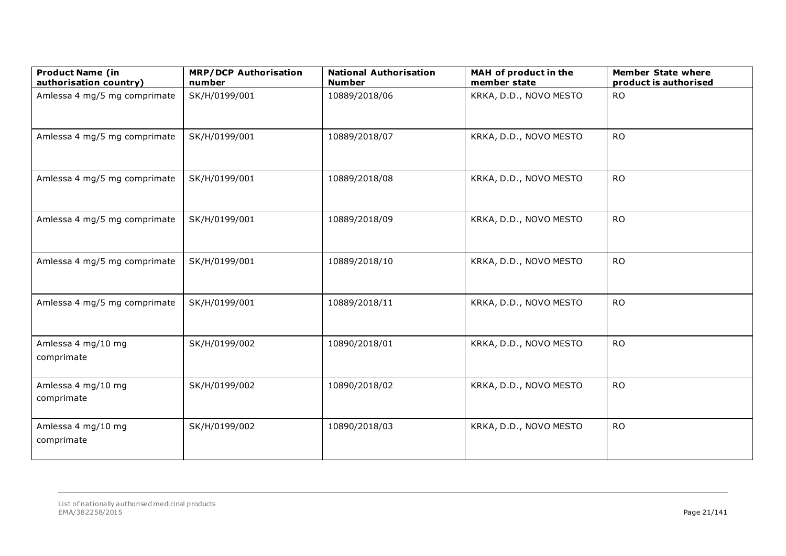| <b>Product Name (in</b><br>authorisation country) | <b>MRP/DCP Authorisation</b><br>number | <b>National Authorisation</b><br><b>Number</b> | MAH of product in the<br>member state | <b>Member State where</b><br>product is authorised |
|---------------------------------------------------|----------------------------------------|------------------------------------------------|---------------------------------------|----------------------------------------------------|
| Amlessa 4 mg/5 mg comprimate                      | SK/H/0199/001                          | 10889/2018/06                                  | KRKA, D.D., NOVO MESTO                | <b>RO</b>                                          |
| Amlessa 4 mg/5 mg comprimate                      | SK/H/0199/001                          | 10889/2018/07                                  | KRKA, D.D., NOVO MESTO                | <b>RO</b>                                          |
| Amlessa 4 mg/5 mg comprimate                      | SK/H/0199/001                          | 10889/2018/08                                  | KRKA, D.D., NOVO MESTO                | <b>RO</b>                                          |
| Amlessa 4 mg/5 mg comprimate                      | SK/H/0199/001                          | 10889/2018/09                                  | KRKA, D.D., NOVO MESTO                | <b>RO</b>                                          |
| Amlessa 4 mg/5 mg comprimate                      | SK/H/0199/001                          | 10889/2018/10                                  | KRKA, D.D., NOVO MESTO                | <b>RO</b>                                          |
| Amlessa 4 mg/5 mg comprimate                      | SK/H/0199/001                          | 10889/2018/11                                  | KRKA, D.D., NOVO MESTO                | <b>RO</b>                                          |
| Amlessa 4 mg/10 mg<br>comprimate                  | SK/H/0199/002                          | 10890/2018/01                                  | KRKA, D.D., NOVO MESTO                | <b>RO</b>                                          |
| Amlessa 4 mg/10 mg<br>comprimate                  | SK/H/0199/002                          | 10890/2018/02                                  | KRKA, D.D., NOVO MESTO                | <b>RO</b>                                          |
| Amlessa 4 mg/10 mg<br>comprimate                  | SK/H/0199/002                          | 10890/2018/03                                  | KRKA, D.D., NOVO MESTO                | <b>RO</b>                                          |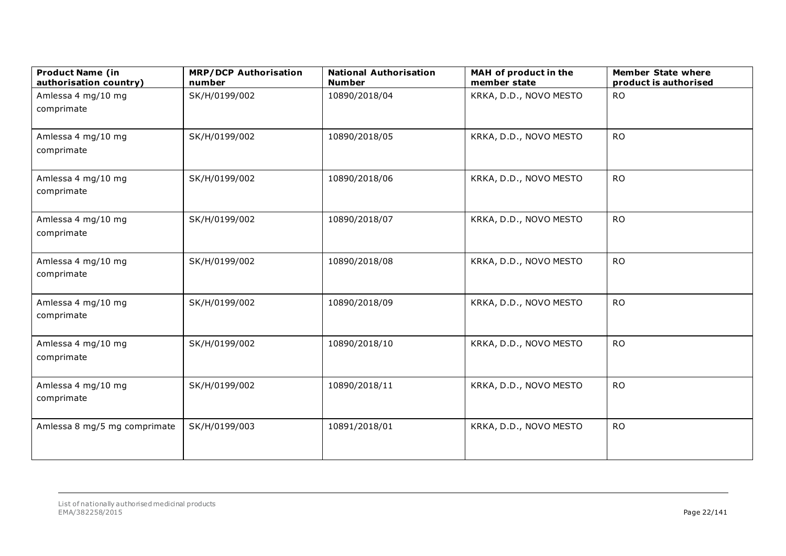| <b>Product Name (in</b><br>authorisation country) | <b>MRP/DCP Authorisation</b><br>number | <b>National Authorisation</b><br><b>Number</b> | MAH of product in the<br>member state | <b>Member State where</b><br>product is authorised |
|---------------------------------------------------|----------------------------------------|------------------------------------------------|---------------------------------------|----------------------------------------------------|
| Amlessa 4 mg/10 mg<br>comprimate                  | SK/H/0199/002                          | 10890/2018/04                                  | KRKA, D.D., NOVO MESTO                | <b>RO</b>                                          |
| Amlessa 4 mg/10 mg<br>comprimate                  | SK/H/0199/002                          | 10890/2018/05                                  | KRKA, D.D., NOVO MESTO                | <b>RO</b>                                          |
| Amlessa 4 mg/10 mg<br>comprimate                  | SK/H/0199/002                          | 10890/2018/06                                  | KRKA, D.D., NOVO MESTO                | <b>RO</b>                                          |
| Amlessa 4 mg/10 mg<br>comprimate                  | SK/H/0199/002                          | 10890/2018/07                                  | KRKA, D.D., NOVO MESTO                | <b>RO</b>                                          |
| Amlessa 4 mg/10 mg<br>comprimate                  | SK/H/0199/002                          | 10890/2018/08                                  | KRKA, D.D., NOVO MESTO                | <b>RO</b>                                          |
| Amlessa 4 mg/10 mg<br>comprimate                  | SK/H/0199/002                          | 10890/2018/09                                  | KRKA, D.D., NOVO MESTO                | <b>RO</b>                                          |
| Amlessa 4 mg/10 mg<br>comprimate                  | SK/H/0199/002                          | 10890/2018/10                                  | KRKA, D.D., NOVO MESTO                | <b>RO</b>                                          |
| Amlessa 4 mg/10 mg<br>comprimate                  | SK/H/0199/002                          | 10890/2018/11                                  | KRKA, D.D., NOVO MESTO                | <b>RO</b>                                          |
| Amlessa 8 mg/5 mg comprimate                      | SK/H/0199/003                          | 10891/2018/01                                  | KRKA, D.D., NOVO MESTO                | <b>RO</b>                                          |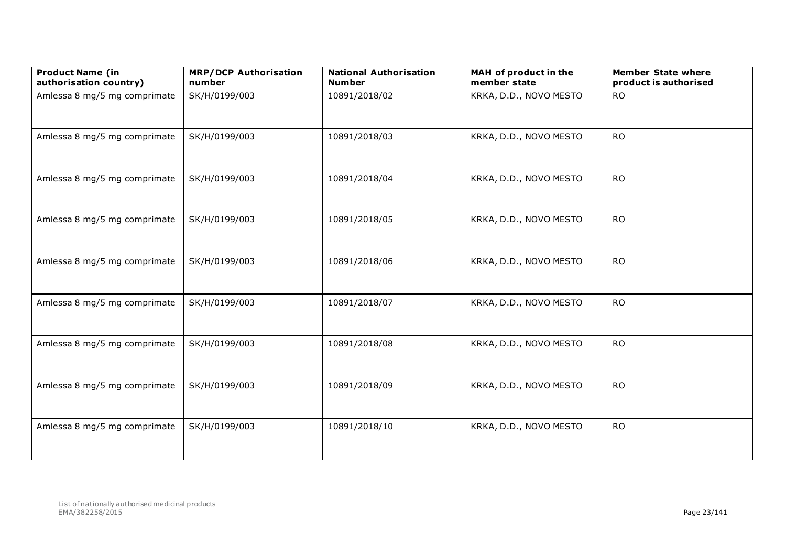| <b>Product Name (in</b><br>authorisation country) | <b>MRP/DCP Authorisation</b><br>number | <b>National Authorisation</b><br><b>Number</b> | MAH of product in the<br>member state | <b>Member State where</b><br>product is authorised |
|---------------------------------------------------|----------------------------------------|------------------------------------------------|---------------------------------------|----------------------------------------------------|
| Amlessa 8 mg/5 mg comprimate                      | SK/H/0199/003                          | 10891/2018/02                                  | KRKA, D.D., NOVO MESTO                | <b>RO</b>                                          |
| Amlessa 8 mg/5 mg comprimate                      | SK/H/0199/003                          | 10891/2018/03                                  | KRKA, D.D., NOVO MESTO                | <b>RO</b>                                          |
| Amlessa 8 mg/5 mg comprimate                      | SK/H/0199/003                          | 10891/2018/04                                  | KRKA, D.D., NOVO MESTO                | <b>RO</b>                                          |
| Amlessa 8 mg/5 mg comprimate                      | SK/H/0199/003                          | 10891/2018/05                                  | KRKA, D.D., NOVO MESTO                | <b>RO</b>                                          |
| Amlessa 8 mg/5 mg comprimate                      | SK/H/0199/003                          | 10891/2018/06                                  | KRKA, D.D., NOVO MESTO                | <b>RO</b>                                          |
| Amlessa 8 mg/5 mg comprimate                      | SK/H/0199/003                          | 10891/2018/07                                  | KRKA, D.D., NOVO MESTO                | <b>RO</b>                                          |
| Amlessa 8 mg/5 mg comprimate                      | SK/H/0199/003                          | 10891/2018/08                                  | KRKA, D.D., NOVO MESTO                | <b>RO</b>                                          |
| Amlessa 8 mg/5 mg comprimate                      | SK/H/0199/003                          | 10891/2018/09                                  | KRKA, D.D., NOVO MESTO                | <b>RO</b>                                          |
| Amlessa 8 mg/5 mg comprimate                      | SK/H/0199/003                          | 10891/2018/10                                  | KRKA, D.D., NOVO MESTO                | <b>RO</b>                                          |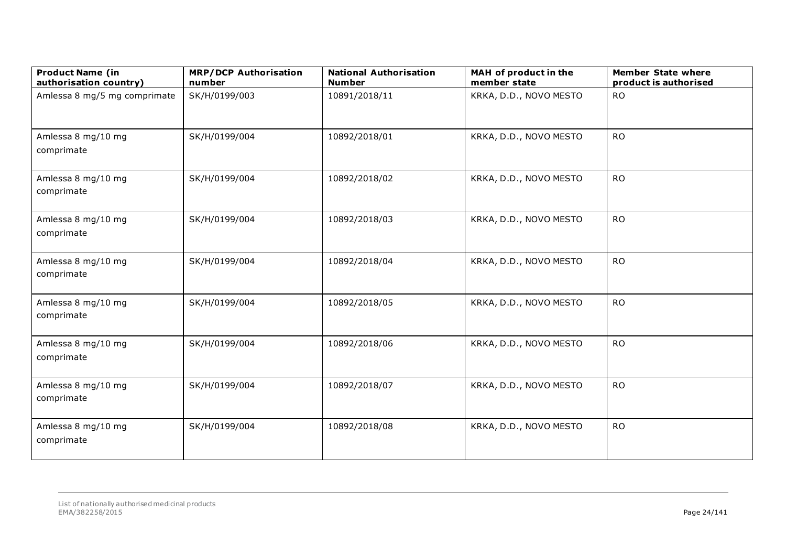| <b>Product Name (in</b><br>authorisation country) | <b>MRP/DCP Authorisation</b><br>number | <b>National Authorisation</b><br><b>Number</b> | MAH of product in the<br>member state | <b>Member State where</b><br>product is authorised |
|---------------------------------------------------|----------------------------------------|------------------------------------------------|---------------------------------------|----------------------------------------------------|
| Amlessa 8 mg/5 mg comprimate                      | SK/H/0199/003                          | 10891/2018/11                                  | KRKA, D.D., NOVO MESTO                | <b>RO</b>                                          |
| Amlessa 8 mg/10 mg<br>comprimate                  | SK/H/0199/004                          | 10892/2018/01                                  | KRKA, D.D., NOVO MESTO                | <b>RO</b>                                          |
| Amlessa 8 mg/10 mg<br>comprimate                  | SK/H/0199/004                          | 10892/2018/02                                  | KRKA, D.D., NOVO MESTO                | <b>RO</b>                                          |
| Amlessa 8 mg/10 mg<br>comprimate                  | SK/H/0199/004                          | 10892/2018/03                                  | KRKA, D.D., NOVO MESTO                | <b>RO</b>                                          |
| Amlessa 8 mg/10 mg<br>comprimate                  | SK/H/0199/004                          | 10892/2018/04                                  | KRKA, D.D., NOVO MESTO                | <b>RO</b>                                          |
| Amlessa 8 mg/10 mg<br>comprimate                  | SK/H/0199/004                          | 10892/2018/05                                  | KRKA, D.D., NOVO MESTO                | <b>RO</b>                                          |
| Amlessa 8 mg/10 mg<br>comprimate                  | SK/H/0199/004                          | 10892/2018/06                                  | KRKA, D.D., NOVO MESTO                | <b>RO</b>                                          |
| Amlessa 8 mg/10 mg<br>comprimate                  | SK/H/0199/004                          | 10892/2018/07                                  | KRKA, D.D., NOVO MESTO                | <b>RO</b>                                          |
| Amlessa 8 mg/10 mg<br>comprimate                  | SK/H/0199/004                          | 10892/2018/08                                  | KRKA, D.D., NOVO MESTO                | <b>RO</b>                                          |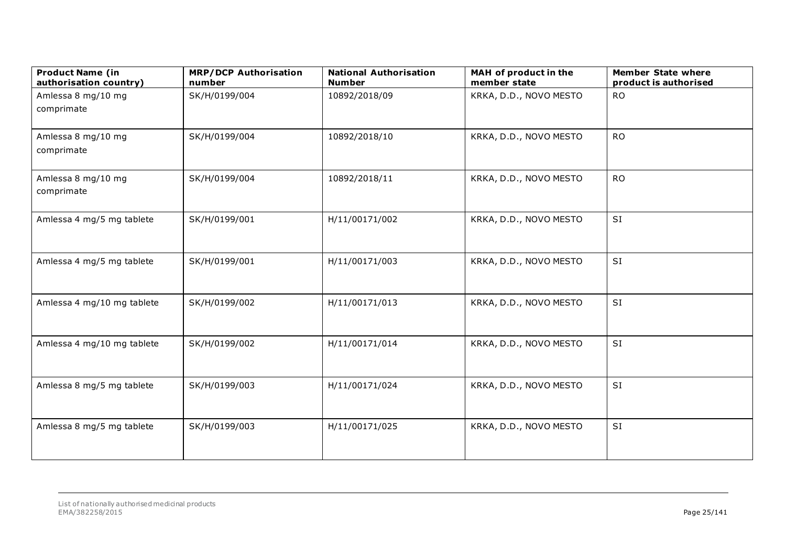| <b>Product Name (in</b><br>authorisation country) | <b>MRP/DCP Authorisation</b><br>number | <b>National Authorisation</b><br><b>Number</b> | MAH of product in the<br>member state | <b>Member State where</b><br>product is authorised |
|---------------------------------------------------|----------------------------------------|------------------------------------------------|---------------------------------------|----------------------------------------------------|
| Amlessa 8 mg/10 mg                                | SK/H/0199/004                          | 10892/2018/09                                  | KRKA, D.D., NOVO MESTO                | <b>RO</b>                                          |
| comprimate                                        |                                        |                                                |                                       |                                                    |
| Amlessa 8 mg/10 mg<br>comprimate                  | SK/H/0199/004                          | 10892/2018/10                                  | KRKA, D.D., NOVO MESTO                | <b>RO</b>                                          |
| Amlessa 8 mg/10 mg<br>comprimate                  | SK/H/0199/004                          | 10892/2018/11                                  | KRKA, D.D., NOVO MESTO                | <b>RO</b>                                          |
| Amlessa 4 mg/5 mg tablete                         | SK/H/0199/001                          | H/11/00171/002                                 | KRKA, D.D., NOVO MESTO                | SI                                                 |
| Amlessa 4 mg/5 mg tablete                         | SK/H/0199/001                          | H/11/00171/003                                 | KRKA, D.D., NOVO MESTO                | SI                                                 |
| Amlessa 4 mg/10 mg tablete                        | SK/H/0199/002                          | H/11/00171/013                                 | KRKA, D.D., NOVO MESTO                | SI                                                 |
| Amlessa 4 mg/10 mg tablete                        | SK/H/0199/002                          | H/11/00171/014                                 | KRKA, D.D., NOVO MESTO                | SI                                                 |
| Amlessa 8 mg/5 mg tablete                         | SK/H/0199/003                          | H/11/00171/024                                 | KRKA, D.D., NOVO MESTO                | SI                                                 |
| Amlessa 8 mg/5 mg tablete                         | SK/H/0199/003                          | H/11/00171/025                                 | KRKA, D.D., NOVO MESTO                | SI                                                 |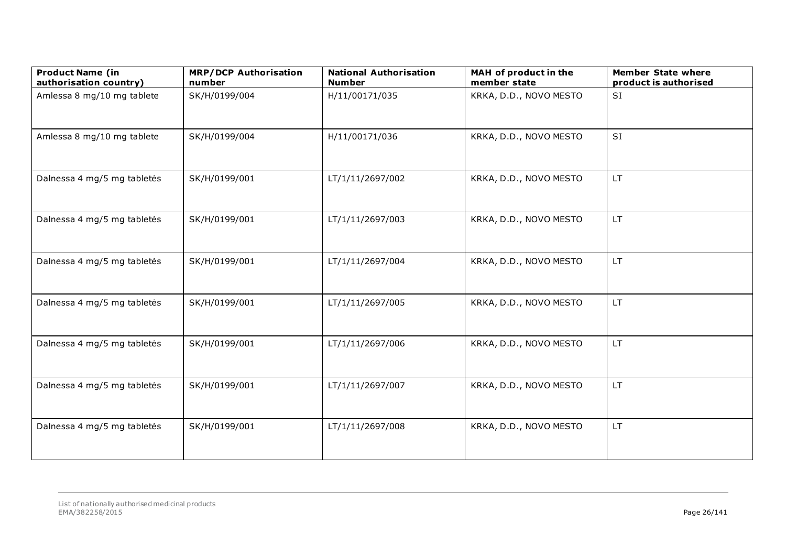| <b>Product Name (in</b><br>authorisation country) | <b>MRP/DCP Authorisation</b><br>number | <b>National Authorisation</b><br><b>Number</b> | MAH of product in the<br>member state | <b>Member State where</b><br>product is authorised |
|---------------------------------------------------|----------------------------------------|------------------------------------------------|---------------------------------------|----------------------------------------------------|
| Amlessa 8 mg/10 mg tablete                        | SK/H/0199/004                          | H/11/00171/035                                 | KRKA, D.D., NOVO MESTO                | SI                                                 |
| Amlessa 8 mg/10 mg tablete                        | SK/H/0199/004                          | H/11/00171/036                                 | KRKA, D.D., NOVO MESTO                | SI                                                 |
| Dalnessa 4 mg/5 mg tabletės                       | SK/H/0199/001                          | LT/1/11/2697/002                               | KRKA, D.D., NOVO MESTO                | LT.                                                |
| Dalnessa 4 mg/5 mg tabletės                       | SK/H/0199/001                          | LT/1/11/2697/003                               | KRKA, D.D., NOVO MESTO                | LT.                                                |
| Dalnessa 4 mg/5 mg tabletės                       | SK/H/0199/001                          | LT/1/11/2697/004                               | KRKA, D.D., NOVO MESTO                | LT.                                                |
| Dalnessa 4 mg/5 mg tabletės                       | SK/H/0199/001                          | LT/1/11/2697/005                               | KRKA, D.D., NOVO MESTO                | LT.                                                |
| Dalnessa 4 mg/5 mg tabletės                       | SK/H/0199/001                          | LT/1/11/2697/006                               | KRKA, D.D., NOVO MESTO                | LT.                                                |
| Dalnessa 4 mg/5 mg tabletės                       | SK/H/0199/001                          | LT/1/11/2697/007                               | KRKA, D.D., NOVO MESTO                | LT.                                                |
| Dalnessa 4 mg/5 mg tabletės                       | SK/H/0199/001                          | LT/1/11/2697/008                               | KRKA, D.D., NOVO MESTO                | LT.                                                |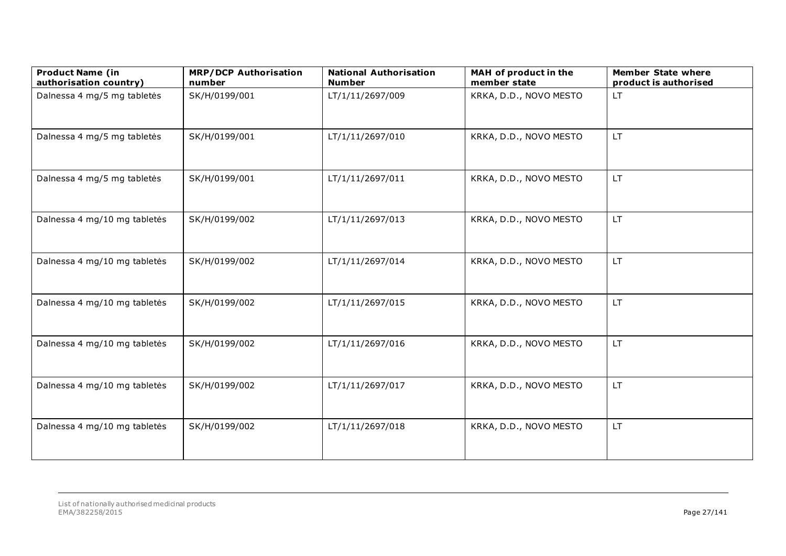| <b>Product Name (in</b><br>authorisation country) | <b>MRP/DCP Authorisation</b><br>number | <b>National Authorisation</b><br><b>Number</b> | MAH of product in the<br>member state | <b>Member State where</b><br>product is authorised |
|---------------------------------------------------|----------------------------------------|------------------------------------------------|---------------------------------------|----------------------------------------------------|
| Dalnessa 4 mg/5 mg tabletės                       | SK/H/0199/001                          | LT/1/11/2697/009                               | KRKA, D.D., NOVO MESTO                | LT.                                                |
| Dalnessa 4 mg/5 mg tabletės                       | SK/H/0199/001                          | LT/1/11/2697/010                               | KRKA, D.D., NOVO MESTO                | LT.                                                |
| Dalnessa 4 mg/5 mg tabletės                       | SK/H/0199/001                          | LT/1/11/2697/011                               | KRKA, D.D., NOVO MESTO                | LT.                                                |
| Dalnessa 4 mg/10 mg tabletės                      | SK/H/0199/002                          | LT/1/11/2697/013                               | KRKA, D.D., NOVO MESTO                | LT.                                                |
| Dalnessa 4 mg/10 mg tabletės                      | SK/H/0199/002                          | LT/1/11/2697/014                               | KRKA, D.D., NOVO MESTO                | LT.                                                |
| Dalnessa 4 mg/10 mg tabletės                      | SK/H/0199/002                          | LT/1/11/2697/015                               | KRKA, D.D., NOVO MESTO                | LT.                                                |
| Dalnessa 4 mg/10 mg tabletės                      | SK/H/0199/002                          | LT/1/11/2697/016                               | KRKA, D.D., NOVO MESTO                | LT.                                                |
| Dalnessa 4 mg/10 mg tabletės                      | SK/H/0199/002                          | LT/1/11/2697/017                               | KRKA, D.D., NOVO MESTO                | LT.                                                |
| Dalnessa 4 mg/10 mg tabletės                      | SK/H/0199/002                          | LT/1/11/2697/018                               | KRKA, D.D., NOVO MESTO                | LT.                                                |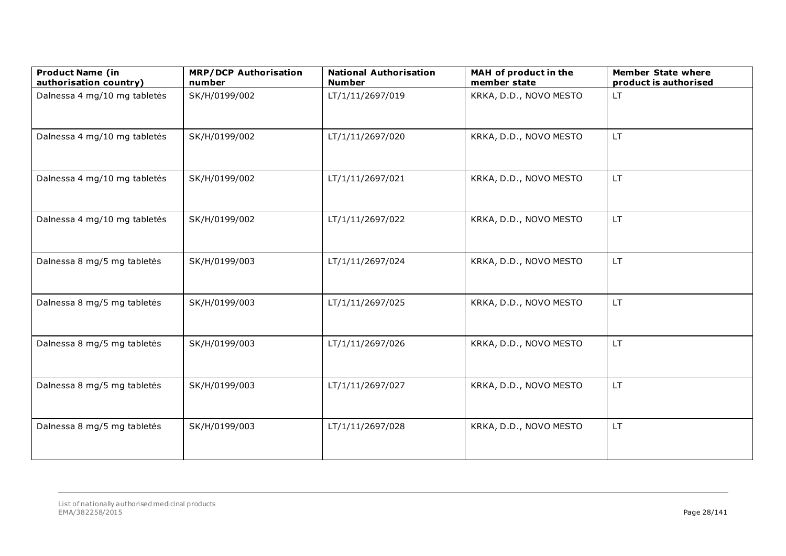| <b>Product Name (in</b><br>authorisation country) | <b>MRP/DCP Authorisation</b><br>number | <b>National Authorisation</b><br><b>Number</b> | MAH of product in the<br>member state | <b>Member State where</b><br>product is authorised |
|---------------------------------------------------|----------------------------------------|------------------------------------------------|---------------------------------------|----------------------------------------------------|
| Dalnessa 4 mg/10 mg tabletės                      | SK/H/0199/002                          | LT/1/11/2697/019                               | KRKA, D.D., NOVO MESTO                | LT.                                                |
| Dalnessa 4 mg/10 mg tabletės                      | SK/H/0199/002                          | LT/1/11/2697/020                               | KRKA, D.D., NOVO MESTO                | LT.                                                |
| Dalnessa 4 mg/10 mg tabletės                      | SK/H/0199/002                          | LT/1/11/2697/021                               | KRKA, D.D., NOVO MESTO                | LT.                                                |
| Dalnessa 4 mg/10 mg tabletės                      | SK/H/0199/002                          | LT/1/11/2697/022                               | KRKA, D.D., NOVO MESTO                | LT.                                                |
| Dalnessa 8 mg/5 mg tabletės                       | SK/H/0199/003                          | LT/1/11/2697/024                               | KRKA, D.D., NOVO MESTO                | LT.                                                |
| Dalnessa 8 mg/5 mg tabletės                       | SK/H/0199/003                          | LT/1/11/2697/025                               | KRKA, D.D., NOVO MESTO                | LT.                                                |
| Dalnessa 8 mg/5 mg tabletės                       | SK/H/0199/003                          | LT/1/11/2697/026                               | KRKA, D.D., NOVO MESTO                | LT.                                                |
| Dalnessa 8 mg/5 mg tabletės                       | SK/H/0199/003                          | LT/1/11/2697/027                               | KRKA, D.D., NOVO MESTO                | LT.                                                |
| Dalnessa 8 mg/5 mg tabletės                       | SK/H/0199/003                          | LT/1/11/2697/028                               | KRKA, D.D., NOVO MESTO                | LT.                                                |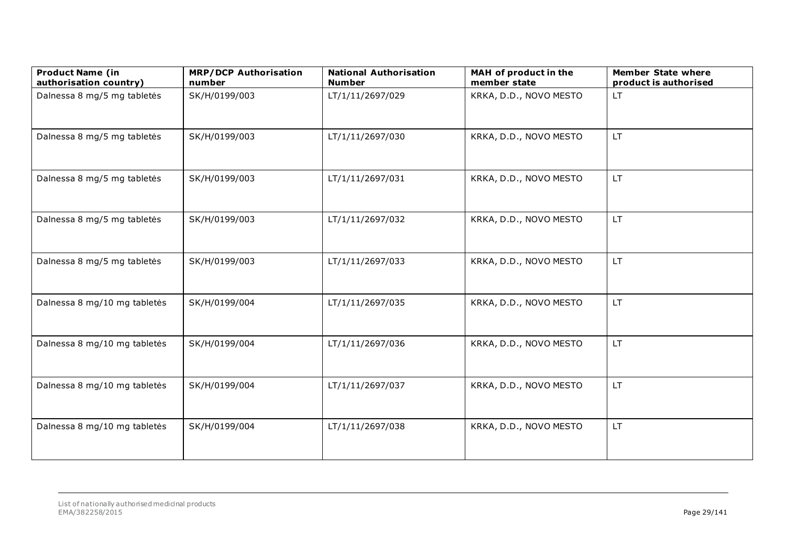| <b>Product Name (in</b><br>authorisation country) | <b>MRP/DCP Authorisation</b><br>number | <b>National Authorisation</b><br><b>Number</b> | MAH of product in the<br>member state | <b>Member State where</b><br>product is authorised |
|---------------------------------------------------|----------------------------------------|------------------------------------------------|---------------------------------------|----------------------------------------------------|
| Dalnessa 8 mg/5 mg tabletės                       | SK/H/0199/003                          | LT/1/11/2697/029                               | KRKA, D.D., NOVO MESTO                | <b>LT</b>                                          |
| Dalnessa 8 mg/5 mg tabletės                       | SK/H/0199/003                          | LT/1/11/2697/030                               | KRKA, D.D., NOVO MESTO                | LT.                                                |
| Dalnessa 8 mg/5 mg tabletės                       | SK/H/0199/003                          | LT/1/11/2697/031                               | KRKA, D.D., NOVO MESTO                | LT.                                                |
| Dalnessa 8 mg/5 mg tabletės                       | SK/H/0199/003                          | LT/1/11/2697/032                               | KRKA, D.D., NOVO MESTO                | LT.                                                |
| Dalnessa 8 mg/5 mg tabletės                       | SK/H/0199/003                          | LT/1/11/2697/033                               | KRKA, D.D., NOVO MESTO                | LT.                                                |
| Dalnessa 8 mg/10 mg tabletės                      | SK/H/0199/004                          | LT/1/11/2697/035                               | KRKA, D.D., NOVO MESTO                | LT.                                                |
| Dalnessa 8 mg/10 mg tabletės                      | SK/H/0199/004                          | LT/1/11/2697/036                               | KRKA, D.D., NOVO MESTO                | LT.                                                |
| Dalnessa 8 mg/10 mg tabletės                      | SK/H/0199/004                          | LT/1/11/2697/037                               | KRKA, D.D., NOVO MESTO                | LT.                                                |
| Dalnessa 8 mg/10 mg tabletės                      | SK/H/0199/004                          | LT/1/11/2697/038                               | KRKA, D.D., NOVO MESTO                | LT.                                                |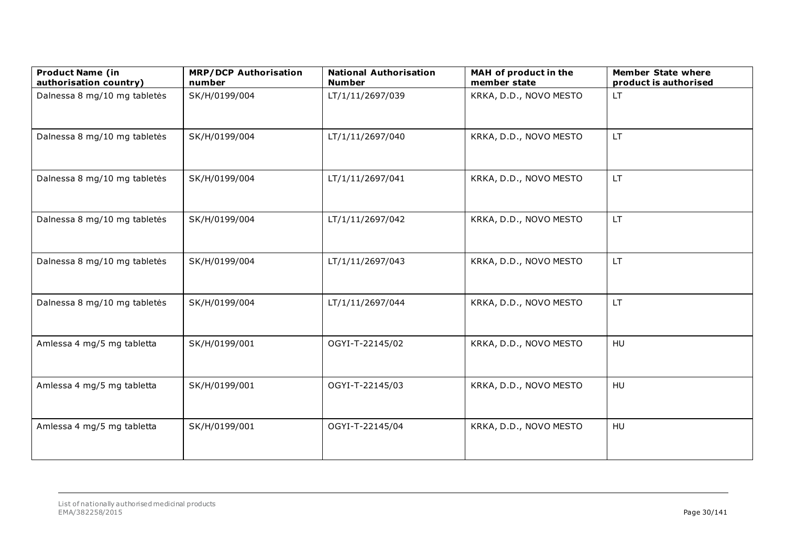| <b>Product Name (in</b><br>authorisation country) | <b>MRP/DCP Authorisation</b><br>number | <b>National Authorisation</b><br><b>Number</b> | MAH of product in the<br>member state | <b>Member State where</b><br>product is authorised |
|---------------------------------------------------|----------------------------------------|------------------------------------------------|---------------------------------------|----------------------------------------------------|
| Dalnessa 8 mg/10 mg tabletės                      | SK/H/0199/004                          | LT/1/11/2697/039                               | KRKA, D.D., NOVO MESTO                | LT.                                                |
| Dalnessa 8 mg/10 mg tabletės                      | SK/H/0199/004                          | LT/1/11/2697/040                               | KRKA, D.D., NOVO MESTO                | <b>LT</b>                                          |
| Dalnessa 8 mg/10 mg tabletės                      | SK/H/0199/004                          | LT/1/11/2697/041                               | KRKA, D.D., NOVO MESTO                | LT.                                                |
| Dalnessa 8 mg/10 mg tabletės                      | SK/H/0199/004                          | LT/1/11/2697/042                               | KRKA, D.D., NOVO MESTO                | LT.                                                |
| Dalnessa 8 mg/10 mg tabletės                      | SK/H/0199/004                          | LT/1/11/2697/043                               | KRKA, D.D., NOVO MESTO                | LT.                                                |
| Dalnessa 8 mg/10 mg tabletės                      | SK/H/0199/004                          | LT/1/11/2697/044                               | KRKA, D.D., NOVO MESTO                | <b>LT</b>                                          |
| Amlessa 4 mg/5 mg tabletta                        | SK/H/0199/001                          | OGYI-T-22145/02                                | KRKA, D.D., NOVO MESTO                | HU                                                 |
| Amlessa 4 mg/5 mg tabletta                        | SK/H/0199/001                          | OGYI-T-22145/03                                | KRKA, D.D., NOVO MESTO                | <b>HU</b>                                          |
| Amlessa 4 mg/5 mg tabletta                        | SK/H/0199/001                          | OGYI-T-22145/04                                | KRKA, D.D., NOVO MESTO                | HU                                                 |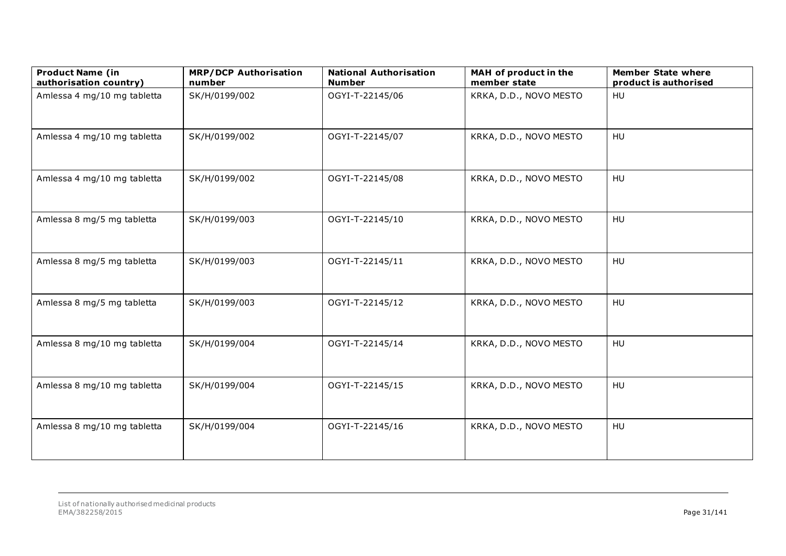| <b>Product Name (in</b><br>authorisation country) | <b>MRP/DCP Authorisation</b><br>number | <b>National Authorisation</b><br><b>Number</b> | MAH of product in the<br>member state | <b>Member State where</b><br>product is authorised |
|---------------------------------------------------|----------------------------------------|------------------------------------------------|---------------------------------------|----------------------------------------------------|
| Amlessa 4 mg/10 mg tabletta                       | SK/H/0199/002                          | OGYI-T-22145/06                                | KRKA, D.D., NOVO MESTO                | HU                                                 |
| Amlessa 4 mg/10 mg tabletta                       | SK/H/0199/002                          | OGYI-T-22145/07                                | KRKA, D.D., NOVO MESTO                | HU                                                 |
| Amlessa 4 mg/10 mg tabletta                       | SK/H/0199/002                          | OGYI-T-22145/08                                | KRKA, D.D., NOVO MESTO                | HU                                                 |
| Amlessa 8 mg/5 mg tabletta                        | SK/H/0199/003                          | OGYI-T-22145/10                                | KRKA, D.D., NOVO MESTO                | HU                                                 |
| Amlessa 8 mg/5 mg tabletta                        | SK/H/0199/003                          | OGYI-T-22145/11                                | KRKA, D.D., NOVO MESTO                | HU                                                 |
| Amlessa 8 mg/5 mg tabletta                        | SK/H/0199/003                          | OGYI-T-22145/12                                | KRKA, D.D., NOVO MESTO                | HU                                                 |
| Amlessa 8 mg/10 mg tabletta                       | SK/H/0199/004                          | OGYI-T-22145/14                                | KRKA, D.D., NOVO MESTO                | HU                                                 |
| Amlessa 8 mg/10 mg tabletta                       | SK/H/0199/004                          | OGYI-T-22145/15                                | KRKA, D.D., NOVO MESTO                | HU                                                 |
| Amlessa 8 mg/10 mg tabletta                       | SK/H/0199/004                          | OGYI-T-22145/16                                | KRKA, D.D., NOVO MESTO                | HU                                                 |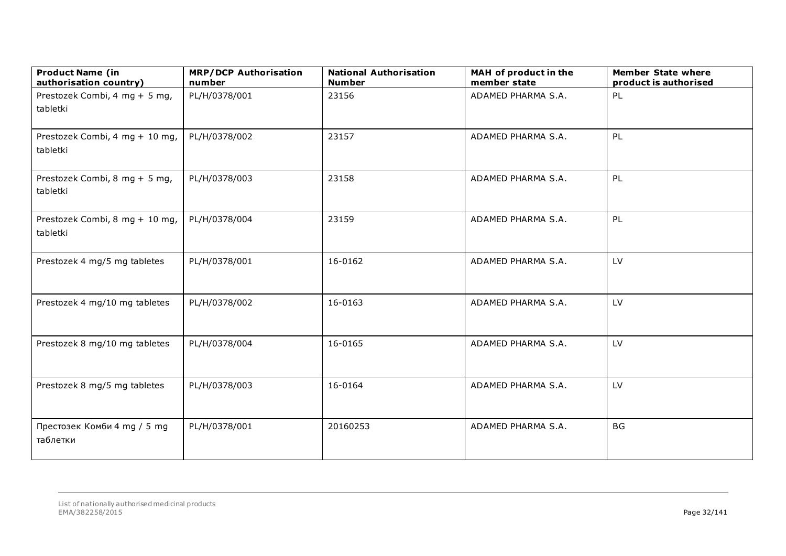| <b>Product Name (in</b><br>authorisation country) | <b>MRP/DCP Authorisation</b><br>number | <b>National Authorisation</b><br><b>Number</b> | MAH of product in the<br>member state | <b>Member State where</b><br>product is authorised |
|---------------------------------------------------|----------------------------------------|------------------------------------------------|---------------------------------------|----------------------------------------------------|
| Prestozek Combi, 4 mg + 5 mg,<br>tabletki         | PL/H/0378/001                          | 23156                                          | ADAMED PHARMA S.A.                    | PL                                                 |
| Prestozek Combi, 4 mg + 10 mg,<br>tabletki        | PL/H/0378/002                          | 23157                                          | ADAMED PHARMA S.A.                    | PL                                                 |
| Prestozek Combi, 8 mg + 5 mg,<br>tabletki         | PL/H/0378/003                          | 23158                                          | ADAMED PHARMA S.A.                    | PL                                                 |
| Prestozek Combi, 8 mg + 10 mg,<br>tabletki        | PL/H/0378/004                          | 23159                                          | ADAMED PHARMA S.A.                    | PL                                                 |
| Prestozek 4 mg/5 mg tabletes                      | PL/H/0378/001                          | 16-0162                                        | ADAMED PHARMA S.A.                    | LV                                                 |
| Prestozek 4 mg/10 mg tabletes                     | PL/H/0378/002                          | 16-0163                                        | ADAMED PHARMA S.A.                    | LV                                                 |
| Prestozek 8 mg/10 mg tabletes                     | PL/H/0378/004                          | 16-0165                                        | ADAMED PHARMA S.A.                    | LV                                                 |
| Prestozek 8 mg/5 mg tabletes                      | PL/H/0378/003                          | 16-0164                                        | ADAMED PHARMA S.A.                    | LV                                                 |
| Престозек Комби 4 mg / 5 mg<br>таблетки           | PL/H/0378/001                          | 20160253                                       | ADAMED PHARMA S.A.                    | <b>BG</b>                                          |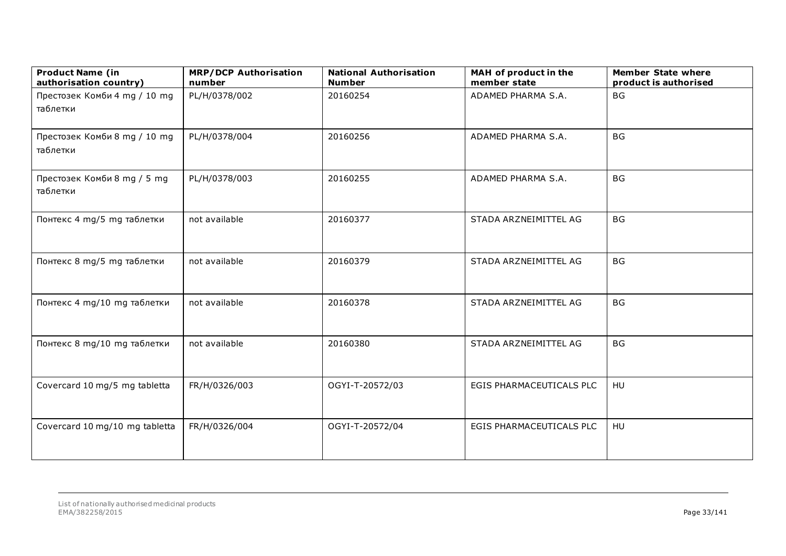| <b>Product Name (in</b><br>authorisation country) | <b>MRP/DCP Authorisation</b><br>number | <b>National Authorisation</b><br><b>Number</b> | MAH of product in the<br>member state | <b>Member State where</b><br>product is authorised |
|---------------------------------------------------|----------------------------------------|------------------------------------------------|---------------------------------------|----------------------------------------------------|
| Престозек Комби 4 mg / 10 mg<br>таблетки          | PL/H/0378/002                          | 20160254                                       | ADAMED PHARMA S.A.                    | BG                                                 |
| Престозек Комби 8 mg / 10 mg<br>таблетки          | PL/H/0378/004                          | 20160256                                       | ADAMED PHARMA S.A.                    | <b>BG</b>                                          |
| Престозек Комби 8 mg / 5 mg<br>таблетки           | PL/H/0378/003                          | 20160255                                       | ADAMED PHARMA S.A.                    | <b>BG</b>                                          |
| Понтекс 4 mg/5 mg таблетки                        | not available                          | 20160377                                       | STADA ARZNEIMITTEL AG                 | <b>BG</b>                                          |
| Понтекс 8 mg/5 mg таблетки                        | not available                          | 20160379                                       | STADA ARZNEIMITTEL AG                 | <b>BG</b>                                          |
| Понтекс 4 mg/10 mg таблетки                       | not available                          | 20160378                                       | STADA ARZNEIMITTEL AG                 | <b>BG</b>                                          |
| Понтекс 8 mg/10 mg таблетки                       | not available                          | 20160380                                       | STADA ARZNEIMITTEL AG                 | <b>BG</b>                                          |
| Covercard 10 mg/5 mg tabletta                     | FR/H/0326/003                          | OGYI-T-20572/03                                | EGIS PHARMACEUTICALS PLC              | HU                                                 |
| Covercard 10 mg/10 mg tabletta                    | FR/H/0326/004                          | OGYI-T-20572/04                                | EGIS PHARMACEUTICALS PLC              | HU                                                 |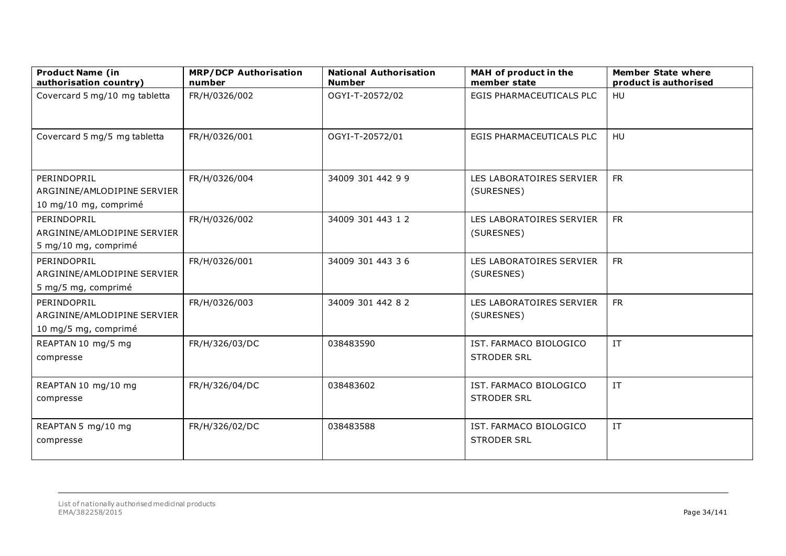| <b>Product Name (in</b><br>authorisation country)                   | <b>MRP/DCP Authorisation</b><br>number | <b>National Authorisation</b><br><b>Number</b> | MAH of product in the<br>member state        | <b>Member State where</b><br>product is authorised |
|---------------------------------------------------------------------|----------------------------------------|------------------------------------------------|----------------------------------------------|----------------------------------------------------|
| Covercard 5 mg/10 mg tabletta                                       | FR/H/0326/002                          | OGYI-T-20572/02                                | EGIS PHARMACEUTICALS PLC                     | HU                                                 |
| Covercard 5 mg/5 mg tabletta                                        | FR/H/0326/001                          | OGYI-T-20572/01                                | EGIS PHARMACEUTICALS PLC                     | HU                                                 |
| PERINDOPRIL<br>ARGININE/AMLODIPINE SERVIER<br>10 mg/10 mg, comprimé | FR/H/0326/004                          | 34009 301 442 9 9                              | LES LABORATOIRES SERVIER<br>(SURESNES)       | <b>FR</b>                                          |
| PERINDOPRIL<br>ARGININE/AMLODIPINE SERVIER<br>5 mg/10 mg, comprimé  | FR/H/0326/002                          | 34009 301 443 12                               | LES LABORATOIRES SERVIER<br>(SURESNES)       | <b>FR</b>                                          |
| PERINDOPRIL<br>ARGININE/AMLODIPINE SERVIER<br>5 mg/5 mg, comprimé   | FR/H/0326/001                          | 34009 301 443 36                               | LES LABORATOIRES SERVIER<br>(SURESNES)       | <b>FR</b>                                          |
| PERINDOPRIL<br>ARGININE/AMLODIPINE SERVIER<br>10 mg/5 mg, comprimé  | FR/H/0326/003                          | 34009 301 442 82                               | LES LABORATOIRES SERVIER<br>(SURESNES)       | <b>FR</b>                                          |
| REAPTAN 10 mg/5 mg<br>compresse                                     | FR/H/326/03/DC                         | 038483590                                      | IST. FARMACO BIOLOGICO<br><b>STRODER SRL</b> | IT                                                 |
| REAPTAN 10 mg/10 mg<br>compresse                                    | FR/H/326/04/DC                         | 038483602                                      | IST. FARMACO BIOLOGICO<br><b>STRODER SRL</b> | IT                                                 |
| REAPTAN 5 mg/10 mg<br>compresse                                     | FR/H/326/02/DC                         | 038483588                                      | IST. FARMACO BIOLOGICO<br><b>STRODER SRL</b> | IT                                                 |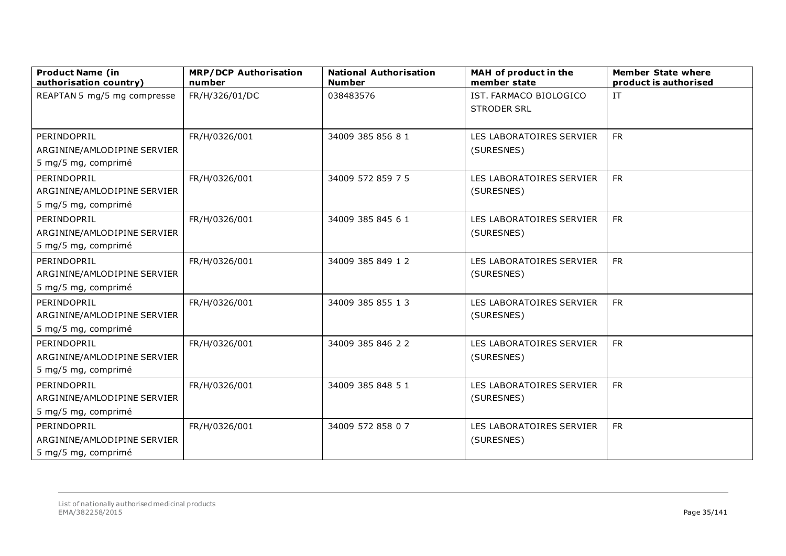| <b>Product Name (in</b><br>authorisation country) | <b>MRP/DCP Authorisation</b><br>number | <b>National Authorisation</b><br><b>Number</b> | MAH of product in the<br>member state | <b>Member State where</b><br>product is authorised |
|---------------------------------------------------|----------------------------------------|------------------------------------------------|---------------------------------------|----------------------------------------------------|
| REAPTAN 5 mg/5 mg compresse                       | FR/H/326/01/DC                         | 038483576                                      | IST. FARMACO BIOLOGICO                | IT                                                 |
|                                                   |                                        |                                                | <b>STRODER SRL</b>                    |                                                    |
|                                                   |                                        |                                                |                                       |                                                    |
| PERINDOPRIL                                       | FR/H/0326/001                          | 34009 385 856 81                               | LES LABORATOIRES SERVIER              | <b>FR</b>                                          |
| ARGININE/AMLODIPINE SERVIER                       |                                        |                                                | (SURESNES)                            |                                                    |
| 5 mg/5 mg, comprimé                               |                                        |                                                |                                       |                                                    |
| PERINDOPRIL                                       | FR/H/0326/001                          | 34009 572 859 7 5                              | LES LABORATOIRES SERVIER              | <b>FR</b>                                          |
| ARGININE/AMLODIPINE SERVIER                       |                                        |                                                | (SURESNES)                            |                                                    |
| 5 mg/5 mg, comprimé                               |                                        |                                                |                                       |                                                    |
| PERINDOPRIL                                       | FR/H/0326/001                          | 34009 385 845 61                               | LES LABORATOIRES SERVIER              | <b>FR</b>                                          |
| ARGININE/AMLODIPINE SERVIER                       |                                        |                                                | (SURESNES)                            |                                                    |
| 5 mg/5 mg, comprimé                               |                                        |                                                |                                       |                                                    |
| PERINDOPRIL                                       | FR/H/0326/001                          | 34009 385 849 12                               | LES LABORATOIRES SERVIER              | <b>FR</b>                                          |
| ARGININE/AMLODIPINE SERVIER                       |                                        |                                                | (SURESNES)                            |                                                    |
| 5 mg/5 mg, comprimé                               |                                        |                                                |                                       |                                                    |
| PERINDOPRIL                                       | FR/H/0326/001                          | 34009 385 855 13                               | LES LABORATOIRES SERVIER              | <b>FR</b>                                          |
| ARGININE/AMLODIPINE SERVIER                       |                                        |                                                | (SURESNES)                            |                                                    |
| 5 mg/5 mg, comprimé                               |                                        |                                                |                                       |                                                    |
| PERINDOPRIL                                       | FR/H/0326/001                          | 34009 385 846 22                               | LES LABORATOIRES SERVIER              | <b>FR</b>                                          |
| ARGININE/AMLODIPINE SERVIER                       |                                        |                                                | (SURESNES)                            |                                                    |
| 5 mg/5 mg, comprimé                               |                                        |                                                |                                       |                                                    |
| PERINDOPRIL                                       | FR/H/0326/001                          | 34009 385 848 51                               | LES LABORATOIRES SERVIER              | <b>FR</b>                                          |
| ARGININE/AMLODIPINE SERVIER                       |                                        |                                                | (SURESNES)                            |                                                    |
| 5 mg/5 mg, comprimé                               |                                        |                                                |                                       |                                                    |
| PERINDOPRIL                                       | FR/H/0326/001                          | 34009 572 858 0 7                              | LES LABORATOIRES SERVIER              | <b>FR</b>                                          |
| ARGININE/AMLODIPINE SERVIER                       |                                        |                                                | (SURESNES)                            |                                                    |
| 5 mg/5 mg, comprimé                               |                                        |                                                |                                       |                                                    |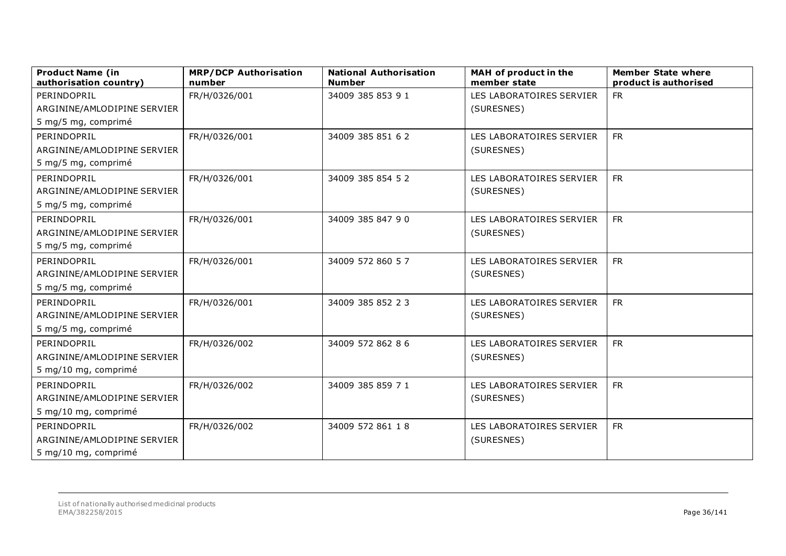| <b>Product Name (in</b><br>authorisation country) | <b>MRP/DCP Authorisation</b><br>number | <b>National Authorisation</b><br><b>Number</b> | MAH of product in the<br>member state | <b>Member State where</b><br>product is authorised |
|---------------------------------------------------|----------------------------------------|------------------------------------------------|---------------------------------------|----------------------------------------------------|
| PERINDOPRIL                                       | FR/H/0326/001                          | 34009 385 853 91                               | LES LABORATOIRES SERVIER              | <b>FR</b>                                          |
| ARGININE/AMLODIPINE SERVIER                       |                                        |                                                | (SURESNES)                            |                                                    |
| 5 mg/5 mg, comprimé                               |                                        |                                                |                                       |                                                    |
| PERINDOPRIL                                       | FR/H/0326/001                          | 34009 385 851 62                               | LES LABORATOIRES SERVIER              | <b>FR</b>                                          |
| ARGININE/AMLODIPINE SERVIER                       |                                        |                                                | (SURESNES)                            |                                                    |
| 5 mg/5 mg, comprimé                               |                                        |                                                |                                       |                                                    |
| PERINDOPRIL                                       | FR/H/0326/001                          | 34009 385 854 52                               | LES LABORATOIRES SERVIER              | <b>FR</b>                                          |
| ARGININE/AMLODIPINE SERVIER                       |                                        |                                                | (SURESNES)                            |                                                    |
| 5 mg/5 mg, comprimé                               |                                        |                                                |                                       |                                                    |
| PERINDOPRIL                                       | FR/H/0326/001                          | 34009 385 847 90                               | LES LABORATOIRES SERVIER              | <b>FR</b>                                          |
| ARGININE/AMLODIPINE SERVIER                       |                                        |                                                | (SURESNES)                            |                                                    |
| 5 mg/5 mg, comprimé                               |                                        |                                                |                                       |                                                    |
| PERINDOPRIL                                       | FR/H/0326/001                          | 34009 572 860 57                               | LES LABORATOIRES SERVIER              | <b>FR</b>                                          |
| ARGININE/AMLODIPINE SERVIER                       |                                        |                                                | (SURESNES)                            |                                                    |
| 5 mg/5 mg, comprimé                               |                                        |                                                |                                       |                                                    |
| PERINDOPRIL                                       | FR/H/0326/001                          | 34009 385 852 23                               | LES LABORATOIRES SERVIER              | <b>FR</b>                                          |
| ARGININE/AMLODIPINE SERVIER                       |                                        |                                                | (SURESNES)                            |                                                    |
| 5 mg/5 mg, comprimé                               |                                        |                                                |                                       |                                                    |
| PERINDOPRIL                                       | FR/H/0326/002                          | 34009 572 862 86                               | LES LABORATOIRES SERVIER              | <b>FR</b>                                          |
| ARGININE/AMLODIPINE SERVIER                       |                                        |                                                | (SURESNES)                            |                                                    |
| 5 mg/10 mg, comprimé                              |                                        |                                                |                                       |                                                    |
| PERINDOPRIL                                       | FR/H/0326/002                          | 34009 385 859 71                               | LES LABORATOIRES SERVIER              | <b>FR</b>                                          |
| ARGININE/AMLODIPINE SERVIER                       |                                        |                                                | (SURESNES)                            |                                                    |
| 5 mg/10 mg, comprimé                              |                                        |                                                |                                       |                                                    |
| PERINDOPRIL                                       | FR/H/0326/002                          | 34009 572 861 18                               | LES LABORATOIRES SERVIER              | <b>FR</b>                                          |
| ARGININE/AMLODIPINE SERVIER                       |                                        |                                                | (SURESNES)                            |                                                    |
| 5 mg/10 mg, comprimé                              |                                        |                                                |                                       |                                                    |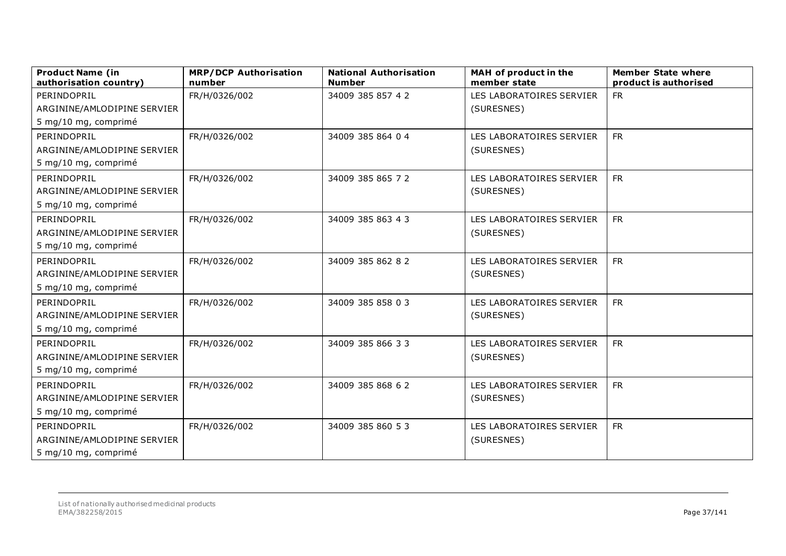| <b>Product Name (in</b><br>authorisation country) | <b>MRP/DCP Authorisation</b><br>number | <b>National Authorisation</b><br><b>Number</b> | MAH of product in the<br>member state | <b>Member State where</b><br>product is authorised |
|---------------------------------------------------|----------------------------------------|------------------------------------------------|---------------------------------------|----------------------------------------------------|
| PERINDOPRIL                                       | FR/H/0326/002                          | 34009 385 857 42                               | LES LABORATOIRES SERVIER              | <b>FR</b>                                          |
| ARGININE/AMLODIPINE SERVIER                       |                                        |                                                | (SURESNES)                            |                                                    |
| 5 mg/10 mg, comprimé                              |                                        |                                                |                                       |                                                    |
| PERINDOPRIL                                       | FR/H/0326/002                          | 34009 385 864 0 4                              | LES LABORATOIRES SERVIER              | <b>FR</b>                                          |
| ARGININE/AMLODIPINE SERVIER                       |                                        |                                                | (SURESNES)                            |                                                    |
| 5 mg/10 mg, comprimé                              |                                        |                                                |                                       |                                                    |
| PERINDOPRIL                                       | FR/H/0326/002                          | 34009 385 865 72                               | LES LABORATOIRES SERVIER              | <b>FR</b>                                          |
| ARGININE/AMLODIPINE SERVIER                       |                                        |                                                | (SURESNES)                            |                                                    |
| 5 mg/10 mg, comprimé                              |                                        |                                                |                                       |                                                    |
| PERINDOPRIL                                       | FR/H/0326/002                          | 34009 385 863 43                               | LES LABORATOIRES SERVIER              | <b>FR</b>                                          |
| ARGININE/AMLODIPINE SERVIER                       |                                        |                                                | (SURESNES)                            |                                                    |
| 5 mg/10 mg, comprimé                              |                                        |                                                |                                       |                                                    |
| PERINDOPRIL                                       | FR/H/0326/002                          | 34009 385 862 82                               | LES LABORATOIRES SERVIER              | <b>FR</b>                                          |
| ARGININE/AMLODIPINE SERVIER                       |                                        |                                                | (SURESNES)                            |                                                    |
| 5 mg/10 mg, comprimé                              |                                        |                                                |                                       |                                                    |
| PERINDOPRIL                                       | FR/H/0326/002                          | 34009 385 858 0 3                              | LES LABORATOIRES SERVIER              | <b>FR</b>                                          |
| ARGININE/AMLODIPINE SERVIER                       |                                        |                                                | (SURESNES)                            |                                                    |
| 5 mg/10 mg, comprimé                              |                                        |                                                |                                       |                                                    |
| PERINDOPRIL                                       | FR/H/0326/002                          | 34009 385 866 33                               | LES LABORATOIRES SERVIER              | <b>FR</b>                                          |
| ARGININE/AMLODIPINE SERVIER                       |                                        |                                                | (SURESNES)                            |                                                    |
| 5 mg/10 mg, comprimé                              |                                        |                                                |                                       |                                                    |
| PERINDOPRIL                                       | FR/H/0326/002                          | 34009 385 868 62                               | LES LABORATOIRES SERVIER              | <b>FR</b>                                          |
| ARGININE/AMLODIPINE SERVIER                       |                                        |                                                | (SURESNES)                            |                                                    |
| 5 mg/10 mg, comprimé                              |                                        |                                                |                                       |                                                    |
| PERINDOPRIL                                       | FR/H/0326/002                          | 34009 385 860 53                               | LES LABORATOIRES SERVIER              | ${\sf FR}$                                         |
| ARGININE/AMLODIPINE SERVIER                       |                                        |                                                | (SURESNES)                            |                                                    |
| 5 mg/10 mg, comprimé                              |                                        |                                                |                                       |                                                    |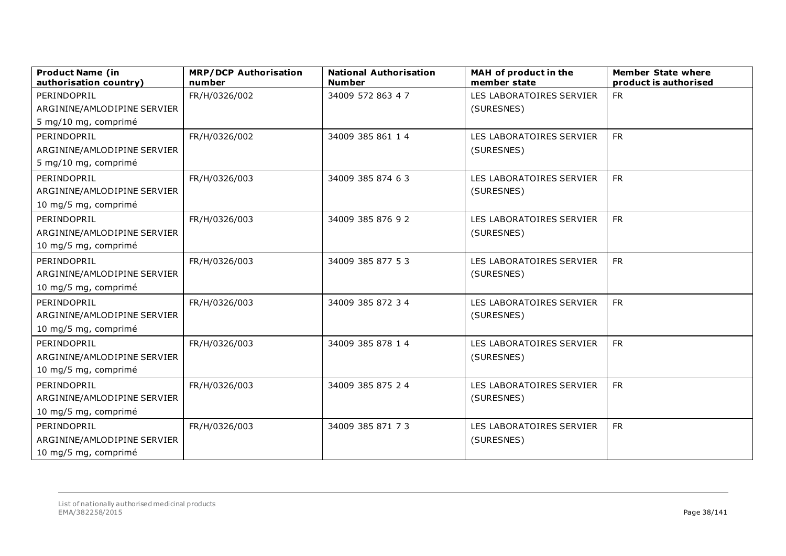| <b>Product Name (in</b><br>authorisation country) | <b>MRP/DCP Authorisation</b><br>number | <b>National Authorisation</b><br><b>Number</b> | MAH of product in the<br>member state | <b>Member State where</b><br>product is authorised |
|---------------------------------------------------|----------------------------------------|------------------------------------------------|---------------------------------------|----------------------------------------------------|
| PERINDOPRIL                                       | FR/H/0326/002                          | 34009 572 863 4 7                              | LES LABORATOIRES SERVIER              | <b>FR</b>                                          |
| ARGININE/AMLODIPINE SERVIER                       |                                        |                                                | (SURESNES)                            |                                                    |
| 5 mg/10 mg, comprimé                              |                                        |                                                |                                       |                                                    |
| PERINDOPRIL                                       | FR/H/0326/002                          | 34009 385 861 14                               | LES LABORATOIRES SERVIER              | <b>FR</b>                                          |
| ARGININE/AMLODIPINE SERVIER                       |                                        |                                                | (SURESNES)                            |                                                    |
| 5 mg/10 mg, comprimé                              |                                        |                                                |                                       |                                                    |
| PERINDOPRIL                                       | FR/H/0326/003                          | 34009 385 874 63                               | LES LABORATOIRES SERVIER              | <b>FR</b>                                          |
| ARGININE/AMLODIPINE SERVIER                       |                                        |                                                | (SURESNES)                            |                                                    |
| 10 mg/5 mg, comprimé                              |                                        |                                                |                                       |                                                    |
| PERINDOPRIL                                       | FR/H/0326/003                          | 34009 385 876 92                               | LES LABORATOIRES SERVIER              | <b>FR</b>                                          |
| ARGININE/AMLODIPINE SERVIER                       |                                        |                                                | (SURESNES)                            |                                                    |
| 10 mg/5 mg, comprimé                              |                                        |                                                |                                       |                                                    |
| PERINDOPRIL                                       | FR/H/0326/003                          | 34009 385 877 53                               | LES LABORATOIRES SERVIER              | <b>FR</b>                                          |
| ARGININE/AMLODIPINE SERVIER                       |                                        |                                                | (SURESNES)                            |                                                    |
| 10 mg/5 mg, comprimé                              |                                        |                                                |                                       |                                                    |
| PERINDOPRIL                                       | FR/H/0326/003                          | 34009 385 872 34                               | LES LABORATOIRES SERVIER              | <b>FR</b>                                          |
| ARGININE/AMLODIPINE SERVIER                       |                                        |                                                | (SURESNES)                            |                                                    |
| 10 mg/5 mg, comprimé                              |                                        |                                                |                                       |                                                    |
| PERINDOPRIL                                       | FR/H/0326/003                          | 34009 385 878 14                               | LES LABORATOIRES SERVIER              | <b>FR</b>                                          |
| ARGININE/AMLODIPINE SERVIER                       |                                        |                                                | (SURESNES)                            |                                                    |
| 10 mg/5 mg, comprimé                              |                                        |                                                |                                       |                                                    |
| PERINDOPRIL                                       | FR/H/0326/003                          | 34009 385 875 24                               | LES LABORATOIRES SERVIER              | <b>FR</b>                                          |
| ARGININE/AMLODIPINE SERVIER                       |                                        |                                                | (SURESNES)                            |                                                    |
| 10 mg/5 mg, comprimé                              |                                        |                                                |                                       |                                                    |
| PERINDOPRIL                                       | FR/H/0326/003                          | 34009 385 871 73                               | LES LABORATOIRES SERVIER              | ${\sf FR}$                                         |
| ARGININE/AMLODIPINE SERVIER                       |                                        |                                                | (SURESNES)                            |                                                    |
| 10 mg/5 mg, comprimé                              |                                        |                                                |                                       |                                                    |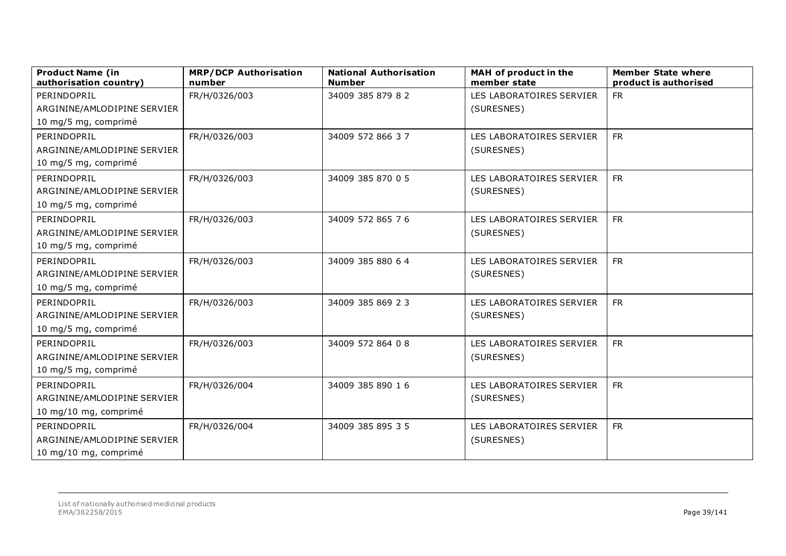| <b>Product Name (in</b><br>authorisation country) | <b>MRP/DCP Authorisation</b><br>number | <b>National Authorisation</b><br><b>Number</b> | MAH of product in the<br>member state | <b>Member State where</b><br>product is authorised |
|---------------------------------------------------|----------------------------------------|------------------------------------------------|---------------------------------------|----------------------------------------------------|
| PERINDOPRIL                                       | FR/H/0326/003                          | 34009 385 879 82                               | LES LABORATOIRES SERVIER              | <b>FR</b>                                          |
| ARGININE/AMLODIPINE SERVIER                       |                                        |                                                | (SURESNES)                            |                                                    |
| 10 mg/5 mg, comprimé                              |                                        |                                                |                                       |                                                    |
| PERINDOPRIL                                       | FR/H/0326/003                          | 34009 572 866 37                               | LES LABORATOIRES SERVIER              | <b>FR</b>                                          |
| ARGININE/AMLODIPINE SERVIER                       |                                        |                                                | (SURESNES)                            |                                                    |
| 10 mg/5 mg, comprimé                              |                                        |                                                |                                       |                                                    |
| PERINDOPRIL                                       | FR/H/0326/003                          | 34009 385 870 0 5                              | LES LABORATOIRES SERVIER              | <b>FR</b>                                          |
| ARGININE/AMLODIPINE SERVIER                       |                                        |                                                | (SURESNES)                            |                                                    |
| 10 mg/5 mg, comprimé                              |                                        |                                                |                                       |                                                    |
| PERINDOPRIL                                       | FR/H/0326/003                          | 34009 572 865 76                               | LES LABORATOIRES SERVIER              | <b>FR</b>                                          |
| ARGININE/AMLODIPINE SERVIER                       |                                        |                                                | (SURESNES)                            |                                                    |
| 10 mg/5 mg, comprimé                              |                                        |                                                |                                       |                                                    |
| PERINDOPRIL                                       | FR/H/0326/003                          | 34009 385 880 6 4                              | LES LABORATOIRES SERVIER              | <b>FR</b>                                          |
| ARGININE/AMLODIPINE SERVIER                       |                                        |                                                | (SURESNES)                            |                                                    |
| 10 mg/5 mg, comprimé                              |                                        |                                                |                                       |                                                    |
| PERINDOPRIL                                       | FR/H/0326/003                          | 34009 385 869 23                               | LES LABORATOIRES SERVIER              | <b>FR</b>                                          |
| ARGININE/AMLODIPINE SERVIER                       |                                        |                                                | (SURESNES)                            |                                                    |
| 10 mg/5 mg, comprimé                              |                                        |                                                |                                       |                                                    |
| PERINDOPRIL                                       | FR/H/0326/003                          | 34009 572 864 0 8                              | LES LABORATOIRES SERVIER              | <b>FR</b>                                          |
| ARGININE/AMLODIPINE SERVIER                       |                                        |                                                | (SURESNES)                            |                                                    |
| 10 mg/5 mg, comprimé                              |                                        |                                                |                                       |                                                    |
| PERINDOPRIL                                       | FR/H/0326/004                          | 34009 385 890 16                               | LES LABORATOIRES SERVIER              | <b>FR</b>                                          |
| ARGININE/AMLODIPINE SERVIER                       |                                        |                                                | (SURESNES)                            |                                                    |
| 10 mg/10 mg, comprimé                             |                                        |                                                |                                       |                                                    |
| PERINDOPRIL                                       | FR/H/0326/004                          | 34009 385 895 35                               | LES LABORATOIRES SERVIER              | ${\sf FR}$                                         |
| ARGININE/AMLODIPINE SERVIER                       |                                        |                                                | (SURESNES)                            |                                                    |
| 10 mg/10 mg, comprimé                             |                                        |                                                |                                       |                                                    |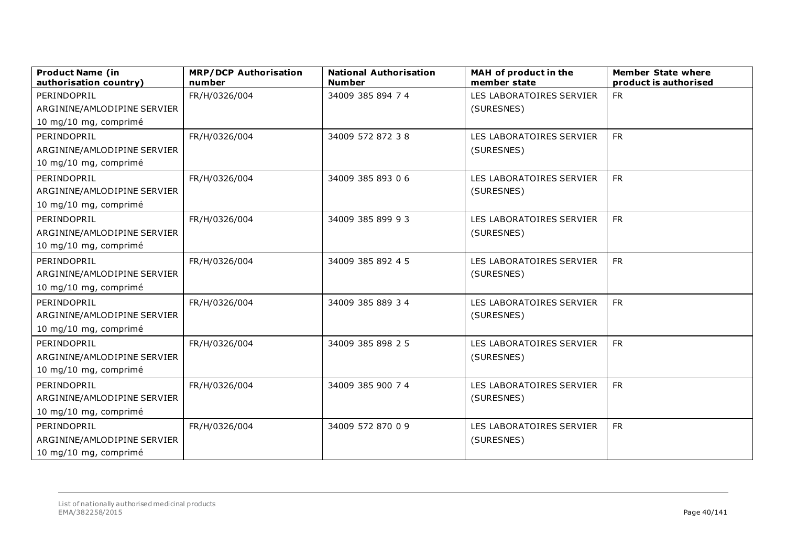| <b>Product Name (in</b><br>authorisation country) | <b>MRP/DCP Authorisation</b><br>number | <b>National Authorisation</b><br><b>Number</b> | MAH of product in the<br>member state | <b>Member State where</b><br>product is authorised |
|---------------------------------------------------|----------------------------------------|------------------------------------------------|---------------------------------------|----------------------------------------------------|
| PERINDOPRIL                                       | FR/H/0326/004                          | 34009 385 894 7 4                              | LES LABORATOIRES SERVIER              | <b>FR</b>                                          |
| ARGININE/AMLODIPINE SERVIER                       |                                        |                                                | (SURESNES)                            |                                                    |
| 10 mg/10 mg, comprimé                             |                                        |                                                |                                       |                                                    |
| PERINDOPRIL                                       | FR/H/0326/004                          | 34009 572 872 38                               | LES LABORATOIRES SERVIER              | <b>FR</b>                                          |
| ARGININE/AMLODIPINE SERVIER                       |                                        |                                                | (SURESNES)                            |                                                    |
| 10 mg/10 mg, comprimé                             |                                        |                                                |                                       |                                                    |
| PERINDOPRIL                                       | FR/H/0326/004                          | 34009 385 893 06                               | LES LABORATOIRES SERVIER              | <b>FR</b>                                          |
| ARGININE/AMLODIPINE SERVIER                       |                                        |                                                | (SURESNES)                            |                                                    |
| 10 mg/10 mg, comprimé                             |                                        |                                                |                                       |                                                    |
| PERINDOPRIL                                       | FR/H/0326/004                          | 34009 385 899 93                               | LES LABORATOIRES SERVIER              | <b>FR</b>                                          |
| ARGININE/AMLODIPINE SERVIER                       |                                        |                                                | (SURESNES)                            |                                                    |
| 10 mg/10 mg, comprimé                             |                                        |                                                |                                       |                                                    |
| PERINDOPRIL                                       | FR/H/0326/004                          | 34009 385 892 4 5                              | LES LABORATOIRES SERVIER              | <b>FR</b>                                          |
| ARGININE/AMLODIPINE SERVIER                       |                                        |                                                | (SURESNES)                            |                                                    |
| 10 mg/10 mg, comprimé                             |                                        |                                                |                                       |                                                    |
| PERINDOPRIL                                       | FR/H/0326/004                          | 34009 385 889 34                               | LES LABORATOIRES SERVIER              | <b>FR</b>                                          |
| ARGININE/AMLODIPINE SERVIER                       |                                        |                                                | (SURESNES)                            |                                                    |
| 10 mg/10 mg, comprimé                             |                                        |                                                |                                       |                                                    |
| PERINDOPRIL                                       | FR/H/0326/004                          | 34009 385 898 2 5                              | LES LABORATOIRES SERVIER              | <b>FR</b>                                          |
| ARGININE/AMLODIPINE SERVIER                       |                                        |                                                | (SURESNES)                            |                                                    |
| 10 mg/10 mg, comprimé                             |                                        |                                                |                                       |                                                    |
| PERINDOPRIL                                       | FR/H/0326/004                          | 34009 385 900 7 4                              | LES LABORATOIRES SERVIER              | <b>FR</b>                                          |
| ARGININE/AMLODIPINE SERVIER                       |                                        |                                                | (SURESNES)                            |                                                    |
| 10 mg/10 mg, comprimé                             |                                        |                                                |                                       |                                                    |
| PERINDOPRIL                                       | FR/H/0326/004                          | 34009 572 870 0 9                              | LES LABORATOIRES SERVIER              | <b>FR</b>                                          |
| ARGININE/AMLODIPINE SERVIER                       |                                        |                                                | (SURESNES)                            |                                                    |
| 10 mg/10 mg, comprimé                             |                                        |                                                |                                       |                                                    |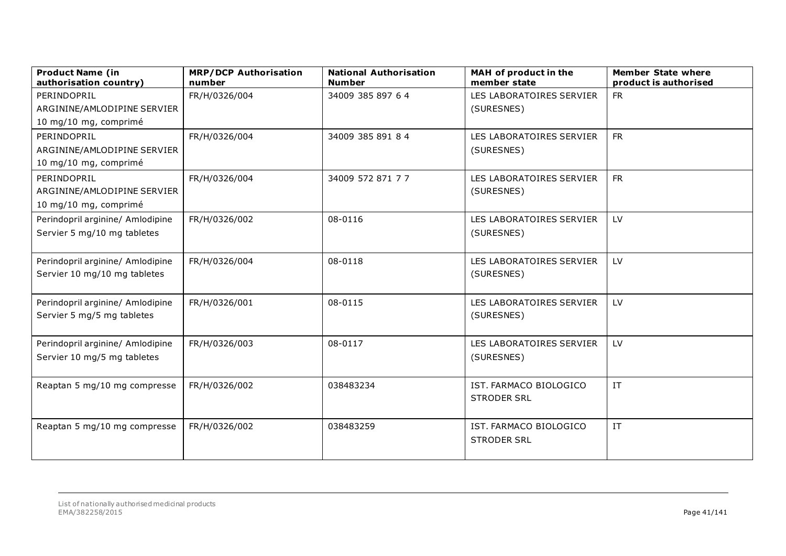| <b>Product Name (in</b><br>authorisation country) | <b>MRP/DCP Authorisation</b><br>number | <b>National Authorisation</b><br><b>Number</b> | MAH of product in the<br>member state | <b>Member State where</b><br>product is authorised |
|---------------------------------------------------|----------------------------------------|------------------------------------------------|---------------------------------------|----------------------------------------------------|
| PERINDOPRIL                                       | FR/H/0326/004                          | 34009 385 897 6 4                              | LES LABORATOIRES SERVIER              | <b>FR</b>                                          |
| ARGININE/AMLODIPINE SERVIER                       |                                        |                                                | (SURESNES)                            |                                                    |
| 10 mg/10 mg, comprimé                             |                                        |                                                |                                       |                                                    |
| PERINDOPRIL                                       | FR/H/0326/004                          | 34009 385 891 84                               | LES LABORATOIRES SERVIER              | <b>FR</b>                                          |
| ARGININE/AMLODIPINE SERVIER                       |                                        |                                                | (SURESNES)                            |                                                    |
| 10 mg/10 mg, comprimé                             |                                        |                                                |                                       |                                                    |
| PERINDOPRIL                                       | FR/H/0326/004                          | 34009 572 871 7 7                              | LES LABORATOIRES SERVIER              | <b>FR</b>                                          |
| ARGININE/AMLODIPINE SERVIER                       |                                        |                                                | (SURESNES)                            |                                                    |
| 10 mg/10 mg, comprimé                             |                                        |                                                |                                       |                                                    |
| Perindopril arginine/ Amlodipine                  | FR/H/0326/002                          | 08-0116                                        | LES LABORATOIRES SERVIER              | LV                                                 |
| Servier 5 mg/10 mg tabletes                       |                                        |                                                | (SURESNES)                            |                                                    |
|                                                   |                                        |                                                |                                       |                                                    |
| Perindopril arginine/ Amlodipine                  | FR/H/0326/004                          | 08-0118                                        | LES LABORATOIRES SERVIER              | LV                                                 |
| Servier 10 mg/10 mg tabletes                      |                                        |                                                | (SURESNES)                            |                                                    |
|                                                   |                                        |                                                |                                       |                                                    |
| Perindopril arginine/ Amlodipine                  | FR/H/0326/001                          | 08-0115                                        | LES LABORATOIRES SERVIER              | LV                                                 |
| Servier 5 mg/5 mg tabletes                        |                                        |                                                | (SURESNES)                            |                                                    |
|                                                   |                                        |                                                |                                       |                                                    |
| Perindopril arginine/ Amlodipine                  | FR/H/0326/003                          | 08-0117                                        | LES LABORATOIRES SERVIER              | LV                                                 |
| Servier 10 mg/5 mg tabletes                       |                                        |                                                | (SURESNES)                            |                                                    |
|                                                   |                                        |                                                |                                       |                                                    |
| Reaptan 5 mg/10 mg compresse                      | FR/H/0326/002                          | 038483234                                      | IST. FARMACO BIOLOGICO                | IT                                                 |
|                                                   |                                        |                                                | <b>STRODER SRL</b>                    |                                                    |
|                                                   |                                        |                                                |                                       |                                                    |
| Reaptan 5 mg/10 mg compresse                      | FR/H/0326/002                          | 038483259                                      | IST. FARMACO BIOLOGICO                | IT                                                 |
|                                                   |                                        |                                                | <b>STRODER SRL</b>                    |                                                    |
|                                                   |                                        |                                                |                                       |                                                    |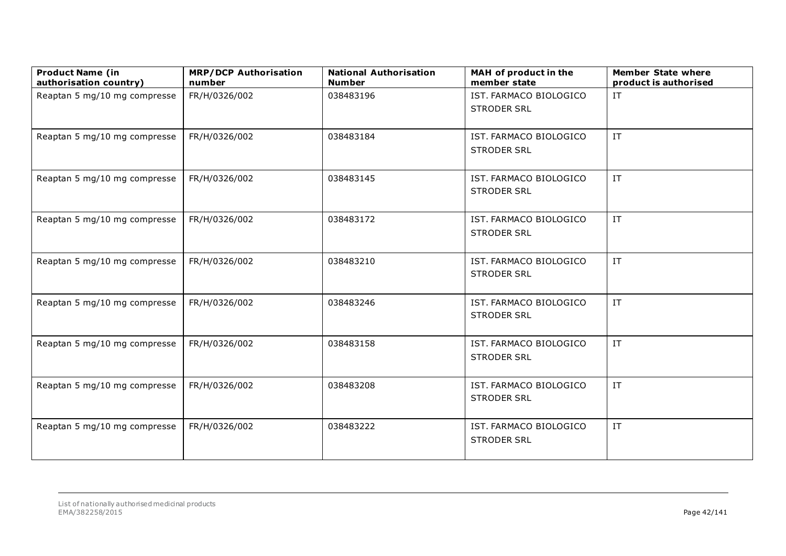| <b>Product Name (in</b><br>authorisation country) | <b>MRP/DCP Authorisation</b><br>number | <b>National Authorisation</b><br><b>Number</b> | MAH of product in the<br>member state        | <b>Member State where</b><br>product is authorised |
|---------------------------------------------------|----------------------------------------|------------------------------------------------|----------------------------------------------|----------------------------------------------------|
| Reaptan 5 mg/10 mg compresse                      | FR/H/0326/002                          | 038483196                                      | IST. FARMACO BIOLOGICO<br><b>STRODER SRL</b> | $\ensuremath{\text{IT}}$                           |
| Reaptan 5 mg/10 mg compresse                      | FR/H/0326/002                          | 038483184                                      | IST. FARMACO BIOLOGICO<br><b>STRODER SRL</b> | IT                                                 |
| Reaptan 5 mg/10 mg compresse                      | FR/H/0326/002                          | 038483145                                      | IST. FARMACO BIOLOGICO<br><b>STRODER SRL</b> | IT                                                 |
| Reaptan 5 mg/10 mg compresse                      | FR/H/0326/002                          | 038483172                                      | IST. FARMACO BIOLOGICO<br><b>STRODER SRL</b> | $\ensuremath{\text{IT}}$                           |
| Reaptan 5 mg/10 mg compresse                      | FR/H/0326/002                          | 038483210                                      | IST. FARMACO BIOLOGICO<br><b>STRODER SRL</b> | IT.                                                |
| Reaptan 5 mg/10 mg compresse                      | FR/H/0326/002                          | 038483246                                      | IST. FARMACO BIOLOGICO<br><b>STRODER SRL</b> | IT                                                 |
| Reaptan 5 mg/10 mg compresse                      | FR/H/0326/002                          | 038483158                                      | IST. FARMACO BIOLOGICO<br><b>STRODER SRL</b> | $\ensuremath{\text{IT}}$                           |
| Reaptan 5 mg/10 mg compresse                      | FR/H/0326/002                          | 038483208                                      | IST. FARMACO BIOLOGICO<br><b>STRODER SRL</b> | IT                                                 |
| Reaptan 5 mg/10 mg compresse                      | FR/H/0326/002                          | 038483222                                      | IST. FARMACO BIOLOGICO<br><b>STRODER SRL</b> | IT                                                 |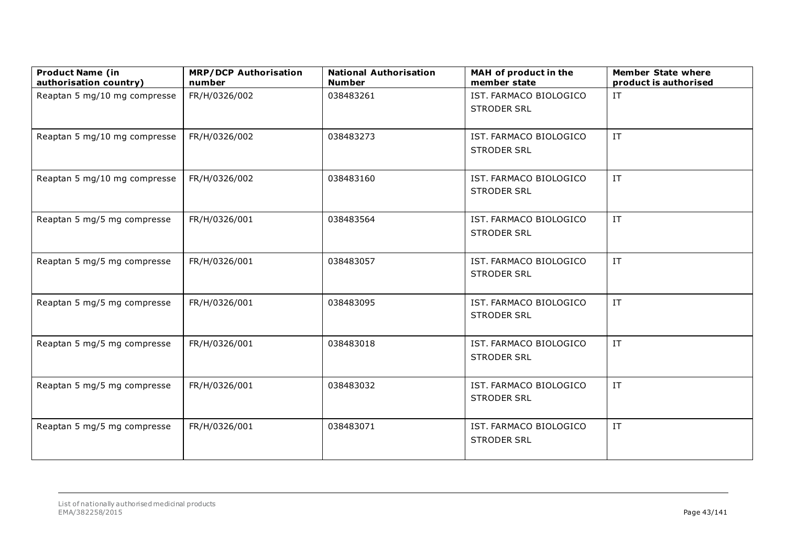| <b>Product Name (in</b><br>authorisation country) | <b>MRP/DCP Authorisation</b><br>number | <b>National Authorisation</b><br><b>Number</b> | MAH of product in the<br>member state        | <b>Member State where</b><br>product is authorised |
|---------------------------------------------------|----------------------------------------|------------------------------------------------|----------------------------------------------|----------------------------------------------------|
| Reaptan 5 mg/10 mg compresse                      | FR/H/0326/002                          | 038483261                                      | IST. FARMACO BIOLOGICO<br><b>STRODER SRL</b> | IT                                                 |
| Reaptan 5 mg/10 mg compresse                      | FR/H/0326/002                          | 038483273                                      | IST. FARMACO BIOLOGICO<br><b>STRODER SRL</b> | $\ensuremath{\text{IT}}$                           |
| Reaptan 5 mg/10 mg compresse                      | FR/H/0326/002                          | 038483160                                      | IST. FARMACO BIOLOGICO<br><b>STRODER SRL</b> | IT                                                 |
| Reaptan 5 mg/5 mg compresse                       | FR/H/0326/001                          | 038483564                                      | IST. FARMACO BIOLOGICO<br><b>STRODER SRL</b> | $\ensuremath{\text{IT}}$                           |
| Reaptan 5 mg/5 mg compresse                       | FR/H/0326/001                          | 038483057                                      | IST. FARMACO BIOLOGICO<br><b>STRODER SRL</b> | $\ensuremath{\text{IT}}$                           |
| Reaptan 5 mg/5 mg compresse                       | FR/H/0326/001                          | 038483095                                      | IST. FARMACO BIOLOGICO<br><b>STRODER SRL</b> | $\ensuremath{\text{IT}}$                           |
| Reaptan 5 mg/5 mg compresse                       | FR/H/0326/001                          | 038483018                                      | IST. FARMACO BIOLOGICO<br><b>STRODER SRL</b> | $\ensuremath{\text{IT}}$                           |
| Reaptan 5 mg/5 mg compresse                       | FR/H/0326/001                          | 038483032                                      | IST. FARMACO BIOLOGICO<br><b>STRODER SRL</b> | $\ensuremath{\text{IT}}$                           |
| Reaptan 5 mg/5 mg compresse                       | FR/H/0326/001                          | 038483071                                      | IST. FARMACO BIOLOGICO<br><b>STRODER SRL</b> | IT.                                                |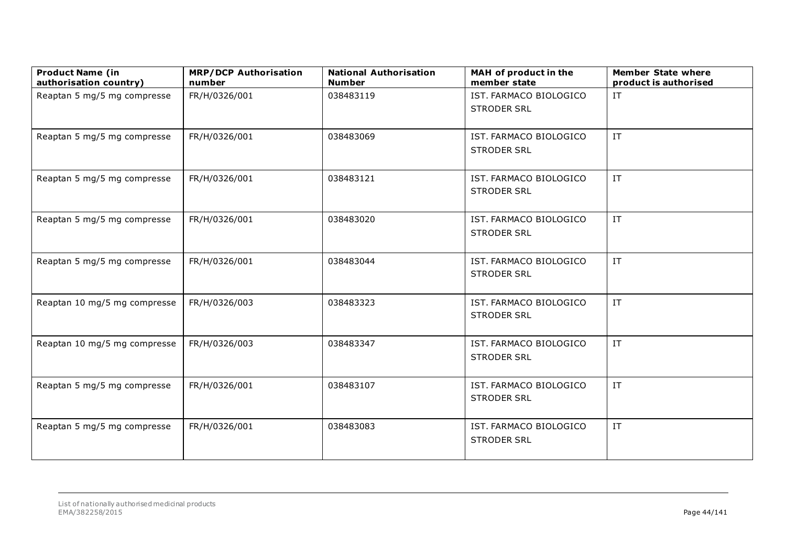| <b>Product Name (in</b><br>authorisation country) | <b>MRP/DCP Authorisation</b><br>number | <b>National Authorisation</b><br><b>Number</b> | MAH of product in the<br>member state        | <b>Member State where</b><br>product is authorised |
|---------------------------------------------------|----------------------------------------|------------------------------------------------|----------------------------------------------|----------------------------------------------------|
| Reaptan 5 mg/5 mg compresse                       | FR/H/0326/001                          | 038483119                                      | IST. FARMACO BIOLOGICO<br><b>STRODER SRL</b> | IT                                                 |
| Reaptan 5 mg/5 mg compresse                       | FR/H/0326/001                          | 038483069                                      | IST. FARMACO BIOLOGICO<br><b>STRODER SRL</b> | $\ensuremath{\text{IT}}$                           |
| Reaptan 5 mg/5 mg compresse                       | FR/H/0326/001                          | 038483121                                      | IST. FARMACO BIOLOGICO<br><b>STRODER SRL</b> | IT                                                 |
| Reaptan 5 mg/5 mg compresse                       | FR/H/0326/001                          | 038483020                                      | IST. FARMACO BIOLOGICO<br><b>STRODER SRL</b> | $\ensuremath{\text{IT}}$                           |
| Reaptan 5 mg/5 mg compresse                       | FR/H/0326/001                          | 038483044                                      | IST. FARMACO BIOLOGICO<br><b>STRODER SRL</b> | $\ensuremath{\text{IT}}$                           |
| Reaptan 10 mg/5 mg compresse                      | FR/H/0326/003                          | 038483323                                      | IST. FARMACO BIOLOGICO<br><b>STRODER SRL</b> | $\ensuremath{\text{IT}}$                           |
| Reaptan 10 mg/5 mg compresse                      | FR/H/0326/003                          | 038483347                                      | IST. FARMACO BIOLOGICO<br><b>STRODER SRL</b> | $\ensuremath{\text{IT}}$                           |
| Reaptan 5 mg/5 mg compresse                       | FR/H/0326/001                          | 038483107                                      | IST. FARMACO BIOLOGICO<br><b>STRODER SRL</b> | $\ensuremath{\text{IT}}$                           |
| Reaptan 5 mg/5 mg compresse                       | FR/H/0326/001                          | 038483083                                      | IST. FARMACO BIOLOGICO<br><b>STRODER SRL</b> | $\ensuremath{\text{IT}}$                           |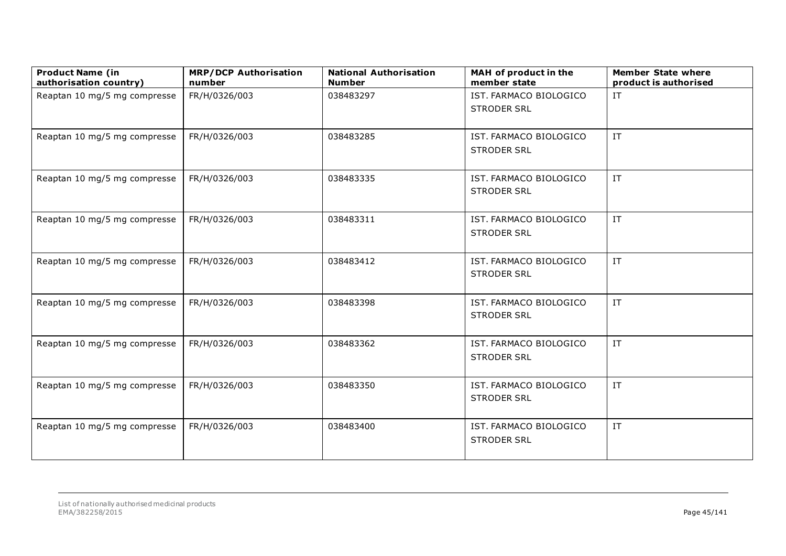| <b>Product Name (in</b><br>authorisation country) | <b>MRP/DCP Authorisation</b><br>number | <b>National Authorisation</b><br><b>Number</b> | MAH of product in the<br>member state        | <b>Member State where</b><br>product is authorised |
|---------------------------------------------------|----------------------------------------|------------------------------------------------|----------------------------------------------|----------------------------------------------------|
| Reaptan 10 mg/5 mg compresse                      | FR/H/0326/003                          | 038483297                                      | IST. FARMACO BIOLOGICO<br><b>STRODER SRL</b> | $\ensuremath{\text{IT}}$                           |
| Reaptan 10 mg/5 mg compresse                      | FR/H/0326/003                          | 038483285                                      | IST. FARMACO BIOLOGICO<br><b>STRODER SRL</b> | IT                                                 |
| Reaptan 10 mg/5 mg compresse                      | FR/H/0326/003                          | 038483335                                      | IST. FARMACO BIOLOGICO<br><b>STRODER SRL</b> | IT.                                                |
| Reaptan 10 mg/5 mg compresse                      | FR/H/0326/003                          | 038483311                                      | IST. FARMACO BIOLOGICO<br><b>STRODER SRL</b> | $\ensuremath{\text{IT}}$                           |
| Reaptan 10 mg/5 mg compresse                      | FR/H/0326/003                          | 038483412                                      | IST. FARMACO BIOLOGICO<br><b>STRODER SRL</b> | $\ensuremath{\text{IT}}$                           |
| Reaptan 10 mg/5 mg compresse                      | FR/H/0326/003                          | 038483398                                      | IST. FARMACO BIOLOGICO<br><b>STRODER SRL</b> | IT                                                 |
| Reaptan 10 mg/5 mg compresse                      | FR/H/0326/003                          | 038483362                                      | IST. FARMACO BIOLOGICO<br><b>STRODER SRL</b> | $\ensuremath{\text{IT}}$                           |
| Reaptan 10 mg/5 mg compresse                      | FR/H/0326/003                          | 038483350                                      | IST. FARMACO BIOLOGICO<br><b>STRODER SRL</b> | IT.                                                |
| Reaptan 10 mg/5 mg compresse                      | FR/H/0326/003                          | 038483400                                      | IST. FARMACO BIOLOGICO<br><b>STRODER SRL</b> | IT.                                                |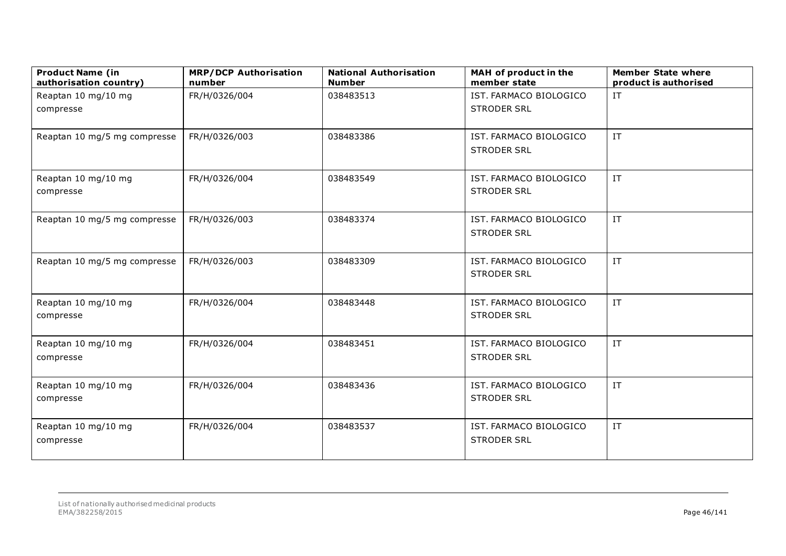| <b>Product Name (in</b><br>authorisation country) | <b>MRP/DCP Authorisation</b><br>number | <b>National Authorisation</b><br><b>Number</b> | MAH of product in the<br>member state        | <b>Member State where</b><br>product is authorised |
|---------------------------------------------------|----------------------------------------|------------------------------------------------|----------------------------------------------|----------------------------------------------------|
| Reaptan 10 mg/10 mg                               | FR/H/0326/004                          | 038483513                                      | IST. FARMACO BIOLOGICO                       | IT                                                 |
| compresse                                         |                                        |                                                | <b>STRODER SRL</b>                           |                                                    |
| Reaptan 10 mg/5 mg compresse                      | FR/H/0326/003                          | 038483386                                      | IST. FARMACO BIOLOGICO<br><b>STRODER SRL</b> | IT                                                 |
| Reaptan 10 mg/10 mg<br>compresse                  | FR/H/0326/004                          | 038483549                                      | IST. FARMACO BIOLOGICO<br><b>STRODER SRL</b> | IT                                                 |
| Reaptan 10 mg/5 mg compresse                      | FR/H/0326/003                          | 038483374                                      | IST. FARMACO BIOLOGICO<br><b>STRODER SRL</b> | $\ensuremath{\text{IT}}$                           |
| Reaptan 10 mg/5 mg compresse                      | FR/H/0326/003                          | 038483309                                      | IST. FARMACO BIOLOGICO<br><b>STRODER SRL</b> | IT                                                 |
| Reaptan 10 mg/10 mg<br>compresse                  | FR/H/0326/004                          | 038483448                                      | IST. FARMACO BIOLOGICO<br><b>STRODER SRL</b> | IT                                                 |
| Reaptan 10 mg/10 mg<br>compresse                  | FR/H/0326/004                          | 038483451                                      | IST. FARMACO BIOLOGICO<br><b>STRODER SRL</b> | IT                                                 |
| Reaptan 10 mg/10 mg<br>compresse                  | FR/H/0326/004                          | 038483436                                      | IST. FARMACO BIOLOGICO<br><b>STRODER SRL</b> | IT                                                 |
| Reaptan 10 mg/10 mg<br>compresse                  | FR/H/0326/004                          | 038483537                                      | IST. FARMACO BIOLOGICO<br><b>STRODER SRL</b> | IT                                                 |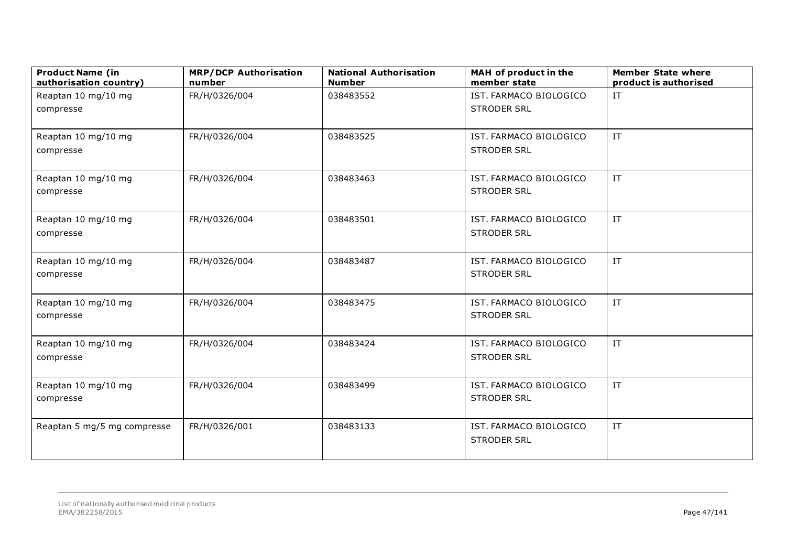| <b>Product Name (in</b><br>authorisation country) | <b>MRP/DCP Authorisation</b><br>number | <b>National Authorisation</b><br><b>Number</b> | MAH of product in the<br>member state | <b>Member State where</b><br>product is authorised |
|---------------------------------------------------|----------------------------------------|------------------------------------------------|---------------------------------------|----------------------------------------------------|
| Reaptan 10 mg/10 mg                               | FR/H/0326/004                          | 038483552                                      | IST. FARMACO BIOLOGICO                | IT                                                 |
| compresse                                         |                                        |                                                | <b>STRODER SRL</b>                    |                                                    |
|                                                   |                                        |                                                |                                       |                                                    |
| Reaptan 10 mg/10 mg                               | FR/H/0326/004                          | 038483525                                      | IST. FARMACO BIOLOGICO                | IT                                                 |
| compresse                                         |                                        |                                                | <b>STRODER SRL</b>                    |                                                    |
| Reaptan 10 mg/10 mg                               | FR/H/0326/004                          | 038483463                                      | IST. FARMACO BIOLOGICO                | IT                                                 |
| compresse                                         |                                        |                                                | <b>STRODER SRL</b>                    |                                                    |
|                                                   |                                        |                                                |                                       |                                                    |
| Reaptan 10 mg/10 mg                               | FR/H/0326/004                          | 038483501                                      | IST. FARMACO BIOLOGICO                | $\ensuremath{\text{IT}}$                           |
| compresse                                         |                                        |                                                | <b>STRODER SRL</b>                    |                                                    |
|                                                   |                                        |                                                |                                       |                                                    |
| Reaptan 10 mg/10 mg                               | FR/H/0326/004                          | 038483487                                      | IST. FARMACO BIOLOGICO                | IT                                                 |
| compresse                                         |                                        |                                                | <b>STRODER SRL</b>                    |                                                    |
|                                                   |                                        |                                                |                                       |                                                    |
| Reaptan 10 mg/10 mg                               | FR/H/0326/004                          | 038483475                                      | IST. FARMACO BIOLOGICO                | IT                                                 |
| compresse                                         |                                        |                                                | <b>STRODER SRL</b>                    |                                                    |
|                                                   |                                        |                                                |                                       |                                                    |
| Reaptan 10 mg/10 mg                               | FR/H/0326/004                          | 038483424                                      | IST. FARMACO BIOLOGICO                | IT                                                 |
| compresse                                         |                                        |                                                | <b>STRODER SRL</b>                    |                                                    |
| Reaptan 10 mg/10 mg                               | FR/H/0326/004                          | 038483499                                      | IST. FARMACO BIOLOGICO                | IT                                                 |
| compresse                                         |                                        |                                                | <b>STRODER SRL</b>                    |                                                    |
|                                                   |                                        |                                                |                                       |                                                    |
| Reaptan 5 mg/5 mg compresse                       | FR/H/0326/001                          | 038483133                                      | IST. FARMACO BIOLOGICO                | IT                                                 |
|                                                   |                                        |                                                | <b>STRODER SRL</b>                    |                                                    |
|                                                   |                                        |                                                |                                       |                                                    |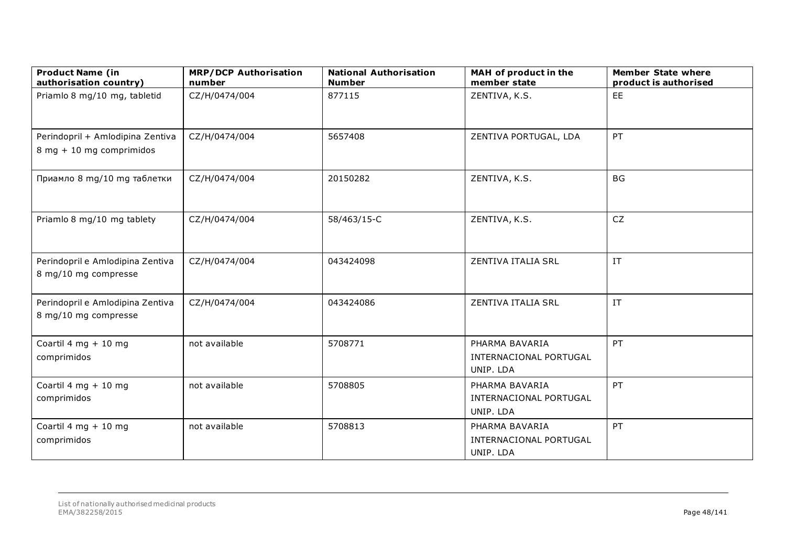| <b>Product Name (in</b><br>authorisation country)            | <b>MRP/DCP Authorisation</b><br>number | <b>National Authorisation</b><br><b>Number</b> | MAH of product in the<br>member state                 | <b>Member State where</b><br>product is authorised |
|--------------------------------------------------------------|----------------------------------------|------------------------------------------------|-------------------------------------------------------|----------------------------------------------------|
| Priamlo 8 mg/10 mg, tabletid                                 | CZ/H/0474/004                          | 877115                                         | ZENTIVA, K.S.                                         | EE                                                 |
| Perindopril + Amlodipina Zentiva<br>8 mg + 10 mg comprimidos | CZ/H/0474/004                          | 5657408                                        | ZENTIVA PORTUGAL, LDA                                 | PT                                                 |
| Приамло 8 mg/10 mg таблетки                                  | CZ/H/0474/004                          | 20150282                                       | ZENTIVA, K.S.                                         | <b>BG</b>                                          |
| Priamlo 8 mg/10 mg tablety                                   | CZ/H/0474/004                          | 58/463/15-C                                    | ZENTIVA, K.S.                                         | <b>CZ</b>                                          |
| Perindopril e Amlodipina Zentiva<br>8 mg/10 mg compresse     | CZ/H/0474/004                          | 043424098                                      | ZENTIVA ITALIA SRL                                    | IT                                                 |
| Perindopril e Amlodipina Zentiva<br>8 mg/10 mg compresse     | CZ/H/0474/004                          | 043424086                                      | ZENTIVA ITALIA SRL                                    | IT                                                 |
| Coartil 4 mg + 10 mg<br>comprimidos                          | not available                          | 5708771                                        | PHARMA BAVARIA<br>INTERNACIONAL PORTUGAL<br>UNIP. LDA | PT                                                 |
| Coartil 4 mg + 10 mg<br>comprimidos                          | not available                          | 5708805                                        | PHARMA BAVARIA<br>INTERNACIONAL PORTUGAL<br>UNIP. LDA | PT                                                 |
| Coartil 4 mg + 10 mg<br>comprimidos                          | not available                          | 5708813                                        | PHARMA BAVARIA<br>INTERNACIONAL PORTUGAL<br>UNIP. LDA | PT                                                 |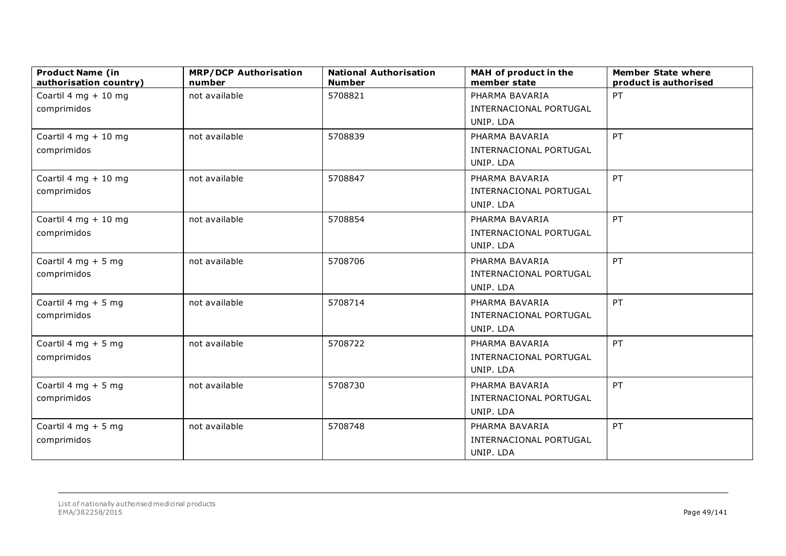| <b>Product Name (in</b><br>authorisation country) | <b>MRP/DCP Authorisation</b><br>number | <b>National Authorisation</b><br><b>Number</b> | MAH of product in the<br>member state | <b>Member State where</b><br>product is authorised |
|---------------------------------------------------|----------------------------------------|------------------------------------------------|---------------------------------------|----------------------------------------------------|
| Coartil 4 mg $+10$ mg                             | not available                          | 5708821                                        | PHARMA BAVARIA                        | PT                                                 |
| comprimidos                                       |                                        |                                                | INTERNACIONAL PORTUGAL                |                                                    |
|                                                   |                                        |                                                | UNIP. LDA                             |                                                    |
| Coartil 4 mg + 10 mg                              | not available                          | 5708839                                        | PHARMA BAVARIA                        | PT                                                 |
| comprimidos                                       |                                        |                                                | INTERNACIONAL PORTUGAL                |                                                    |
|                                                   |                                        |                                                | UNIP. LDA                             |                                                    |
| Coartil 4 mg + 10 mg                              | not available                          | 5708847                                        | PHARMA BAVARIA                        | PT                                                 |
| comprimidos                                       |                                        |                                                | INTERNACIONAL PORTUGAL                |                                                    |
|                                                   |                                        |                                                | UNIP. LDA                             |                                                    |
| Coartil 4 mg + 10 mg                              | not available                          | 5708854                                        | PHARMA BAVARIA                        | PT                                                 |
| comprimidos                                       |                                        |                                                | INTERNACIONAL PORTUGAL                |                                                    |
|                                                   |                                        |                                                | UNIP. LDA                             |                                                    |
| Coartil 4 mg $+5$ mg                              | not available                          | 5708706                                        | PHARMA BAVARIA                        | PT                                                 |
| comprimidos                                       |                                        |                                                | INTERNACIONAL PORTUGAL                |                                                    |
|                                                   |                                        |                                                | UNIP. LDA                             |                                                    |
| Coartil 4 mg + 5 mg                               | not available                          | 5708714                                        | PHARMA BAVARIA                        | PT                                                 |
| comprimidos                                       |                                        |                                                | INTERNACIONAL PORTUGAL                |                                                    |
|                                                   |                                        |                                                | UNIP. LDA                             |                                                    |
| Coartil 4 mg $+5$ mg                              | not available                          | 5708722                                        | PHARMA BAVARIA                        | PT                                                 |
| comprimidos                                       |                                        |                                                | INTERNACIONAL PORTUGAL                |                                                    |
|                                                   |                                        |                                                | UNIP. LDA                             |                                                    |
| Coartil 4 mg $+5$ mg                              | not available                          | 5708730                                        | PHARMA BAVARIA                        | PT                                                 |
| comprimidos                                       |                                        |                                                | INTERNACIONAL PORTUGAL                |                                                    |
|                                                   |                                        |                                                | UNIP. LDA                             |                                                    |
| Coartil 4 mg + 5 mg                               | not available                          | 5708748                                        | PHARMA BAVARIA                        | PT                                                 |
| comprimidos                                       |                                        |                                                | INTERNACIONAL PORTUGAL                |                                                    |
|                                                   |                                        |                                                | UNIP. LDA                             |                                                    |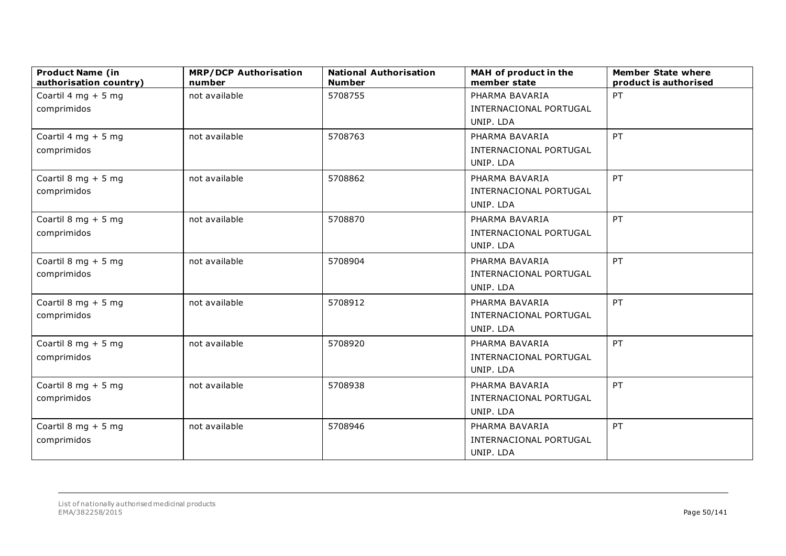| <b>Product Name (in</b><br>authorisation country) | <b>MRP/DCP Authorisation</b><br>number | <b>National Authorisation</b><br><b>Number</b> | MAH of product in the<br>member state | <b>Member State where</b><br>product is authorised |
|---------------------------------------------------|----------------------------------------|------------------------------------------------|---------------------------------------|----------------------------------------------------|
| Coartil 4 mg $+5$ mg                              | not available                          | 5708755                                        | PHARMA BAVARIA                        | PT                                                 |
| comprimidos                                       |                                        |                                                | INTERNACIONAL PORTUGAL                |                                                    |
|                                                   |                                        |                                                | UNIP. LDA                             |                                                    |
| Coartil 4 mg + 5 mg                               | not available                          | 5708763                                        | PHARMA BAVARIA                        | PT                                                 |
| comprimidos                                       |                                        |                                                | INTERNACIONAL PORTUGAL                |                                                    |
|                                                   |                                        |                                                | UNIP. LDA                             |                                                    |
| Coartil 8 mg + 5 mg                               | not available                          | 5708862                                        | PHARMA BAVARIA                        | PT                                                 |
| comprimidos                                       |                                        |                                                | INTERNACIONAL PORTUGAL                |                                                    |
|                                                   |                                        |                                                | UNIP. LDA                             |                                                    |
| Coartil 8 mg + 5 mg                               | not available                          | 5708870                                        | PHARMA BAVARIA                        | PT                                                 |
| comprimidos                                       |                                        |                                                | INTERNACIONAL PORTUGAL                |                                                    |
|                                                   |                                        |                                                | UNIP. LDA                             |                                                    |
| Coartil 8 mg + 5 mg                               | not available                          | 5708904                                        | PHARMA BAVARIA                        | PT                                                 |
| comprimidos                                       |                                        |                                                | INTERNACIONAL PORTUGAL                |                                                    |
|                                                   |                                        |                                                | UNIP. LDA                             |                                                    |
| Coartil 8 mg + 5 mg                               | not available                          | 5708912                                        | PHARMA BAVARIA                        | PT                                                 |
| comprimidos                                       |                                        |                                                | INTERNACIONAL PORTUGAL                |                                                    |
|                                                   |                                        |                                                | UNIP. LDA                             |                                                    |
| Coartil 8 mg $+5$ mg                              | not available                          | 5708920                                        | PHARMA BAVARIA                        | PT                                                 |
| comprimidos                                       |                                        |                                                | INTERNACIONAL PORTUGAL                |                                                    |
|                                                   |                                        |                                                | UNIP. LDA                             |                                                    |
| Coartil 8 mg + 5 mg                               | not available                          | 5708938                                        | PHARMA BAVARIA                        | PT                                                 |
| comprimidos                                       |                                        |                                                | INTERNACIONAL PORTUGAL                |                                                    |
|                                                   |                                        |                                                | UNIP. LDA                             |                                                    |
| Coartil 8 mg $+5$ mg                              | not available                          | 5708946                                        | PHARMA BAVARIA                        | PT                                                 |
| comprimidos                                       |                                        |                                                | INTERNACIONAL PORTUGAL                |                                                    |
|                                                   |                                        |                                                | UNIP. LDA                             |                                                    |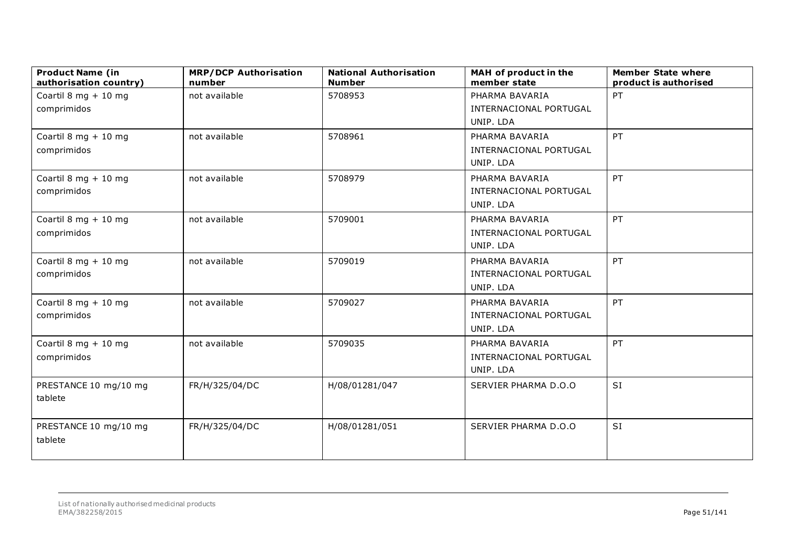| <b>Product Name (in</b><br>authorisation country) | <b>MRP/DCP Authorisation</b><br>number | <b>National Authorisation</b><br><b>Number</b> | MAH of product in the<br>member state | <b>Member State where</b><br>product is authorised |
|---------------------------------------------------|----------------------------------------|------------------------------------------------|---------------------------------------|----------------------------------------------------|
| Coartil 8 mg $+10$ mg                             | not available                          | 5708953                                        | PHARMA BAVARIA                        | PT                                                 |
| comprimidos                                       |                                        |                                                | INTERNACIONAL PORTUGAL                |                                                    |
|                                                   |                                        |                                                | UNIP. LDA                             |                                                    |
| Coartil 8 mg + 10 mg                              | not available                          | 5708961                                        | PHARMA BAVARIA                        | PT                                                 |
| comprimidos                                       |                                        |                                                | INTERNACIONAL PORTUGAL                |                                                    |
|                                                   |                                        |                                                | UNIP. LDA                             |                                                    |
| Coartil 8 mg + 10 mg                              | not available                          | 5708979                                        | PHARMA BAVARIA                        | PT                                                 |
| comprimidos                                       |                                        |                                                | INTERNACIONAL PORTUGAL                |                                                    |
|                                                   |                                        |                                                | UNIP. LDA                             |                                                    |
| Coartil 8 mg + 10 mg                              | not available                          | 5709001                                        | PHARMA BAVARIA                        | PT                                                 |
| comprimidos                                       |                                        |                                                | INTERNACIONAL PORTUGAL                |                                                    |
|                                                   |                                        |                                                | UNIP. LDA                             |                                                    |
| Coartil 8 mg + 10 mg                              | not available                          | 5709019                                        | PHARMA BAVARIA                        | PT                                                 |
| comprimidos                                       |                                        |                                                | INTERNACIONAL PORTUGAL                |                                                    |
|                                                   |                                        |                                                | UNIP. LDA                             |                                                    |
| Coartil 8 mg + 10 mg                              | not available                          | 5709027                                        | PHARMA BAVARIA                        | PT                                                 |
| comprimidos                                       |                                        |                                                | INTERNACIONAL PORTUGAL                |                                                    |
|                                                   |                                        |                                                | UNIP. LDA                             |                                                    |
| Coartil 8 mg + 10 mg                              | not available                          | 5709035                                        | PHARMA BAVARIA                        | PT                                                 |
| comprimidos                                       |                                        |                                                | INTERNACIONAL PORTUGAL                |                                                    |
|                                                   |                                        |                                                | UNIP. LDA                             |                                                    |
| PRESTANCE 10 mg/10 mg                             | FR/H/325/04/DC                         | H/08/01281/047                                 | SERVIER PHARMA D.O.O                  | <b>SI</b>                                          |
| tablete                                           |                                        |                                                |                                       |                                                    |
|                                                   |                                        |                                                |                                       |                                                    |
| PRESTANCE 10 mg/10 mg                             | FR/H/325/04/DC                         | H/08/01281/051                                 | SERVIER PHARMA D.O.O                  | <b>SI</b>                                          |
| tablete                                           |                                        |                                                |                                       |                                                    |
|                                                   |                                        |                                                |                                       |                                                    |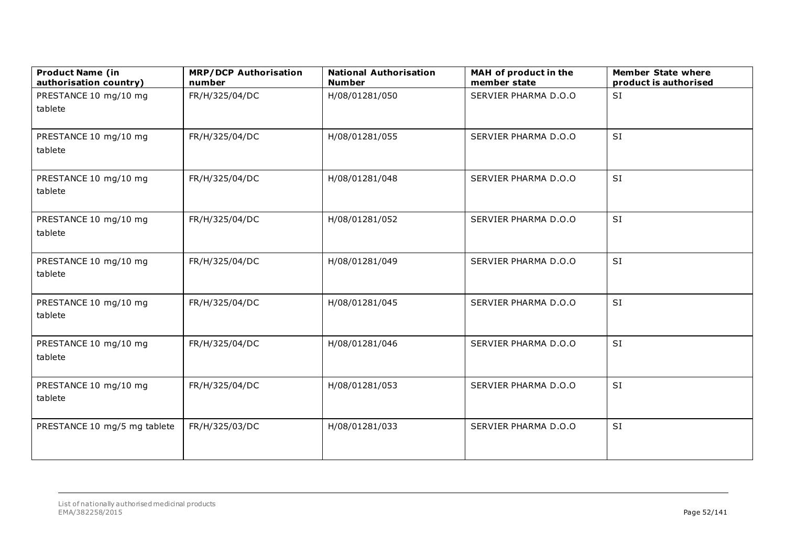| <b>Product Name (in</b><br>authorisation country) | <b>MRP/DCP Authorisation</b><br>number | <b>National Authorisation</b><br><b>Number</b> | MAH of product in the<br>member state | <b>Member State where</b><br>product is authorised |
|---------------------------------------------------|----------------------------------------|------------------------------------------------|---------------------------------------|----------------------------------------------------|
| PRESTANCE 10 mg/10 mg                             | FR/H/325/04/DC                         | H/08/01281/050                                 | SERVIER PHARMA D.O.O                  | SI                                                 |
| tablete                                           |                                        |                                                |                                       |                                                    |
| PRESTANCE 10 mg/10 mg<br>tablete                  | FR/H/325/04/DC                         | H/08/01281/055                                 | SERVIER PHARMA D.O.O                  | <b>SI</b>                                          |
| PRESTANCE 10 mg/10 mg<br>tablete                  | FR/H/325/04/DC                         | H/08/01281/048                                 | SERVIER PHARMA D.O.O                  | SI                                                 |
| PRESTANCE 10 mg/10 mg<br>tablete                  | FR/H/325/04/DC                         | H/08/01281/052                                 | SERVIER PHARMA D.O.O                  | SI                                                 |
| PRESTANCE 10 mg/10 mg<br>tablete                  | FR/H/325/04/DC                         | H/08/01281/049                                 | SERVIER PHARMA D.O.O                  | SI                                                 |
| PRESTANCE 10 mg/10 mg<br>tablete                  | FR/H/325/04/DC                         | H/08/01281/045                                 | SERVIER PHARMA D.O.O                  | SI                                                 |
| PRESTANCE 10 mg/10 mg<br>tablete                  | FR/H/325/04/DC                         | H/08/01281/046                                 | SERVIER PHARMA D.O.O                  | SI                                                 |
| PRESTANCE 10 mg/10 mg<br>tablete                  | FR/H/325/04/DC                         | H/08/01281/053                                 | SERVIER PHARMA D.O.O                  | SI                                                 |
| PRESTANCE 10 mg/5 mg tablete                      | FR/H/325/03/DC                         | H/08/01281/033                                 | SERVIER PHARMA D.O.O                  | SI                                                 |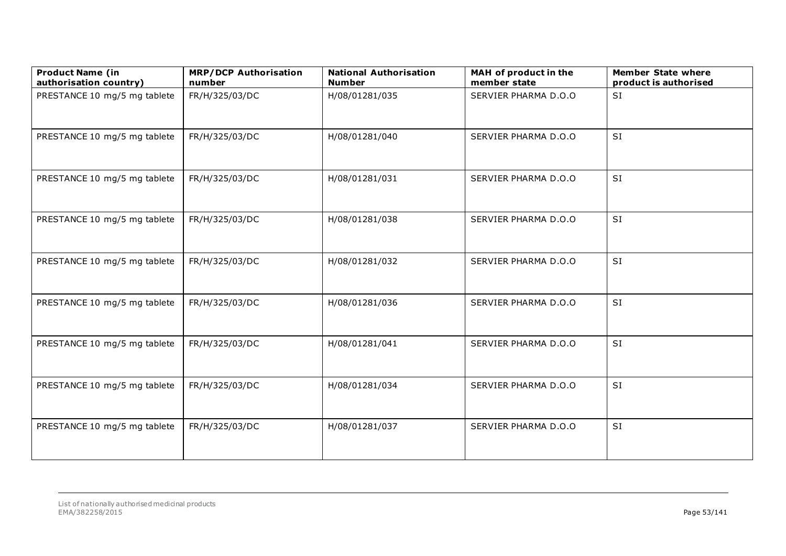| <b>Product Name (in</b><br>authorisation country) | <b>MRP/DCP Authorisation</b><br>number | <b>National Authorisation</b><br><b>Number</b> | MAH of product in the<br>member state | <b>Member State where</b><br>product is authorised |
|---------------------------------------------------|----------------------------------------|------------------------------------------------|---------------------------------------|----------------------------------------------------|
| PRESTANCE 10 mg/5 mg tablete                      | FR/H/325/03/DC                         | H/08/01281/035                                 | SERVIER PHARMA D.O.O                  | SI                                                 |
| PRESTANCE 10 mg/5 mg tablete                      | FR/H/325/03/DC                         | H/08/01281/040                                 | SERVIER PHARMA D.O.O                  | <b>SI</b>                                          |
| PRESTANCE 10 mg/5 mg tablete                      | FR/H/325/03/DC                         | H/08/01281/031                                 | SERVIER PHARMA D.O.O                  | SI                                                 |
| PRESTANCE 10 mg/5 mg tablete                      | FR/H/325/03/DC                         | H/08/01281/038                                 | SERVIER PHARMA D.O.O                  | SI                                                 |
| PRESTANCE 10 mg/5 mg tablete                      | FR/H/325/03/DC                         | H/08/01281/032                                 | SERVIER PHARMA D.O.O                  | SI                                                 |
| PRESTANCE 10 mg/5 mg tablete                      | FR/H/325/03/DC                         | H/08/01281/036                                 | SERVIER PHARMA D.O.O                  | SI                                                 |
| PRESTANCE 10 mg/5 mg tablete                      | FR/H/325/03/DC                         | H/08/01281/041                                 | SERVIER PHARMA D.O.O                  | SI                                                 |
| PRESTANCE 10 mg/5 mg tablete                      | FR/H/325/03/DC                         | H/08/01281/034                                 | SERVIER PHARMA D.O.O                  | SI                                                 |
| PRESTANCE 10 mg/5 mg tablete                      | FR/H/325/03/DC                         | H/08/01281/037                                 | SERVIER PHARMA D.O.O                  | SI                                                 |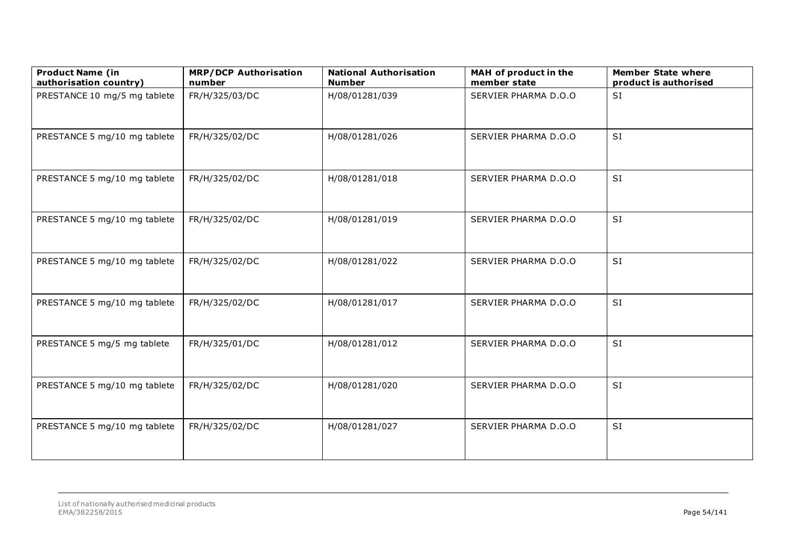| <b>Product Name (in</b><br>authorisation country) | <b>MRP/DCP Authorisation</b><br>number | <b>National Authorisation</b><br><b>Number</b> | MAH of product in the<br>member state | <b>Member State where</b><br>product is authorised |
|---------------------------------------------------|----------------------------------------|------------------------------------------------|---------------------------------------|----------------------------------------------------|
| PRESTANCE 10 mg/5 mg tablete                      | FR/H/325/03/DC                         | H/08/01281/039                                 | SERVIER PHARMA D.O.O                  | SI                                                 |
| PRESTANCE 5 mg/10 mg tablete                      | FR/H/325/02/DC                         | H/08/01281/026                                 | SERVIER PHARMA D.O.O                  | <b>SI</b>                                          |
| PRESTANCE 5 mg/10 mg tablete                      | FR/H/325/02/DC                         | H/08/01281/018                                 | SERVIER PHARMA D.O.O                  | SI                                                 |
| PRESTANCE 5 mg/10 mg tablete                      | FR/H/325/02/DC                         | H/08/01281/019                                 | SERVIER PHARMA D.O.O                  | SI                                                 |
| PRESTANCE 5 mg/10 mg tablete                      | FR/H/325/02/DC                         | H/08/01281/022                                 | SERVIER PHARMA D.O.O                  | SI                                                 |
| PRESTANCE 5 mg/10 mg tablete                      | FR/H/325/02/DC                         | H/08/01281/017                                 | SERVIER PHARMA D.O.O                  | SI                                                 |
| PRESTANCE 5 mg/5 mg tablete                       | FR/H/325/01/DC                         | H/08/01281/012                                 | SERVIER PHARMA D.O.O                  | SI                                                 |
| PRESTANCE 5 mg/10 mg tablete                      | FR/H/325/02/DC                         | H/08/01281/020                                 | SERVIER PHARMA D.O.O                  | SI                                                 |
| PRESTANCE 5 mg/10 mg tablete                      | FR/H/325/02/DC                         | H/08/01281/027                                 | SERVIER PHARMA D.O.O                  | SI                                                 |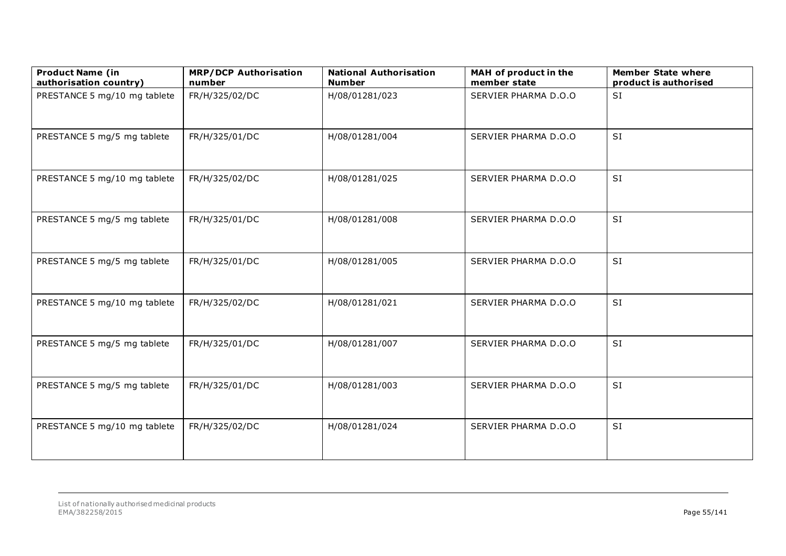| <b>Product Name (in</b><br>authorisation country) | <b>MRP/DCP Authorisation</b><br>number | <b>National Authorisation</b><br><b>Number</b> | MAH of product in the<br>member state | <b>Member State where</b><br>product is authorised |
|---------------------------------------------------|----------------------------------------|------------------------------------------------|---------------------------------------|----------------------------------------------------|
| PRESTANCE 5 mg/10 mg tablete                      | FR/H/325/02/DC                         | H/08/01281/023                                 | SERVIER PHARMA D.O.O                  | <b>SI</b>                                          |
| PRESTANCE 5 mg/5 mg tablete                       | FR/H/325/01/DC                         | H/08/01281/004                                 | SERVIER PHARMA D.O.O                  | SI                                                 |
| PRESTANCE 5 mg/10 mg tablete                      | FR/H/325/02/DC                         | H/08/01281/025                                 | SERVIER PHARMA D.O.O                  | <b>SI</b>                                          |
| PRESTANCE 5 mg/5 mg tablete                       | FR/H/325/01/DC                         | H/08/01281/008                                 | SERVIER PHARMA D.O.O                  | SI                                                 |
| PRESTANCE 5 mg/5 mg tablete                       | FR/H/325/01/DC                         | H/08/01281/005                                 | SERVIER PHARMA D.O.O                  | SI                                                 |
| PRESTANCE 5 mg/10 mg tablete                      | FR/H/325/02/DC                         | H/08/01281/021                                 | SERVIER PHARMA D.O.O                  | SI                                                 |
| PRESTANCE 5 mg/5 mg tablete                       | FR/H/325/01/DC                         | H/08/01281/007                                 | SERVIER PHARMA D.O.O                  | SI                                                 |
| PRESTANCE 5 mg/5 mg tablete                       | FR/H/325/01/DC                         | H/08/01281/003                                 | SERVIER PHARMA D.O.O                  | SI                                                 |
| PRESTANCE 5 mg/10 mg tablete                      | FR/H/325/02/DC                         | H/08/01281/024                                 | SERVIER PHARMA D.O.O                  | SI                                                 |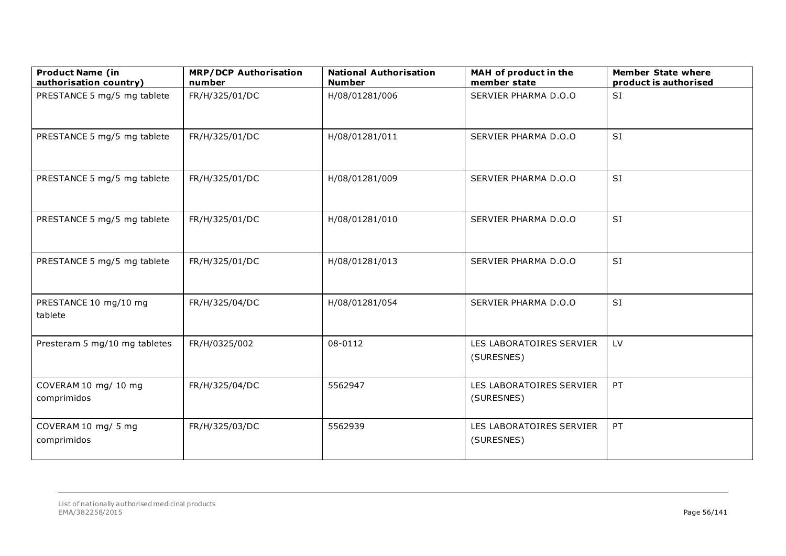| <b>Product Name (in</b><br>authorisation country) | <b>MRP/DCP Authorisation</b><br>number | <b>National Authorisation</b><br><b>Number</b> | MAH of product in the<br>member state  | <b>Member State where</b><br>product is authorised |
|---------------------------------------------------|----------------------------------------|------------------------------------------------|----------------------------------------|----------------------------------------------------|
| PRESTANCE 5 mg/5 mg tablete                       | FR/H/325/01/DC                         | H/08/01281/006                                 | SERVIER PHARMA D.O.O                   | SI                                                 |
| PRESTANCE 5 mg/5 mg tablete                       | FR/H/325/01/DC                         | H/08/01281/011                                 | SERVIER PHARMA D.O.O                   | SI                                                 |
| PRESTANCE 5 mg/5 mg tablete                       | FR/H/325/01/DC                         | H/08/01281/009                                 | SERVIER PHARMA D.O.O                   | SI                                                 |
| PRESTANCE 5 mg/5 mg tablete                       | FR/H/325/01/DC                         | H/08/01281/010                                 | SERVIER PHARMA D.O.O                   | SI                                                 |
| PRESTANCE 5 mg/5 mg tablete                       | FR/H/325/01/DC                         | H/08/01281/013                                 | SERVIER PHARMA D.O.O                   | SI                                                 |
| PRESTANCE 10 mg/10 mg<br>tablete                  | FR/H/325/04/DC                         | H/08/01281/054                                 | SERVIER PHARMA D.O.O                   | SI                                                 |
| Presteram 5 mg/10 mg tabletes                     | FR/H/0325/002                          | 08-0112                                        | LES LABORATOIRES SERVIER<br>(SURESNES) | LV                                                 |
| COVERAM 10 mg/ 10 mg<br>comprimidos               | FR/H/325/04/DC                         | 5562947                                        | LES LABORATOIRES SERVIER<br>(SURESNES) | PT                                                 |
| COVERAM 10 mg/ 5 mg<br>comprimidos                | FR/H/325/03/DC                         | 5562939                                        | LES LABORATOIRES SERVIER<br>(SURESNES) | PT                                                 |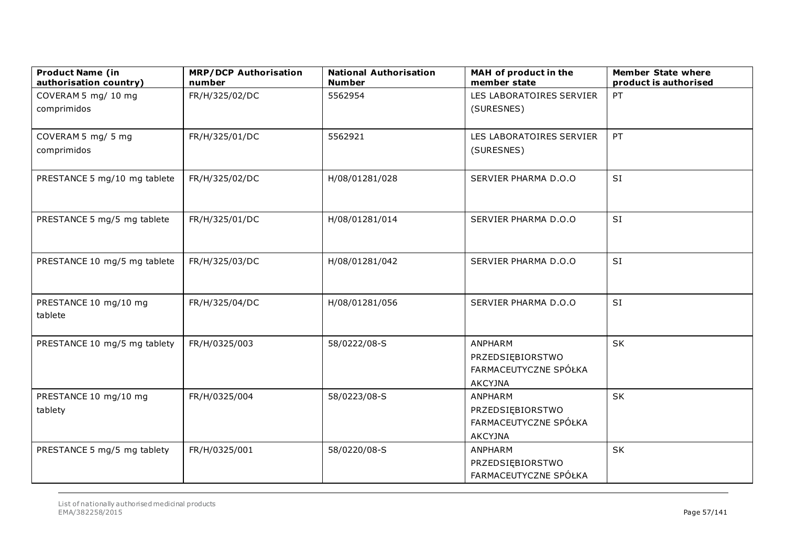| <b>Product Name (in</b><br>authorisation country) | <b>MRP/DCP Authorisation</b><br>number | <b>National Authorisation</b><br><b>Number</b> | MAH of product in the<br>member state | <b>Member State where</b><br>product is authorised |
|---------------------------------------------------|----------------------------------------|------------------------------------------------|---------------------------------------|----------------------------------------------------|
| COVERAM 5 mg/ 10 mg                               | FR/H/325/02/DC                         | 5562954                                        | LES LABORATOIRES SERVIER              | PT                                                 |
| comprimidos                                       |                                        |                                                | (SURESNES)                            |                                                    |
|                                                   |                                        |                                                |                                       |                                                    |
| COVERAM 5 mg/ 5 mg                                | FR/H/325/01/DC                         | 5562921                                        | LES LABORATOIRES SERVIER              | PT                                                 |
| comprimidos                                       |                                        |                                                | (SURESNES)                            |                                                    |
| PRESTANCE 5 mg/10 mg tablete                      | FR/H/325/02/DC                         | H/08/01281/028                                 | SERVIER PHARMA D.O.O                  | SI                                                 |
|                                                   |                                        |                                                |                                       |                                                    |
| PRESTANCE 5 mg/5 mg tablete                       | FR/H/325/01/DC                         | H/08/01281/014                                 | SERVIER PHARMA D.O.O                  | SI                                                 |
|                                                   |                                        |                                                |                                       |                                                    |
| PRESTANCE 10 mg/5 mg tablete                      | FR/H/325/03/DC                         | H/08/01281/042                                 | SERVIER PHARMA D.O.O                  | SI                                                 |
|                                                   |                                        |                                                |                                       |                                                    |
| PRESTANCE 10 mg/10 mg                             | FR/H/325/04/DC                         | H/08/01281/056                                 | SERVIER PHARMA D.O.O                  | <b>SI</b>                                          |
| tablete                                           |                                        |                                                |                                       |                                                    |
|                                                   |                                        |                                                |                                       |                                                    |
| PRESTANCE 10 mg/5 mg tablety                      | FR/H/0325/003                          | 58/0222/08-S                                   | ANPHARM                               | <b>SK</b>                                          |
|                                                   |                                        |                                                | PRZEDSIĘBIORSTWO                      |                                                    |
|                                                   |                                        |                                                | FARMACEUTYCZNE SPÓŁKA                 |                                                    |
|                                                   |                                        |                                                | <b>AKCYJNA</b>                        |                                                    |
| PRESTANCE 10 mg/10 mg                             | FR/H/0325/004                          | 58/0223/08-S                                   | ANPHARM                               | SK                                                 |
| tablety                                           |                                        |                                                | PRZEDSIĘBIORSTWO                      |                                                    |
|                                                   |                                        |                                                | FARMACEUTYCZNE SPÓŁKA                 |                                                    |
|                                                   |                                        |                                                | <b>AKCYJNA</b>                        |                                                    |
| PRESTANCE 5 mg/5 mg tablety                       | FR/H/0325/001                          | 58/0220/08-S                                   | ANPHARM                               | SK                                                 |
|                                                   |                                        |                                                | PRZEDSIĘBIORSTWO                      |                                                    |
|                                                   |                                        |                                                | FARMACEUTYCZNE SPÓŁKA                 |                                                    |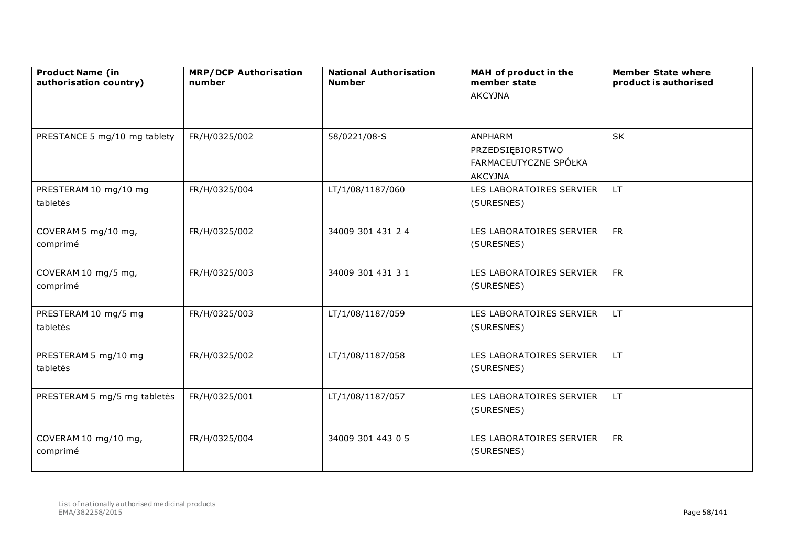| <b>Product Name (in</b><br>authorisation country) | <b>MRP/DCP Authorisation</b><br>number | <b>National Authorisation</b><br><b>Number</b> | MAH of product in the<br>member state                                         | <b>Member State where</b><br>product is authorised |
|---------------------------------------------------|----------------------------------------|------------------------------------------------|-------------------------------------------------------------------------------|----------------------------------------------------|
|                                                   |                                        |                                                | <b>AKCYJNA</b>                                                                |                                                    |
| PRESTANCE 5 mg/10 mg tablety                      | FR/H/0325/002                          | 58/0221/08-S                                   | <b>ANPHARM</b><br>PRZEDSIĘBIORSTWO<br>FARMACEUTYCZNE SPÓŁKA<br><b>AKCYJNA</b> | <b>SK</b>                                          |
| PRESTERAM 10 mg/10 mg<br>tabletės                 | FR/H/0325/004                          | LT/1/08/1187/060                               | LES LABORATOIRES SERVIER<br>(SURESNES)                                        | <b>LT</b>                                          |
| COVERAM 5 mg/10 mg,<br>comprimé                   | FR/H/0325/002                          | 34009 301 431 24                               | LES LABORATOIRES SERVIER<br>(SURESNES)                                        | <b>FR</b>                                          |
| COVERAM 10 mg/5 mg,<br>comprimé                   | FR/H/0325/003                          | 34009 301 431 31                               | LES LABORATOIRES SERVIER<br>(SURESNES)                                        | <b>FR</b>                                          |
| PRESTERAM 10 mg/5 mg<br>tabletės                  | FR/H/0325/003                          | LT/1/08/1187/059                               | LES LABORATOIRES SERVIER<br>(SURESNES)                                        | LT.                                                |
| PRESTERAM 5 mg/10 mg<br>tabletės                  | FR/H/0325/002                          | LT/1/08/1187/058                               | LES LABORATOIRES SERVIER<br>(SURESNES)                                        | LT.                                                |
| PRESTERAM 5 mg/5 mg tabletės                      | FR/H/0325/001                          | LT/1/08/1187/057                               | LES LABORATOIRES SERVIER<br>(SURESNES)                                        | <b>LT</b>                                          |
| COVERAM 10 mg/10 mg,<br>comprimé                  | FR/H/0325/004                          | 34009 301 443 0 5                              | LES LABORATOIRES SERVIER<br>(SURESNES)                                        | <b>FR</b>                                          |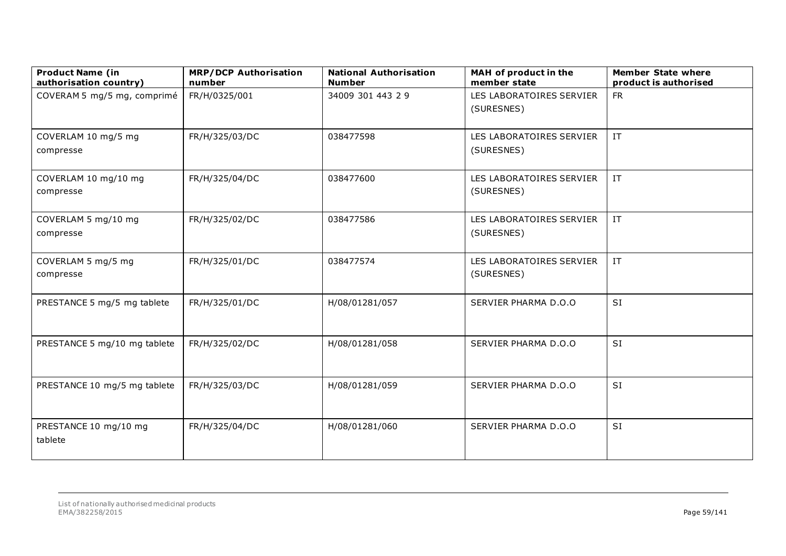| <b>Product Name (in</b><br>authorisation country) | <b>MRP/DCP Authorisation</b><br>number | <b>National Authorisation</b><br><b>Number</b> | MAH of product in the<br>member state  | <b>Member State where</b><br>product is authorised |
|---------------------------------------------------|----------------------------------------|------------------------------------------------|----------------------------------------|----------------------------------------------------|
| COVERAM 5 mg/5 mg, comprimé                       | FR/H/0325/001                          | 34009 301 443 2 9                              | LES LABORATOIRES SERVIER<br>(SURESNES) | <b>FR</b>                                          |
| COVERLAM 10 mg/5 mg<br>compresse                  | FR/H/325/03/DC                         | 038477598                                      | LES LABORATOIRES SERVIER<br>(SURESNES) | IT                                                 |
| COVERLAM 10 mg/10 mg<br>compresse                 | FR/H/325/04/DC                         | 038477600                                      | LES LABORATOIRES SERVIER<br>(SURESNES) | $\ensuremath{\text{IT}}$                           |
| COVERLAM 5 mg/10 mg<br>compresse                  | FR/H/325/02/DC                         | 038477586                                      | LES LABORATOIRES SERVIER<br>(SURESNES) | $\ensuremath{\text{IT}}$                           |
| COVERLAM 5 mg/5 mg<br>compresse                   | FR/H/325/01/DC                         | 038477574                                      | LES LABORATOIRES SERVIER<br>(SURESNES) | $\ensuremath{\text{IT}}$                           |
| PRESTANCE 5 mg/5 mg tablete                       | FR/H/325/01/DC                         | H/08/01281/057                                 | SERVIER PHARMA D.O.O                   | SI                                                 |
| PRESTANCE 5 mg/10 mg tablete                      | FR/H/325/02/DC                         | H/08/01281/058                                 | SERVIER PHARMA D.O.O                   | SI                                                 |
| PRESTANCE 10 mg/5 mg tablete                      | FR/H/325/03/DC                         | H/08/01281/059                                 | SERVIER PHARMA D.O.O                   | <b>SI</b>                                          |
| PRESTANCE 10 mg/10 mg<br>tablete                  | FR/H/325/04/DC                         | H/08/01281/060                                 | SERVIER PHARMA D.O.O                   | <b>SI</b>                                          |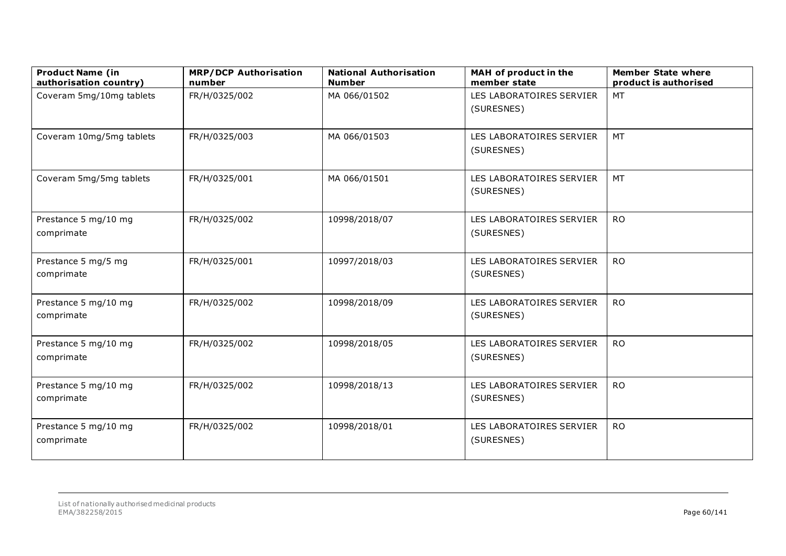| <b>Product Name (in</b><br>authorisation country) | <b>MRP/DCP Authorisation</b><br>number | <b>National Authorisation</b><br><b>Number</b> | MAH of product in the<br>member state  | <b>Member State where</b><br>product is authorised |
|---------------------------------------------------|----------------------------------------|------------------------------------------------|----------------------------------------|----------------------------------------------------|
| Coveram 5mg/10mg tablets                          | FR/H/0325/002                          | MA 066/01502                                   | LES LABORATOIRES SERVIER<br>(SURESNES) | MT                                                 |
| Coveram 10mg/5mg tablets                          | FR/H/0325/003                          | MA 066/01503                                   | LES LABORATOIRES SERVIER<br>(SURESNES) | MT                                                 |
| Coveram 5mg/5mg tablets                           | FR/H/0325/001                          | MA 066/01501                                   | LES LABORATOIRES SERVIER<br>(SURESNES) | <b>MT</b>                                          |
| Prestance 5 mg/10 mg<br>comprimate                | FR/H/0325/002                          | 10998/2018/07                                  | LES LABORATOIRES SERVIER<br>(SURESNES) | <b>RO</b>                                          |
| Prestance 5 mg/5 mg<br>comprimate                 | FR/H/0325/001                          | 10997/2018/03                                  | LES LABORATOIRES SERVIER<br>(SURESNES) | <b>RO</b>                                          |
| Prestance 5 mg/10 mg<br>comprimate                | FR/H/0325/002                          | 10998/2018/09                                  | LES LABORATOIRES SERVIER<br>(SURESNES) | <b>RO</b>                                          |
| Prestance 5 mg/10 mg<br>comprimate                | FR/H/0325/002                          | 10998/2018/05                                  | LES LABORATOIRES SERVIER<br>(SURESNES) | <b>RO</b>                                          |
| Prestance 5 mg/10 mg<br>comprimate                | FR/H/0325/002                          | 10998/2018/13                                  | LES LABORATOIRES SERVIER<br>(SURESNES) | <b>RO</b>                                          |
| Prestance 5 mg/10 mg<br>comprimate                | FR/H/0325/002                          | 10998/2018/01                                  | LES LABORATOIRES SERVIER<br>(SURESNES) | <b>RO</b>                                          |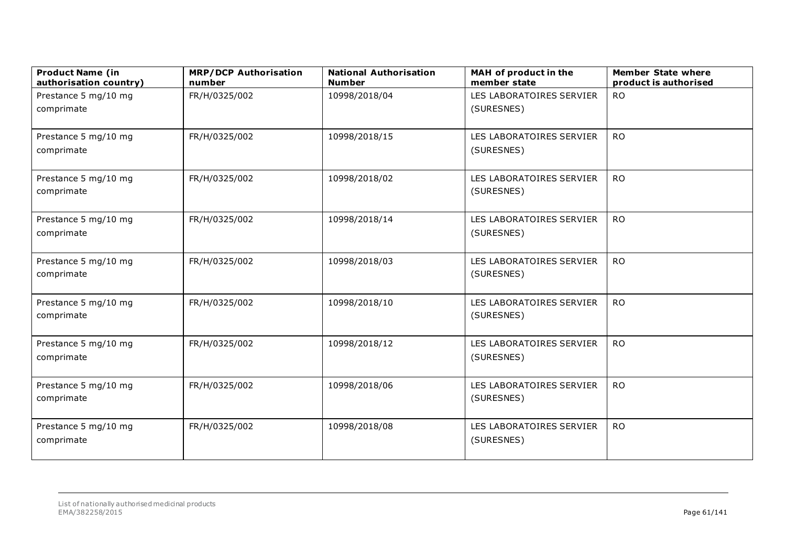| <b>Product Name (in</b><br>authorisation country) | <b>MRP/DCP Authorisation</b><br>number | <b>National Authorisation</b><br><b>Number</b> | MAH of product in the<br>member state  | <b>Member State where</b><br>product is authorised |
|---------------------------------------------------|----------------------------------------|------------------------------------------------|----------------------------------------|----------------------------------------------------|
| Prestance 5 mg/10 mg                              | FR/H/0325/002                          | 10998/2018/04                                  | LES LABORATOIRES SERVIER               | <b>RO</b>                                          |
| comprimate                                        |                                        |                                                | (SURESNES)                             |                                                    |
| Prestance 5 mg/10 mg                              | FR/H/0325/002                          | 10998/2018/15                                  | LES LABORATOIRES SERVIER               | <b>RO</b>                                          |
| comprimate                                        |                                        |                                                | (SURESNES)                             |                                                    |
| Prestance 5 mg/10 mg<br>comprimate                | FR/H/0325/002                          | 10998/2018/02                                  | LES LABORATOIRES SERVIER<br>(SURESNES) | <b>RO</b>                                          |
| Prestance 5 mg/10 mg<br>comprimate                | FR/H/0325/002                          | 10998/2018/14                                  | LES LABORATOIRES SERVIER<br>(SURESNES) | <b>RO</b>                                          |
| Prestance 5 mg/10 mg<br>comprimate                | FR/H/0325/002                          | 10998/2018/03                                  | LES LABORATOIRES SERVIER<br>(SURESNES) | <b>RO</b>                                          |
| Prestance 5 mg/10 mg<br>comprimate                | FR/H/0325/002                          | 10998/2018/10                                  | LES LABORATOIRES SERVIER<br>(SURESNES) | <b>RO</b>                                          |
| Prestance 5 mg/10 mg<br>comprimate                | FR/H/0325/002                          | 10998/2018/12                                  | LES LABORATOIRES SERVIER<br>(SURESNES) | <b>RO</b>                                          |
| Prestance 5 mg/10 mg<br>comprimate                | FR/H/0325/002                          | 10998/2018/06                                  | LES LABORATOIRES SERVIER<br>(SURESNES) | <b>RO</b>                                          |
| Prestance 5 mg/10 mg<br>comprimate                | FR/H/0325/002                          | 10998/2018/08                                  | LES LABORATOIRES SERVIER<br>(SURESNES) | <b>RO</b>                                          |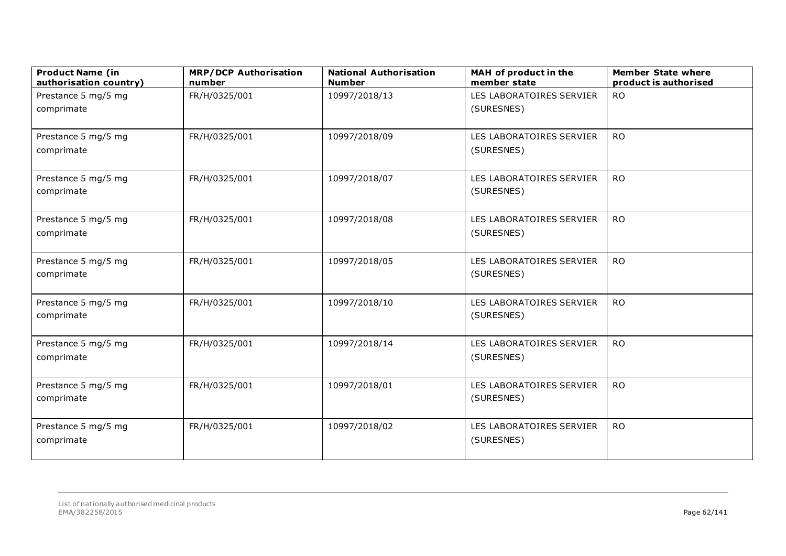| <b>Product Name (in</b><br>authorisation country) | <b>MRP/DCP Authorisation</b><br>number | <b>National Authorisation</b><br><b>Number</b> | MAH of product in the<br>member state | <b>Member State where</b><br>product is authorised |
|---------------------------------------------------|----------------------------------------|------------------------------------------------|---------------------------------------|----------------------------------------------------|
| Prestance 5 mg/5 mg                               | FR/H/0325/001                          | 10997/2018/13                                  | LES LABORATOIRES SERVIER              | <b>RO</b>                                          |
| comprimate                                        |                                        |                                                | (SURESNES)                            |                                                    |
|                                                   |                                        |                                                |                                       |                                                    |
| Prestance 5 mg/5 mg                               | FR/H/0325/001                          | 10997/2018/09                                  | LES LABORATOIRES SERVIER              | <b>RO</b>                                          |
| comprimate                                        |                                        |                                                | (SURESNES)                            |                                                    |
| Prestance 5 mg/5 mg                               | FR/H/0325/001                          | 10997/2018/07                                  | LES LABORATOIRES SERVIER              | <b>RO</b>                                          |
| comprimate                                        |                                        |                                                | (SURESNES)                            |                                                    |
| Prestance 5 mg/5 mg                               | FR/H/0325/001                          | 10997/2018/08                                  | LES LABORATOIRES SERVIER              | <b>RO</b>                                          |
| comprimate                                        |                                        |                                                | (SURESNES)                            |                                                    |
|                                                   |                                        |                                                |                                       |                                                    |
| Prestance 5 mg/5 mg                               | FR/H/0325/001                          | 10997/2018/05                                  | LES LABORATOIRES SERVIER              | <b>RO</b>                                          |
| comprimate                                        |                                        |                                                | (SURESNES)                            |                                                    |
| Prestance 5 mg/5 mg                               | FR/H/0325/001                          | 10997/2018/10                                  | LES LABORATOIRES SERVIER              | <b>RO</b>                                          |
| comprimate                                        |                                        |                                                | (SURESNES)                            |                                                    |
|                                                   |                                        |                                                |                                       |                                                    |
| Prestance 5 mg/5 mg                               | FR/H/0325/001                          | 10997/2018/14                                  | LES LABORATOIRES SERVIER              | <b>RO</b>                                          |
| comprimate                                        |                                        |                                                | (SURESNES)                            |                                                    |
| Prestance 5 mg/5 mg                               | FR/H/0325/001                          | 10997/2018/01                                  | LES LABORATOIRES SERVIER              | <b>RO</b>                                          |
| comprimate                                        |                                        |                                                | (SURESNES)                            |                                                    |
|                                                   |                                        |                                                |                                       |                                                    |
| Prestance 5 mg/5 mg                               | FR/H/0325/001                          | 10997/2018/02                                  | LES LABORATOIRES SERVIER              | <b>RO</b>                                          |
| comprimate                                        |                                        |                                                | (SURESNES)                            |                                                    |
|                                                   |                                        |                                                |                                       |                                                    |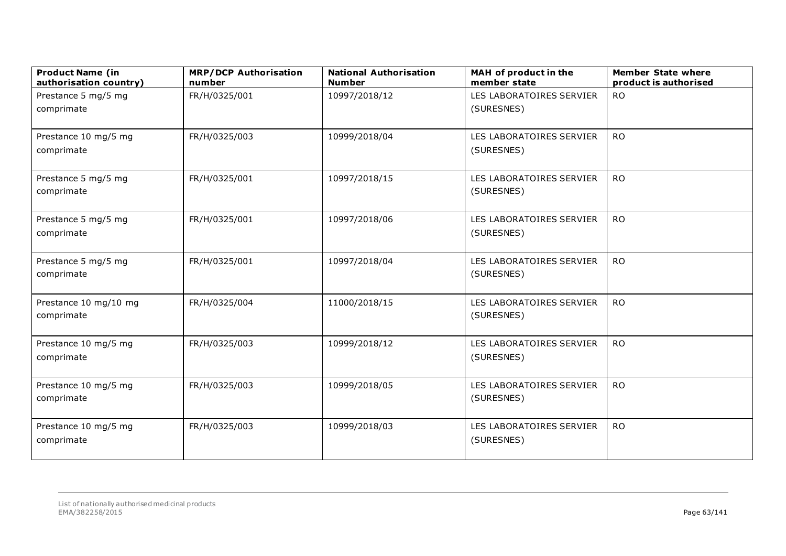| <b>Product Name (in</b><br>authorisation country) | <b>MRP/DCP Authorisation</b><br>number | <b>National Authorisation</b><br><b>Number</b> | MAH of product in the<br>member state | <b>Member State where</b><br>product is authorised |
|---------------------------------------------------|----------------------------------------|------------------------------------------------|---------------------------------------|----------------------------------------------------|
| Prestance 5 mg/5 mg                               | FR/H/0325/001                          | 10997/2018/12                                  | LES LABORATOIRES SERVIER              | <b>RO</b>                                          |
| comprimate                                        |                                        |                                                | (SURESNES)                            |                                                    |
| Prestance 10 mg/5 mg                              | FR/H/0325/003                          | 10999/2018/04                                  | LES LABORATOIRES SERVIER              | <b>RO</b>                                          |
| comprimate                                        |                                        |                                                | (SURESNES)                            |                                                    |
| Prestance 5 mg/5 mg                               | FR/H/0325/001                          | 10997/2018/15                                  | LES LABORATOIRES SERVIER              | <b>RO</b>                                          |
| comprimate                                        |                                        |                                                | (SURESNES)                            |                                                    |
| Prestance 5 mg/5 mg                               | FR/H/0325/001                          | 10997/2018/06                                  | LES LABORATOIRES SERVIER              | <b>RO</b>                                          |
| comprimate                                        |                                        |                                                | (SURESNES)                            |                                                    |
| Prestance 5 mg/5 mg                               | FR/H/0325/001                          | 10997/2018/04                                  | LES LABORATOIRES SERVIER              | <b>RO</b>                                          |
| comprimate                                        |                                        |                                                | (SURESNES)                            |                                                    |
| Prestance 10 mg/10 mg                             | FR/H/0325/004                          | 11000/2018/15                                  | LES LABORATOIRES SERVIER              | <b>RO</b>                                          |
| comprimate                                        |                                        |                                                | (SURESNES)                            |                                                    |
| Prestance 10 mg/5 mg                              | FR/H/0325/003                          | 10999/2018/12                                  | LES LABORATOIRES SERVIER              | <b>RO</b>                                          |
| comprimate                                        |                                        |                                                | (SURESNES)                            |                                                    |
| Prestance 10 mg/5 mg                              | FR/H/0325/003                          | 10999/2018/05                                  | LES LABORATOIRES SERVIER              | <b>RO</b>                                          |
| comprimate                                        |                                        |                                                | (SURESNES)                            |                                                    |
| Prestance 10 mg/5 mg                              | FR/H/0325/003                          | 10999/2018/03                                  | LES LABORATOIRES SERVIER              | <b>RO</b>                                          |
| comprimate                                        |                                        |                                                | (SURESNES)                            |                                                    |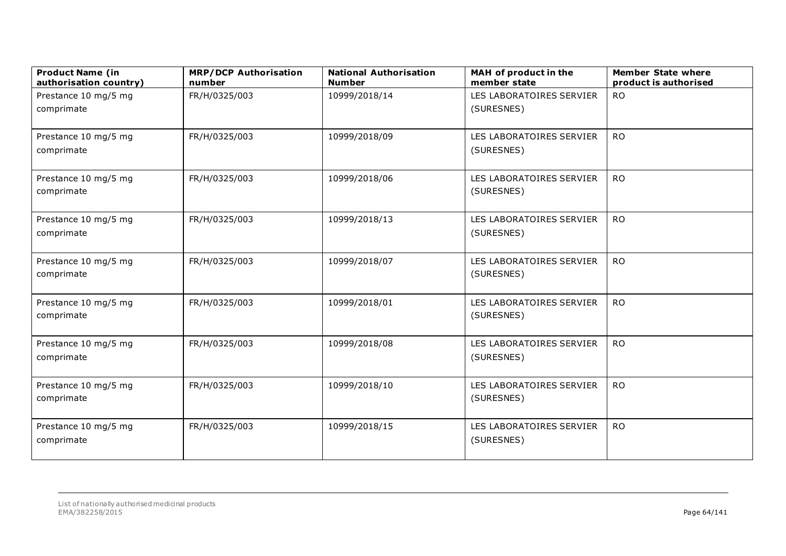| <b>Product Name (in</b><br>authorisation country) | <b>MRP/DCP Authorisation</b><br>number | <b>National Authorisation</b><br><b>Number</b> | MAH of product in the<br>member state | <b>Member State where</b><br>product is authorised |
|---------------------------------------------------|----------------------------------------|------------------------------------------------|---------------------------------------|----------------------------------------------------|
| Prestance 10 mg/5 mg                              | FR/H/0325/003                          | 10999/2018/14                                  | LES LABORATOIRES SERVIER              | <b>RO</b>                                          |
| comprimate                                        |                                        |                                                | (SURESNES)                            |                                                    |
|                                                   |                                        |                                                |                                       |                                                    |
| Prestance 10 mg/5 mg                              | FR/H/0325/003                          | 10999/2018/09                                  | LES LABORATOIRES SERVIER              | <b>RO</b>                                          |
| comprimate                                        |                                        |                                                | (SURESNES)                            |                                                    |
| Prestance 10 mg/5 mg                              | FR/H/0325/003                          | 10999/2018/06                                  | LES LABORATOIRES SERVIER              | <b>RO</b>                                          |
| comprimate                                        |                                        |                                                | (SURESNES)                            |                                                    |
| Prestance 10 mg/5 mg                              | FR/H/0325/003                          | 10999/2018/13                                  | LES LABORATOIRES SERVIER              | <b>RO</b>                                          |
| comprimate                                        |                                        |                                                | (SURESNES)                            |                                                    |
| Prestance 10 mg/5 mg                              | FR/H/0325/003                          | 10999/2018/07                                  | LES LABORATOIRES SERVIER              | <b>RO</b>                                          |
| comprimate                                        |                                        |                                                | (SURESNES)                            |                                                    |
| Prestance 10 mg/5 mg                              | FR/H/0325/003                          | 10999/2018/01                                  | LES LABORATOIRES SERVIER              | <b>RO</b>                                          |
| comprimate                                        |                                        |                                                | (SURESNES)                            |                                                    |
| Prestance 10 mg/5 mg                              | FR/H/0325/003                          | 10999/2018/08                                  | LES LABORATOIRES SERVIER              | <b>RO</b>                                          |
| comprimate                                        |                                        |                                                | (SURESNES)                            |                                                    |
| Prestance 10 mg/5 mg                              | FR/H/0325/003                          | 10999/2018/10                                  | LES LABORATOIRES SERVIER              | <b>RO</b>                                          |
| comprimate                                        |                                        |                                                | (SURESNES)                            |                                                    |
| Prestance 10 mg/5 mg                              | FR/H/0325/003                          | 10999/2018/15                                  | LES LABORATOIRES SERVIER              | <b>RO</b>                                          |
| comprimate                                        |                                        |                                                | (SURESNES)                            |                                                    |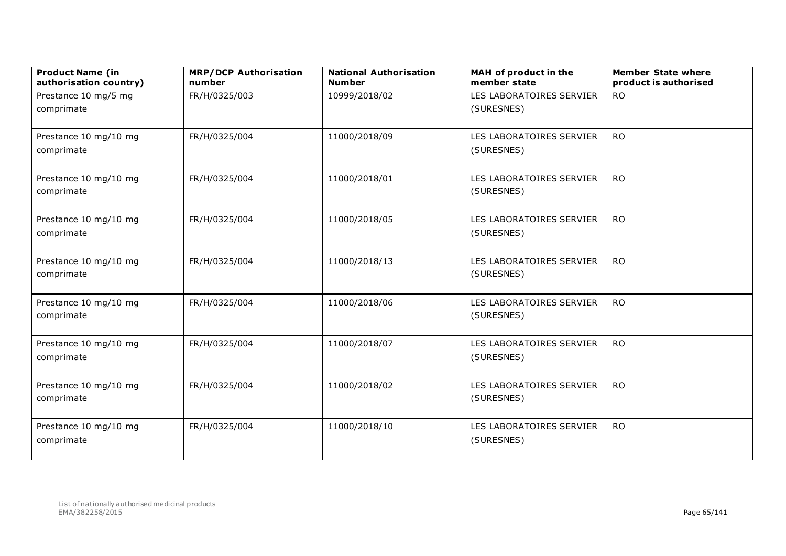| <b>Product Name (in</b><br>authorisation country) | <b>MRP/DCP Authorisation</b><br>number | <b>National Authorisation</b><br><b>Number</b> | MAH of product in the<br>member state | <b>Member State where</b><br>product is authorised |
|---------------------------------------------------|----------------------------------------|------------------------------------------------|---------------------------------------|----------------------------------------------------|
| Prestance 10 mg/5 mg                              | FR/H/0325/003                          | 10999/2018/02                                  | LES LABORATOIRES SERVIER              | <b>RO</b>                                          |
| comprimate                                        |                                        |                                                | (SURESNES)                            |                                                    |
|                                                   |                                        |                                                |                                       |                                                    |
| Prestance 10 mg/10 mg                             | FR/H/0325/004                          | 11000/2018/09                                  | LES LABORATOIRES SERVIER              | <b>RO</b>                                          |
| comprimate                                        |                                        |                                                | (SURESNES)                            |                                                    |
| Prestance 10 mg/10 mg                             | FR/H/0325/004                          | 11000/2018/01                                  | LES LABORATOIRES SERVIER              | <b>RO</b>                                          |
| comprimate                                        |                                        |                                                | (SURESNES)                            |                                                    |
| Prestance 10 mg/10 mg                             | FR/H/0325/004                          | 11000/2018/05                                  | LES LABORATOIRES SERVIER              | <b>RO</b>                                          |
| comprimate                                        |                                        |                                                | (SURESNES)                            |                                                    |
|                                                   |                                        |                                                |                                       |                                                    |
| Prestance 10 mg/10 mg                             | FR/H/0325/004                          | 11000/2018/13                                  | LES LABORATOIRES SERVIER              | <b>RO</b>                                          |
| comprimate                                        |                                        |                                                | (SURESNES)                            |                                                    |
| Prestance 10 mg/10 mg                             | FR/H/0325/004                          | 11000/2018/06                                  | LES LABORATOIRES SERVIER              | <b>RO</b>                                          |
| comprimate                                        |                                        |                                                | (SURESNES)                            |                                                    |
|                                                   |                                        |                                                |                                       |                                                    |
| Prestance 10 mg/10 mg                             | FR/H/0325/004                          | 11000/2018/07                                  | LES LABORATOIRES SERVIER              | <b>RO</b>                                          |
| comprimate                                        |                                        |                                                | (SURESNES)                            |                                                    |
| Prestance 10 mg/10 mg                             | FR/H/0325/004                          | 11000/2018/02                                  | LES LABORATOIRES SERVIER              | <b>RO</b>                                          |
| comprimate                                        |                                        |                                                | (SURESNES)                            |                                                    |
|                                                   |                                        |                                                |                                       |                                                    |
| Prestance 10 mg/10 mg                             | FR/H/0325/004                          | 11000/2018/10                                  | LES LABORATOIRES SERVIER              | <b>RO</b>                                          |
| comprimate                                        |                                        |                                                | (SURESNES)                            |                                                    |
|                                                   |                                        |                                                |                                       |                                                    |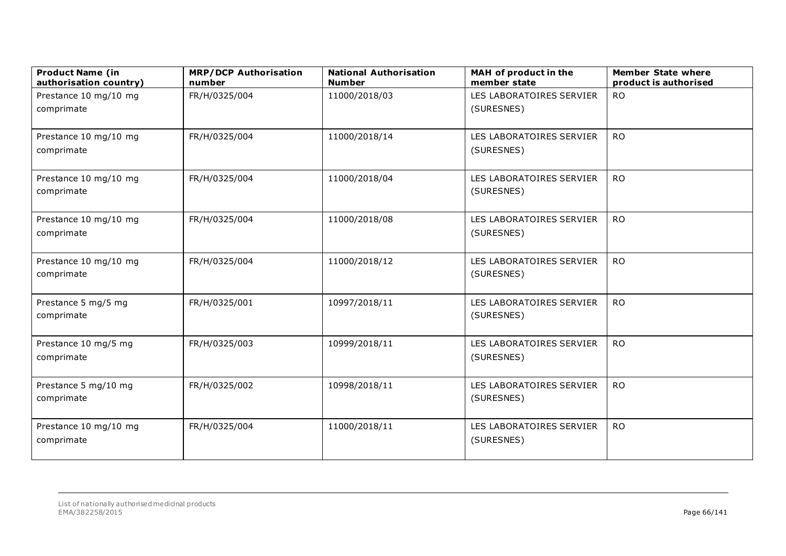| <b>Product Name (in</b><br>authorisation country) | <b>MRP/DCP Authorisation</b><br>number | <b>National Authorisation</b><br><b>Number</b> | MAH of product in the<br>member state  | <b>Member State where</b><br>product is authorised |
|---------------------------------------------------|----------------------------------------|------------------------------------------------|----------------------------------------|----------------------------------------------------|
| Prestance 10 mg/10 mg                             | FR/H/0325/004                          | 11000/2018/03                                  | LES LABORATOIRES SERVIER               | <b>RO</b>                                          |
| comprimate                                        |                                        |                                                | (SURESNES)                             |                                                    |
|                                                   |                                        |                                                |                                        |                                                    |
| Prestance 10 mg/10 mg                             | FR/H/0325/004                          | 11000/2018/14                                  | LES LABORATOIRES SERVIER               | <b>RO</b>                                          |
| comprimate                                        |                                        |                                                | (SURESNES)                             |                                                    |
| Prestance 10 mg/10 mg                             | FR/H/0325/004                          | 11000/2018/04                                  | LES LABORATOIRES SERVIER               | <b>RO</b>                                          |
| comprimate                                        |                                        |                                                | (SURESNES)                             |                                                    |
| Prestance 10 mg/10 mg                             | FR/H/0325/004                          | 11000/2018/08                                  | LES LABORATOIRES SERVIER               | <b>RO</b>                                          |
| comprimate                                        |                                        |                                                | (SURESNES)                             |                                                    |
|                                                   |                                        |                                                |                                        |                                                    |
| Prestance 10 mg/10 mg                             | FR/H/0325/004                          | 11000/2018/12                                  | LES LABORATOIRES SERVIER               | <b>RO</b>                                          |
| comprimate                                        |                                        |                                                | (SURESNES)                             |                                                    |
| Prestance 5 mg/5 mg                               | FR/H/0325/001                          | 10997/2018/11                                  | LES LABORATOIRES SERVIER               | <b>RO</b>                                          |
| comprimate                                        |                                        |                                                | (SURESNES)                             |                                                    |
|                                                   |                                        |                                                |                                        |                                                    |
| Prestance 10 mg/5 mg<br>comprimate                | FR/H/0325/003                          | 10999/2018/11                                  | LES LABORATOIRES SERVIER<br>(SURESNES) | <b>RO</b>                                          |
|                                                   |                                        |                                                |                                        |                                                    |
| Prestance 5 mg/10 mg                              | FR/H/0325/002                          | 10998/2018/11                                  | LES LABORATOIRES SERVIER               | <b>RO</b>                                          |
| comprimate                                        |                                        |                                                | (SURESNES)                             |                                                    |
| Prestance 10 mg/10 mg                             | FR/H/0325/004                          | 11000/2018/11                                  | LES LABORATOIRES SERVIER               | <b>RO</b>                                          |
| comprimate                                        |                                        |                                                | (SURESNES)                             |                                                    |
|                                                   |                                        |                                                |                                        |                                                    |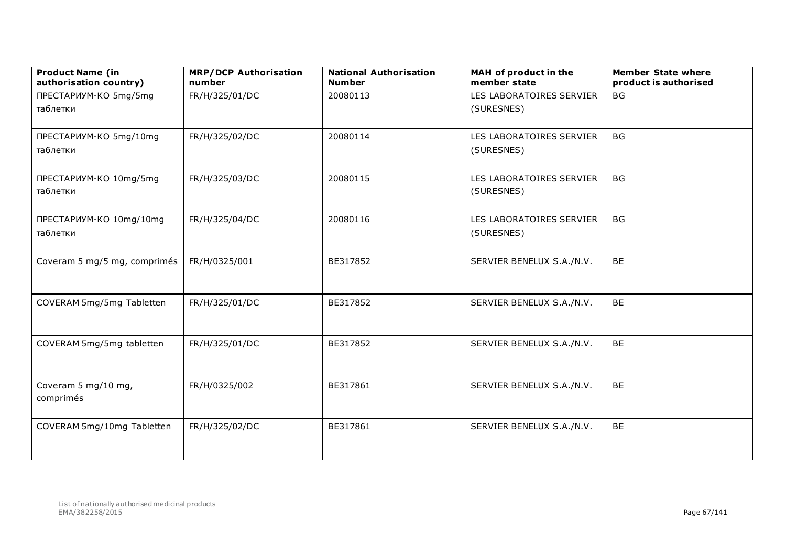| <b>Product Name (in</b><br>authorisation country) | <b>MRP/DCP Authorisation</b><br>number | <b>National Authorisation</b><br><b>Number</b> | MAH of product in the<br>member state | <b>Member State where</b><br>product is authorised |
|---------------------------------------------------|----------------------------------------|------------------------------------------------|---------------------------------------|----------------------------------------------------|
| ПРЕСТАРИУМ-КО 5mg/5mg                             | FR/H/325/01/DC                         | 20080113                                       | LES LABORATOIRES SERVIER              | <b>BG</b>                                          |
| таблетки                                          |                                        |                                                | (SURESNES)                            |                                                    |
| ПРЕСТАРИУМ-КО 5mg/10mg                            | FR/H/325/02/DC                         | 20080114                                       | LES LABORATOIRES SERVIER              | <b>BG</b>                                          |
| таблетки                                          |                                        |                                                | (SURESNES)                            |                                                    |
| ПРЕСТАРИУМ-КО 10mg/5mg                            | FR/H/325/03/DC                         | 20080115                                       | LES LABORATOIRES SERVIER              | <b>BG</b>                                          |
| таблетки                                          |                                        |                                                | (SURESNES)                            |                                                    |
| ПРЕСТАРИУМ-КО 10mg/10mg                           | FR/H/325/04/DC                         | 20080116                                       | LES LABORATOIRES SERVIER              | <b>BG</b>                                          |
| таблетки                                          |                                        |                                                | (SURESNES)                            |                                                    |
| Coveram 5 mg/5 mg, comprimés                      | FR/H/0325/001                          | BE317852                                       | SERVIER BENELUX S.A./N.V.             | BE                                                 |
|                                                   |                                        |                                                |                                       |                                                    |
| COVERAM 5mg/5mg Tabletten                         | FR/H/325/01/DC                         | BE317852                                       | SERVIER BENELUX S.A./N.V.             | <b>BE</b>                                          |
|                                                   |                                        |                                                |                                       |                                                    |
| COVERAM 5mg/5mg tabletten                         | FR/H/325/01/DC                         | BE317852                                       | SERVIER BENELUX S.A./N.V.             | <b>BE</b>                                          |
|                                                   |                                        |                                                |                                       |                                                    |
| Coveram 5 mg/10 mg,                               | FR/H/0325/002                          | BE317861                                       | SERVIER BENELUX S.A./N.V.             | <b>BE</b>                                          |
| comprimés                                         |                                        |                                                |                                       |                                                    |
| COVERAM 5mg/10mg Tabletten                        | FR/H/325/02/DC                         | BE317861                                       | SERVIER BENELUX S.A./N.V.             | <b>BE</b>                                          |
|                                                   |                                        |                                                |                                       |                                                    |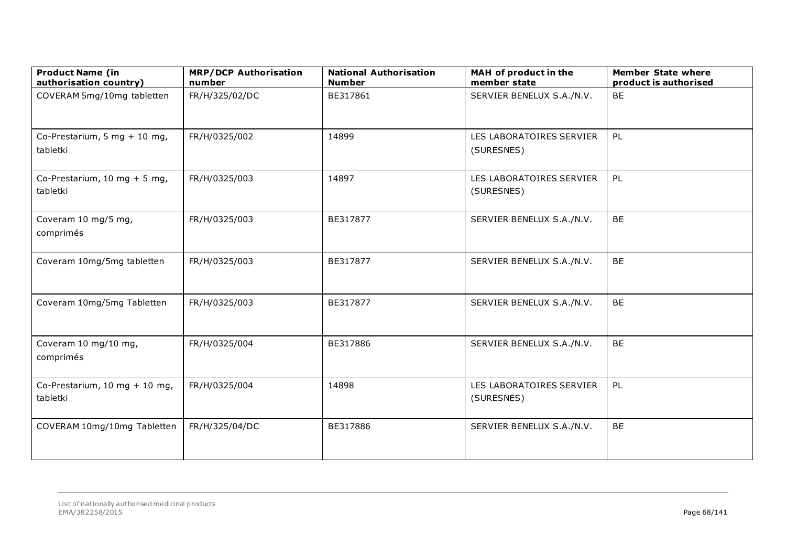| <b>Product Name (in</b><br>authorisation country) | <b>MRP/DCP Authorisation</b><br>number | <b>National Authorisation</b><br><b>Number</b> | MAH of product in the<br>member state  | <b>Member State where</b><br>product is authorised |
|---------------------------------------------------|----------------------------------------|------------------------------------------------|----------------------------------------|----------------------------------------------------|
| COVERAM 5mg/10mg tabletten                        | FR/H/325/02/DC                         | BE317861                                       | SERVIER BENELUX S.A./N.V.              | <b>BE</b>                                          |
| Co-Prestarium, 5 mg + 10 mg,<br>tabletki          | FR/H/0325/002                          | 14899                                          | LES LABORATOIRES SERVIER<br>(SURESNES) | PL                                                 |
| Co-Prestarium, 10 mg + 5 mg,<br>tabletki          | FR/H/0325/003                          | 14897                                          | LES LABORATOIRES SERVIER<br>(SURESNES) | PL                                                 |
| Coveram 10 mg/5 mg,<br>comprimés                  | FR/H/0325/003                          | BE317877                                       | SERVIER BENELUX S.A./N.V.              | <b>BE</b>                                          |
| Coveram 10mg/5mg tabletten                        | FR/H/0325/003                          | BE317877                                       | SERVIER BENELUX S.A./N.V.              | <b>BE</b>                                          |
| Coveram 10mg/5mg Tabletten                        | FR/H/0325/003                          | BE317877                                       | SERVIER BENELUX S.A./N.V.              | <b>BE</b>                                          |
| Coveram 10 mg/10 mg,<br>comprimés                 | FR/H/0325/004                          | BE317886                                       | SERVIER BENELUX S.A./N.V.              | <b>BE</b>                                          |
| Co-Prestarium, 10 mg + 10 mg,<br>tabletki         | FR/H/0325/004                          | 14898                                          | LES LABORATOIRES SERVIER<br>(SURESNES) | PL                                                 |
| COVERAM 10mg/10mg Tabletten                       | FR/H/325/04/DC                         | BE317886                                       | SERVIER BENELUX S.A./N.V.              | <b>BE</b>                                          |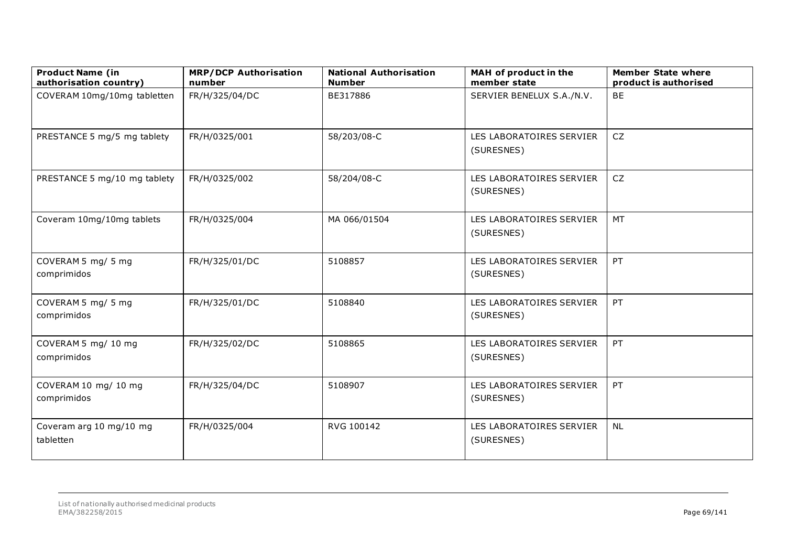| <b>Product Name (in</b><br>authorisation country) | <b>MRP/DCP Authorisation</b><br>number | <b>National Authorisation</b><br><b>Number</b> | MAH of product in the<br>member state  | <b>Member State where</b><br>product is authorised |
|---------------------------------------------------|----------------------------------------|------------------------------------------------|----------------------------------------|----------------------------------------------------|
| COVERAM 10mg/10mg tabletten                       | FR/H/325/04/DC                         | BE317886                                       | SERVIER BENELUX S.A./N.V.              | <b>BE</b>                                          |
| PRESTANCE 5 mg/5 mg tablety                       | FR/H/0325/001                          | 58/203/08-C                                    | LES LABORATOIRES SERVIER<br>(SURESNES) | <b>CZ</b>                                          |
| PRESTANCE 5 mg/10 mg tablety                      | FR/H/0325/002                          | 58/204/08-C                                    | LES LABORATOIRES SERVIER<br>(SURESNES) | <b>CZ</b>                                          |
| Coveram 10mg/10mg tablets                         | FR/H/0325/004                          | MA 066/01504                                   | LES LABORATOIRES SERVIER<br>(SURESNES) | <b>MT</b>                                          |
| COVERAM 5 mg/ 5 mg<br>comprimidos                 | FR/H/325/01/DC                         | 5108857                                        | LES LABORATOIRES SERVIER<br>(SURESNES) | PT                                                 |
| COVERAM 5 mg/ 5 mg<br>comprimidos                 | FR/H/325/01/DC                         | 5108840                                        | LES LABORATOIRES SERVIER<br>(SURESNES) | PT                                                 |
| COVERAM 5 mg/ 10 mg<br>comprimidos                | FR/H/325/02/DC                         | 5108865                                        | LES LABORATOIRES SERVIER<br>(SURESNES) | PT                                                 |
| COVERAM 10 mg/ 10 mg<br>comprimidos               | FR/H/325/04/DC                         | 5108907                                        | LES LABORATOIRES SERVIER<br>(SURESNES) | PT                                                 |
| Coveram arg 10 mg/10 mg<br>tabletten              | FR/H/0325/004                          | RVG 100142                                     | LES LABORATOIRES SERVIER<br>(SURESNES) | <b>NL</b>                                          |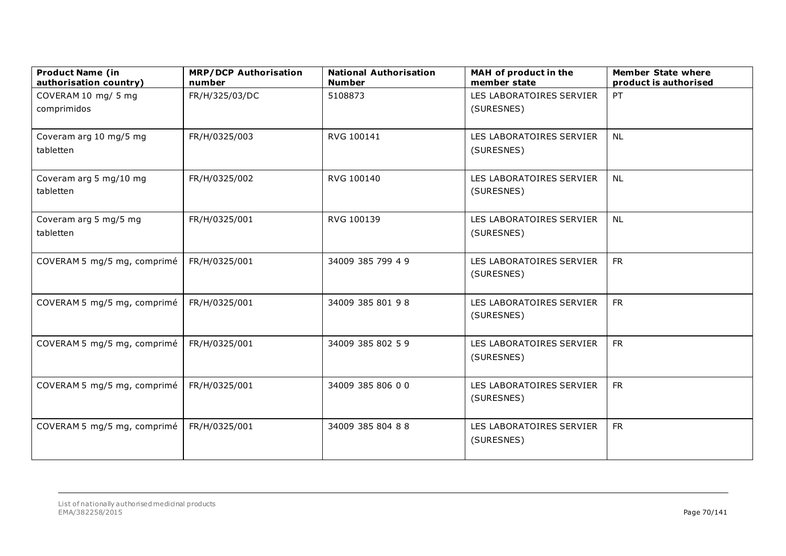| <b>Product Name (in</b><br>authorisation country) | <b>MRP/DCP Authorisation</b><br>number | <b>National Authorisation</b><br><b>Number</b> | MAH of product in the<br>member state | <b>Member State where</b><br>product is authorised |
|---------------------------------------------------|----------------------------------------|------------------------------------------------|---------------------------------------|----------------------------------------------------|
| COVERAM 10 mg/ 5 mg                               | FR/H/325/03/DC                         | 5108873                                        | LES LABORATOIRES SERVIER              | PT                                                 |
| comprimidos                                       |                                        |                                                | (SURESNES)                            |                                                    |
|                                                   |                                        |                                                |                                       |                                                    |
| Coveram arg 10 mg/5 mg                            | FR/H/0325/003                          | RVG 100141                                     | LES LABORATOIRES SERVIER              | <b>NL</b>                                          |
| tabletten                                         |                                        |                                                | (SURESNES)                            |                                                    |
| Coveram arg 5 mg/10 mg                            | FR/H/0325/002                          | RVG 100140                                     | LES LABORATOIRES SERVIER              | <b>NL</b>                                          |
| tabletten                                         |                                        |                                                | (SURESNES)                            |                                                    |
| Coveram arg 5 mg/5 mg                             | FR/H/0325/001                          | RVG 100139                                     | LES LABORATOIRES SERVIER              | <b>NL</b>                                          |
| tabletten                                         |                                        |                                                | (SURESNES)                            |                                                    |
| COVERAM 5 mg/5 mg, comprimé                       | FR/H/0325/001                          | 34009 385 799 4 9                              | LES LABORATOIRES SERVIER              | <b>FR</b>                                          |
|                                                   |                                        |                                                | (SURESNES)                            |                                                    |
| COVERAM 5 mg/5 mg, comprimé                       | FR/H/0325/001                          | 34009 385 801 98                               | LES LABORATOIRES SERVIER              | <b>FR</b>                                          |
|                                                   |                                        |                                                | (SURESNES)                            |                                                    |
| COVERAM 5 mg/5 mg, comprimé                       | FR/H/0325/001                          | 34009 385 802 59                               | LES LABORATOIRES SERVIER              | <b>FR</b>                                          |
|                                                   |                                        |                                                | (SURESNES)                            |                                                    |
| COVERAM 5 mg/5 mg, comprimé                       | FR/H/0325/001                          | 34009 385 806 00                               | LES LABORATOIRES SERVIER              | <b>FR</b>                                          |
|                                                   |                                        |                                                | (SURESNES)                            |                                                    |
| COVERAM 5 mg/5 mg, comprimé                       | FR/H/0325/001                          | 34009 385 804 88                               | LES LABORATOIRES SERVIER              | <b>FR</b>                                          |
|                                                   |                                        |                                                | (SURESNES)                            |                                                    |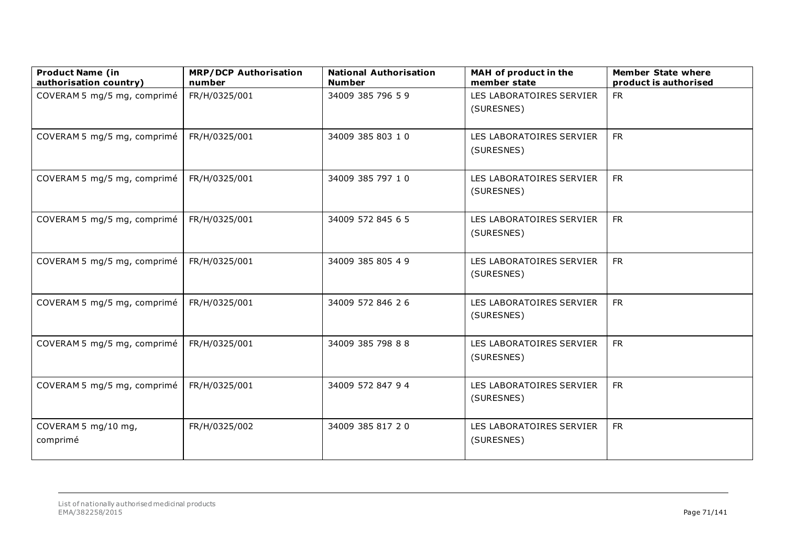| <b>Product Name (in</b><br>authorisation country) | <b>MRP/DCP Authorisation</b><br>number | <b>National Authorisation</b><br><b>Number</b> | MAH of product in the<br>member state  | <b>Member State where</b><br>product is authorised |
|---------------------------------------------------|----------------------------------------|------------------------------------------------|----------------------------------------|----------------------------------------------------|
| COVERAM 5 mg/5 mg, comprimé                       | FR/H/0325/001                          | 34009 385 796 59                               | LES LABORATOIRES SERVIER<br>(SURESNES) | <b>FR</b>                                          |
| COVERAM 5 mg/5 mg, comprimé                       | FR/H/0325/001                          | 34009 385 803 10                               | LES LABORATOIRES SERVIER<br>(SURESNES) | <b>FR</b>                                          |
| COVERAM 5 mg/5 mg, comprimé                       | FR/H/0325/001                          | 34009 385 797 10                               | LES LABORATOIRES SERVIER<br>(SURESNES) | <b>FR</b>                                          |
| COVERAM 5 mg/5 mg, comprimé                       | FR/H/0325/001                          | 34009 572 845 6 5                              | LES LABORATOIRES SERVIER<br>(SURESNES) | <b>FR</b>                                          |
| COVERAM 5 mg/5 mg, comprimé                       | FR/H/0325/001                          | 34009 385 805 4 9                              | LES LABORATOIRES SERVIER<br>(SURESNES) | <b>FR</b>                                          |
| COVERAM 5 mg/5 mg, comprimé                       | FR/H/0325/001                          | 34009 572 846 26                               | LES LABORATOIRES SERVIER<br>(SURESNES) | <b>FR</b>                                          |
| COVERAM 5 mg/5 mg, comprimé                       | FR/H/0325/001                          | 34009 385 798 88                               | LES LABORATOIRES SERVIER<br>(SURESNES) | <b>FR</b>                                          |
| COVERAM 5 mg/5 mg, comprimé                       | FR/H/0325/001                          | 34009 572 847 94                               | LES LABORATOIRES SERVIER<br>(SURESNES) | <b>FR</b>                                          |
| COVERAM 5 mg/10 mg,<br>comprimé                   | FR/H/0325/002                          | 34009 385 817 20                               | LES LABORATOIRES SERVIER<br>(SURESNES) | <b>FR</b>                                          |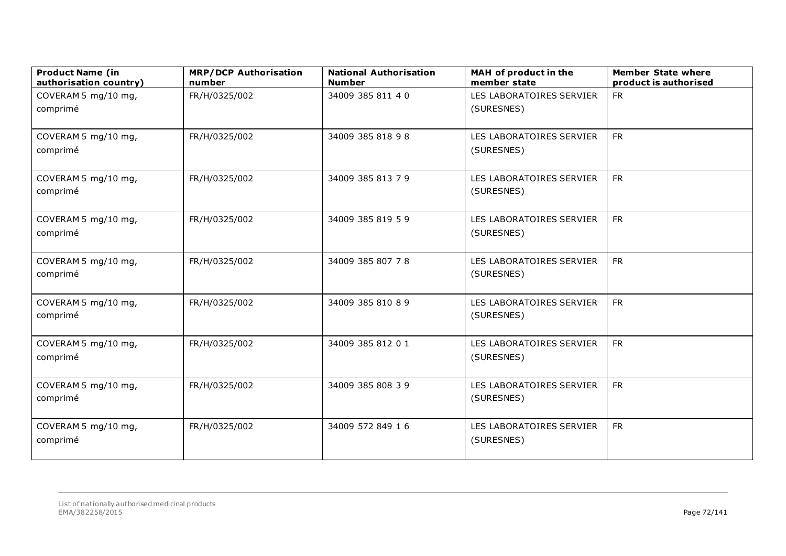| <b>Product Name (in</b><br>authorisation country) | <b>MRP/DCP Authorisation</b><br>number | <b>National Authorisation</b><br><b>Number</b> | MAH of product in the<br>member state | <b>Member State where</b><br>product is authorised |
|---------------------------------------------------|----------------------------------------|------------------------------------------------|---------------------------------------|----------------------------------------------------|
| COVERAM 5 mg/10 mg,                               | FR/H/0325/002                          | 34009 385 811 40                               | LES LABORATOIRES SERVIER              | <b>FR</b>                                          |
| comprimé                                          |                                        |                                                | (SURESNES)                            |                                                    |
| COVERAM 5 mg/10 mg,                               | FR/H/0325/002                          | 34009 385 818 98                               | LES LABORATOIRES SERVIER              | <b>FR</b>                                          |
| comprimé                                          |                                        |                                                | (SURESNES)                            |                                                    |
| COVERAM 5 mg/10 mg,                               | FR/H/0325/002                          | 34009 385 813 7 9                              | LES LABORATOIRES SERVIER              | <b>FR</b>                                          |
| comprimé                                          |                                        |                                                | (SURESNES)                            |                                                    |
| COVERAM 5 mg/10 mg,                               | FR/H/0325/002                          | 34009 385 819 5 9                              | LES LABORATOIRES SERVIER              | <b>FR</b>                                          |
| comprimé                                          |                                        |                                                | (SURESNES)                            |                                                    |
| COVERAM 5 mg/10 mg,                               | FR/H/0325/002                          | 34009 385 807 78                               | LES LABORATOIRES SERVIER              | <b>FR</b>                                          |
| comprimé                                          |                                        |                                                | (SURESNES)                            |                                                    |
| COVERAM 5 mg/10 mg,                               | FR/H/0325/002                          | 34009 385 810 8 9                              | LES LABORATOIRES SERVIER              | <b>FR</b>                                          |
| comprimé                                          |                                        |                                                | (SURESNES)                            |                                                    |
| COVERAM 5 mg/10 mg,                               | FR/H/0325/002                          | 34009 385 812 01                               | LES LABORATOIRES SERVIER              | <b>FR</b>                                          |
| comprimé                                          |                                        |                                                | (SURESNES)                            |                                                    |
| COVERAM 5 mg/10 mg,                               | FR/H/0325/002                          | 34009 385 808 39                               | LES LABORATOIRES SERVIER              | <b>FR</b>                                          |
| comprimé                                          |                                        |                                                | (SURESNES)                            |                                                    |
| COVERAM 5 mg/10 mg,                               | FR/H/0325/002                          | 34009 572 849 16                               | LES LABORATOIRES SERVIER              | <b>FR</b>                                          |
| comprimé                                          |                                        |                                                | (SURESNES)                            |                                                    |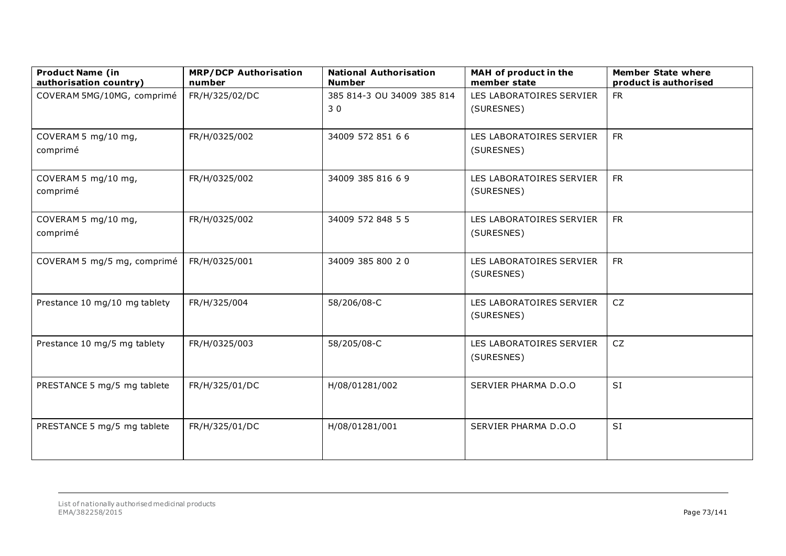| <b>Product Name (in</b><br>authorisation country) | <b>MRP/DCP Authorisation</b><br>number | <b>National Authorisation</b><br><b>Number</b> | MAH of product in the<br>member state  | <b>Member State where</b><br>product is authorised |
|---------------------------------------------------|----------------------------------------|------------------------------------------------|----------------------------------------|----------------------------------------------------|
| COVERAM 5MG/10MG, comprimé                        | FR/H/325/02/DC                         | 385 814-3 OU 34009 385 814<br>30               | LES LABORATOIRES SERVIER<br>(SURESNES) | <b>FR</b>                                          |
| COVERAM 5 mg/10 mg,<br>comprimé                   | FR/H/0325/002                          | 34009 572 851 66                               | LES LABORATOIRES SERVIER<br>(SURESNES) | <b>FR</b>                                          |
| COVERAM 5 mg/10 mg,<br>comprimé                   | FR/H/0325/002                          | 34009 385 816 6 9                              | LES LABORATOIRES SERVIER<br>(SURESNES) | <b>FR</b>                                          |
| COVERAM 5 mg/10 mg,<br>comprimé                   | FR/H/0325/002                          | 34009 572 848 5 5                              | LES LABORATOIRES SERVIER<br>(SURESNES) | <b>FR</b>                                          |
| COVERAM 5 mg/5 mg, comprimé                       | FR/H/0325/001                          | 34009 385 800 20                               | LES LABORATOIRES SERVIER<br>(SURESNES) | <b>FR</b>                                          |
| Prestance 10 mg/10 mg tablety                     | FR/H/325/004                           | 58/206/08-C                                    | LES LABORATOIRES SERVIER<br>(SURESNES) | CZ                                                 |
| Prestance 10 mg/5 mg tablety                      | FR/H/0325/003                          | 58/205/08-C                                    | LES LABORATOIRES SERVIER<br>(SURESNES) | CZ                                                 |
| PRESTANCE 5 mg/5 mg tablete                       | FR/H/325/01/DC                         | H/08/01281/002                                 | SERVIER PHARMA D.O.O                   | <b>SI</b>                                          |
| PRESTANCE 5 mg/5 mg tablete                       | FR/H/325/01/DC                         | H/08/01281/001                                 | SERVIER PHARMA D.O.O                   | SI                                                 |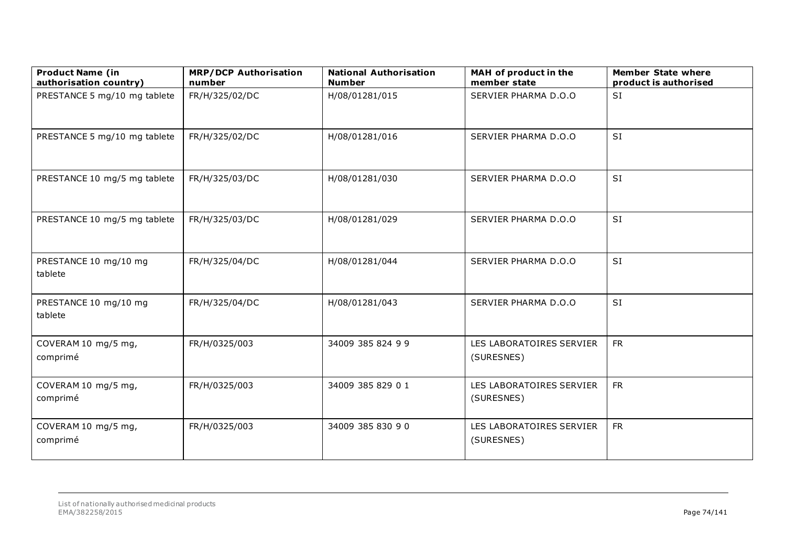| <b>Product Name (in</b><br>authorisation country) | <b>MRP/DCP Authorisation</b><br>number | <b>National Authorisation</b><br><b>Number</b> | MAH of product in the<br>member state  | <b>Member State where</b><br>product is authorised |
|---------------------------------------------------|----------------------------------------|------------------------------------------------|----------------------------------------|----------------------------------------------------|
| PRESTANCE 5 mg/10 mg tablete                      | FR/H/325/02/DC                         | H/08/01281/015                                 | SERVIER PHARMA D.O.O                   | SI                                                 |
| PRESTANCE 5 mg/10 mg tablete                      | FR/H/325/02/DC                         | H/08/01281/016                                 | SERVIER PHARMA D.O.O                   | SI                                                 |
| PRESTANCE 10 mg/5 mg tablete                      | FR/H/325/03/DC                         | H/08/01281/030                                 | SERVIER PHARMA D.O.O                   | SI                                                 |
| PRESTANCE 10 mg/5 mg tablete                      | FR/H/325/03/DC                         | H/08/01281/029                                 | SERVIER PHARMA D.O.O                   | SI                                                 |
| PRESTANCE 10 mg/10 mg<br>tablete                  | FR/H/325/04/DC                         | H/08/01281/044                                 | SERVIER PHARMA D.O.O                   | SI                                                 |
| PRESTANCE 10 mg/10 mg<br>tablete                  | FR/H/325/04/DC                         | H/08/01281/043                                 | SERVIER PHARMA D.O.O                   | SI                                                 |
| COVERAM 10 mg/5 mg,<br>comprimé                   | FR/H/0325/003                          | 34009 385 824 9 9                              | LES LABORATOIRES SERVIER<br>(SURESNES) | <b>FR</b>                                          |
| COVERAM 10 mg/5 mg,<br>comprimé                   | FR/H/0325/003                          | 34009 385 829 0 1                              | LES LABORATOIRES SERVIER<br>(SURESNES) | <b>FR</b>                                          |
| COVERAM 10 mg/5 mg,<br>comprimé                   | FR/H/0325/003                          | 34009 385 830 90                               | LES LABORATOIRES SERVIER<br>(SURESNES) | <b>FR</b>                                          |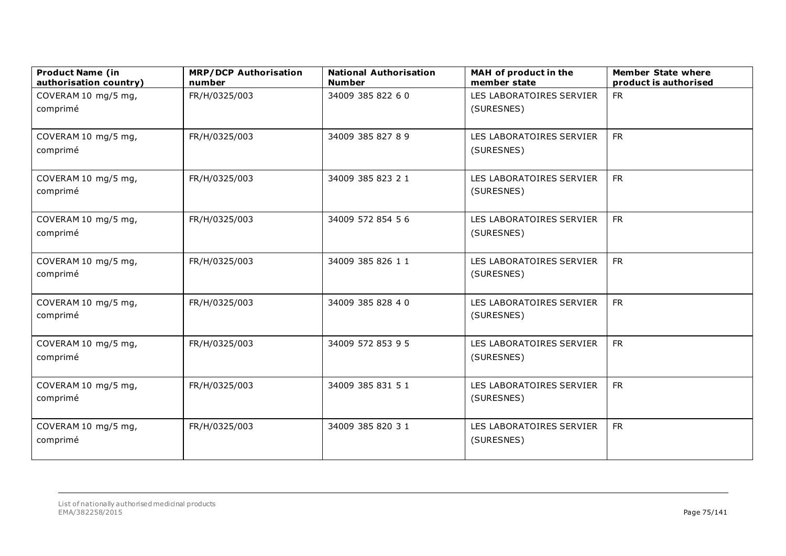| <b>Product Name (in</b><br>authorisation country) | <b>MRP/DCP Authorisation</b><br>number | <b>National Authorisation</b><br><b>Number</b> | MAH of product in the<br>member state  | <b>Member State where</b><br>product is authorised |
|---------------------------------------------------|----------------------------------------|------------------------------------------------|----------------------------------------|----------------------------------------------------|
| COVERAM 10 mg/5 mg,                               | FR/H/0325/003                          | 34009 385 822 6 0                              | LES LABORATOIRES SERVIER               | <b>FR</b>                                          |
| comprimé                                          |                                        |                                                | (SURESNES)                             |                                                    |
| COVERAM 10 mg/5 mg,<br>comprimé                   | FR/H/0325/003                          | 34009 385 827 8 9                              | LES LABORATOIRES SERVIER<br>(SURESNES) | <b>FR</b>                                          |
| COVERAM 10 mg/5 mg,<br>comprimé                   | FR/H/0325/003                          | 34009 385 823 21                               | LES LABORATOIRES SERVIER<br>(SURESNES) | <b>FR</b>                                          |
| COVERAM 10 mg/5 mg,<br>comprimé                   | FR/H/0325/003                          | 34009 572 854 56                               | LES LABORATOIRES SERVIER<br>(SURESNES) | <b>FR</b>                                          |
| COVERAM 10 mg/5 mg,<br>comprimé                   | FR/H/0325/003                          | 34009 385 826 11                               | LES LABORATOIRES SERVIER<br>(SURESNES) | <b>FR</b>                                          |
| COVERAM 10 mg/5 mg,<br>comprimé                   | FR/H/0325/003                          | 34009 385 828 4 0                              | LES LABORATOIRES SERVIER<br>(SURESNES) | <b>FR</b>                                          |
| COVERAM 10 mg/5 mg,<br>comprimé                   | FR/H/0325/003                          | 34009 572 853 9 5                              | LES LABORATOIRES SERVIER<br>(SURESNES) | <b>FR</b>                                          |
| COVERAM 10 mg/5 mg,<br>comprimé                   | FR/H/0325/003                          | 34009 385 831 51                               | LES LABORATOIRES SERVIER<br>(SURESNES) | <b>FR</b>                                          |
| COVERAM 10 mg/5 mg,<br>comprimé                   | FR/H/0325/003                          | 34009 385 820 31                               | LES LABORATOIRES SERVIER<br>(SURESNES) | <b>FR</b>                                          |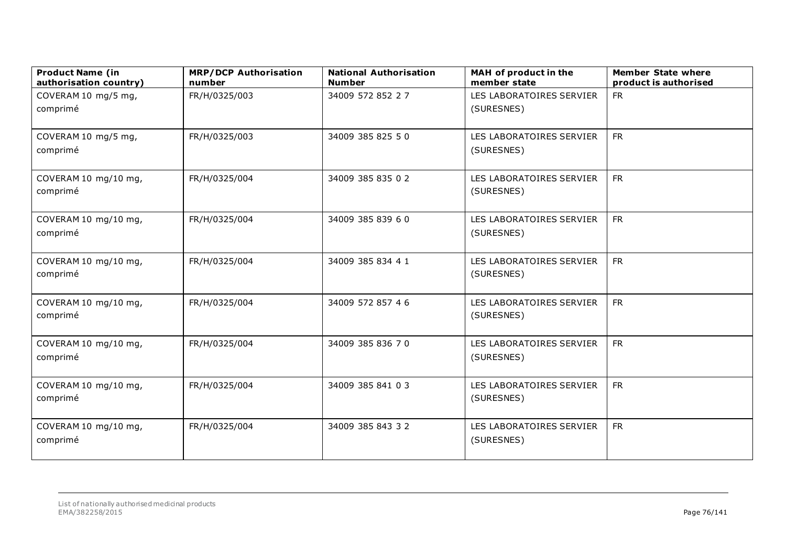| <b>Product Name (in</b><br>authorisation country) | <b>MRP/DCP Authorisation</b><br>number | <b>National Authorisation</b><br><b>Number</b> | MAH of product in the<br>member state  | <b>Member State where</b><br>product is authorised |
|---------------------------------------------------|----------------------------------------|------------------------------------------------|----------------------------------------|----------------------------------------------------|
| COVERAM 10 mg/5 mg,                               | FR/H/0325/003                          | 34009 572 852 27                               | LES LABORATOIRES SERVIER               | <b>FR</b>                                          |
| comprimé                                          |                                        |                                                | (SURESNES)                             |                                                    |
| COVERAM 10 mg/5 mg,<br>comprimé                   | FR/H/0325/003                          | 34009 385 825 50                               | LES LABORATOIRES SERVIER<br>(SURESNES) | <b>FR</b>                                          |
| COVERAM 10 mg/10 mg,<br>comprimé                  | FR/H/0325/004                          | 34009 385 835 0 2                              | LES LABORATOIRES SERVIER<br>(SURESNES) | <b>FR</b>                                          |
| COVERAM 10 mg/10 mg,<br>comprimé                  | FR/H/0325/004                          | 34009 385 839 6 0                              | LES LABORATOIRES SERVIER<br>(SURESNES) | <b>FR</b>                                          |
| COVERAM 10 mg/10 mg,<br>comprimé                  | FR/H/0325/004                          | 34009 385 834 4 1                              | LES LABORATOIRES SERVIER<br>(SURESNES) | <b>FR</b>                                          |
| COVERAM 10 mg/10 mg,<br>comprimé                  | FR/H/0325/004                          | 34009 572 857 4 6                              | LES LABORATOIRES SERVIER<br>(SURESNES) | <b>FR</b>                                          |
| COVERAM 10 mg/10 mg,<br>comprimé                  | FR/H/0325/004                          | 34009 385 836 70                               | LES LABORATOIRES SERVIER<br>(SURESNES) | <b>FR</b>                                          |
| COVERAM 10 mg/10 mg,<br>comprimé                  | FR/H/0325/004                          | 34009 385 841 03                               | LES LABORATOIRES SERVIER<br>(SURESNES) | <b>FR</b>                                          |
| COVERAM 10 mg/10 mg,<br>comprimé                  | FR/H/0325/004                          | 34009 385 843 32                               | LES LABORATOIRES SERVIER<br>(SURESNES) | <b>FR</b>                                          |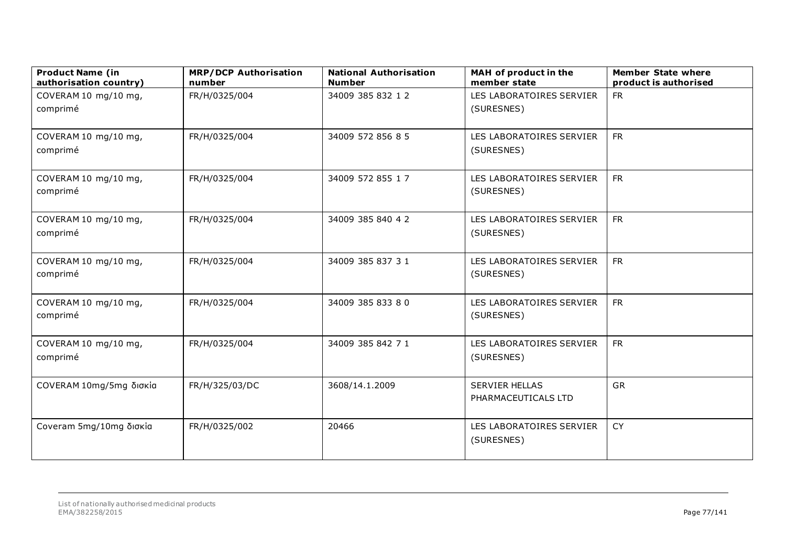| <b>Product Name (in</b><br>authorisation country) | <b>MRP/DCP Authorisation</b><br>number | <b>National Authorisation</b><br><b>Number</b> | MAH of product in the<br>member state        | <b>Member State where</b><br>product is authorised |
|---------------------------------------------------|----------------------------------------|------------------------------------------------|----------------------------------------------|----------------------------------------------------|
| COVERAM 10 mg/10 mg,<br>comprimé                  | FR/H/0325/004                          | 34009 385 832 12                               | LES LABORATOIRES SERVIER<br>(SURESNES)       | <b>FR</b>                                          |
| COVERAM 10 mg/10 mg,<br>comprimé                  | FR/H/0325/004                          | 34009 572 856 8 5                              | LES LABORATOIRES SERVIER<br>(SURESNES)       | <b>FR</b>                                          |
| COVERAM 10 mg/10 mg,<br>comprimé                  | FR/H/0325/004                          | 34009 572 855 1 7                              | LES LABORATOIRES SERVIER<br>(SURESNES)       | <b>FR</b>                                          |
| COVERAM 10 mg/10 mg,<br>comprimé                  | FR/H/0325/004                          | 34009 385 840 42                               | LES LABORATOIRES SERVIER<br>(SURESNES)       | <b>FR</b>                                          |
| COVERAM 10 mg/10 mg,<br>comprimé                  | FR/H/0325/004                          | 34009 385 837 31                               | LES LABORATOIRES SERVIER<br>(SURESNES)       | <b>FR</b>                                          |
| COVERAM 10 mg/10 mg,<br>comprimé                  | FR/H/0325/004                          | 34009 385 833 80                               | LES LABORATOIRES SERVIER<br>(SURESNES)       | <b>FR</b>                                          |
| COVERAM 10 mg/10 mg,<br>comprimé                  | FR/H/0325/004                          | 34009 385 842 71                               | LES LABORATOIRES SERVIER<br>(SURESNES)       | <b>FR</b>                                          |
| COVERAM 10mg/5mg δισκία                           | FR/H/325/03/DC                         | 3608/14.1.2009                                 | <b>SERVIER HELLAS</b><br>PHARMACEUTICALS LTD | <b>GR</b>                                          |
| Coveram 5mg/10mg δισκία                           | FR/H/0325/002                          | 20466                                          | LES LABORATOIRES SERVIER<br>(SURESNES)       | <b>CY</b>                                          |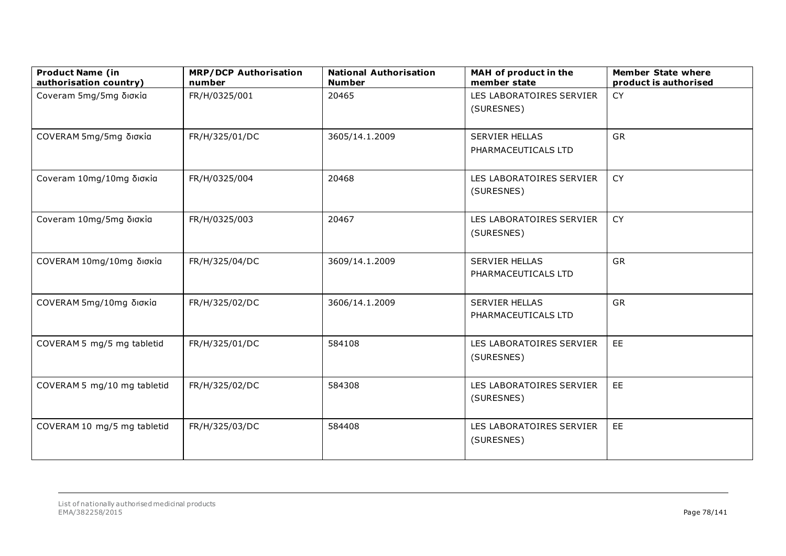| <b>Product Name (in</b><br>authorisation country) | <b>MRP/DCP Authorisation</b><br>number | <b>National Authorisation</b><br><b>Number</b> | MAH of product in the<br>member state        | <b>Member State where</b><br>product is authorised |
|---------------------------------------------------|----------------------------------------|------------------------------------------------|----------------------------------------------|----------------------------------------------------|
| Coveram 5mg/5mg δισκία                            | FR/H/0325/001                          | 20465                                          | LES LABORATOIRES SERVIER<br>(SURESNES)       | <b>CY</b>                                          |
| COVERAM 5mg/5mg δισκία                            | FR/H/325/01/DC                         | 3605/14.1.2009                                 | <b>SERVIER HELLAS</b><br>PHARMACEUTICALS LTD | GR                                                 |
| Coveram 10mg/10mg δισκία                          | FR/H/0325/004                          | 20468                                          | LES LABORATOIRES SERVIER<br>(SURESNES)       | <b>CY</b>                                          |
| Coveram 10mg/5mg δισκία                           | FR/H/0325/003                          | 20467                                          | LES LABORATOIRES SERVIER<br>(SURESNES)       | CY                                                 |
| COVERAM 10mg/10mg δισκία                          | FR/H/325/04/DC                         | 3609/14.1.2009                                 | <b>SERVIER HELLAS</b><br>PHARMACEUTICALS LTD | GR                                                 |
| COVERAM 5mg/10mg δισκία                           | FR/H/325/02/DC                         | 3606/14.1.2009                                 | <b>SERVIER HELLAS</b><br>PHARMACEUTICALS LTD | GR                                                 |
| COVERAM 5 mg/5 mg tabletid                        | FR/H/325/01/DC                         | 584108                                         | LES LABORATOIRES SERVIER<br>(SURESNES)       | EE                                                 |
| COVERAM 5 mg/10 mg tabletid                       | FR/H/325/02/DC                         | 584308                                         | LES LABORATOIRES SERVIER<br>(SURESNES)       | EE                                                 |
| COVERAM 10 mg/5 mg tabletid                       | FR/H/325/03/DC                         | 584408                                         | LES LABORATOIRES SERVIER<br>(SURESNES)       | EE                                                 |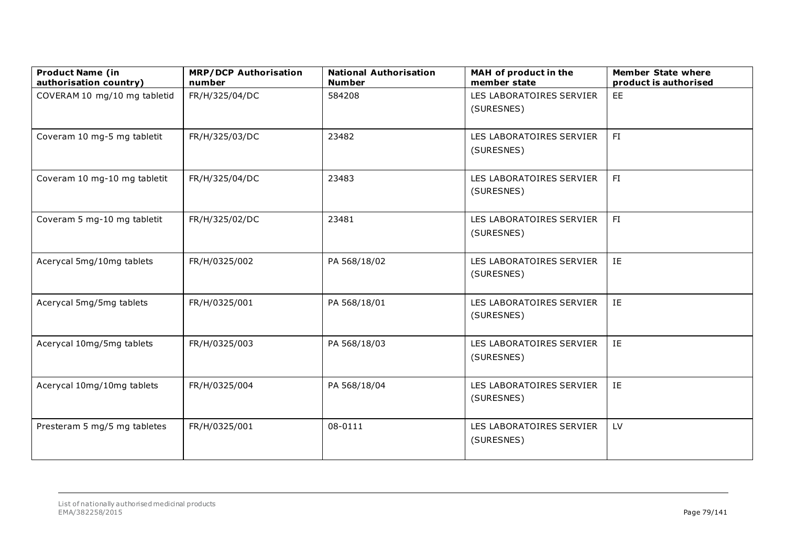| <b>Product Name (in</b><br>authorisation country) | <b>MRP/DCP Authorisation</b><br>number | <b>National Authorisation</b><br><b>Number</b> | MAH of product in the<br>member state  | <b>Member State where</b><br>product is authorised |
|---------------------------------------------------|----------------------------------------|------------------------------------------------|----------------------------------------|----------------------------------------------------|
| COVERAM 10 mg/10 mg tabletid                      | FR/H/325/04/DC                         | 584208                                         | LES LABORATOIRES SERVIER<br>(SURESNES) | EE                                                 |
| Coveram 10 mg-5 mg tabletit                       | FR/H/325/03/DC                         | 23482                                          | LES LABORATOIRES SERVIER<br>(SURESNES) | FI                                                 |
| Coveram 10 mg-10 mg tabletit                      | FR/H/325/04/DC                         | 23483                                          | LES LABORATOIRES SERVIER<br>(SURESNES) | FI                                                 |
| Coveram 5 mg-10 mg tabletit                       | FR/H/325/02/DC                         | 23481                                          | LES LABORATOIRES SERVIER<br>(SURESNES) | FI                                                 |
| Acerycal 5mg/10mg tablets                         | FR/H/0325/002                          | PA 568/18/02                                   | LES LABORATOIRES SERVIER<br>(SURESNES) | IE                                                 |
| Acerycal 5mg/5mg tablets                          | FR/H/0325/001                          | PA 568/18/01                                   | LES LABORATOIRES SERVIER<br>(SURESNES) | IE                                                 |
| Acerycal 10mg/5mg tablets                         | FR/H/0325/003                          | PA 568/18/03                                   | LES LABORATOIRES SERVIER<br>(SURESNES) | IE                                                 |
| Acerycal 10mg/10mg tablets                        | FR/H/0325/004                          | PA 568/18/04                                   | LES LABORATOIRES SERVIER<br>(SURESNES) | IE                                                 |
| Presteram 5 mg/5 mg tabletes                      | FR/H/0325/001                          | 08-0111                                        | LES LABORATOIRES SERVIER<br>(SURESNES) | LV                                                 |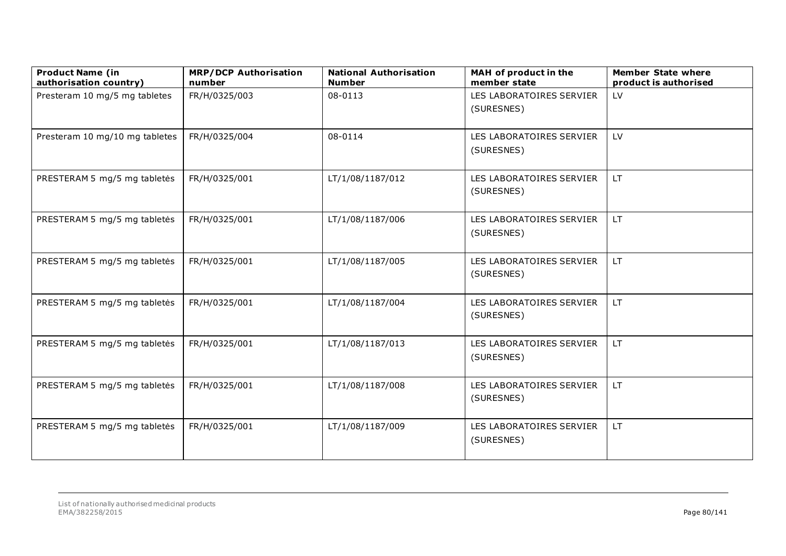| <b>Product Name (in</b><br>authorisation country) | <b>MRP/DCP Authorisation</b><br>number | <b>National Authorisation</b><br><b>Number</b> | MAH of product in the<br>member state  | <b>Member State where</b><br>product is authorised |
|---------------------------------------------------|----------------------------------------|------------------------------------------------|----------------------------------------|----------------------------------------------------|
| Presteram 10 mg/5 mg tabletes                     | FR/H/0325/003                          | 08-0113                                        | LES LABORATOIRES SERVIER<br>(SURESNES) | LV                                                 |
| Presteram 10 mg/10 mg tabletes                    | FR/H/0325/004                          | 08-0114                                        | LES LABORATOIRES SERVIER<br>(SURESNES) | LV.                                                |
| PRESTERAM 5 mg/5 mg tabletės                      | FR/H/0325/001                          | LT/1/08/1187/012                               | LES LABORATOIRES SERVIER<br>(SURESNES) | <b>LT</b>                                          |
| PRESTERAM 5 mg/5 mg tabletės                      | FR/H/0325/001                          | LT/1/08/1187/006                               | LES LABORATOIRES SERVIER<br>(SURESNES) | LT.                                                |
| PRESTERAM 5 mg/5 mg tabletės                      | FR/H/0325/001                          | LT/1/08/1187/005                               | LES LABORATOIRES SERVIER<br>(SURESNES) | LT.                                                |
| PRESTERAM 5 mg/5 mg tabletės                      | FR/H/0325/001                          | LT/1/08/1187/004                               | LES LABORATOIRES SERVIER<br>(SURESNES) | LT.                                                |
| PRESTERAM 5 mg/5 mg tabletės                      | FR/H/0325/001                          | LT/1/08/1187/013                               | LES LABORATOIRES SERVIER<br>(SURESNES) | LT.                                                |
| PRESTERAM 5 mg/5 mg tabletės                      | FR/H/0325/001                          | LT/1/08/1187/008                               | LES LABORATOIRES SERVIER<br>(SURESNES) | LT.                                                |
| PRESTERAM 5 mg/5 mg tabletės                      | FR/H/0325/001                          | LT/1/08/1187/009                               | LES LABORATOIRES SERVIER<br>(SURESNES) | LT.                                                |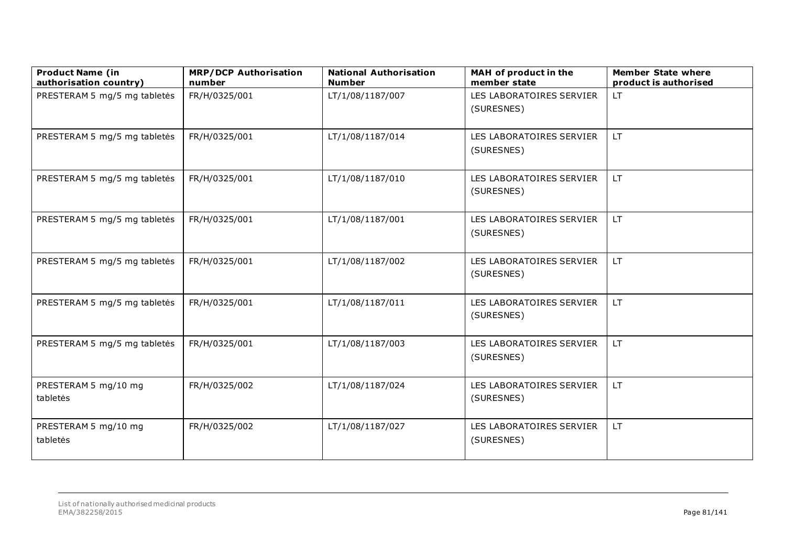| <b>Product Name (in</b><br>authorisation country) | <b>MRP/DCP Authorisation</b><br>number | <b>National Authorisation</b><br><b>Number</b> | MAH of product in the<br>member state  | <b>Member State where</b><br>product is authorised |
|---------------------------------------------------|----------------------------------------|------------------------------------------------|----------------------------------------|----------------------------------------------------|
| PRESTERAM 5 mg/5 mg tabletės                      | FR/H/0325/001                          | LT/1/08/1187/007                               | LES LABORATOIRES SERVIER<br>(SURESNES) | LT.                                                |
| PRESTERAM 5 mg/5 mg tabletės                      | FR/H/0325/001                          | LT/1/08/1187/014                               | LES LABORATOIRES SERVIER<br>(SURESNES) | LT.                                                |
| PRESTERAM 5 mg/5 mg tabletės                      | FR/H/0325/001                          | LT/1/08/1187/010                               | LES LABORATOIRES SERVIER<br>(SURESNES) | LT.                                                |
| PRESTERAM 5 mg/5 mg tabletės                      | FR/H/0325/001                          | LT/1/08/1187/001                               | LES LABORATOIRES SERVIER<br>(SURESNES) | LT.                                                |
| PRESTERAM 5 mg/5 mg tabletės                      | FR/H/0325/001                          | LT/1/08/1187/002                               | LES LABORATOIRES SERVIER<br>(SURESNES) | LT.                                                |
| PRESTERAM 5 mg/5 mg tabletės                      | FR/H/0325/001                          | LT/1/08/1187/011                               | LES LABORATOIRES SERVIER<br>(SURESNES) | LT.                                                |
| PRESTERAM 5 mg/5 mg tabletės                      | FR/H/0325/001                          | LT/1/08/1187/003                               | LES LABORATOIRES SERVIER<br>(SURESNES) | LT.                                                |
| PRESTERAM 5 mg/10 mg<br>tabletės                  | FR/H/0325/002                          | LT/1/08/1187/024                               | LES LABORATOIRES SERVIER<br>(SURESNES) | LT.                                                |
| PRESTERAM 5 mg/10 mg<br>tabletės                  | FR/H/0325/002                          | LT/1/08/1187/027                               | LES LABORATOIRES SERVIER<br>(SURESNES) | LT.                                                |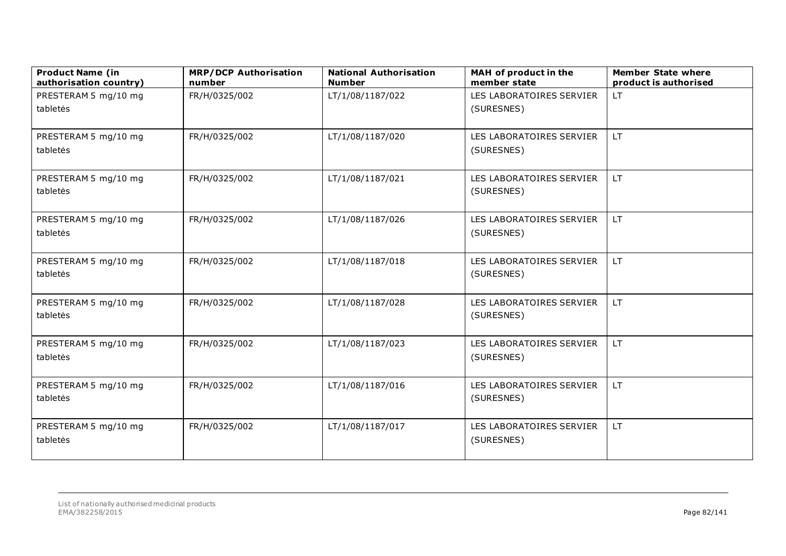| <b>Product Name (in</b><br>authorisation country) | <b>MRP/DCP Authorisation</b><br>number | <b>National Authorisation</b><br><b>Number</b> | MAH of product in the<br>member state  | <b>Member State where</b><br>product is authorised |
|---------------------------------------------------|----------------------------------------|------------------------------------------------|----------------------------------------|----------------------------------------------------|
| PRESTERAM 5 mg/10 mg                              | FR/H/0325/002                          | LT/1/08/1187/022                               | LES LABORATOIRES SERVIER               | LT.                                                |
| tabletės                                          |                                        |                                                | (SURESNES)                             |                                                    |
|                                                   |                                        |                                                |                                        |                                                    |
| PRESTERAM 5 mg/10 mg                              | FR/H/0325/002                          | LT/1/08/1187/020                               | LES LABORATOIRES SERVIER               | LT.                                                |
| tabletės                                          |                                        |                                                | (SURESNES)                             |                                                    |
| PRESTERAM 5 mg/10 mg                              | FR/H/0325/002                          | LT/1/08/1187/021                               | LES LABORATOIRES SERVIER               | LT.                                                |
| tabletės                                          |                                        |                                                | (SURESNES)                             |                                                    |
| PRESTERAM 5 mg/10 mg                              | FR/H/0325/002                          | LT/1/08/1187/026                               | LES LABORATOIRES SERVIER               | LT.                                                |
| tabletės                                          |                                        |                                                | (SURESNES)                             |                                                    |
| PRESTERAM 5 mg/10 mg                              | FR/H/0325/002                          | LT/1/08/1187/018                               | LES LABORATOIRES SERVIER               | LT.                                                |
| tabletės                                          |                                        |                                                | (SURESNES)                             |                                                    |
| PRESTERAM 5 mg/10 mg                              | FR/H/0325/002                          | LT/1/08/1187/028                               | LES LABORATOIRES SERVIER               | LT.                                                |
| tabletės                                          |                                        |                                                | (SURESNES)                             |                                                    |
| PRESTERAM 5 mg/10 mg                              | FR/H/0325/002                          | LT/1/08/1187/023                               | LES LABORATOIRES SERVIER               | LT.                                                |
| tabletės                                          |                                        |                                                | (SURESNES)                             |                                                    |
|                                                   |                                        |                                                |                                        |                                                    |
| PRESTERAM 5 mg/10 mg<br>tabletės                  | FR/H/0325/002                          | LT/1/08/1187/016                               | LES LABORATOIRES SERVIER<br>(SURESNES) | LT.                                                |
|                                                   |                                        |                                                |                                        |                                                    |
| PRESTERAM 5 mg/10 mg                              | FR/H/0325/002                          | LT/1/08/1187/017                               | LES LABORATOIRES SERVIER               | LT.                                                |
| tabletės                                          |                                        |                                                | (SURESNES)                             |                                                    |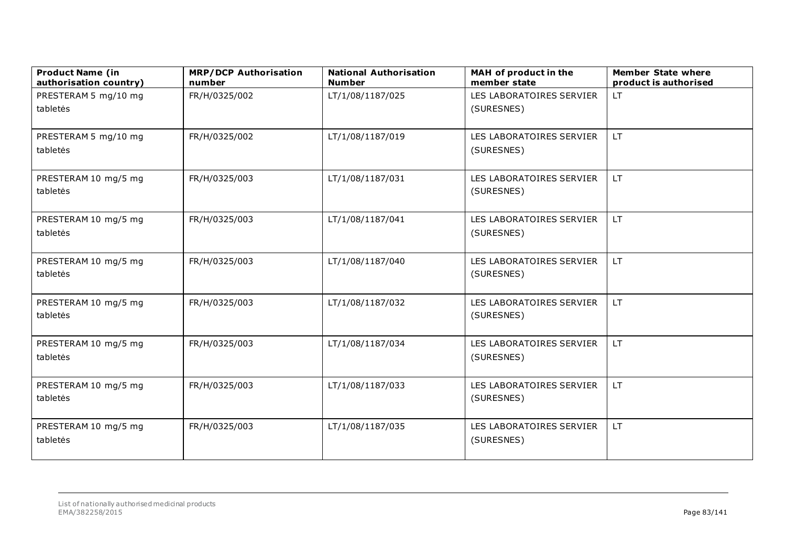| <b>Product Name (in</b><br>authorisation country) | <b>MRP/DCP Authorisation</b><br>number | <b>National Authorisation</b><br><b>Number</b> | MAH of product in the<br>member state  | <b>Member State where</b><br>product is authorised |
|---------------------------------------------------|----------------------------------------|------------------------------------------------|----------------------------------------|----------------------------------------------------|
| PRESTERAM 5 mg/10 mg                              | FR/H/0325/002                          | LT/1/08/1187/025                               | LES LABORATOIRES SERVIER               | LT.                                                |
| tabletės                                          |                                        |                                                | (SURESNES)                             |                                                    |
|                                                   |                                        |                                                |                                        |                                                    |
| PRESTERAM 5 mg/10 mg                              | FR/H/0325/002                          | LT/1/08/1187/019                               | LES LABORATOIRES SERVIER               | LT.                                                |
| tabletės                                          |                                        |                                                | (SURESNES)                             |                                                    |
| PRESTERAM 10 mg/5 mg                              | FR/H/0325/003                          | LT/1/08/1187/031                               | LES LABORATOIRES SERVIER               | LT.                                                |
| tabletės                                          |                                        |                                                | (SURESNES)                             |                                                    |
| PRESTERAM 10 mg/5 mg                              | FR/H/0325/003                          | LT/1/08/1187/041                               | LES LABORATOIRES SERVIER               | LT.                                                |
| tabletės                                          |                                        |                                                | (SURESNES)                             |                                                    |
|                                                   |                                        |                                                |                                        |                                                    |
| PRESTERAM 10 mg/5 mg<br>tabletės                  | FR/H/0325/003                          | LT/1/08/1187/040                               | LES LABORATOIRES SERVIER<br>(SURESNES) | LT.                                                |
|                                                   |                                        |                                                |                                        |                                                    |
| PRESTERAM 10 mg/5 mg                              | FR/H/0325/003                          | LT/1/08/1187/032                               | LES LABORATOIRES SERVIER               | LT.                                                |
| tabletės                                          |                                        |                                                | (SURESNES)                             |                                                    |
| PRESTERAM 10 mg/5 mg                              | FR/H/0325/003                          | LT/1/08/1187/034                               | LES LABORATOIRES SERVIER               | LT.                                                |
| tabletės                                          |                                        |                                                | (SURESNES)                             |                                                    |
|                                                   |                                        |                                                |                                        |                                                    |
| PRESTERAM 10 mg/5 mg                              | FR/H/0325/003                          | LT/1/08/1187/033                               | LES LABORATOIRES SERVIER               | LT.                                                |
| tabletės                                          |                                        |                                                | (SURESNES)                             |                                                    |
| PRESTERAM 10 mg/5 mg                              | FR/H/0325/003                          | LT/1/08/1187/035                               | LES LABORATOIRES SERVIER               | LT.                                                |
| tabletės                                          |                                        |                                                | (SURESNES)                             |                                                    |
|                                                   |                                        |                                                |                                        |                                                    |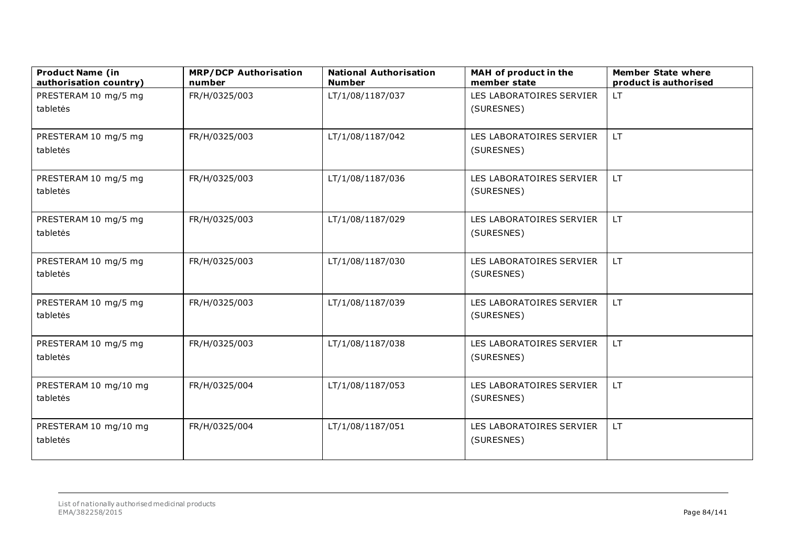| <b>Product Name (in</b><br>authorisation country) | <b>MRP/DCP Authorisation</b><br>number | <b>National Authorisation</b><br><b>Number</b> | MAH of product in the<br>member state | <b>Member State where</b><br>product is authorised |
|---------------------------------------------------|----------------------------------------|------------------------------------------------|---------------------------------------|----------------------------------------------------|
| PRESTERAM 10 mg/5 mg                              | FR/H/0325/003                          | LT/1/08/1187/037                               | LES LABORATOIRES SERVIER              | LT.                                                |
| tabletės                                          |                                        |                                                | (SURESNES)                            |                                                    |
|                                                   |                                        |                                                |                                       |                                                    |
| PRESTERAM 10 mg/5 mg                              | FR/H/0325/003                          | LT/1/08/1187/042                               | LES LABORATOIRES SERVIER              | LT.                                                |
| tabletės                                          |                                        |                                                | (SURESNES)                            |                                                    |
| PRESTERAM 10 mg/5 mg                              | FR/H/0325/003                          | LT/1/08/1187/036                               | LES LABORATOIRES SERVIER              | LT.                                                |
| tabletės                                          |                                        |                                                | (SURESNES)                            |                                                    |
| PRESTERAM 10 mg/5 mg                              | FR/H/0325/003                          | LT/1/08/1187/029                               | LES LABORATOIRES SERVIER              | LT.                                                |
| tabletės                                          |                                        |                                                | (SURESNES)                            |                                                    |
| PRESTERAM 10 mg/5 mg                              | FR/H/0325/003                          | LT/1/08/1187/030                               | LES LABORATOIRES SERVIER              | LT.                                                |
| tabletės                                          |                                        |                                                | (SURESNES)                            |                                                    |
| PRESTERAM 10 mg/5 mg                              | FR/H/0325/003                          | LT/1/08/1187/039                               | LES LABORATOIRES SERVIER              | LT.                                                |
| tabletės                                          |                                        |                                                | (SURESNES)                            |                                                    |
| PRESTERAM 10 mg/5 mg                              | FR/H/0325/003                          | LT/1/08/1187/038                               | LES LABORATOIRES SERVIER              | LT.                                                |
| tabletės                                          |                                        |                                                | (SURESNES)                            |                                                    |
| PRESTERAM 10 mg/10 mg                             | FR/H/0325/004                          | LT/1/08/1187/053                               | LES LABORATOIRES SERVIER              | LT.                                                |
| tabletės                                          |                                        |                                                | (SURESNES)                            |                                                    |
| PRESTERAM 10 mg/10 mg                             | FR/H/0325/004                          | LT/1/08/1187/051                               | LES LABORATOIRES SERVIER              | LT.                                                |
| tabletės                                          |                                        |                                                | (SURESNES)                            |                                                    |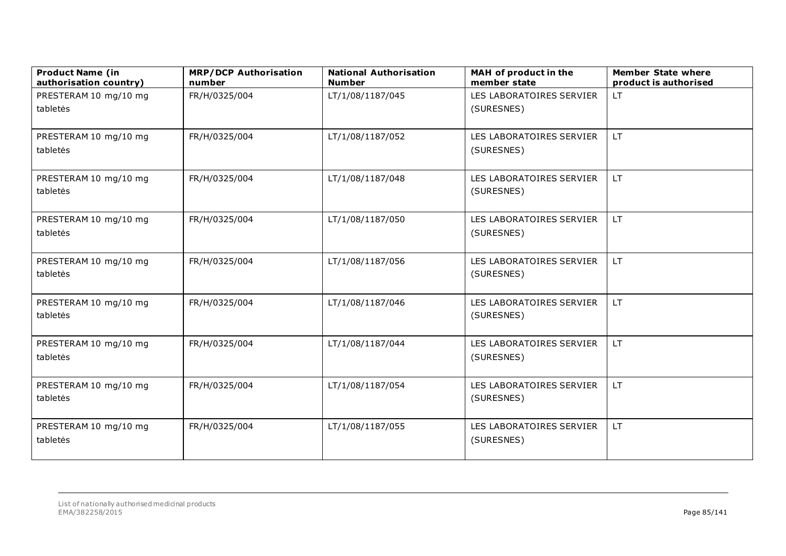| <b>Product Name (in</b><br>authorisation country) | <b>MRP/DCP Authorisation</b><br>number | <b>National Authorisation</b><br><b>Number</b> | MAH of product in the<br>member state  | <b>Member State where</b><br>product is authorised |
|---------------------------------------------------|----------------------------------------|------------------------------------------------|----------------------------------------|----------------------------------------------------|
| PRESTERAM 10 mg/10 mg                             | FR/H/0325/004                          | LT/1/08/1187/045                               | LES LABORATOIRES SERVIER               | <b>LT</b>                                          |
| tabletės                                          |                                        |                                                | (SURESNES)                             |                                                    |
|                                                   |                                        |                                                |                                        |                                                    |
| PRESTERAM 10 mg/10 mg<br>tabletės                 | FR/H/0325/004                          | LT/1/08/1187/052                               | LES LABORATOIRES SERVIER<br>(SURESNES) | LT.                                                |
|                                                   |                                        |                                                |                                        |                                                    |
| PRESTERAM 10 mg/10 mg                             | FR/H/0325/004                          | LT/1/08/1187/048                               | LES LABORATOIRES SERVIER               | LT.                                                |
| tabletės                                          |                                        |                                                | (SURESNES)                             |                                                    |
| PRESTERAM 10 mg/10 mg                             | FR/H/0325/004                          | LT/1/08/1187/050                               | LES LABORATOIRES SERVIER               | LT.                                                |
| tabletės                                          |                                        |                                                | (SURESNES)                             |                                                    |
| PRESTERAM 10 mg/10 mg                             | FR/H/0325/004                          | LT/1/08/1187/056                               | LES LABORATOIRES SERVIER               | LT.                                                |
| tabletės                                          |                                        |                                                | (SURESNES)                             |                                                    |
| PRESTERAM 10 mg/10 mg                             | FR/H/0325/004                          | LT/1/08/1187/046                               | LES LABORATOIRES SERVIER               | LT.                                                |
| tabletės                                          |                                        |                                                | (SURESNES)                             |                                                    |
|                                                   |                                        |                                                |                                        |                                                    |
| PRESTERAM 10 mg/10 mg                             | FR/H/0325/004                          | LT/1/08/1187/044                               | LES LABORATOIRES SERVIER               | LT.                                                |
| tabletės                                          |                                        |                                                | (SURESNES)                             |                                                    |
| PRESTERAM 10 mg/10 mg                             | FR/H/0325/004                          | LT/1/08/1187/054                               | LES LABORATOIRES SERVIER               | LT.                                                |
| tabletės                                          |                                        |                                                | (SURESNES)                             |                                                    |
| PRESTERAM 10 mg/10 mg                             | FR/H/0325/004                          | LT/1/08/1187/055                               | LES LABORATOIRES SERVIER               | LT.                                                |
| tabletės                                          |                                        |                                                | (SURESNES)                             |                                                    |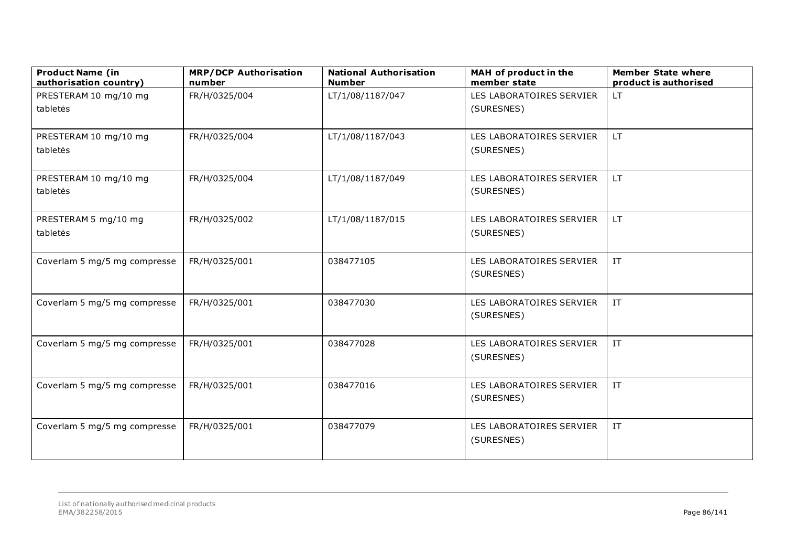| <b>Product Name (in</b><br>authorisation country) | <b>MRP/DCP Authorisation</b><br>number | <b>National Authorisation</b><br><b>Number</b> | MAH of product in the<br>member state | <b>Member State where</b><br>product is authorised |
|---------------------------------------------------|----------------------------------------|------------------------------------------------|---------------------------------------|----------------------------------------------------|
| PRESTERAM 10 mg/10 mg                             | FR/H/0325/004                          | LT/1/08/1187/047                               | LES LABORATOIRES SERVIER              | LT.                                                |
| tabletės                                          |                                        |                                                | (SURESNES)                            |                                                    |
|                                                   |                                        |                                                |                                       |                                                    |
| PRESTERAM 10 mg/10 mg                             | FR/H/0325/004                          | LT/1/08/1187/043                               | LES LABORATOIRES SERVIER              | LT.                                                |
| tabletės                                          |                                        |                                                | (SURESNES)                            |                                                    |
|                                                   |                                        |                                                |                                       |                                                    |
| PRESTERAM 10 mg/10 mg                             | FR/H/0325/004                          | LT/1/08/1187/049                               | LES LABORATOIRES SERVIER              | LT.                                                |
| tabletės                                          |                                        |                                                | (SURESNES)                            |                                                    |
| PRESTERAM 5 mg/10 mg                              | FR/H/0325/002                          | LT/1/08/1187/015                               | LES LABORATOIRES SERVIER              | LT.                                                |
| tabletės                                          |                                        |                                                | (SURESNES)                            |                                                    |
|                                                   |                                        |                                                |                                       |                                                    |
| Coverlam 5 mg/5 mg compresse                      | FR/H/0325/001                          | 038477105                                      | LES LABORATOIRES SERVIER              | IT                                                 |
|                                                   |                                        |                                                | (SURESNES)                            |                                                    |
|                                                   |                                        |                                                |                                       |                                                    |
| Coverlam 5 mg/5 mg compresse                      | FR/H/0325/001                          | 038477030                                      | LES LABORATOIRES SERVIER              | $\ensuremath{\text{IT}}$                           |
|                                                   |                                        |                                                | (SURESNES)                            |                                                    |
|                                                   |                                        |                                                |                                       |                                                    |
| Coverlam 5 mg/5 mg compresse                      | FR/H/0325/001                          | 038477028                                      | LES LABORATOIRES SERVIER              | $\ensuremath{\text{IT}}$                           |
|                                                   |                                        |                                                | (SURESNES)                            |                                                    |
| Coverlam 5 mg/5 mg compresse                      | FR/H/0325/001                          | 038477016                                      | LES LABORATOIRES SERVIER              | $\ensuremath{\text{IT}}$                           |
|                                                   |                                        |                                                | (SURESNES)                            |                                                    |
|                                                   |                                        |                                                |                                       |                                                    |
| Coverlam 5 mg/5 mg compresse                      | FR/H/0325/001                          | 038477079                                      | LES LABORATOIRES SERVIER              | $\ensuremath{\text{IT}}$                           |
|                                                   |                                        |                                                | (SURESNES)                            |                                                    |
|                                                   |                                        |                                                |                                       |                                                    |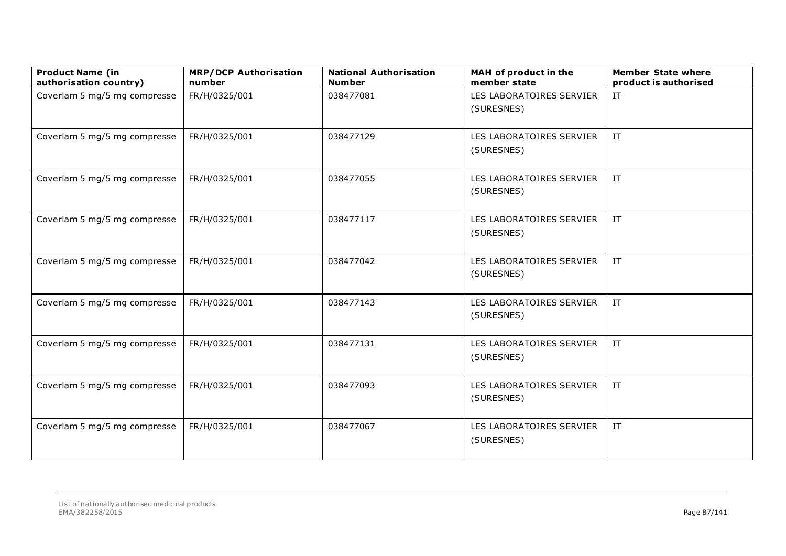| <b>Product Name (in</b><br>authorisation country) | <b>MRP/DCP Authorisation</b><br>number | <b>National Authorisation</b><br><b>Number</b> | MAH of product in the<br>member state  | <b>Member State where</b><br>product is authorised |
|---------------------------------------------------|----------------------------------------|------------------------------------------------|----------------------------------------|----------------------------------------------------|
| Coverlam 5 mg/5 mg compresse                      | FR/H/0325/001                          | 038477081                                      | LES LABORATOIRES SERVIER<br>(SURESNES) | IT                                                 |
| Coverlam 5 mg/5 mg compresse                      | FR/H/0325/001                          | 038477129                                      | LES LABORATOIRES SERVIER<br>(SURESNES) | $\ensuremath{\text{IT}}$                           |
| Coverlam 5 mg/5 mg compresse                      | FR/H/0325/001                          | 038477055                                      | LES LABORATOIRES SERVIER<br>(SURESNES) | $\ensuremath{\text{IT}}$                           |
| Coverlam 5 mg/5 mg compresse                      | FR/H/0325/001                          | 038477117                                      | LES LABORATOIRES SERVIER<br>(SURESNES) | IT                                                 |
| Coverlam 5 mg/5 mg compresse                      | FR/H/0325/001                          | 038477042                                      | LES LABORATOIRES SERVIER<br>(SURESNES) | IT                                                 |
| Coverlam 5 mg/5 mg compresse                      | FR/H/0325/001                          | 038477143                                      | LES LABORATOIRES SERVIER<br>(SURESNES) | IT                                                 |
| Coverlam 5 mg/5 mg compresse                      | FR/H/0325/001                          | 038477131                                      | LES LABORATOIRES SERVIER<br>(SURESNES) | $\ensuremath{\text{IT}}$                           |
| Coverlam 5 mg/5 mg compresse                      | FR/H/0325/001                          | 038477093                                      | LES LABORATOIRES SERVIER<br>(SURESNES) | $\ensuremath{\text{IT}}$                           |
| Coverlam 5 mg/5 mg compresse                      | FR/H/0325/001                          | 038477067                                      | LES LABORATOIRES SERVIER<br>(SURESNES) | $\ensuremath{\mathsf{IT}}$                         |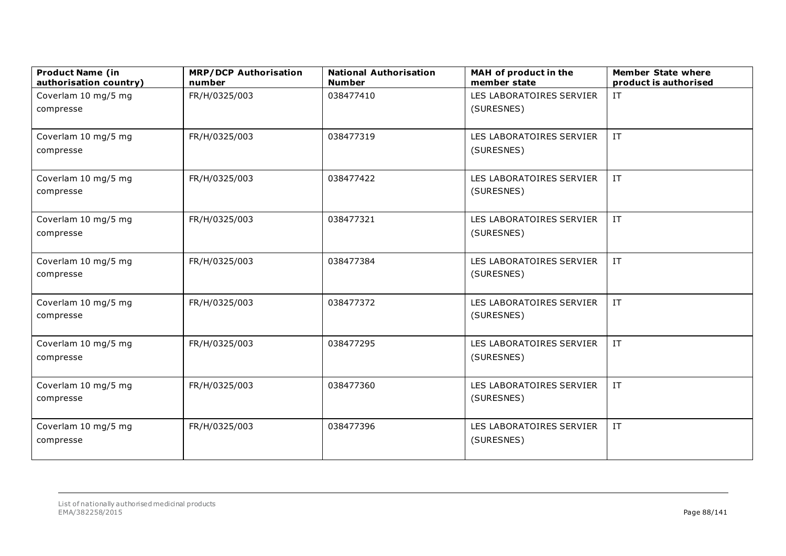| <b>Product Name (in</b><br>authorisation country) | <b>MRP/DCP Authorisation</b><br>number | <b>National Authorisation</b><br><b>Number</b> | MAH of product in the<br>member state | <b>Member State where</b><br>product is authorised |
|---------------------------------------------------|----------------------------------------|------------------------------------------------|---------------------------------------|----------------------------------------------------|
| Coverlam 10 mg/5 mg                               | FR/H/0325/003                          | 038477410                                      | LES LABORATOIRES SERVIER              | IT                                                 |
| compresse                                         |                                        |                                                | (SURESNES)                            |                                                    |
|                                                   |                                        |                                                |                                       |                                                    |
| Coverlam 10 mg/5 mg                               | FR/H/0325/003                          | 038477319                                      | LES LABORATOIRES SERVIER              | IT                                                 |
| compresse                                         |                                        |                                                | (SURESNES)                            |                                                    |
| Coverlam 10 mg/5 mg                               | FR/H/0325/003                          | 038477422                                      | LES LABORATOIRES SERVIER              | IT                                                 |
| compresse                                         |                                        |                                                | (SURESNES)                            |                                                    |
| Coverlam 10 mg/5 mg                               | FR/H/0325/003                          | 038477321                                      | LES LABORATOIRES SERVIER              | $\ensuremath{\text{IT}}$                           |
| compresse                                         |                                        |                                                | (SURESNES)                            |                                                    |
| Coverlam 10 mg/5 mg                               | FR/H/0325/003                          | 038477384                                      | LES LABORATOIRES SERVIER              | IT                                                 |
| compresse                                         |                                        |                                                | (SURESNES)                            |                                                    |
| Coverlam 10 mg/5 mg                               | FR/H/0325/003                          | 038477372                                      | LES LABORATOIRES SERVIER              | $\ensuremath{\text{IT}}$                           |
| compresse                                         |                                        |                                                | (SURESNES)                            |                                                    |
| Coverlam 10 mg/5 mg                               | FR/H/0325/003                          | 038477295                                      | LES LABORATOIRES SERVIER              | IT                                                 |
| compresse                                         |                                        |                                                | (SURESNES)                            |                                                    |
| Coverlam 10 mg/5 mg                               | FR/H/0325/003                          | 038477360                                      | LES LABORATOIRES SERVIER              | $\ensuremath{\text{IT}}$                           |
| compresse                                         |                                        |                                                | (SURESNES)                            |                                                    |
| Coverlam 10 mg/5 mg                               | FR/H/0325/003                          | 038477396                                      | LES LABORATOIRES SERVIER              | $\ensuremath{\text{IT}}$                           |
| compresse                                         |                                        |                                                | (SURESNES)                            |                                                    |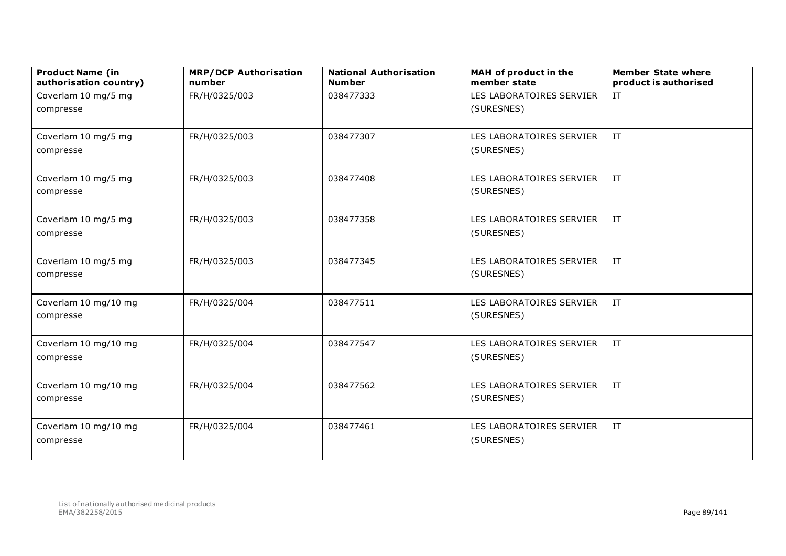| <b>Product Name (in</b><br>authorisation country) | <b>MRP/DCP Authorisation</b><br>number | <b>National Authorisation</b><br><b>Number</b> | MAH of product in the<br>member state  | <b>Member State where</b><br>product is authorised |
|---------------------------------------------------|----------------------------------------|------------------------------------------------|----------------------------------------|----------------------------------------------------|
| Coverlam 10 mg/5 mg                               | FR/H/0325/003                          | 038477333                                      | LES LABORATOIRES SERVIER               | IT                                                 |
| compresse                                         |                                        |                                                | (SURESNES)                             |                                                    |
|                                                   |                                        |                                                |                                        |                                                    |
| Coverlam 10 mg/5 mg                               | FR/H/0325/003                          | 038477307                                      | LES LABORATOIRES SERVIER               | IT                                                 |
| compresse                                         |                                        |                                                | (SURESNES)                             |                                                    |
| Coverlam 10 mg/5 mg                               | FR/H/0325/003                          | 038477408                                      | LES LABORATOIRES SERVIER               | $\ensuremath{\text{IT}}$                           |
| compresse                                         |                                        |                                                | (SURESNES)                             |                                                    |
| Coverlam 10 mg/5 mg                               | FR/H/0325/003                          | 038477358                                      | LES LABORATOIRES SERVIER               | IT                                                 |
| compresse                                         |                                        |                                                | (SURESNES)                             |                                                    |
|                                                   |                                        |                                                |                                        |                                                    |
| Coverlam 10 mg/5 mg<br>compresse                  | FR/H/0325/003                          | 038477345                                      | LES LABORATOIRES SERVIER<br>(SURESNES) | IT                                                 |
|                                                   |                                        |                                                |                                        |                                                    |
| Coverlam 10 mg/10 mg                              | FR/H/0325/004                          | 038477511                                      | LES LABORATOIRES SERVIER               | $\ensuremath{\text{IT}}$                           |
| compresse                                         |                                        |                                                | (SURESNES)                             |                                                    |
| Coverlam 10 mg/10 mg                              | FR/H/0325/004                          | 038477547                                      | LES LABORATOIRES SERVIER               | IT                                                 |
| compresse                                         |                                        |                                                | (SURESNES)                             |                                                    |
| Coverlam 10 mg/10 mg                              | FR/H/0325/004                          | 038477562                                      | LES LABORATOIRES SERVIER               | IT                                                 |
| compresse                                         |                                        |                                                | (SURESNES)                             |                                                    |
|                                                   |                                        |                                                |                                        |                                                    |
| Coverlam 10 mg/10 mg                              | FR/H/0325/004                          | 038477461                                      | LES LABORATOIRES SERVIER               | $\ensuremath{\text{IT}}$                           |
| compresse                                         |                                        |                                                | (SURESNES)                             |                                                    |
|                                                   |                                        |                                                |                                        |                                                    |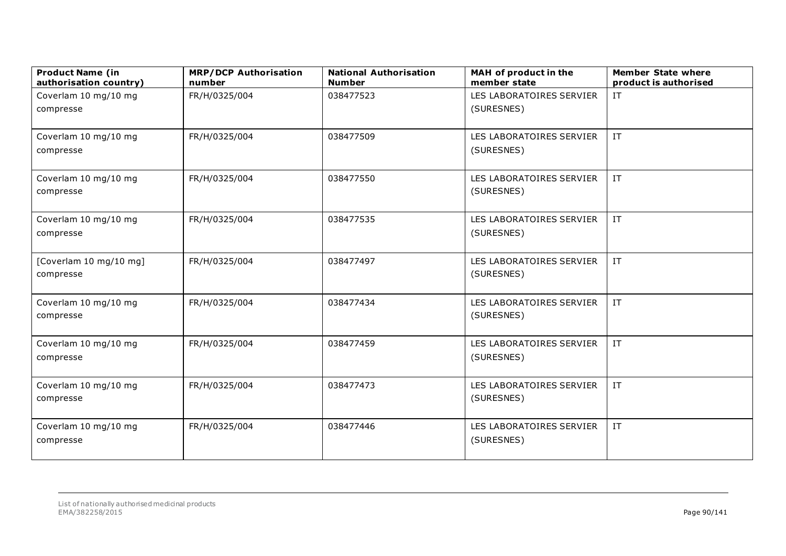| <b>Product Name (in</b><br>authorisation country) | <b>MRP/DCP Authorisation</b><br>number | <b>National Authorisation</b><br><b>Number</b> | MAH of product in the<br>member state | <b>Member State where</b><br>product is authorised |
|---------------------------------------------------|----------------------------------------|------------------------------------------------|---------------------------------------|----------------------------------------------------|
| Coverlam 10 mg/10 mg                              | FR/H/0325/004                          | 038477523                                      | LES LABORATOIRES SERVIER              | IT                                                 |
| compresse                                         |                                        |                                                | (SURESNES)                            |                                                    |
|                                                   |                                        |                                                |                                       |                                                    |
| Coverlam 10 mg/10 mg                              | FR/H/0325/004                          | 038477509                                      | LES LABORATOIRES SERVIER              | IT                                                 |
| compresse                                         |                                        |                                                | (SURESNES)                            |                                                    |
| Coverlam 10 mg/10 mg                              | FR/H/0325/004                          | 038477550                                      | LES LABORATOIRES SERVIER              | $\ensuremath{\text{IT}}$                           |
| compresse                                         |                                        |                                                | (SURESNES)                            |                                                    |
| Coverlam 10 mg/10 mg                              | FR/H/0325/004                          | 038477535                                      | LES LABORATOIRES SERVIER              | $\ensuremath{\text{IT}}$                           |
| compresse                                         |                                        |                                                | (SURESNES)                            |                                                    |
| [Coverlam 10 mg/10 mg]                            | FR/H/0325/004                          | 038477497                                      | LES LABORATOIRES SERVIER              | IT                                                 |
| compresse                                         |                                        |                                                | (SURESNES)                            |                                                    |
|                                                   |                                        |                                                |                                       |                                                    |
| Coverlam 10 mg/10 mg                              | FR/H/0325/004                          | 038477434                                      | LES LABORATOIRES SERVIER              | IT                                                 |
| compresse                                         |                                        |                                                | (SURESNES)                            |                                                    |
| Coverlam 10 mg/10 mg                              | FR/H/0325/004                          | 038477459                                      | LES LABORATOIRES SERVIER              | $\ensuremath{\text{IT}}$                           |
| compresse                                         |                                        |                                                | (SURESNES)                            |                                                    |
| Coverlam 10 mg/10 mg                              | FR/H/0325/004                          | 038477473                                      | LES LABORATOIRES SERVIER              | IT                                                 |
| compresse                                         |                                        |                                                | (SURESNES)                            |                                                    |
|                                                   |                                        | 038477446                                      | LES LABORATOIRES SERVIER              | $\ensuremath{\text{IT}}$                           |
| Coverlam 10 mg/10 mg<br>compresse                 | FR/H/0325/004                          |                                                | (SURESNES)                            |                                                    |
|                                                   |                                        |                                                |                                       |                                                    |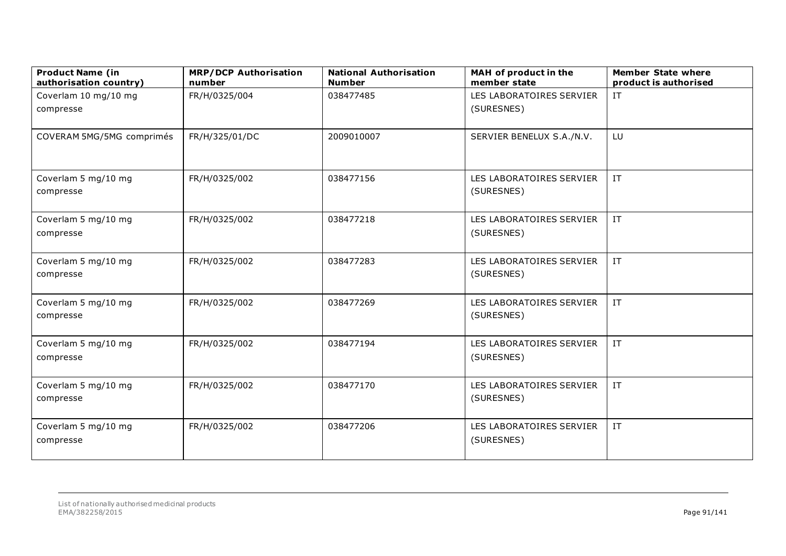| <b>Product Name (in</b><br>authorisation country) | <b>MRP/DCP Authorisation</b><br>number | <b>National Authorisation</b><br><b>Number</b> | MAH of product in the<br>member state  | <b>Member State where</b><br>product is authorised |
|---------------------------------------------------|----------------------------------------|------------------------------------------------|----------------------------------------|----------------------------------------------------|
| Coverlam 10 mg/10 mg                              | FR/H/0325/004                          | 038477485                                      | LES LABORATOIRES SERVIER               | IT                                                 |
| compresse                                         |                                        |                                                | (SURESNES)                             |                                                    |
| COVERAM 5MG/5MG comprimés                         | FR/H/325/01/DC                         | 2009010007                                     | SERVIER BENELUX S.A./N.V.              | LU                                                 |
| Coverlam 5 mg/10 mg<br>compresse                  | FR/H/0325/002                          | 038477156                                      | LES LABORATOIRES SERVIER<br>(SURESNES) | $\ensuremath{\text{IT}}$                           |
| Coverlam 5 mg/10 mg<br>compresse                  | FR/H/0325/002                          | 038477218                                      | LES LABORATOIRES SERVIER<br>(SURESNES) | $\ensuremath{\text{IT}}$                           |
| Coverlam 5 mg/10 mg<br>compresse                  | FR/H/0325/002                          | 038477283                                      | LES LABORATOIRES SERVIER<br>(SURESNES) | IT                                                 |
| Coverlam 5 mg/10 mg<br>compresse                  | FR/H/0325/002                          | 038477269                                      | LES LABORATOIRES SERVIER<br>(SURESNES) | $\ensuremath{\text{IT}}$                           |
| Coverlam 5 mg/10 mg<br>compresse                  | FR/H/0325/002                          | 038477194                                      | LES LABORATOIRES SERVIER<br>(SURESNES) | $\ensuremath{\text{IT}}$                           |
| Coverlam 5 mg/10 mg<br>compresse                  | FR/H/0325/002                          | 038477170                                      | LES LABORATOIRES SERVIER<br>(SURESNES) | IT                                                 |
| Coverlam 5 mg/10 mg<br>compresse                  | FR/H/0325/002                          | 038477206                                      | LES LABORATOIRES SERVIER<br>(SURESNES) | $\ensuremath{\text{IT}}$                           |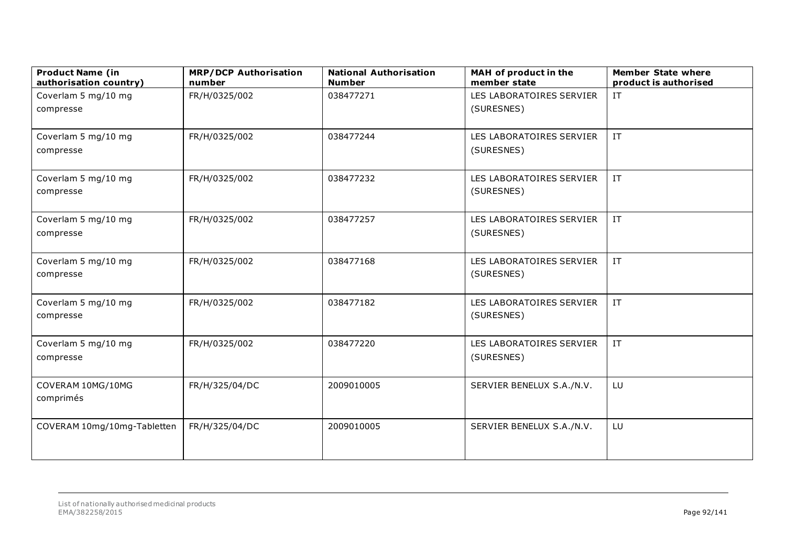| <b>Product Name (in</b><br>authorisation country) | <b>MRP/DCP Authorisation</b><br>number | <b>National Authorisation</b><br><b>Number</b> | MAH of product in the<br>member state | <b>Member State where</b><br>product is authorised |
|---------------------------------------------------|----------------------------------------|------------------------------------------------|---------------------------------------|----------------------------------------------------|
| Coverlam 5 mg/10 mg                               | FR/H/0325/002                          | 038477271                                      | LES LABORATOIRES SERVIER              | IT                                                 |
| compresse                                         |                                        |                                                | (SURESNES)                            |                                                    |
|                                                   |                                        |                                                |                                       |                                                    |
| Coverlam 5 mg/10 mg                               | FR/H/0325/002                          | 038477244                                      | LES LABORATOIRES SERVIER              | IT                                                 |
| compresse                                         |                                        |                                                | (SURESNES)                            |                                                    |
| Coverlam 5 mg/10 mg                               | FR/H/0325/002                          | 038477232                                      | LES LABORATOIRES SERVIER              | IT                                                 |
| compresse                                         |                                        |                                                | (SURESNES)                            |                                                    |
| Coverlam 5 mg/10 mg                               | FR/H/0325/002                          | 038477257                                      | LES LABORATOIRES SERVIER              | IT                                                 |
| compresse                                         |                                        |                                                | (SURESNES)                            |                                                    |
| Coverlam 5 mg/10 mg                               | FR/H/0325/002                          | 038477168                                      | LES LABORATOIRES SERVIER              | $\ensuremath{\text{IT}}$                           |
| compresse                                         |                                        |                                                | (SURESNES)                            |                                                    |
| Coverlam 5 mg/10 mg                               | FR/H/0325/002                          | 038477182                                      | LES LABORATOIRES SERVIER              | IT                                                 |
| compresse                                         |                                        |                                                | (SURESNES)                            |                                                    |
| Coverlam 5 mg/10 mg                               | FR/H/0325/002                          | 038477220                                      | LES LABORATOIRES SERVIER              | $\ensuremath{\text{IT}}$                           |
| compresse                                         |                                        |                                                | (SURESNES)                            |                                                    |
| COVERAM 10MG/10MG                                 | FR/H/325/04/DC                         | 2009010005                                     | SERVIER BENELUX S.A./N.V.             | LU                                                 |
| comprimés                                         |                                        |                                                |                                       |                                                    |
| COVERAM 10mg/10mg-Tabletten                       | FR/H/325/04/DC                         | 2009010005                                     | SERVIER BENELUX S.A./N.V.             | LU                                                 |
|                                                   |                                        |                                                |                                       |                                                    |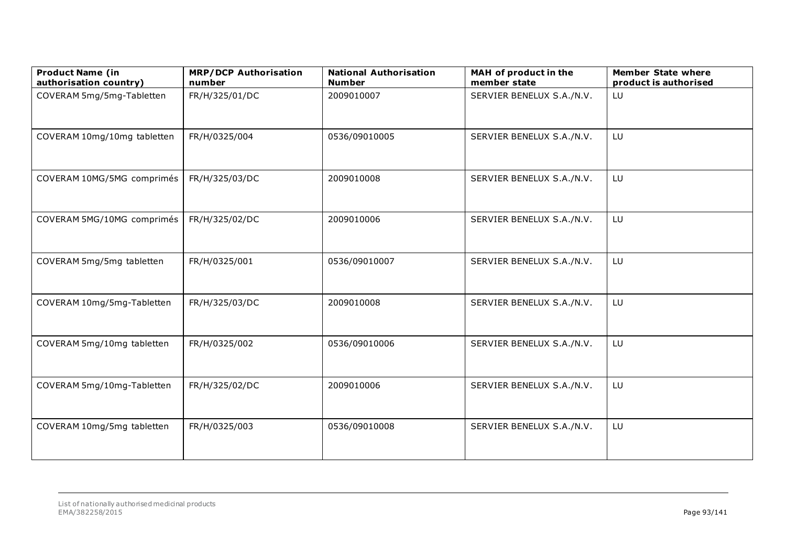| <b>Product Name (in</b><br>authorisation country) | <b>MRP/DCP Authorisation</b><br>number | <b>National Authorisation</b><br><b>Number</b> | MAH of product in the<br>member state | <b>Member State where</b><br>product is authorised |
|---------------------------------------------------|----------------------------------------|------------------------------------------------|---------------------------------------|----------------------------------------------------|
| COVERAM 5mg/5mg-Tabletten                         | FR/H/325/01/DC                         | 2009010007                                     | SERVIER BENELUX S.A./N.V.             | LU                                                 |
| COVERAM 10mg/10mg tabletten                       | FR/H/0325/004                          | 0536/09010005                                  | SERVIER BENELUX S.A./N.V.             | LU                                                 |
| COVERAM 10MG/5MG comprimés                        | FR/H/325/03/DC                         | 2009010008                                     | SERVIER BENELUX S.A./N.V.             | LU                                                 |
| COVERAM 5MG/10MG comprimés                        | FR/H/325/02/DC                         | 2009010006                                     | SERVIER BENELUX S.A./N.V.             | LU                                                 |
| COVERAM 5mg/5mg tabletten                         | FR/H/0325/001                          | 0536/09010007                                  | SERVIER BENELUX S.A./N.V.             | LU                                                 |
| COVERAM 10mg/5mg-Tabletten                        | FR/H/325/03/DC                         | 2009010008                                     | SERVIER BENELUX S.A./N.V.             | LU                                                 |
| COVERAM 5mg/10mg tabletten                        | FR/H/0325/002                          | 0536/09010006                                  | SERVIER BENELUX S.A./N.V.             | LU                                                 |
| COVERAM 5mg/10mg-Tabletten                        | FR/H/325/02/DC                         | 2009010006                                     | SERVIER BENELUX S.A./N.V.             | LU                                                 |
| COVERAM 10mg/5mg tabletten                        | FR/H/0325/003                          | 0536/09010008                                  | SERVIER BENELUX S.A./N.V.             | LU                                                 |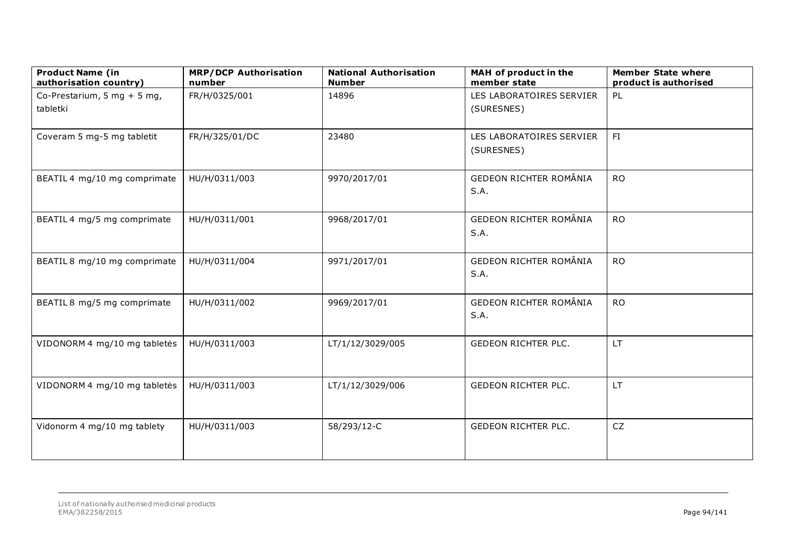| <b>Product Name (in</b><br>authorisation country) | <b>MRP/DCP Authorisation</b><br>number | <b>National Authorisation</b><br><b>Number</b> | MAH of product in the<br>member state | <b>Member State where</b><br>product is authorised |
|---------------------------------------------------|----------------------------------------|------------------------------------------------|---------------------------------------|----------------------------------------------------|
| Co-Prestarium, 5 mg + 5 mg,                       | FR/H/0325/001                          | 14896                                          | LES LABORATOIRES SERVIER              | PL                                                 |
| tabletki                                          |                                        |                                                | (SURESNES)                            |                                                    |
|                                                   |                                        |                                                |                                       |                                                    |
| Coveram 5 mg-5 mg tabletit                        | FR/H/325/01/DC                         | 23480                                          | LES LABORATOIRES SERVIER              | FI                                                 |
|                                                   |                                        |                                                | (SURESNES)                            |                                                    |
|                                                   |                                        |                                                |                                       |                                                    |
| BEATIL 4 mg/10 mg comprimate                      | HU/H/0311/003                          | 9970/2017/01                                   | GEDEON RICHTER ROMÂNIA                | <b>RO</b>                                          |
|                                                   |                                        |                                                | S.A.                                  |                                                    |
| BEATIL 4 mg/5 mg comprimate                       | HU/H/0311/001                          | 9968/2017/01                                   | GEDEON RICHTER ROMÂNIA                | <b>RO</b>                                          |
|                                                   |                                        |                                                | S.A.                                  |                                                    |
|                                                   |                                        |                                                |                                       |                                                    |
| BEATIL 8 mg/10 mg comprimate                      | HU/H/0311/004                          | 9971/2017/01                                   | GEDEON RICHTER ROMÂNIA                | <b>RO</b>                                          |
|                                                   |                                        |                                                | S.A.                                  |                                                    |
|                                                   |                                        |                                                |                                       |                                                    |
| BEATIL 8 mg/5 mg comprimate                       | HU/H/0311/002                          | 9969/2017/01                                   | GEDEON RICHTER ROMÂNIA                | <b>RO</b>                                          |
|                                                   |                                        |                                                | S.A.                                  |                                                    |
| VIDONORM 4 mg/10 mg tabletės                      | HU/H/0311/003                          | LT/1/12/3029/005                               | <b>GEDEON RICHTER PLC.</b>            | LT.                                                |
|                                                   |                                        |                                                |                                       |                                                    |
|                                                   |                                        |                                                |                                       |                                                    |
| VIDONORM 4 mg/10 mg tabletės                      | HU/H/0311/003                          | LT/1/12/3029/006                               | <b>GEDEON RICHTER PLC.</b>            | LT.                                                |
|                                                   |                                        |                                                |                                       |                                                    |
|                                                   |                                        |                                                |                                       |                                                    |
| Vidonorm 4 mg/10 mg tablety                       | HU/H/0311/003                          | 58/293/12-C                                    | <b>GEDEON RICHTER PLC.</b>            | CZ                                                 |
|                                                   |                                        |                                                |                                       |                                                    |
|                                                   |                                        |                                                |                                       |                                                    |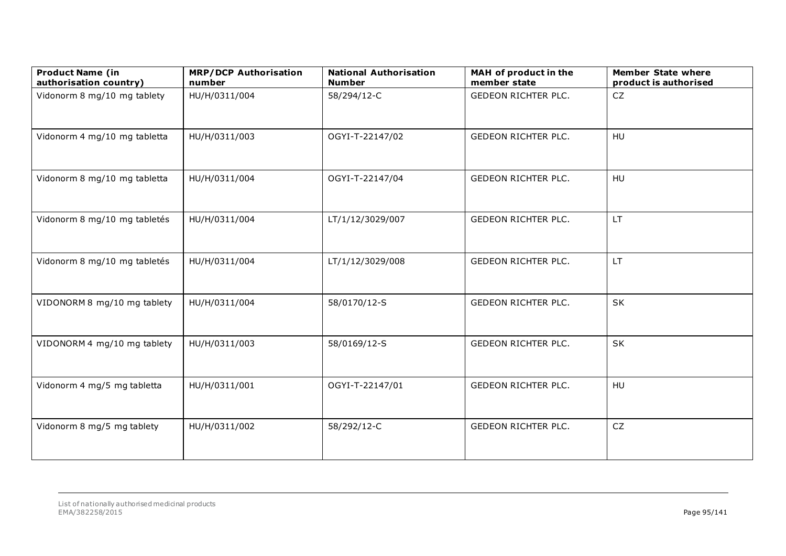| <b>Product Name (in</b><br>authorisation country) | <b>MRP/DCP Authorisation</b><br>number | <b>National Authorisation</b><br><b>Number</b> | MAH of product in the<br>member state | <b>Member State where</b><br>product is authorised |
|---------------------------------------------------|----------------------------------------|------------------------------------------------|---------------------------------------|----------------------------------------------------|
| Vidonorm 8 mg/10 mg tablety                       | HU/H/0311/004                          | 58/294/12-C                                    | <b>GEDEON RICHTER PLC.</b>            | <b>CZ</b>                                          |
| Vidonorm 4 mg/10 mg tabletta                      | HU/H/0311/003                          | OGYI-T-22147/02                                | <b>GEDEON RICHTER PLC.</b>            | HU                                                 |
| Vidonorm 8 mg/10 mg tabletta                      | HU/H/0311/004                          | OGYI-T-22147/04                                | GEDEON RICHTER PLC.                   | HU                                                 |
| Vidonorm 8 mg/10 mg tabletés                      | HU/H/0311/004                          | LT/1/12/3029/007                               | <b>GEDEON RICHTER PLC.</b>            | LT.                                                |
| Vidonorm 8 mg/10 mg tabletés                      | HU/H/0311/004                          | LT/1/12/3029/008                               | GEDEON RICHTER PLC.                   | LT                                                 |
| VIDONORM 8 mg/10 mg tablety                       | HU/H/0311/004                          | 58/0170/12-S                                   | <b>GEDEON RICHTER PLC.</b>            | SK                                                 |
| VIDONORM 4 mg/10 mg tablety                       | HU/H/0311/003                          | 58/0169/12-S                                   | <b>GEDEON RICHTER PLC.</b>            | SK                                                 |
| Vidonorm 4 mg/5 mg tabletta                       | HU/H/0311/001                          | OGYI-T-22147/01                                | <b>GEDEON RICHTER PLC.</b>            | HU                                                 |
| Vidonorm 8 mg/5 mg tablety                        | HU/H/0311/002                          | 58/292/12-C                                    | <b>GEDEON RICHTER PLC.</b>            | CZ                                                 |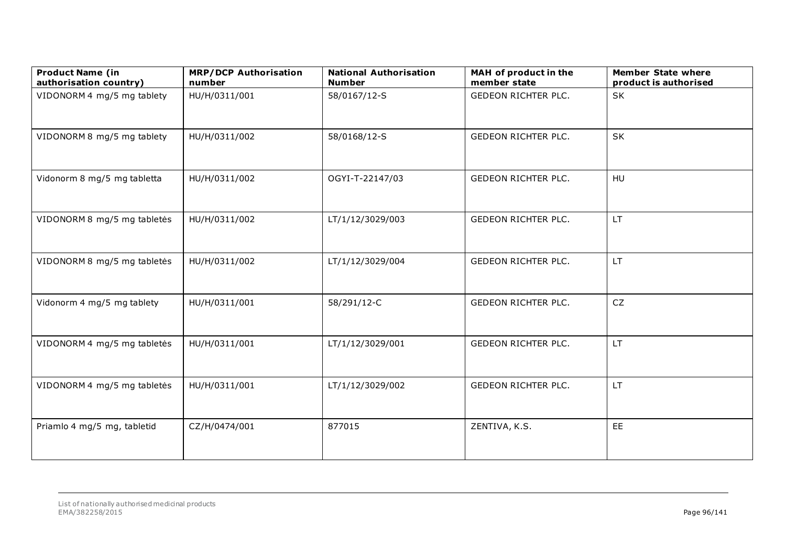| <b>Product Name (in</b><br>authorisation country) | <b>MRP/DCP Authorisation</b><br>number | <b>National Authorisation</b><br><b>Number</b> | MAH of product in the<br>member state | <b>Member State where</b><br>product is authorised |
|---------------------------------------------------|----------------------------------------|------------------------------------------------|---------------------------------------|----------------------------------------------------|
| VIDONORM 4 mg/5 mg tablety                        | HU/H/0311/001                          | 58/0167/12-S                                   | <b>GEDEON RICHTER PLC.</b>            | SK                                                 |
| VIDONORM 8 mg/5 mg tablety                        | HU/H/0311/002                          | 58/0168/12-S                                   | <b>GEDEON RICHTER PLC.</b>            | SK                                                 |
| Vidonorm 8 mg/5 mg tabletta                       | HU/H/0311/002                          | OGYI-T-22147/03                                | <b>GEDEON RICHTER PLC.</b>            | HU                                                 |
| VIDONORM 8 mg/5 mg tabletės                       | HU/H/0311/002                          | LT/1/12/3029/003                               | GEDEON RICHTER PLC.                   | LT.                                                |
| VIDONORM 8 mg/5 mg tabletės                       | HU/H/0311/002                          | LT/1/12/3029/004                               | <b>GEDEON RICHTER PLC.</b>            | LT.                                                |
| Vidonorm 4 mg/5 mg tablety                        | HU/H/0311/001                          | 58/291/12-C                                    | <b>GEDEON RICHTER PLC.</b>            | ${\sf CZ}$                                         |
| VIDONORM 4 mg/5 mg tabletės                       | HU/H/0311/001                          | LT/1/12/3029/001                               | GEDEON RICHTER PLC.                   | LT.                                                |
| VIDONORM 4 mg/5 mg tabletės                       | HU/H/0311/001                          | LT/1/12/3029/002                               | <b>GEDEON RICHTER PLC.</b>            | LT.                                                |
| Priamlo 4 mg/5 mg, tabletid                       | CZ/H/0474/001                          | 877015                                         | ZENTIVA, K.S.                         | EE                                                 |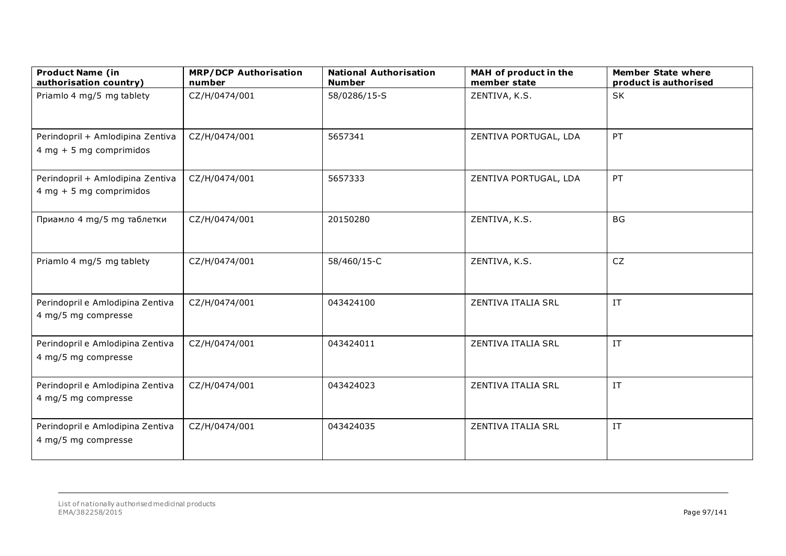| <b>Product Name (in</b><br>authorisation country)             | <b>MRP/DCP Authorisation</b><br>number | <b>National Authorisation</b><br><b>Number</b> | MAH of product in the<br>member state | <b>Member State where</b><br>product is authorised |
|---------------------------------------------------------------|----------------------------------------|------------------------------------------------|---------------------------------------|----------------------------------------------------|
| Priamlo 4 mg/5 mg tablety                                     | CZ/H/0474/001                          | 58/0286/15-S                                   | ZENTIVA, K.S.                         | SK                                                 |
| Perindopril + Amlodipina Zentiva<br>$4 mg + 5 mg$ comprimidos | CZ/H/0474/001                          | 5657341                                        | ZENTIVA PORTUGAL, LDA                 | PT                                                 |
| Perindopril + Amlodipina Zentiva<br>$4 mg + 5 mg$ comprimidos | CZ/H/0474/001                          | 5657333                                        | ZENTIVA PORTUGAL, LDA                 | PT                                                 |
| Приамло 4 mg/5 mg таблетки                                    | CZ/H/0474/001                          | 20150280                                       | ZENTIVA, K.S.                         | <b>BG</b>                                          |
| Priamlo 4 mg/5 mg tablety                                     | CZ/H/0474/001                          | 58/460/15-C                                    | ZENTIVA, K.S.                         | <b>CZ</b>                                          |
| Perindopril e Amlodipina Zentiva<br>4 mg/5 mg compresse       | CZ/H/0474/001                          | 043424100                                      | ZENTIVA ITALIA SRL                    | $\ensuremath{\text{IT}}$                           |
| Perindopril e Amlodipina Zentiva<br>4 mg/5 mg compresse       | CZ/H/0474/001                          | 043424011                                      | ZENTIVA ITALIA SRL                    | $\ensuremath{\text{IT}}$                           |
| Perindopril e Amlodipina Zentiva<br>4 mg/5 mg compresse       | CZ/H/0474/001                          | 043424023                                      | ZENTIVA ITALIA SRL                    | $\ensuremath{\text{IT}}$                           |
| Perindopril e Amlodipina Zentiva<br>4 mg/5 mg compresse       | CZ/H/0474/001                          | 043424035                                      | ZENTIVA ITALIA SRL                    | IT                                                 |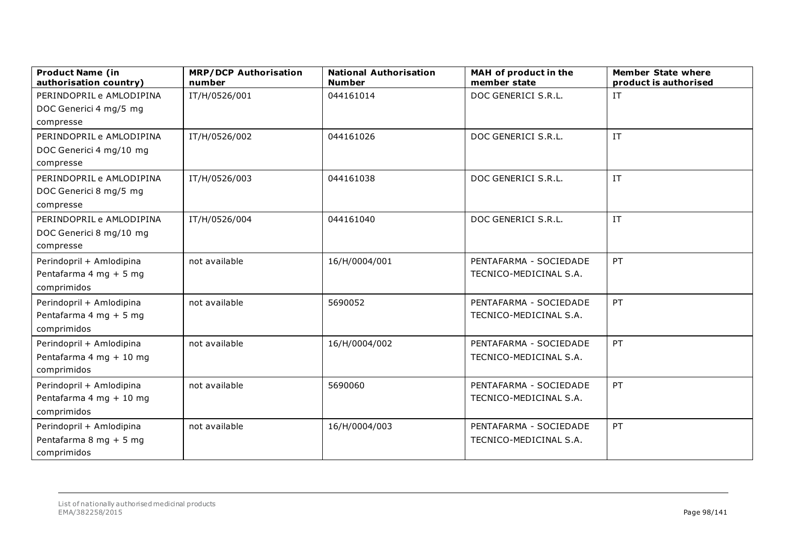| <b>Product Name (in</b><br>authorisation country) | <b>MRP/DCP Authorisation</b><br>number | <b>National Authorisation</b><br><b>Number</b> | MAH of product in the<br>member state | <b>Member State where</b><br>product is authorised |
|---------------------------------------------------|----------------------------------------|------------------------------------------------|---------------------------------------|----------------------------------------------------|
| PERINDOPRIL e AMLODIPINA                          | IT/H/0526/001                          | 044161014                                      | DOC GENERICI S.R.L.                   | IT                                                 |
| DOC Generici 4 mg/5 mg                            |                                        |                                                |                                       |                                                    |
| compresse                                         |                                        |                                                |                                       |                                                    |
| PERINDOPRIL e AMLODIPINA                          | IT/H/0526/002                          | 044161026                                      | DOC GENERICI S.R.L.                   | IT                                                 |
| DOC Generici 4 mg/10 mg                           |                                        |                                                |                                       |                                                    |
| compresse                                         |                                        |                                                |                                       |                                                    |
| PERINDOPRIL e AMLODIPINA                          | IT/H/0526/003                          | 044161038                                      | DOC GENERICI S.R.L.                   | IT                                                 |
| DOC Generici 8 mg/5 mg                            |                                        |                                                |                                       |                                                    |
| compresse                                         |                                        |                                                |                                       |                                                    |
| PERINDOPRIL e AMLODIPINA                          | IT/H/0526/004                          | 044161040                                      | DOC GENERICI S.R.L.                   | IT                                                 |
| DOC Generici 8 mg/10 mg                           |                                        |                                                |                                       |                                                    |
| compresse                                         |                                        |                                                |                                       |                                                    |
| Perindopril + Amlodipina                          | not available                          | 16/H/0004/001                                  | PENTAFARMA - SOCIEDADE                | <b>PT</b>                                          |
| Pentafarma 4 mg + 5 mg                            |                                        |                                                | TECNICO-MEDICINAL S.A.                |                                                    |
| comprimidos                                       |                                        |                                                |                                       |                                                    |
| Perindopril + Amlodipina                          | not available                          | 5690052                                        | PENTAFARMA - SOCIEDADE                | <b>PT</b>                                          |
| Pentafarma 4 mg + 5 mg                            |                                        |                                                | TECNICO-MEDICINAL S.A.                |                                                    |
| comprimidos                                       |                                        |                                                |                                       |                                                    |
| Perindopril + Amlodipina                          | not available                          | 16/H/0004/002                                  | PENTAFARMA - SOCIEDADE                | <b>PT</b>                                          |
| Pentafarma 4 mg + 10 mg                           |                                        |                                                | TECNICO-MEDICINAL S.A.                |                                                    |
| comprimidos                                       |                                        |                                                |                                       |                                                    |
| Perindopril + Amlodipina                          | not available                          | 5690060                                        | PENTAFARMA - SOCIEDADE                | PT                                                 |
| Pentafarma 4 mg + 10 mg                           |                                        |                                                | TECNICO-MEDICINAL S.A.                |                                                    |
| comprimidos                                       |                                        |                                                |                                       |                                                    |
| Perindopril + Amlodipina                          | not available                          | 16/H/0004/003                                  | PENTAFARMA - SOCIEDADE                | PT                                                 |
| Pentafarma 8 mg + 5 mg                            |                                        |                                                | TECNICO-MEDICINAL S.A.                |                                                    |
| comprimidos                                       |                                        |                                                |                                       |                                                    |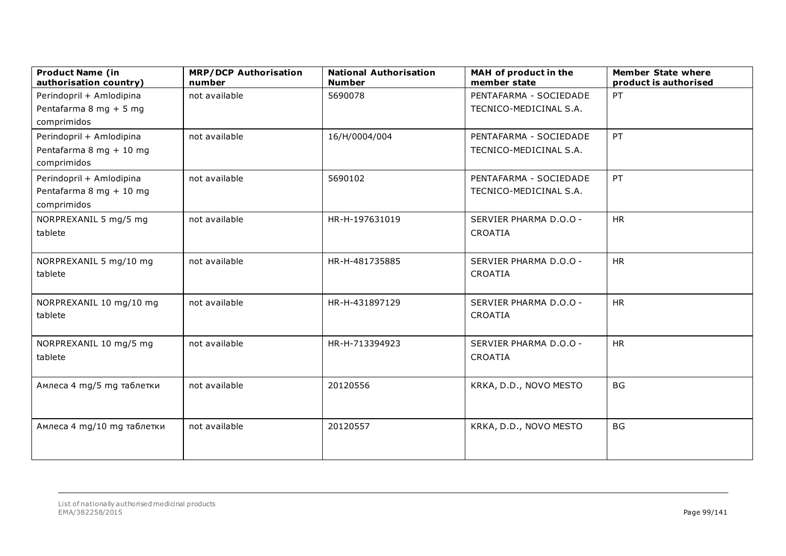| <b>Product Name (in</b><br>authorisation country) | <b>MRP/DCP Authorisation</b><br>number | <b>National Authorisation</b><br><b>Number</b> | MAH of product in the<br>member state | <b>Member State where</b><br>product is authorised |
|---------------------------------------------------|----------------------------------------|------------------------------------------------|---------------------------------------|----------------------------------------------------|
| Perindopril + Amlodipina                          | not available                          | 5690078                                        | PENTAFARMA - SOCIEDADE                | PT                                                 |
| Pentafarma 8 mg + 5 mg                            |                                        |                                                | TECNICO-MEDICINAL S.A.                |                                                    |
| comprimidos                                       |                                        |                                                |                                       |                                                    |
| Perindopril + Amlodipina                          | not available                          | 16/H/0004/004                                  | PENTAFARMA - SOCIEDADE                | PT                                                 |
| Pentafarma 8 mg + 10 mg                           |                                        |                                                | TECNICO-MEDICINAL S.A.                |                                                    |
| comprimidos                                       |                                        |                                                |                                       |                                                    |
| Perindopril + Amlodipina                          | not available                          | 5690102                                        | PENTAFARMA - SOCIEDADE                | PT                                                 |
| Pentafarma 8 mg + 10 mg                           |                                        |                                                | TECNICO-MEDICINAL S.A.                |                                                    |
| comprimidos                                       |                                        |                                                |                                       |                                                    |
| NORPREXANIL 5 mg/5 mg                             | not available                          | HR-H-197631019                                 | SERVIER PHARMA D.O.O -                | <b>HR</b>                                          |
| tablete                                           |                                        |                                                | CROATIA                               |                                                    |
|                                                   |                                        |                                                |                                       |                                                    |
| NORPREXANIL 5 mg/10 mg                            | not available                          | HR-H-481735885                                 | SERVIER PHARMA D.O.O -                | <b>HR</b>                                          |
| tablete                                           |                                        |                                                | CROATIA                               |                                                    |
|                                                   |                                        |                                                |                                       |                                                    |
| NORPREXANIL 10 mg/10 mg                           | not available                          | HR-H-431897129                                 | SERVIER PHARMA D.O.O -                | <b>HR</b>                                          |
| tablete                                           |                                        |                                                | CROATIA                               |                                                    |
|                                                   |                                        |                                                |                                       |                                                    |
| NORPREXANIL 10 mg/5 mg                            | not available                          | HR-H-713394923                                 | SERVIER PHARMA D.O.O -                | <b>HR</b>                                          |
| tablete                                           |                                        |                                                | CROATIA                               |                                                    |
|                                                   |                                        |                                                |                                       |                                                    |
| Амлеса 4 mg/5 mg таблетки                         | not available                          | 20120556                                       | KRKA, D.D., NOVO MESTO                | <b>BG</b>                                          |
|                                                   |                                        |                                                |                                       |                                                    |
|                                                   |                                        |                                                |                                       |                                                    |
| Амлеса 4 mg/10 mg таблетки                        | not available                          | 20120557                                       | KRKA, D.D., NOVO MESTO                | <b>BG</b>                                          |
|                                                   |                                        |                                                |                                       |                                                    |
|                                                   |                                        |                                                |                                       |                                                    |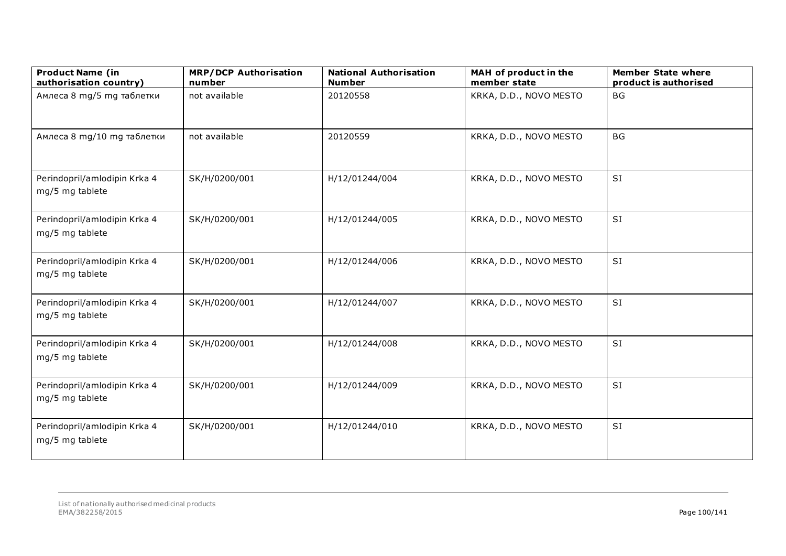| <b>Product Name (in</b><br>authorisation country) | <b>MRP/DCP Authorisation</b><br>number | <b>National Authorisation</b><br><b>Number</b> | MAH of product in the<br>member state | <b>Member State where</b><br>product is authorised |
|---------------------------------------------------|----------------------------------------|------------------------------------------------|---------------------------------------|----------------------------------------------------|
| Амлеса 8 mg/5 mg таблетки                         | not available                          | 20120558                                       | KRKA, D.D., NOVO MESTO                | <b>BG</b>                                          |
| Амлеса 8 mg/10 mg таблетки                        | not available                          | 20120559                                       | KRKA, D.D., NOVO MESTO                | <b>BG</b>                                          |
| Perindopril/amlodipin Krka 4<br>mg/5 mg tablete   | SK/H/0200/001                          | H/12/01244/004                                 | KRKA, D.D., NOVO MESTO                | SI                                                 |
| Perindopril/amlodipin Krka 4<br>mg/5 mg tablete   | SK/H/0200/001                          | H/12/01244/005                                 | KRKA, D.D., NOVO MESTO                | SI                                                 |
| Perindopril/amlodipin Krka 4<br>mg/5 mg tablete   | SK/H/0200/001                          | H/12/01244/006                                 | KRKA, D.D., NOVO MESTO                | SI                                                 |
| Perindopril/amlodipin Krka 4<br>mg/5 mg tablete   | SK/H/0200/001                          | H/12/01244/007                                 | KRKA, D.D., NOVO MESTO                | SI                                                 |
| Perindopril/amlodipin Krka 4<br>mg/5 mg tablete   | SK/H/0200/001                          | H/12/01244/008                                 | KRKA, D.D., NOVO MESTO                | SI                                                 |
| Perindopril/amlodipin Krka 4<br>mg/5 mg tablete   | SK/H/0200/001                          | H/12/01244/009                                 | KRKA, D.D., NOVO MESTO                | SI                                                 |
| Perindopril/amlodipin Krka 4<br>mg/5 mg tablete   | SK/H/0200/001                          | H/12/01244/010                                 | KRKA, D.D., NOVO MESTO                | SI                                                 |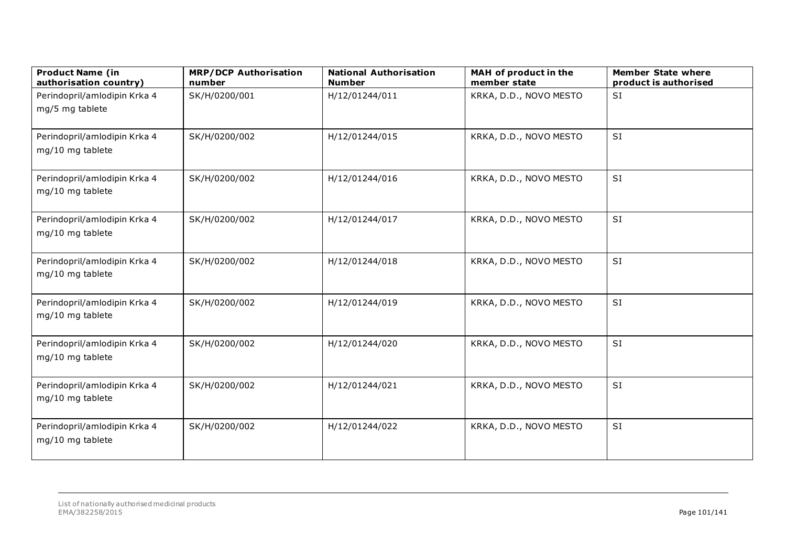| <b>Product Name (in</b><br>authorisation country) | <b>MRP/DCP Authorisation</b><br>number | <b>National Authorisation</b><br><b>Number</b> | MAH of product in the<br>member state | <b>Member State where</b><br>product is authorised |
|---------------------------------------------------|----------------------------------------|------------------------------------------------|---------------------------------------|----------------------------------------------------|
| Perindopril/amlodipin Krka 4<br>mg/5 mg tablete   | SK/H/0200/001                          | H/12/01244/011                                 | KRKA, D.D., NOVO MESTO                | <b>SI</b>                                          |
| Perindopril/amlodipin Krka 4<br>mg/10 mg tablete  | SK/H/0200/002                          | H/12/01244/015                                 | KRKA, D.D., NOVO MESTO                | SI                                                 |
| Perindopril/amlodipin Krka 4<br>mg/10 mg tablete  | SK/H/0200/002                          | H/12/01244/016                                 | KRKA, D.D., NOVO MESTO                | <b>SI</b>                                          |
| Perindopril/amlodipin Krka 4<br>mg/10 mg tablete  | SK/H/0200/002                          | H/12/01244/017                                 | KRKA, D.D., NOVO MESTO                | SI                                                 |
| Perindopril/amlodipin Krka 4<br>mg/10 mg tablete  | SK/H/0200/002                          | H/12/01244/018                                 | KRKA, D.D., NOVO MESTO                | SI                                                 |
| Perindopril/amlodipin Krka 4<br>mg/10 mg tablete  | SK/H/0200/002                          | H/12/01244/019                                 | KRKA, D.D., NOVO MESTO                | SI                                                 |
| Perindopril/amlodipin Krka 4<br>mg/10 mg tablete  | SK/H/0200/002                          | H/12/01244/020                                 | KRKA, D.D., NOVO MESTO                | <b>SI</b>                                          |
| Perindopril/amlodipin Krka 4<br>mg/10 mg tablete  | SK/H/0200/002                          | H/12/01244/021                                 | KRKA, D.D., NOVO MESTO                | SI                                                 |
| Perindopril/amlodipin Krka 4<br>mg/10 mg tablete  | SK/H/0200/002                          | H/12/01244/022                                 | KRKA, D.D., NOVO MESTO                | SI                                                 |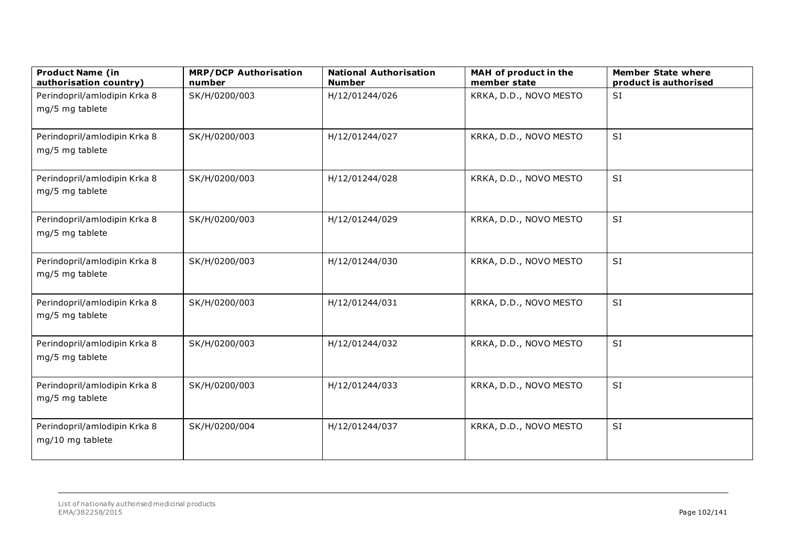| <b>Product Name (in</b><br>authorisation country) | <b>MRP/DCP Authorisation</b><br>number | <b>National Authorisation</b><br><b>Number</b> | MAH of product in the<br>member state | <b>Member State where</b><br>product is authorised |
|---------------------------------------------------|----------------------------------------|------------------------------------------------|---------------------------------------|----------------------------------------------------|
| Perindopril/amlodipin Krka 8<br>mg/5 mg tablete   | SK/H/0200/003                          | H/12/01244/026                                 | KRKA, D.D., NOVO MESTO                | <b>SI</b>                                          |
| Perindopril/amlodipin Krka 8<br>mg/5 mg tablete   | SK/H/0200/003                          | H/12/01244/027                                 | KRKA, D.D., NOVO MESTO                | SI                                                 |
| Perindopril/amlodipin Krka 8<br>mg/5 mg tablete   | SK/H/0200/003                          | H/12/01244/028                                 | KRKA, D.D., NOVO MESTO                | <b>SI</b>                                          |
| Perindopril/amlodipin Krka 8<br>mg/5 mg tablete   | SK/H/0200/003                          | H/12/01244/029                                 | KRKA, D.D., NOVO MESTO                | SI                                                 |
| Perindopril/amlodipin Krka 8<br>mg/5 mg tablete   | SK/H/0200/003                          | H/12/01244/030                                 | KRKA, D.D., NOVO MESTO                | SI                                                 |
| Perindopril/amlodipin Krka 8<br>mg/5 mg tablete   | SK/H/0200/003                          | H/12/01244/031                                 | KRKA, D.D., NOVO MESTO                | SI                                                 |
| Perindopril/amlodipin Krka 8<br>mg/5 mg tablete   | SK/H/0200/003                          | H/12/01244/032                                 | KRKA, D.D., NOVO MESTO                | <b>SI</b>                                          |
| Perindopril/amlodipin Krka 8<br>mg/5 mg tablete   | SK/H/0200/003                          | H/12/01244/033                                 | KRKA, D.D., NOVO MESTO                | SI                                                 |
| Perindopril/amlodipin Krka 8<br>mg/10 mg tablete  | SK/H/0200/004                          | H/12/01244/037                                 | KRKA, D.D., NOVO MESTO                | SI                                                 |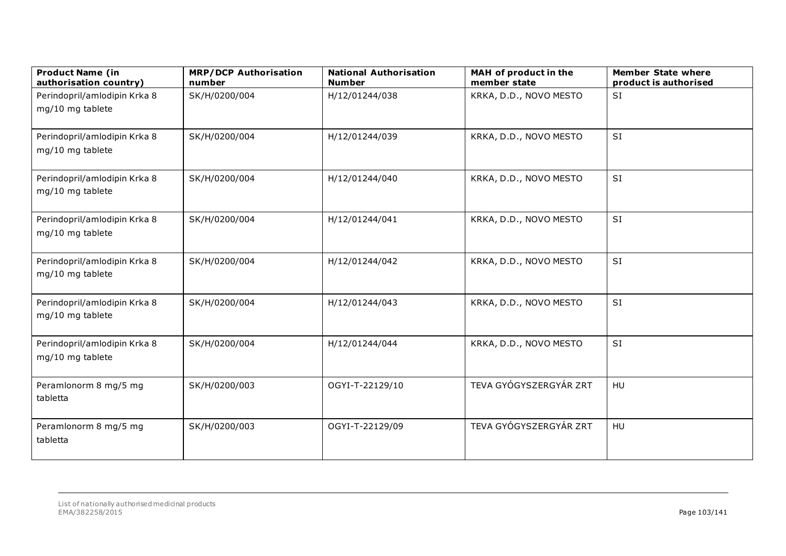| <b>Product Name (in</b><br>authorisation country) | <b>MRP/DCP Authorisation</b><br>number | <b>National Authorisation</b><br><b>Number</b> | MAH of product in the<br>member state | <b>Member State where</b><br>product is authorised |
|---------------------------------------------------|----------------------------------------|------------------------------------------------|---------------------------------------|----------------------------------------------------|
| Perindopril/amlodipin Krka 8<br>mg/10 mg tablete  | SK/H/0200/004                          | H/12/01244/038                                 | KRKA, D.D., NOVO MESTO                | SI                                                 |
| Perindopril/amlodipin Krka 8<br>mg/10 mg tablete  | SK/H/0200/004                          | H/12/01244/039                                 | KRKA, D.D., NOVO MESTO                | SI                                                 |
| Perindopril/amlodipin Krka 8<br>mg/10 mg tablete  | SK/H/0200/004                          | H/12/01244/040                                 | KRKA, D.D., NOVO MESTO                | SI                                                 |
| Perindopril/amlodipin Krka 8<br>mg/10 mg tablete  | SK/H/0200/004                          | H/12/01244/041                                 | KRKA, D.D., NOVO MESTO                | SI                                                 |
| Perindopril/amlodipin Krka 8<br>mg/10 mg tablete  | SK/H/0200/004                          | H/12/01244/042                                 | KRKA, D.D., NOVO MESTO                | SI                                                 |
| Perindopril/amlodipin Krka 8<br>mg/10 mg tablete  | SK/H/0200/004                          | H/12/01244/043                                 | KRKA, D.D., NOVO MESTO                | SI                                                 |
| Perindopril/amlodipin Krka 8<br>mg/10 mg tablete  | SK/H/0200/004                          | H/12/01244/044                                 | KRKA, D.D., NOVO MESTO                | SI                                                 |
| Peramlonorm 8 mg/5 mg<br>tabletta                 | SK/H/0200/003                          | OGYI-T-22129/10                                | TEVA GYÓGYSZERGYÁR ZRT                | HU                                                 |
| Peramlonorm 8 mg/5 mg<br>tabletta                 | SK/H/0200/003                          | OGYI-T-22129/09                                | TEVA GYÓGYSZERGYÁR ZRT                | HU                                                 |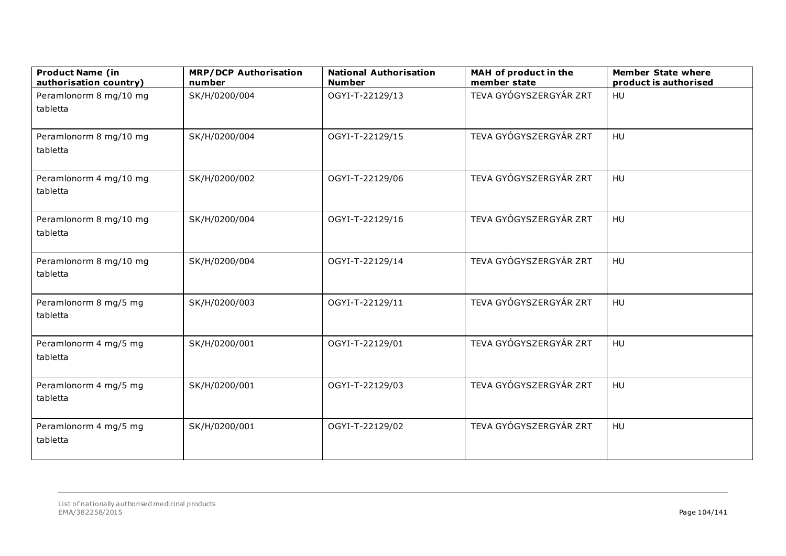| <b>Product Name (in</b><br>authorisation country) | <b>MRP/DCP Authorisation</b><br>number | <b>National Authorisation</b><br><b>Number</b> | MAH of product in the<br>member state | <b>Member State where</b><br>product is authorised |
|---------------------------------------------------|----------------------------------------|------------------------------------------------|---------------------------------------|----------------------------------------------------|
| Peramlonorm 8 mg/10 mg<br>tabletta                | SK/H/0200/004                          | OGYI-T-22129/13                                | TEVA GYÓGYSZERGYÁR ZRT                | HU                                                 |
| Peramlonorm 8 mg/10 mg<br>tabletta                | SK/H/0200/004                          | OGYI-T-22129/15                                | TEVA GYÓGYSZERGYÁR ZRT                | HU                                                 |
| Peramlonorm 4 mg/10 mg<br>tabletta                | SK/H/0200/002                          | OGYI-T-22129/06                                | TEVA GYÓGYSZERGYÁR ZRT                | HU                                                 |
| Peramlonorm 8 mg/10 mg<br>tabletta                | SK/H/0200/004                          | OGYI-T-22129/16                                | TEVA GYÓGYSZERGYÁR ZRT                | HU                                                 |
| Peramlonorm 8 mg/10 mg<br>tabletta                | SK/H/0200/004                          | OGYI-T-22129/14                                | TEVA GYÓGYSZERGYÁR ZRT                | HU                                                 |
| Peramlonorm 8 mg/5 mg<br>tabletta                 | SK/H/0200/003                          | OGYI-T-22129/11                                | TEVA GYÓGYSZERGYÁR ZRT                | HU                                                 |
| Peramlonorm 4 mg/5 mg<br>tabletta                 | SK/H/0200/001                          | OGYI-T-22129/01                                | TEVA GYÓGYSZERGYÁR ZRT                | HU                                                 |
| Peramlonorm 4 mg/5 mg<br>tabletta                 | SK/H/0200/001                          | OGYI-T-22129/03                                | TEVA GYÓGYSZERGYÁR ZRT                | HU                                                 |
| Peramlonorm 4 mg/5 mg<br>tabletta                 | SK/H/0200/001                          | OGYI-T-22129/02                                | TEVA GYÓGYSZERGYÁR ZRT                | HU                                                 |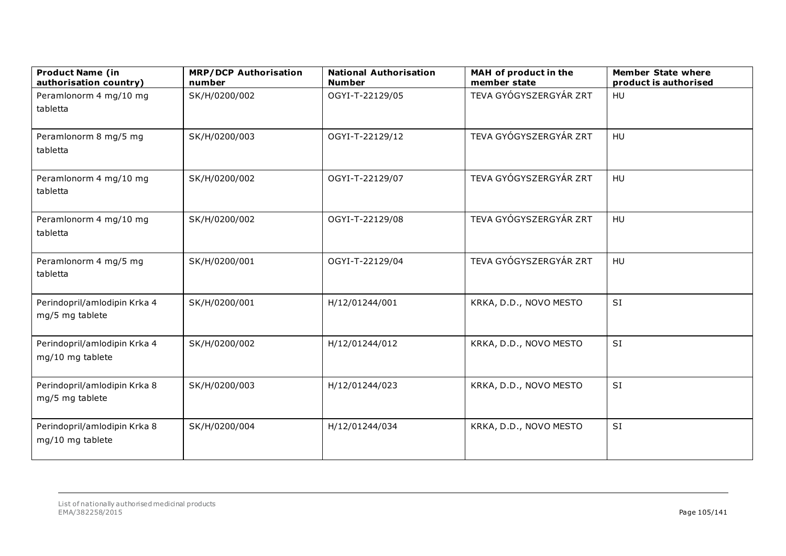| <b>Product Name (in</b><br>authorisation country) | <b>MRP/DCP Authorisation</b><br>number | <b>National Authorisation</b><br><b>Number</b> | MAH of product in the<br>member state | <b>Member State where</b><br>product is authorised |
|---------------------------------------------------|----------------------------------------|------------------------------------------------|---------------------------------------|----------------------------------------------------|
| Peramlonorm 4 mg/10 mg<br>tabletta                | SK/H/0200/002                          | OGYI-T-22129/05                                | TEVA GYÓGYSZERGYÁR ZRT                | HU                                                 |
| Peramlonorm 8 mg/5 mg<br>tabletta                 | SK/H/0200/003                          | OGYI-T-22129/12                                | TEVA GYÓGYSZERGYÁR ZRT                | HU                                                 |
| Peramlonorm 4 mg/10 mg<br>tabletta                | SK/H/0200/002                          | OGYI-T-22129/07                                | TEVA GYÓGYSZERGYÁR ZRT                | HU                                                 |
| Peramlonorm 4 mg/10 mg<br>tabletta                | SK/H/0200/002                          | OGYI-T-22129/08                                | TEVA GYÓGYSZERGYÁR ZRT                | HU                                                 |
| Peramlonorm 4 mg/5 mg<br>tabletta                 | SK/H/0200/001                          | OGYI-T-22129/04                                | TEVA GYÓGYSZERGYÁR ZRT                | HU                                                 |
| Perindopril/amlodipin Krka 4<br>mg/5 mg tablete   | SK/H/0200/001                          | H/12/01244/001                                 | KRKA, D.D., NOVO MESTO                | SI                                                 |
| Perindopril/amlodipin Krka 4<br>mg/10 mg tablete  | SK/H/0200/002                          | H/12/01244/012                                 | KRKA, D.D., NOVO MESTO                | SI                                                 |
| Perindopril/amlodipin Krka 8<br>mg/5 mg tablete   | SK/H/0200/003                          | H/12/01244/023                                 | KRKA, D.D., NOVO MESTO                | SI                                                 |
| Perindopril/amlodipin Krka 8<br>mg/10 mg tablete  | SK/H/0200/004                          | H/12/01244/034                                 | KRKA, D.D., NOVO MESTO                | SI                                                 |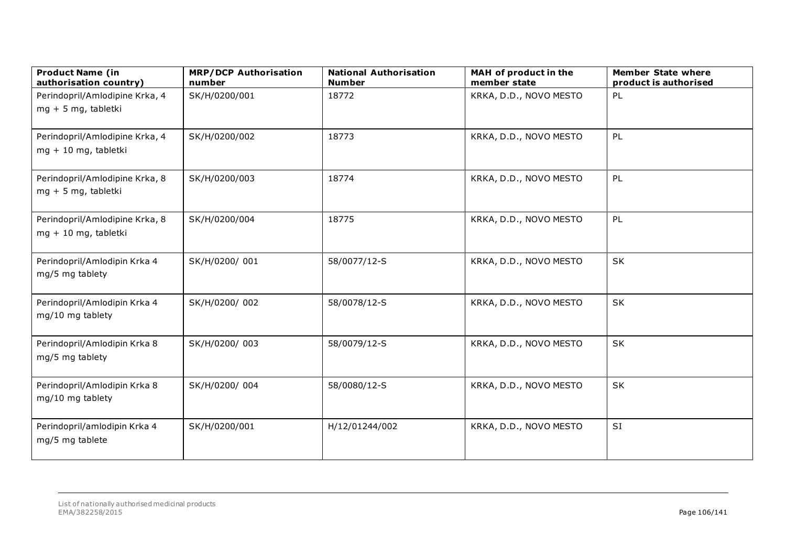| <b>Product Name (in</b><br>authorisation country)      | <b>MRP/DCP Authorisation</b><br>number | <b>National Authorisation</b><br><b>Number</b> | MAH of product in the<br>member state | <b>Member State where</b><br>product is authorised |
|--------------------------------------------------------|----------------------------------------|------------------------------------------------|---------------------------------------|----------------------------------------------------|
| Perindopril/Amlodipine Krka, 4<br>mg + 5 mg, tabletki  | SK/H/0200/001                          | 18772                                          | KRKA, D.D., NOVO MESTO                | PL                                                 |
| Perindopril/Amlodipine Krka, 4<br>mg + 10 mg, tabletki | SK/H/0200/002                          | 18773                                          | KRKA, D.D., NOVO MESTO                | PL                                                 |
| Perindopril/Amlodipine Krka, 8<br>mg + 5 mg, tabletki  | SK/H/0200/003                          | 18774                                          | KRKA, D.D., NOVO MESTO                | PL                                                 |
| Perindopril/Amlodipine Krka, 8<br>mg + 10 mg, tabletki | SK/H/0200/004                          | 18775                                          | KRKA, D.D., NOVO MESTO                | PL                                                 |
| Perindopril/Amlodipin Krka 4<br>mg/5 mg tablety        | SK/H/0200/001                          | 58/0077/12-S                                   | KRKA, D.D., NOVO MESTO                | <b>SK</b>                                          |
| Perindopril/Amlodipin Krka 4<br>mg/10 mg tablety       | SK/H/0200/002                          | 58/0078/12-S                                   | KRKA, D.D., NOVO MESTO                | SK                                                 |
| Perindopril/Amlodipin Krka 8<br>mg/5 mg tablety        | SK/H/0200/003                          | 58/0079/12-S                                   | KRKA, D.D., NOVO MESTO                | <b>SK</b>                                          |
| Perindopril/Amlodipin Krka 8<br>mg/10 mg tablety       | SK/H/0200/004                          | 58/0080/12-S                                   | KRKA, D.D., NOVO MESTO                | SK                                                 |
| Perindopril/amlodipin Krka 4<br>mg/5 mg tablete        | SK/H/0200/001                          | H/12/01244/002                                 | KRKA, D.D., NOVO MESTO                | SI                                                 |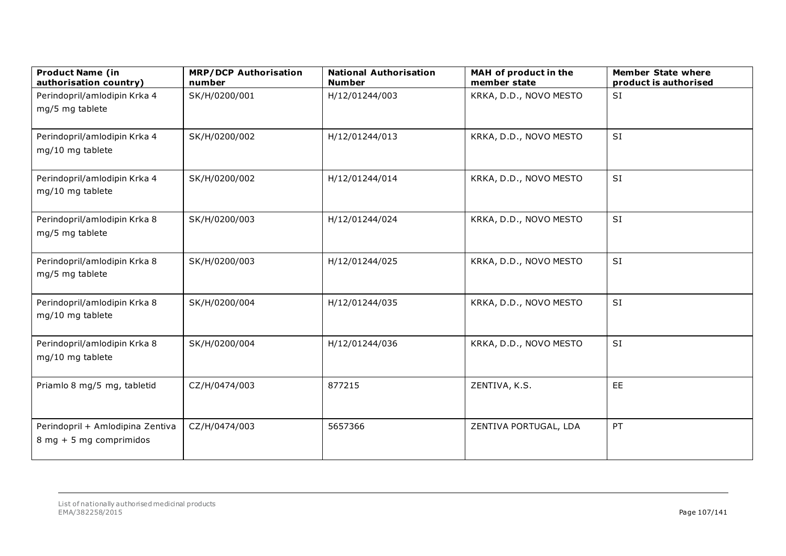| <b>Product Name (in</b><br>authorisation country)           | <b>MRP/DCP Authorisation</b><br>number | <b>National Authorisation</b><br><b>Number</b> | MAH of product in the<br>member state | <b>Member State where</b><br>product is authorised |
|-------------------------------------------------------------|----------------------------------------|------------------------------------------------|---------------------------------------|----------------------------------------------------|
| Perindopril/amlodipin Krka 4<br>mg/5 mg tablete             | SK/H/0200/001                          | H/12/01244/003                                 | KRKA, D.D., NOVO MESTO                | <b>SI</b>                                          |
| Perindopril/amlodipin Krka 4<br>mg/10 mg tablete            | SK/H/0200/002                          | H/12/01244/013                                 | KRKA, D.D., NOVO MESTO                | <b>SI</b>                                          |
| Perindopril/amlodipin Krka 4<br>mg/10 mg tablete            | SK/H/0200/002                          | H/12/01244/014                                 | KRKA, D.D., NOVO MESTO                | <b>SI</b>                                          |
| Perindopril/amlodipin Krka 8<br>mg/5 mg tablete             | SK/H/0200/003                          | H/12/01244/024                                 | KRKA, D.D., NOVO MESTO                | SI                                                 |
| Perindopril/amlodipin Krka 8<br>mg/5 mg tablete             | SK/H/0200/003                          | H/12/01244/025                                 | KRKA, D.D., NOVO MESTO                | SI                                                 |
| Perindopril/amlodipin Krka 8<br>mg/10 mg tablete            | SK/H/0200/004                          | H/12/01244/035                                 | KRKA, D.D., NOVO MESTO                | SI                                                 |
| Perindopril/amlodipin Krka 8<br>mg/10 mg tablete            | SK/H/0200/004                          | H/12/01244/036                                 | KRKA, D.D., NOVO MESTO                | SI                                                 |
| Priamlo 8 mg/5 mg, tabletid                                 | CZ/H/0474/003                          | 877215                                         | ZENTIVA, K.S.                         | EE                                                 |
| Perindopril + Amlodipina Zentiva<br>8 mg + 5 mg comprimidos | CZ/H/0474/003                          | 5657366                                        | ZENTIVA PORTUGAL, LDA                 | PT                                                 |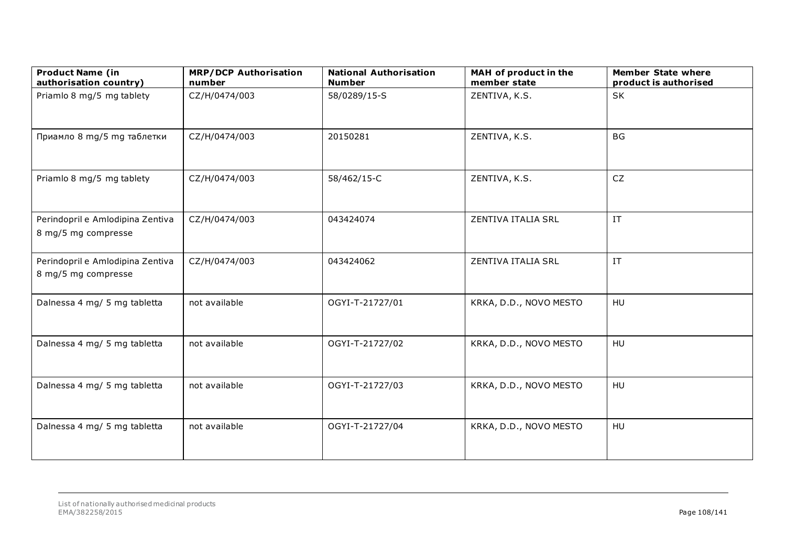| <b>Product Name (in</b><br>authorisation country)       | <b>MRP/DCP Authorisation</b><br>number | <b>National Authorisation</b><br><b>Number</b> | MAH of product in the<br>member state | <b>Member State where</b><br>product is authorised |
|---------------------------------------------------------|----------------------------------------|------------------------------------------------|---------------------------------------|----------------------------------------------------|
| Priamlo 8 mg/5 mg tablety                               | CZ/H/0474/003                          | 58/0289/15-S                                   | ZENTIVA, K.S.                         | SK                                                 |
| Приамло 8 mg/5 mg таблетки                              | CZ/H/0474/003                          | 20150281                                       | ZENTIVA, K.S.                         | <b>BG</b>                                          |
| Priamlo 8 mg/5 mg tablety                               | CZ/H/0474/003                          | 58/462/15-C                                    | ZENTIVA, K.S.                         | CZ                                                 |
| Perindopril e Amlodipina Zentiva<br>8 mg/5 mg compresse | CZ/H/0474/003                          | 043424074                                      | ZENTIVA ITALIA SRL                    | $\ensuremath{\text{IT}}$                           |
| Perindopril e Amlodipina Zentiva<br>8 mg/5 mg compresse | CZ/H/0474/003                          | 043424062                                      | ZENTIVA ITALIA SRL                    | $\ensuremath{\text{IT}}$                           |
| Dalnessa 4 mg/ 5 mg tabletta                            | not available                          | OGYI-T-21727/01                                | KRKA, D.D., NOVO MESTO                | HU                                                 |
| Dalnessa 4 mg/ 5 mg tabletta                            | not available                          | OGYI-T-21727/02                                | KRKA, D.D., NOVO MESTO                | HU                                                 |
| Dalnessa 4 mg/ 5 mg tabletta                            | not available                          | OGYI-T-21727/03                                | KRKA, D.D., NOVO MESTO                | HU                                                 |
| Dalnessa 4 mg/ 5 mg tabletta                            | not available                          | OGYI-T-21727/04                                | KRKA, D.D., NOVO MESTO                | HU                                                 |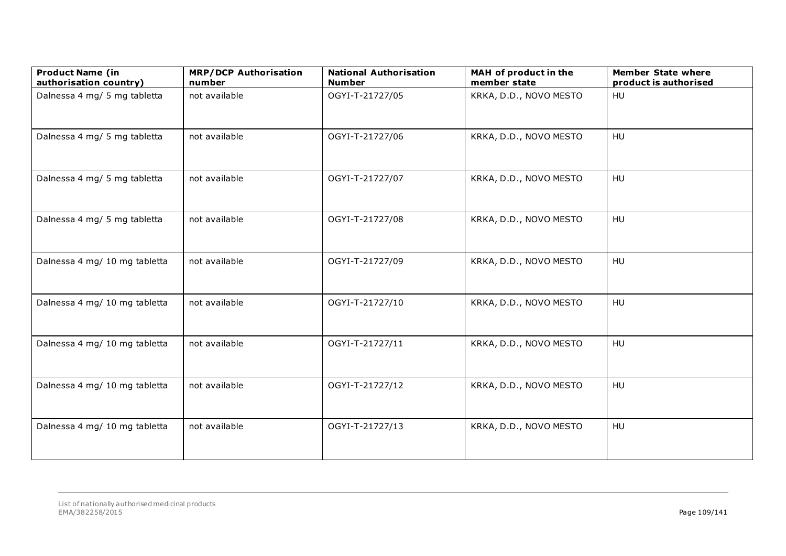| <b>Product Name (in</b><br>authorisation country) | <b>MRP/DCP Authorisation</b><br>number | <b>National Authorisation</b><br><b>Number</b> | MAH of product in the<br>member state | <b>Member State where</b><br>product is authorised |
|---------------------------------------------------|----------------------------------------|------------------------------------------------|---------------------------------------|----------------------------------------------------|
| Dalnessa 4 mg/ 5 mg tabletta                      | not available                          | OGYI-T-21727/05                                | KRKA, D.D., NOVO MESTO                | HU                                                 |
| Dalnessa 4 mg/ 5 mg tabletta                      | not available                          | OGYI-T-21727/06                                | KRKA, D.D., NOVO MESTO                | <b>HU</b>                                          |
| Dalnessa 4 mg/ 5 mg tabletta                      | not available                          | OGYI-T-21727/07                                | KRKA, D.D., NOVO MESTO                | HU                                                 |
| Dalnessa 4 mg/ 5 mg tabletta                      | not available                          | OGYI-T-21727/08                                | KRKA, D.D., NOVO MESTO                | HU                                                 |
| Dalnessa 4 mg/ 10 mg tabletta                     | not available                          | OGYI-T-21727/09                                | KRKA, D.D., NOVO MESTO                | HU                                                 |
| Dalnessa 4 mg/ 10 mg tabletta                     | not available                          | OGYI-T-21727/10                                | KRKA, D.D., NOVO MESTO                | HU                                                 |
| Dalnessa 4 mg/ 10 mg tabletta                     | not available                          | OGYI-T-21727/11                                | KRKA, D.D., NOVO MESTO                | HU                                                 |
| Dalnessa 4 mg/ 10 mg tabletta                     | not available                          | OGYI-T-21727/12                                | KRKA, D.D., NOVO MESTO                | <b>HU</b>                                          |
| Dalnessa 4 mg/ 10 mg tabletta                     | not available                          | OGYI-T-21727/13                                | KRKA, D.D., NOVO MESTO                | <b>HU</b>                                          |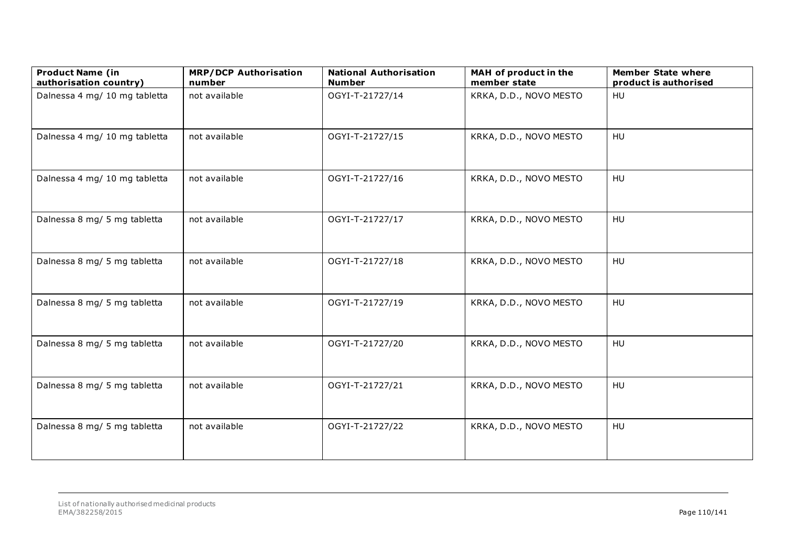| <b>Product Name (in</b><br>authorisation country) | <b>MRP/DCP Authorisation</b><br>number | <b>National Authorisation</b><br><b>Number</b> | MAH of product in the<br>member state | <b>Member State where</b><br>product is authorised |
|---------------------------------------------------|----------------------------------------|------------------------------------------------|---------------------------------------|----------------------------------------------------|
| Dalnessa 4 mg/ 10 mg tabletta                     | not available                          | OGYI-T-21727/14                                | KRKA, D.D., NOVO MESTO                | HU                                                 |
| Dalnessa 4 mg/ 10 mg tabletta                     | not available                          | OGYI-T-21727/15                                | KRKA, D.D., NOVO MESTO                | HU                                                 |
| Dalnessa 4 mg/ 10 mg tabletta                     | not available                          | OGYI-T-21727/16                                | KRKA, D.D., NOVO MESTO                | HU                                                 |
| Dalnessa 8 mg/ 5 mg tabletta                      | not available                          | OGYI-T-21727/17                                | KRKA, D.D., NOVO MESTO                | HU                                                 |
| Dalnessa 8 mg/ 5 mg tabletta                      | not available                          | OGYI-T-21727/18                                | KRKA, D.D., NOVO MESTO                | HU                                                 |
| Dalnessa 8 mg/ 5 mg tabletta                      | not available                          | OGYI-T-21727/19                                | KRKA, D.D., NOVO MESTO                | HU                                                 |
| Dalnessa 8 mg/ 5 mg tabletta                      | not available                          | OGYI-T-21727/20                                | KRKA, D.D., NOVO MESTO                | HU                                                 |
| Dalnessa 8 mg/ 5 mg tabletta                      | not available                          | OGYI-T-21727/21                                | KRKA, D.D., NOVO MESTO                | HU                                                 |
| Dalnessa 8 mg/ 5 mg tabletta                      | not available                          | OGYI-T-21727/22                                | KRKA, D.D., NOVO MESTO                | HU                                                 |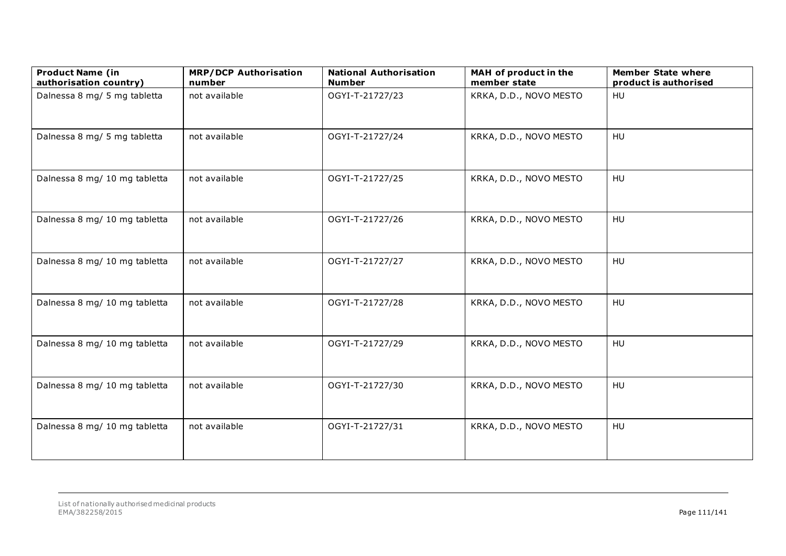| <b>Product Name (in</b><br>authorisation country) | <b>MRP/DCP Authorisation</b><br>number | <b>National Authorisation</b><br><b>Number</b> | MAH of product in the<br>member state | <b>Member State where</b><br>product is authorised |
|---------------------------------------------------|----------------------------------------|------------------------------------------------|---------------------------------------|----------------------------------------------------|
| Dalnessa 8 mg/ 5 mg tabletta                      | not available                          | OGYI-T-21727/23                                | KRKA, D.D., NOVO MESTO                | HU                                                 |
| Dalnessa 8 mg/ 5 mg tabletta                      | not available                          | OGYI-T-21727/24                                | KRKA, D.D., NOVO MESTO                | HU                                                 |
| Dalnessa 8 mg/ 10 mg tabletta                     | not available                          | OGYI-T-21727/25                                | KRKA, D.D., NOVO MESTO                | HU                                                 |
| Dalnessa 8 mg/ 10 mg tabletta                     | not available                          | OGYI-T-21727/26                                | KRKA, D.D., NOVO MESTO                | HU                                                 |
| Dalnessa 8 mg/ 10 mg tabletta                     | not available                          | OGYI-T-21727/27                                | KRKA, D.D., NOVO MESTO                | HU                                                 |
| Dalnessa 8 mg/ 10 mg tabletta                     | not available                          | OGYI-T-21727/28                                | KRKA, D.D., NOVO MESTO                | HU                                                 |
| Dalnessa 8 mg/ 10 mg tabletta                     | not available                          | OGYI-T-21727/29                                | KRKA, D.D., NOVO MESTO                | HU                                                 |
| Dalnessa 8 mg/ 10 mg tabletta                     | not available                          | OGYI-T-21727/30                                | KRKA, D.D., NOVO MESTO                | HU                                                 |
| Dalnessa 8 mg/ 10 mg tabletta                     | not available                          | OGYI-T-21727/31                                | KRKA, D.D., NOVO MESTO                | HU                                                 |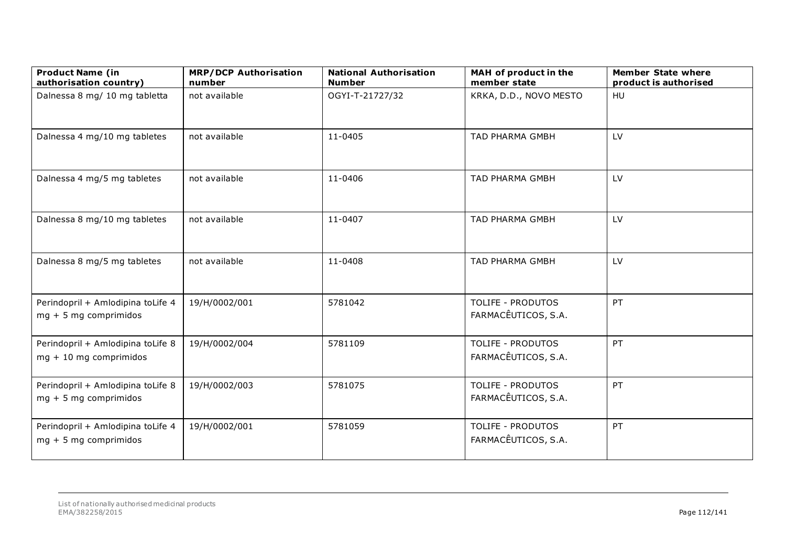| <b>Product Name (in</b><br>authorisation country)             | <b>MRP/DCP Authorisation</b><br>number | <b>National Authorisation</b><br><b>Number</b> | MAH of product in the<br>member state           | <b>Member State where</b><br>product is authorised |
|---------------------------------------------------------------|----------------------------------------|------------------------------------------------|-------------------------------------------------|----------------------------------------------------|
| Dalnessa 8 mg/ 10 mg tabletta                                 | not available                          | OGYI-T-21727/32                                | KRKA, D.D., NOVO MESTO                          | HU                                                 |
| Dalnessa 4 mg/10 mg tabletes                                  | not available                          | 11-0405                                        | TAD PHARMA GMBH                                 | LV                                                 |
| Dalnessa 4 mg/5 mg tabletes                                   | not available                          | 11-0406                                        | <b>TAD PHARMA GMBH</b>                          | LV                                                 |
| Dalnessa 8 mg/10 mg tabletes                                  | not available                          | 11-0407                                        | TAD PHARMA GMBH                                 | LV                                                 |
| Dalnessa 8 mg/5 mg tabletes                                   | not available                          | 11-0408                                        | TAD PHARMA GMBH                                 | LV                                                 |
| Perindopril + Amlodipina toLife 4<br>$mg + 5 mg$ comprimidos  | 19/H/0002/001                          | 5781042                                        | <b>TOLIFE - PRODUTOS</b><br>FARMACÊUTICOS, S.A. | PT                                                 |
| Perindopril + Amlodipina toLife 8<br>$mg + 10$ mg comprimidos | 19/H/0002/004                          | 5781109                                        | <b>TOLIFE - PRODUTOS</b><br>FARMACÊUTICOS, S.A. | PT                                                 |
| Perindopril + Amlodipina toLife 8<br>$mg + 5 mg$ comprimidos  | 19/H/0002/003                          | 5781075                                        | <b>TOLIFE - PRODUTOS</b><br>FARMACÊUTICOS, S.A. | PT                                                 |
| Perindopril + Amlodipina toLife 4<br>$mg + 5 mg$ comprimidos  | 19/H/0002/001                          | 5781059                                        | <b>TOLIFE - PRODUTOS</b><br>FARMACÊUTICOS, S.A. | PT                                                 |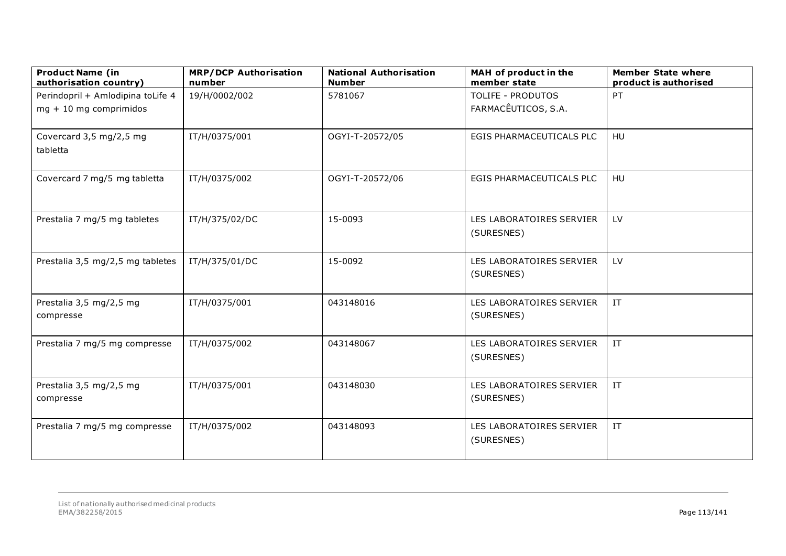| <b>Product Name (in</b><br>authorisation country) | <b>MRP/DCP Authorisation</b><br>number | <b>National Authorisation</b><br><b>Number</b> | MAH of product in the<br>member state  | <b>Member State where</b><br>product is authorised |
|---------------------------------------------------|----------------------------------------|------------------------------------------------|----------------------------------------|----------------------------------------------------|
| Perindopril + Amlodipina toLife 4                 | 19/H/0002/002                          | 5781067                                        | <b>TOLIFE - PRODUTOS</b>               | PT                                                 |
| $mg + 10$ mg comprimidos                          |                                        |                                                | FARMACÊUTICOS, S.A.                    |                                                    |
| Covercard 3,5 mg/2,5 mg<br>tabletta               | IT/H/0375/001                          | OGYI-T-20572/05                                | EGIS PHARMACEUTICALS PLC               | <b>HU</b>                                          |
| Covercard 7 mg/5 mg tabletta                      | IT/H/0375/002                          | OGYI-T-20572/06                                | EGIS PHARMACEUTICALS PLC               | <b>HU</b>                                          |
| Prestalia 7 mg/5 mg tabletes                      | IT/H/375/02/DC                         | 15-0093                                        | LES LABORATOIRES SERVIER<br>(SURESNES) | LV                                                 |
| Prestalia 3,5 mg/2,5 mg tabletes                  | IT/H/375/01/DC                         | 15-0092                                        | LES LABORATOIRES SERVIER<br>(SURESNES) | LV                                                 |
| Prestalia 3,5 mg/2,5 mg<br>compresse              | IT/H/0375/001                          | 043148016                                      | LES LABORATOIRES SERVIER<br>(SURESNES) | $\ensuremath{\text{IT}}$                           |
| Prestalia 7 mg/5 mg compresse                     | IT/H/0375/002                          | 043148067                                      | LES LABORATOIRES SERVIER<br>(SURESNES) | $\ensuremath{\text{IT}}$                           |
| Prestalia 3,5 mg/2,5 mg<br>compresse              | IT/H/0375/001                          | 043148030                                      | LES LABORATOIRES SERVIER<br>(SURESNES) | $\ensuremath{\text{IT}}$                           |
| Prestalia 7 mg/5 mg compresse                     | IT/H/0375/002                          | 043148093                                      | LES LABORATOIRES SERVIER<br>(SURESNES) | $\ensuremath{\text{IT}}$                           |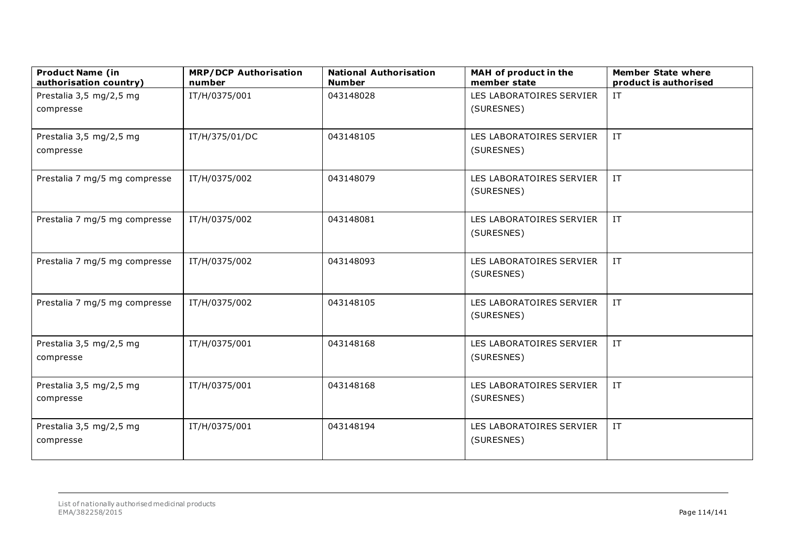| <b>Product Name (in</b><br>authorisation country) | <b>MRP/DCP Authorisation</b><br>number | <b>National Authorisation</b><br><b>Number</b> | MAH of product in the<br>member state  | <b>Member State where</b><br>product is authorised |
|---------------------------------------------------|----------------------------------------|------------------------------------------------|----------------------------------------|----------------------------------------------------|
| Prestalia 3,5 mg/2,5 mg                           | IT/H/0375/001                          | 043148028                                      | LES LABORATOIRES SERVIER               | $\ensuremath{\text{IT}}$                           |
| compresse                                         |                                        |                                                | (SURESNES)                             |                                                    |
|                                                   |                                        |                                                |                                        |                                                    |
| Prestalia 3,5 mg/2,5 mg                           | IT/H/375/01/DC                         | 043148105                                      | LES LABORATOIRES SERVIER               | IT                                                 |
| compresse                                         |                                        |                                                | (SURESNES)                             |                                                    |
|                                                   |                                        | 043148079                                      |                                        | $\ensuremath{\text{IT}}$                           |
| Prestalia 7 mg/5 mg compresse                     | IT/H/0375/002                          |                                                | LES LABORATOIRES SERVIER<br>(SURESNES) |                                                    |
|                                                   |                                        |                                                |                                        |                                                    |
| Prestalia 7 mg/5 mg compresse                     | IT/H/0375/002                          | 043148081                                      | LES LABORATOIRES SERVIER               | $\ensuremath{\text{IT}}$                           |
|                                                   |                                        |                                                | (SURESNES)                             |                                                    |
|                                                   |                                        |                                                |                                        |                                                    |
| Prestalia 7 mg/5 mg compresse                     | IT/H/0375/002                          | 043148093                                      | LES LABORATOIRES SERVIER               | $\ensuremath{\text{IT}}$                           |
|                                                   |                                        |                                                | (SURESNES)                             |                                                    |
|                                                   |                                        |                                                |                                        |                                                    |
| Prestalia 7 mg/5 mg compresse                     | IT/H/0375/002                          | 043148105                                      | LES LABORATOIRES SERVIER               | $\ensuremath{\text{IT}}$                           |
|                                                   |                                        |                                                | (SURESNES)                             |                                                    |
| Prestalia 3,5 mg/2,5 mg                           | IT/H/0375/001                          | 043148168                                      | LES LABORATOIRES SERVIER               | $\ensuremath{\text{IT}}$                           |
| compresse                                         |                                        |                                                | (SURESNES)                             |                                                    |
|                                                   |                                        |                                                |                                        |                                                    |
| Prestalia 3,5 mg/2,5 mg                           | IT/H/0375/001                          | 043148168                                      | LES LABORATOIRES SERVIER               | IT                                                 |
| compresse                                         |                                        |                                                | (SURESNES)                             |                                                    |
|                                                   |                                        |                                                |                                        |                                                    |
| Prestalia 3,5 mg/2,5 mg                           | IT/H/0375/001                          | 043148194                                      | LES LABORATOIRES SERVIER               | IT                                                 |
| compresse                                         |                                        |                                                | (SURESNES)                             |                                                    |
|                                                   |                                        |                                                |                                        |                                                    |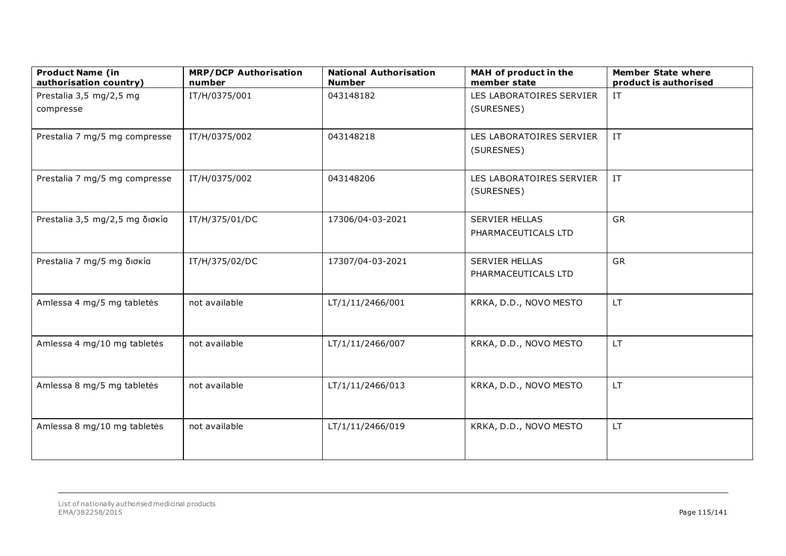| <b>Product Name (in</b><br>authorisation country) | <b>MRP/DCP Authorisation</b><br>number | <b>National Authorisation</b><br><b>Number</b> | MAH of product in the<br>member state        | <b>Member State where</b><br>product is authorised |
|---------------------------------------------------|----------------------------------------|------------------------------------------------|----------------------------------------------|----------------------------------------------------|
| Prestalia 3,5 mg/2,5 mg                           | IT/H/0375/001                          | 043148182                                      | LES LABORATOIRES SERVIER                     | $\ensuremath{\text{IT}}$                           |
| compresse                                         |                                        |                                                | (SURESNES)                                   |                                                    |
| Prestalia 7 mg/5 mg compresse                     | IT/H/0375/002                          | 043148218                                      | LES LABORATOIRES SERVIER<br>(SURESNES)       | $\ensuremath{\text{IT}}$                           |
| Prestalia 7 mg/5 mg compresse                     | IT/H/0375/002                          | 043148206                                      | LES LABORATOIRES SERVIER<br>(SURESNES)       | $\ensuremath{\text{IT}}$                           |
| Prestalia 3,5 mg/2,5 mg δισκία                    | IT/H/375/01/DC                         | 17306/04-03-2021                               | <b>SERVIER HELLAS</b><br>PHARMACEUTICALS LTD | GR                                                 |
| Prestalia 7 mg/5 mg δισκία                        | IT/H/375/02/DC                         | 17307/04-03-2021                               | <b>SERVIER HELLAS</b><br>PHARMACEUTICALS LTD | <b>GR</b>                                          |
| Amlessa 4 mg/5 mg tabletės                        | not available                          | LT/1/11/2466/001                               | KRKA, D.D., NOVO MESTO                       | LT.                                                |
| Amlessa 4 mg/10 mg tabletės                       | not available                          | LT/1/11/2466/007                               | KRKA, D.D., NOVO MESTO                       | LT.                                                |
| Amlessa 8 mg/5 mg tabletės                        | not available                          | LT/1/11/2466/013                               | KRKA, D.D., NOVO MESTO                       | LT.                                                |
| Amlessa 8 mg/10 mg tabletės                       | not available                          | LT/1/11/2466/019                               | KRKA, D.D., NOVO MESTO                       | LT.                                                |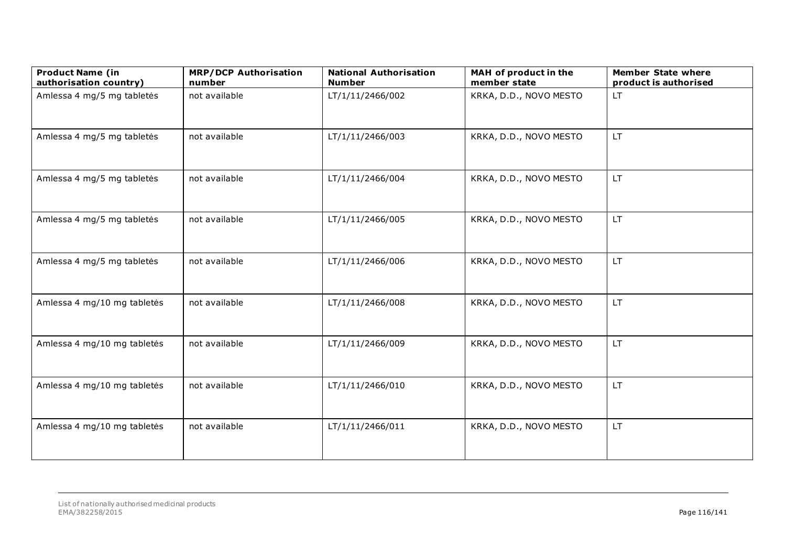| <b>Product Name (in</b><br>authorisation country) | <b>MRP/DCP Authorisation</b><br>number | <b>National Authorisation</b><br><b>Number</b> | MAH of product in the<br>member state | <b>Member State where</b><br>product is authorised |
|---------------------------------------------------|----------------------------------------|------------------------------------------------|---------------------------------------|----------------------------------------------------|
| Amlessa 4 mg/5 mg tabletės                        | not available                          | LT/1/11/2466/002                               | KRKA, D.D., NOVO MESTO                | LT                                                 |
| Amlessa 4 mg/5 mg tabletės                        | not available                          | LT/1/11/2466/003                               | KRKA, D.D., NOVO MESTO                | <b>LT</b>                                          |
| Amlessa 4 mg/5 mg tabletės                        | not available                          | LT/1/11/2466/004                               | KRKA, D.D., NOVO MESTO                | LT.                                                |
| Amlessa 4 mg/5 mg tabletės                        | not available                          | LT/1/11/2466/005                               | KRKA, D.D., NOVO MESTO                | LT.                                                |
| Amlessa 4 mg/5 mg tabletės                        | not available                          | LT/1/11/2466/006                               | KRKA, D.D., NOVO MESTO                | <b>LT</b>                                          |
| Amlessa 4 mg/10 mg tabletės                       | not available                          | LT/1/11/2466/008                               | KRKA, D.D., NOVO MESTO                | LT.                                                |
| Amlessa 4 mg/10 mg tabletės                       | not available                          | LT/1/11/2466/009                               | KRKA, D.D., NOVO MESTO                | LT.                                                |
| Amlessa 4 mg/10 mg tabletės                       | not available                          | LT/1/11/2466/010                               | KRKA, D.D., NOVO MESTO                | LT.                                                |
| Amlessa 4 mg/10 mg tabletės                       | not available                          | LT/1/11/2466/011                               | KRKA, D.D., NOVO MESTO                | <b>LT</b>                                          |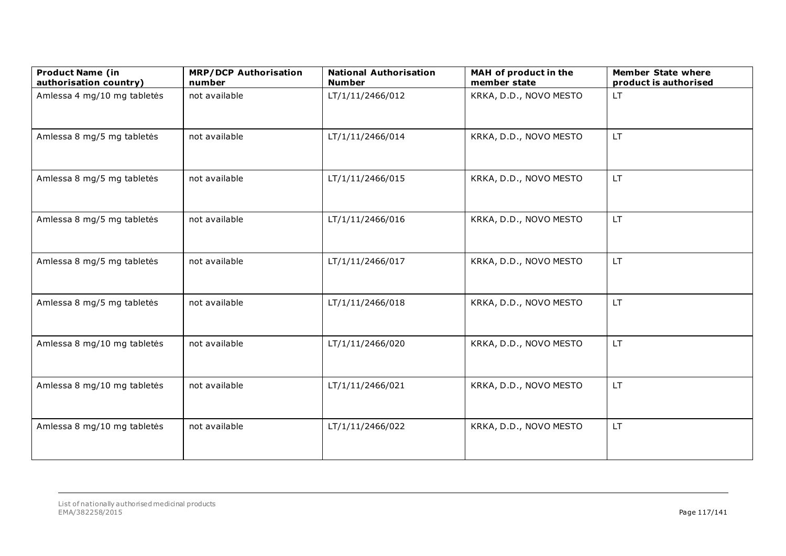| <b>Product Name (in</b><br>authorisation country) | <b>MRP/DCP Authorisation</b><br>number | <b>National Authorisation</b><br><b>Number</b> | MAH of product in the<br>member state | <b>Member State where</b><br>product is authorised |
|---------------------------------------------------|----------------------------------------|------------------------------------------------|---------------------------------------|----------------------------------------------------|
| Amlessa 4 mg/10 mg tabletės                       | not available                          | LT/1/11/2466/012                               | KRKA, D.D., NOVO MESTO                | LT.                                                |
| Amlessa 8 mg/5 mg tabletės                        | not available                          | LT/1/11/2466/014                               | KRKA, D.D., NOVO MESTO                | <b>LT</b>                                          |
| Amlessa 8 mg/5 mg tabletės                        | not available                          | LT/1/11/2466/015                               | KRKA, D.D., NOVO MESTO                | LT.                                                |
| Amlessa 8 mg/5 mg tabletės                        | not available                          | LT/1/11/2466/016                               | KRKA, D.D., NOVO MESTO                | LT.                                                |
| Amlessa 8 mg/5 mg tabletės                        | not available                          | LT/1/11/2466/017                               | KRKA, D.D., NOVO MESTO                | <b>LT</b>                                          |
| Amlessa 8 mg/5 mg tabletės                        | not available                          | LT/1/11/2466/018                               | KRKA, D.D., NOVO MESTO                | LT.                                                |
| Amlessa 8 mg/10 mg tabletės                       | not available                          | LT/1/11/2466/020                               | KRKA, D.D., NOVO MESTO                | LT.                                                |
| Amlessa 8 mg/10 mg tabletės                       | not available                          | LT/1/11/2466/021                               | KRKA, D.D., NOVO MESTO                | LT.                                                |
| Amlessa 8 mg/10 mg tabletės                       | not available                          | LT/1/11/2466/022                               | KRKA, D.D., NOVO MESTO                | <b>LT</b>                                          |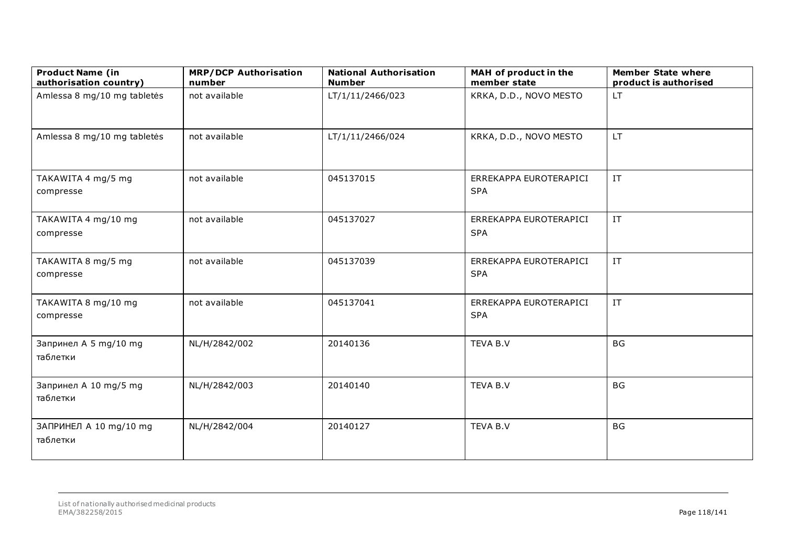| <b>Product Name (in</b><br>authorisation country) | <b>MRP/DCP Authorisation</b><br>number | <b>National Authorisation</b><br><b>Number</b> | MAH of product in the<br>member state | <b>Member State where</b><br>product is authorised |
|---------------------------------------------------|----------------------------------------|------------------------------------------------|---------------------------------------|----------------------------------------------------|
| Amlessa 8 mg/10 mg tabletės                       | not available                          | LT/1/11/2466/023                               | KRKA, D.D., NOVO MESTO                | <b>LT</b>                                          |
| Amlessa 8 mg/10 mg tabletės                       | not available                          | LT/1/11/2466/024                               | KRKA, D.D., NOVO MESTO                | <b>LT</b>                                          |
| TAKAWITA 4 mg/5 mg<br>compresse                   | not available                          | 045137015                                      | ERREKAPPA EUROTERAPICI<br><b>SPA</b>  | IT                                                 |
| TAKAWITA 4 mg/10 mg<br>compresse                  | not available                          | 045137027                                      | ERREKAPPA EUROTERAPICI<br><b>SPA</b>  | IT                                                 |
| TAKAWITA 8 mg/5 mg<br>compresse                   | not available                          | 045137039                                      | ERREKAPPA EUROTERAPICI<br><b>SPA</b>  | $\ensuremath{\text{IT}}$                           |
| TAKAWITA 8 mg/10 mg<br>compresse                  | not available                          | 045137041                                      | ERREKAPPA EUROTERAPICI<br><b>SPA</b>  | $\ensuremath{\text{IT}}$                           |
| Запринел A 5 mg/10 mg<br>таблетки                 | NL/H/2842/002                          | 20140136                                       | TEVA B.V                              | <b>BG</b>                                          |
| Запринел A 10 mg/5 mg<br>таблетки                 | NL/H/2842/003                          | 20140140                                       | TEVA B.V                              | <b>BG</b>                                          |
| ЗАПРИНЕЛ A 10 mg/10 mg<br>таблетки                | NL/H/2842/004                          | 20140127                                       | TEVA B.V                              | <b>BG</b>                                          |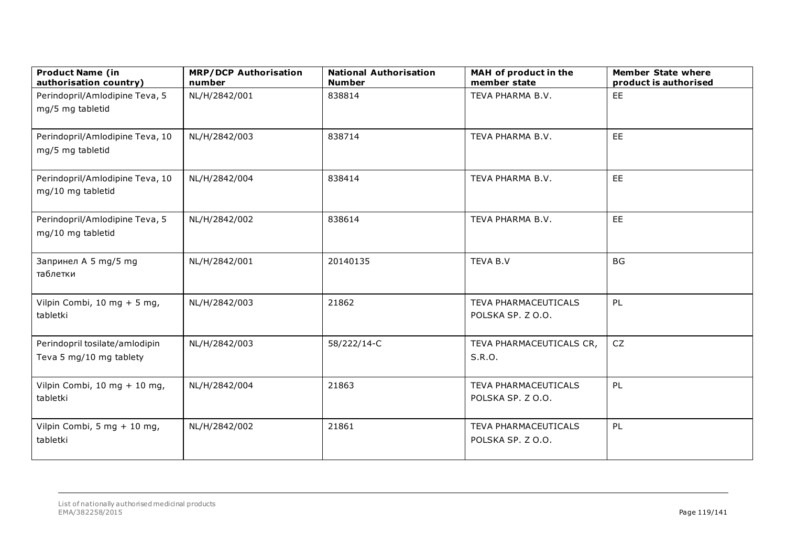| <b>Product Name (in</b><br>authorisation country)         | <b>MRP/DCP Authorisation</b><br>number | <b>National Authorisation</b><br><b>Number</b> | MAH of product in the<br>member state     | <b>Member State where</b><br>product is authorised |
|-----------------------------------------------------------|----------------------------------------|------------------------------------------------|-------------------------------------------|----------------------------------------------------|
| Perindopril/Amlodipine Teva, 5<br>mg/5 mg tabletid        | NL/H/2842/001                          | 838814                                         | TEVA PHARMA B.V.                          | EE                                                 |
| Perindopril/Amlodipine Teva, 10<br>mg/5 mg tabletid       | NL/H/2842/003                          | 838714                                         | TEVA PHARMA B.V.                          | EE                                                 |
| Perindopril/Amlodipine Teva, 10<br>mg/10 mg tabletid      | NL/H/2842/004                          | 838414                                         | TEVA PHARMA B.V.                          | <b>EE</b>                                          |
| Perindopril/Amlodipine Teva, 5<br>mg/10 mg tabletid       | NL/H/2842/002                          | 838614                                         | TEVA PHARMA B.V.                          | <b>EE</b>                                          |
| Запринел A 5 mg/5 mg<br>таблетки                          | NL/H/2842/001                          | 20140135                                       | TEVA B.V                                  | <b>BG</b>                                          |
| Vilpin Combi, 10 mg + 5 mg,<br>tabletki                   | NL/H/2842/003                          | 21862                                          | TEVA PHARMACEUTICALS<br>POLSKA SP. Z O.O. | PL                                                 |
| Perindopril tosilate/amlodipin<br>Teva 5 mg/10 mg tablety | NL/H/2842/003                          | 58/222/14-C                                    | TEVA PHARMACEUTICALS CR,<br>S.R.O.        | <b>CZ</b>                                          |
| Vilpin Combi, 10 mg + 10 mg,<br>tabletki                  | NL/H/2842/004                          | 21863                                          | TEVA PHARMACEUTICALS<br>POLSKA SP. Z O.O. | PL                                                 |
| Vilpin Combi, 5 mg + 10 mg,<br>tabletki                   | NL/H/2842/002                          | 21861                                          | TEVA PHARMACEUTICALS<br>POLSKA SP. Z O.O. | PL                                                 |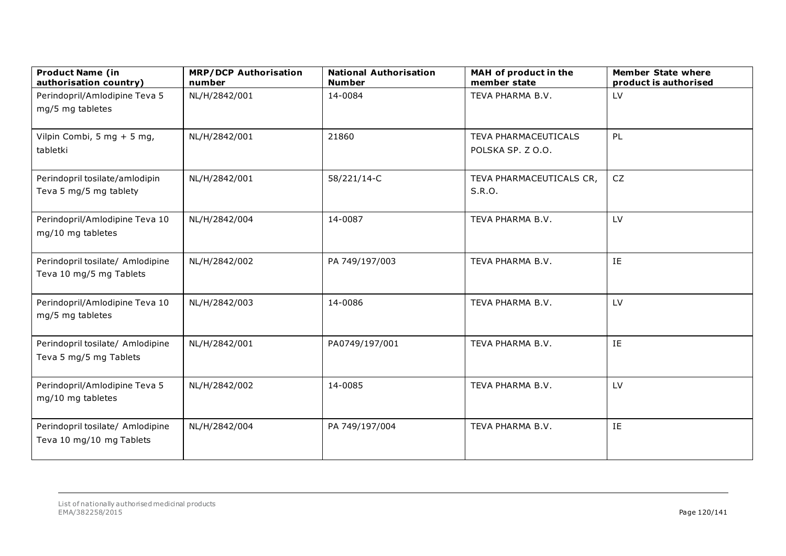| <b>Product Name (in</b><br>authorisation country)            | <b>MRP/DCP Authorisation</b><br>number | <b>National Authorisation</b><br><b>Number</b> | MAH of product in the<br>member state     | <b>Member State where</b><br>product is authorised |
|--------------------------------------------------------------|----------------------------------------|------------------------------------------------|-------------------------------------------|----------------------------------------------------|
| Perindopril/Amlodipine Teva 5<br>mg/5 mg tabletes            | NL/H/2842/001                          | 14-0084                                        | TEVA PHARMA B.V.                          | LV                                                 |
| Vilpin Combi, 5 mg + 5 mg,<br>tabletki                       | NL/H/2842/001                          | 21860                                          | TEVA PHARMACEUTICALS<br>POLSKA SP. Z O.O. | PL                                                 |
| Perindopril tosilate/amlodipin<br>Teva 5 mg/5 mg tablety     | NL/H/2842/001                          | 58/221/14-C                                    | TEVA PHARMACEUTICALS CR,<br>S.R.O.        | CZ                                                 |
| Perindopril/Amlodipine Teva 10<br>mg/10 mg tabletes          | NL/H/2842/004                          | 14-0087                                        | TEVA PHARMA B.V.                          | LV                                                 |
| Perindopril tosilate/ Amlodipine<br>Teva 10 mg/5 mg Tablets  | NL/H/2842/002                          | PA 749/197/003                                 | TEVA PHARMA B.V.                          | IE                                                 |
| Perindopril/Amlodipine Teva 10<br>mg/5 mg tabletes           | NL/H/2842/003                          | 14-0086                                        | TEVA PHARMA B.V.                          | LV                                                 |
| Perindopril tosilate/ Amlodipine<br>Teva 5 mg/5 mg Tablets   | NL/H/2842/001                          | PA0749/197/001                                 | TEVA PHARMA B.V.                          | IE                                                 |
| Perindopril/Amlodipine Teva 5<br>mg/10 mg tabletes           | NL/H/2842/002                          | 14-0085                                        | TEVA PHARMA B.V.                          | LV                                                 |
| Perindopril tosilate/ Amlodipine<br>Teva 10 mg/10 mg Tablets | NL/H/2842/004                          | PA 749/197/004                                 | TEVA PHARMA B.V.                          | IE                                                 |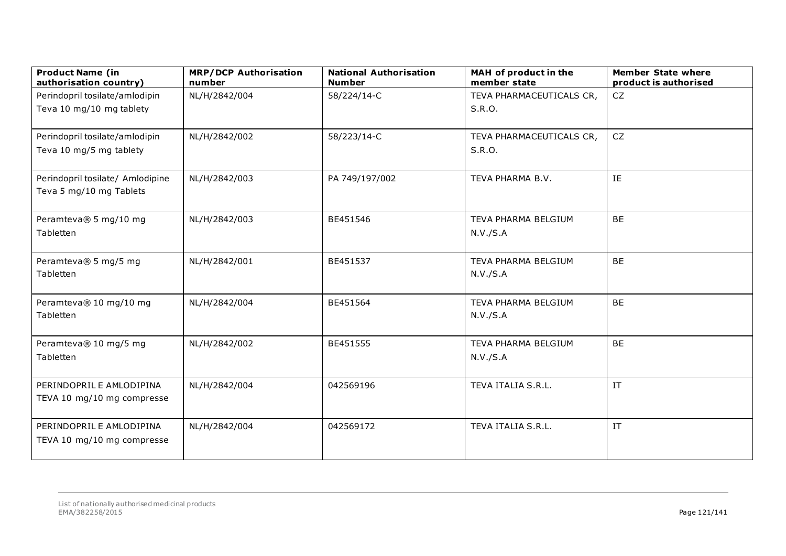| <b>Product Name (in</b><br>authorisation country) | <b>MRP/DCP Authorisation</b><br>number | <b>National Authorisation</b><br><b>Number</b> | MAH of product in the<br>member state | <b>Member State where</b><br>product is authorised |
|---------------------------------------------------|----------------------------------------|------------------------------------------------|---------------------------------------|----------------------------------------------------|
| Perindopril tosilate/amlodipin                    | NL/H/2842/004                          | 58/224/14-C                                    | TEVA PHARMACEUTICALS CR,              | CZ                                                 |
| Teva 10 mg/10 mg tablety                          |                                        |                                                | S.R.O.                                |                                                    |
| Perindopril tosilate/amlodipin                    | NL/H/2842/002                          | 58/223/14-C                                    | TEVA PHARMACEUTICALS CR,              | CZ                                                 |
| Teva 10 mg/5 mg tablety                           |                                        |                                                | S.R.O.                                |                                                    |
| Perindopril tosilate/ Amlodipine                  | NL/H/2842/003                          | PA 749/197/002                                 | TEVA PHARMA B.V.                      | IE                                                 |
| Teva 5 mg/10 mg Tablets                           |                                        |                                                |                                       |                                                    |
| Peramteva® 5 mg/10 mg                             | NL/H/2842/003                          | BE451546                                       | TEVA PHARMA BELGIUM                   | <b>BE</b>                                          |
| Tabletten                                         |                                        |                                                | N.V./S.A                              |                                                    |
| Peramteva® 5 mg/5 mg<br>Tabletten                 | NL/H/2842/001                          | BE451537                                       | TEVA PHARMA BELGIUM<br>N.V./S.A       | <b>BE</b>                                          |
|                                                   |                                        |                                                |                                       |                                                    |
| Peramteva® 10 mg/10 mg                            | NL/H/2842/004                          | BE451564                                       | TEVA PHARMA BELGIUM                   | <b>BE</b>                                          |
| Tabletten                                         |                                        |                                                | N.V./S.A                              |                                                    |
| Peramteva® 10 mg/5 mg                             | NL/H/2842/002                          | BE451555                                       | TEVA PHARMA BELGIUM                   | <b>BE</b>                                          |
| Tabletten                                         |                                        |                                                | N.V./S.A                              |                                                    |
| PERINDOPRIL E AMLODIPINA                          | NL/H/2842/004                          | 042569196                                      | TEVA ITALIA S.R.L.                    | IT                                                 |
| TEVA 10 mg/10 mg compresse                        |                                        |                                                |                                       |                                                    |
| PERINDOPRIL E AMLODIPINA                          | NL/H/2842/004                          | 042569172                                      | TEVA ITALIA S.R.L.                    | IT                                                 |
| TEVA 10 mg/10 mg compresse                        |                                        |                                                |                                       |                                                    |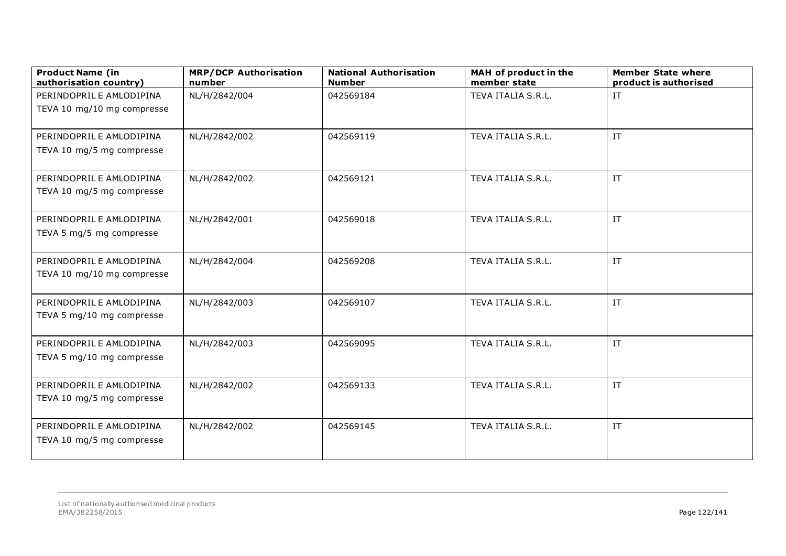| <b>Product Name (in</b><br>authorisation country) | <b>MRP/DCP Authorisation</b><br>number | <b>National Authorisation</b><br><b>Number</b> | MAH of product in the<br>member state | <b>Member State where</b><br>product is authorised |
|---------------------------------------------------|----------------------------------------|------------------------------------------------|---------------------------------------|----------------------------------------------------|
| PERINDOPRIL E AMLODIPINA                          | NL/H/2842/004                          | 042569184                                      | TEVA ITALIA S.R.L.                    | $\ensuremath{\text{IT}}$                           |
| TEVA 10 mg/10 mg compresse                        |                                        |                                                |                                       |                                                    |
|                                                   |                                        |                                                |                                       |                                                    |
| PERINDOPRIL E AMLODIPINA                          | NL/H/2842/002                          | 042569119                                      | TEVA ITALIA S.R.L.                    | $\ensuremath{\text{IT}}$                           |
| TEVA 10 mg/5 mg compresse                         |                                        |                                                |                                       |                                                    |
| PERINDOPRIL E AMLODIPINA                          | NL/H/2842/002                          | 042569121                                      | TEVA ITALIA S.R.L.                    | IT                                                 |
| TEVA 10 mg/5 mg compresse                         |                                        |                                                |                                       |                                                    |
| PERINDOPRIL E AMLODIPINA                          | NL/H/2842/001                          | 042569018                                      | TEVA ITALIA S.R.L.                    | IT.                                                |
| TEVA 5 mg/5 mg compresse                          |                                        |                                                |                                       |                                                    |
| PERINDOPRIL E AMLODIPINA                          | NL/H/2842/004                          | 042569208                                      | TEVA ITALIA S.R.L.                    | IT                                                 |
| TEVA 10 mg/10 mg compresse                        |                                        |                                                |                                       |                                                    |
| PERINDOPRIL E AMLODIPINA                          | NL/H/2842/003                          | 042569107                                      | TEVA ITALIA S.R.L.                    | IT                                                 |
| TEVA 5 mg/10 mg compresse                         |                                        |                                                |                                       |                                                    |
| PERINDOPRIL E AMLODIPINA                          | NL/H/2842/003                          | 042569095                                      | TEVA ITALIA S.R.L.                    | IT                                                 |
| TEVA 5 mg/10 mg compresse                         |                                        |                                                |                                       |                                                    |
| PERINDOPRIL E AMLODIPINA                          | NL/H/2842/002                          | 042569133                                      | TEVA ITALIA S.R.L.                    | IT                                                 |
| TEVA 10 mg/5 mg compresse                         |                                        |                                                |                                       |                                                    |
| PERINDOPRIL E AMLODIPINA                          | NL/H/2842/002                          | 042569145                                      | TEVA ITALIA S.R.L.                    | $\ensuremath{\text{IT}}$                           |
| TEVA 10 mg/5 mg compresse                         |                                        |                                                |                                       |                                                    |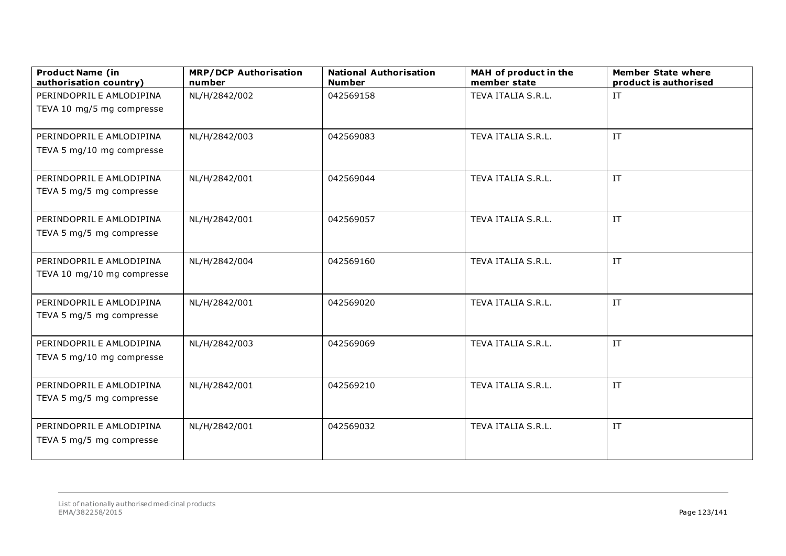| <b>Product Name (in</b><br>authorisation country)      | <b>MRP/DCP Authorisation</b><br>number | <b>National Authorisation</b><br><b>Number</b> | MAH of product in the<br>member state | <b>Member State where</b><br>product is authorised |
|--------------------------------------------------------|----------------------------------------|------------------------------------------------|---------------------------------------|----------------------------------------------------|
| PERINDOPRIL E AMLODIPINA                               | NL/H/2842/002                          | 042569158                                      | TEVA ITALIA S.R.L.                    | $\ensuremath{\text{IT}}$                           |
| TEVA 10 mg/5 mg compresse                              |                                        |                                                |                                       |                                                    |
|                                                        |                                        |                                                |                                       |                                                    |
| PERINDOPRIL E AMLODIPINA                               | NL/H/2842/003                          | 042569083                                      | TEVA ITALIA S.R.L.                    | IT                                                 |
| TEVA 5 mg/10 mg compresse                              |                                        |                                                |                                       |                                                    |
| PERINDOPRIL E AMLODIPINA                               | NL/H/2842/001                          | 042569044                                      | TEVA ITALIA S.R.L.                    | IT                                                 |
| TEVA 5 mg/5 mg compresse                               |                                        |                                                |                                       |                                                    |
| PERINDOPRIL E AMLODIPINA                               | NL/H/2842/001                          | 042569057                                      | TEVA ITALIA S.R.L.                    | IT                                                 |
| TEVA 5 mg/5 mg compresse                               |                                        |                                                |                                       |                                                    |
|                                                        |                                        |                                                |                                       |                                                    |
| PERINDOPRIL E AMLODIPINA<br>TEVA 10 mg/10 mg compresse | NL/H/2842/004                          | 042569160                                      | TEVA ITALIA S.R.L.                    | IT.                                                |
|                                                        |                                        |                                                |                                       |                                                    |
| PERINDOPRIL E AMLODIPINA                               | NL/H/2842/001                          | 042569020                                      | TEVA ITALIA S.R.L.                    | $\ensuremath{\text{IT}}$                           |
| TEVA 5 mg/5 mg compresse                               |                                        |                                                |                                       |                                                    |
|                                                        |                                        |                                                |                                       |                                                    |
| PERINDOPRIL E AMLODIPINA                               | NL/H/2842/003                          | 042569069                                      | TEVA ITALIA S.R.L.                    | $\ensuremath{\text{IT}}$                           |
| TEVA 5 mg/10 mg compresse                              |                                        |                                                |                                       |                                                    |
| PERINDOPRIL E AMLODIPINA                               | NL/H/2842/001                          | 042569210                                      | TEVA ITALIA S.R.L.                    | IT                                                 |
| TEVA 5 mg/5 mg compresse                               |                                        |                                                |                                       |                                                    |
|                                                        |                                        |                                                |                                       |                                                    |
| PERINDOPRIL E AMLODIPINA                               | NL/H/2842/001                          | 042569032                                      | TEVA ITALIA S.R.L.                    | IT                                                 |
| TEVA 5 mg/5 mg compresse                               |                                        |                                                |                                       |                                                    |
|                                                        |                                        |                                                |                                       |                                                    |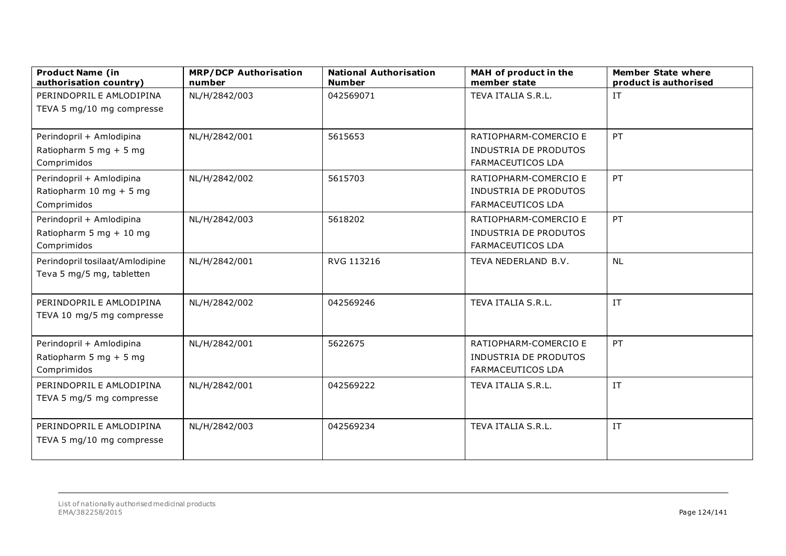| <b>Product Name (in</b><br>authorisation country) | <b>MRP/DCP Authorisation</b><br>number | <b>National Authorisation</b><br><b>Number</b> | MAH of product in the<br>member state                    | <b>Member State where</b><br>product is authorised |
|---------------------------------------------------|----------------------------------------|------------------------------------------------|----------------------------------------------------------|----------------------------------------------------|
| PERINDOPRIL E AMLODIPINA                          | NL/H/2842/003                          | 042569071                                      | TEVA ITALIA S.R.L.                                       | IT                                                 |
| TEVA 5 mg/10 mg compresse                         |                                        |                                                |                                                          |                                                    |
| Perindopril + Amlodipina                          | NL/H/2842/001                          | 5615653                                        | RATIOPHARM-COMERCIO E                                    | PT                                                 |
| Ratiopharm 5 mg + 5 mg<br>Comprimidos             |                                        |                                                | <b>INDUSTRIA DE PRODUTOS</b><br><b>FARMACEUTICOS LDA</b> |                                                    |
| Perindopril + Amlodipina                          | NL/H/2842/002                          | 5615703                                        | RATIOPHARM-COMERCIO E                                    | PT                                                 |
| Ratiopharm 10 mg + 5 mg<br>Comprimidos            |                                        |                                                | <b>INDUSTRIA DE PRODUTOS</b><br><b>FARMACEUTICOS LDA</b> |                                                    |
| Perindopril + Amlodipina                          | NL/H/2842/003                          | 5618202                                        | RATIOPHARM-COMERCIO E                                    | PT                                                 |
| Ratiopharm 5 mg + 10 mg<br>Comprimidos            |                                        |                                                | INDUSTRIA DE PRODUTOS<br><b>FARMACEUTICOS LDA</b>        |                                                    |
| Perindopril tosilaat/Amlodipine                   | NL/H/2842/001                          | RVG 113216                                     | TEVA NEDERLAND B.V.                                      | <b>NL</b>                                          |
| Teva 5 mg/5 mg, tabletten                         |                                        |                                                |                                                          |                                                    |
| PERINDOPRIL E AMLODIPINA                          | NL/H/2842/002                          | 042569246                                      | TEVA ITALIA S.R.L.                                       | IT                                                 |
| TEVA 10 mg/5 mg compresse                         |                                        |                                                |                                                          |                                                    |
| Perindopril + Amlodipina                          | NL/H/2842/001                          | 5622675                                        | RATIOPHARM-COMERCIO E                                    | PT                                                 |
| Ratiopharm 5 mg + 5 mg<br>Comprimidos             |                                        |                                                | <b>INDUSTRIA DE PRODUTOS</b><br>FARMACEUTICOS LDA        |                                                    |
| PERINDOPRIL E AMLODIPINA                          | NL/H/2842/001                          | 042569222                                      | TEVA ITALIA S.R.L.                                       | IT                                                 |
| TEVA 5 mg/5 mg compresse                          |                                        |                                                |                                                          |                                                    |
| PERINDOPRIL E AMLODIPINA                          | NL/H/2842/003                          | 042569234                                      | TEVA ITALIA S.R.L.                                       | IT                                                 |
| TEVA 5 mg/10 mg compresse                         |                                        |                                                |                                                          |                                                    |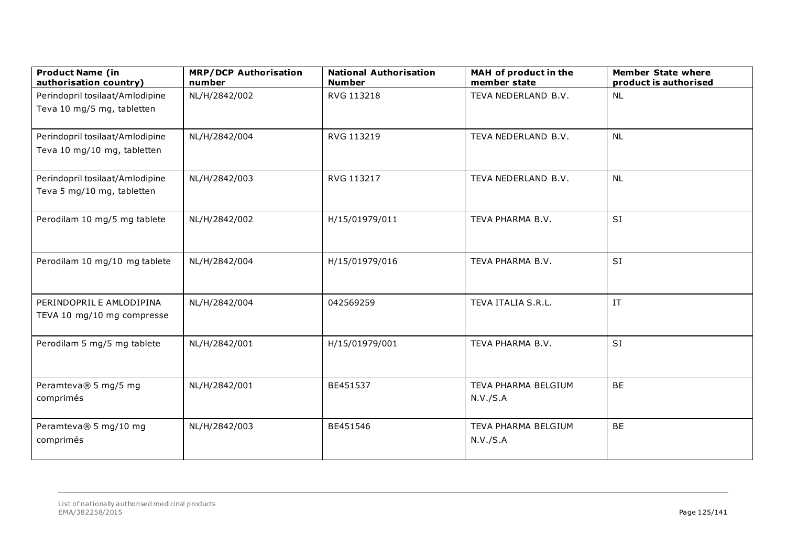| <b>Product Name (in</b><br>authorisation country)              | <b>MRP/DCP Authorisation</b><br>number | <b>National Authorisation</b><br><b>Number</b> | MAH of product in the<br>member state | <b>Member State where</b><br>product is authorised |
|----------------------------------------------------------------|----------------------------------------|------------------------------------------------|---------------------------------------|----------------------------------------------------|
| Perindopril tosilaat/Amlodipine                                | NL/H/2842/002                          | RVG 113218                                     | TEVA NEDERLAND B.V.                   | <b>NL</b>                                          |
| Teva 10 mg/5 mg, tabletten                                     |                                        |                                                |                                       |                                                    |
| Perindopril tosilaat/Amlodipine<br>Teva 10 mg/10 mg, tabletten | NL/H/2842/004                          | RVG 113219                                     | TEVA NEDERLAND B.V.                   | <b>NL</b>                                          |
| Perindopril tosilaat/Amlodipine<br>Teva 5 mg/10 mg, tabletten  | NL/H/2842/003                          | RVG 113217                                     | TEVA NEDERLAND B.V.                   | <b>NL</b>                                          |
| Perodilam 10 mg/5 mg tablete                                   | NL/H/2842/002                          | H/15/01979/011                                 | TEVA PHARMA B.V.                      | SI                                                 |
| Perodilam 10 mg/10 mg tablete                                  | NL/H/2842/004                          | H/15/01979/016                                 | TEVA PHARMA B.V.                      | SI                                                 |
| PERINDOPRIL E AMLODIPINA<br>TEVA 10 mg/10 mg compresse         | NL/H/2842/004                          | 042569259                                      | TEVA ITALIA S.R.L.                    | $\ensuremath{\text{IT}}$                           |
| Perodilam 5 mg/5 mg tablete                                    | NL/H/2842/001                          | H/15/01979/001                                 | TEVA PHARMA B.V.                      | SI                                                 |
| Peramteva® 5 mg/5 mg<br>comprimés                              | NL/H/2842/001                          | BE451537                                       | TEVA PHARMA BELGIUM<br>N.V./S.A       | <b>BE</b>                                          |
| Peramteva® 5 mg/10 mg<br>comprimés                             | NL/H/2842/003                          | BE451546                                       | TEVA PHARMA BELGIUM<br>N.V./S.A       | <b>BE</b>                                          |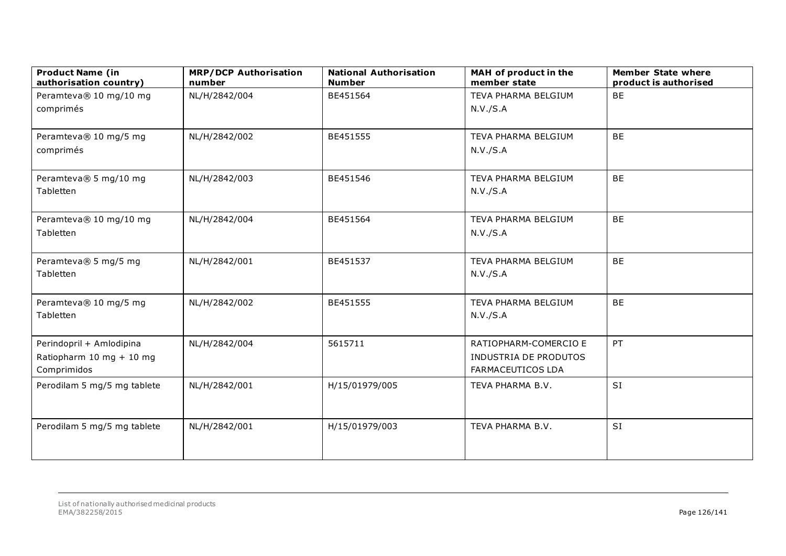| <b>Product Name (in</b><br>authorisation country) | <b>MRP/DCP Authorisation</b><br>number | <b>National Authorisation</b><br><b>Number</b> | MAH of product in the<br>member state      | <b>Member State where</b><br>product is authorised |
|---------------------------------------------------|----------------------------------------|------------------------------------------------|--------------------------------------------|----------------------------------------------------|
| Peramteva® 10 mg/10 mg                            | NL/H/2842/004                          | BE451564                                       | TEVA PHARMA BELGIUM                        | <b>BE</b>                                          |
| comprimés                                         |                                        |                                                | N.V./S.A                                   |                                                    |
| Peramteva® 10 mg/5 mg                             | NL/H/2842/002                          | BE451555                                       | TEVA PHARMA BELGIUM                        | <b>BE</b>                                          |
| comprimés                                         |                                        |                                                | N.V./S.A                                   |                                                    |
| Peramteva® 5 mg/10 mg                             | NL/H/2842/003                          | BE451546                                       | TEVA PHARMA BELGIUM                        | <b>BE</b>                                          |
| Tabletten                                         |                                        |                                                | N.V./S.A                                   |                                                    |
| Peramteva® 10 mg/10 mg                            | NL/H/2842/004                          | BE451564                                       | TEVA PHARMA BELGIUM                        | <b>BE</b>                                          |
| Tabletten                                         |                                        |                                                | N.V./S.A                                   |                                                    |
| Peramteva® 5 mg/5 mg                              | NL/H/2842/001                          | BE451537                                       | TEVA PHARMA BELGIUM                        | <b>BE</b>                                          |
| Tabletten                                         |                                        |                                                | N.V./S.A                                   |                                                    |
| Peramteva® 10 mg/5 mg                             | NL/H/2842/002                          | BE451555                                       | TEVA PHARMA BELGIUM                        | <b>BE</b>                                          |
| Tabletten                                         |                                        |                                                | N.V./S.A                                   |                                                    |
| Perindopril + Amlodipina                          | NL/H/2842/004                          | 5615711                                        | RATIOPHARM-COMERCIO E                      | PT                                                 |
| Ratiopharm 10 mg + 10 mg<br>Comprimidos           |                                        |                                                | INDUSTRIA DE PRODUTOS<br>FARMACEUTICOS LDA |                                                    |
| Perodilam 5 mg/5 mg tablete                       | NL/H/2842/001                          | H/15/01979/005                                 | TEVA PHARMA B.V.                           | SI                                                 |
|                                                   |                                        |                                                |                                            |                                                    |
| Perodilam 5 mg/5 mg tablete                       | NL/H/2842/001                          | H/15/01979/003                                 | TEVA PHARMA B.V.                           | SI                                                 |
|                                                   |                                        |                                                |                                            |                                                    |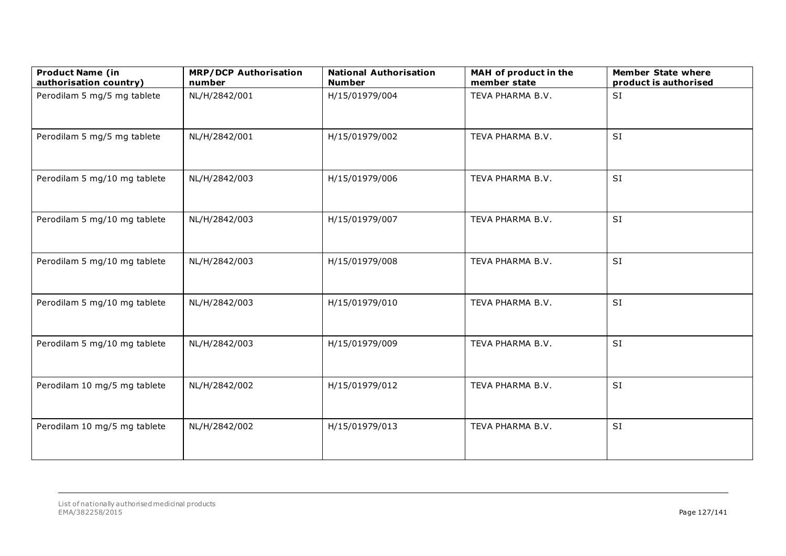| <b>Product Name (in</b><br>authorisation country) | <b>MRP/DCP Authorisation</b><br>number | <b>National Authorisation</b><br><b>Number</b> | MAH of product in the<br>member state | <b>Member State where</b><br>product is authorised |
|---------------------------------------------------|----------------------------------------|------------------------------------------------|---------------------------------------|----------------------------------------------------|
| Perodilam 5 mg/5 mg tablete                       | NL/H/2842/001                          | H/15/01979/004                                 | TEVA PHARMA B.V.                      | SI                                                 |
| Perodilam 5 mg/5 mg tablete                       | NL/H/2842/001                          | H/15/01979/002                                 | TEVA PHARMA B.V.                      | SI                                                 |
| Perodilam 5 mg/10 mg tablete                      | NL/H/2842/003                          | H/15/01979/006                                 | TEVA PHARMA B.V.                      | SI                                                 |
| Perodilam 5 mg/10 mg tablete                      | NL/H/2842/003                          | H/15/01979/007                                 | TEVA PHARMA B.V.                      | SI                                                 |
| Perodilam 5 mg/10 mg tablete                      | NL/H/2842/003                          | H/15/01979/008                                 | TEVA PHARMA B.V.                      | <b>SI</b>                                          |
| Perodilam 5 mg/10 mg tablete                      | NL/H/2842/003                          | H/15/01979/010                                 | TEVA PHARMA B.V.                      | <b>SI</b>                                          |
| Perodilam 5 mg/10 mg tablete                      | NL/H/2842/003                          | H/15/01979/009                                 | TEVA PHARMA B.V.                      | <b>SI</b>                                          |
| Perodilam 10 mg/5 mg tablete                      | NL/H/2842/002                          | H/15/01979/012                                 | TEVA PHARMA B.V.                      | SI                                                 |
| Perodilam 10 mg/5 mg tablete                      | NL/H/2842/002                          | H/15/01979/013                                 | TEVA PHARMA B.V.                      | SI                                                 |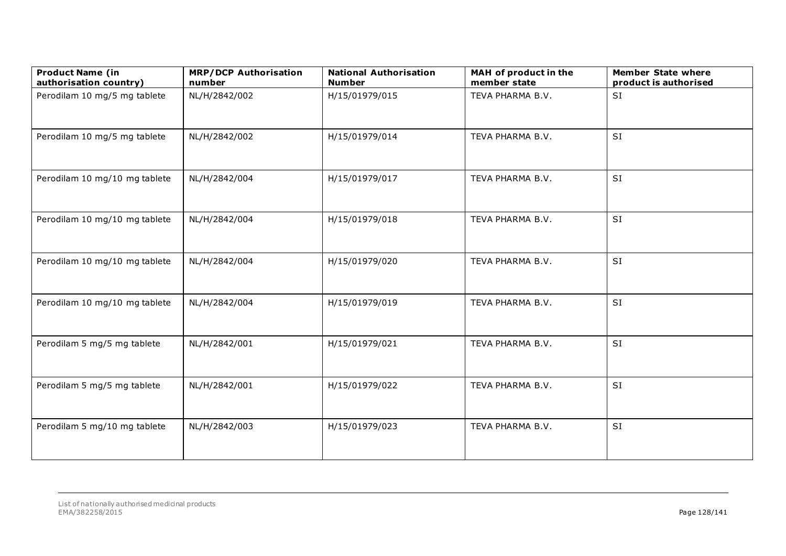| <b>Product Name (in</b><br>authorisation country) | <b>MRP/DCP Authorisation</b><br>number | <b>National Authorisation</b><br><b>Number</b> | MAH of product in the<br>member state | <b>Member State where</b><br>product is authorised |
|---------------------------------------------------|----------------------------------------|------------------------------------------------|---------------------------------------|----------------------------------------------------|
| Perodilam 10 mg/5 mg tablete                      | NL/H/2842/002                          | H/15/01979/015                                 | TEVA PHARMA B.V.                      | <b>SI</b>                                          |
| Perodilam 10 mg/5 mg tablete                      | NL/H/2842/002                          | H/15/01979/014                                 | TEVA PHARMA B.V.                      | SI                                                 |
| Perodilam 10 mg/10 mg tablete                     | NL/H/2842/004                          | H/15/01979/017                                 | TEVA PHARMA B.V.                      | SI                                                 |
| Perodilam 10 mg/10 mg tablete                     | NL/H/2842/004                          | H/15/01979/018                                 | TEVA PHARMA B.V.                      | SI                                                 |
| Perodilam 10 mg/10 mg tablete                     | NL/H/2842/004                          | H/15/01979/020                                 | TEVA PHARMA B.V.                      | SI                                                 |
| Perodilam 10 mg/10 mg tablete                     | NL/H/2842/004                          | H/15/01979/019                                 | TEVA PHARMA B.V.                      | SI                                                 |
| Perodilam 5 mg/5 mg tablete                       | NL/H/2842/001                          | H/15/01979/021                                 | TEVA PHARMA B.V.                      | SI                                                 |
| Perodilam 5 mg/5 mg tablete                       | NL/H/2842/001                          | H/15/01979/022                                 | TEVA PHARMA B.V.                      | SI                                                 |
| Perodilam 5 mg/10 mg tablete                      | NL/H/2842/003                          | H/15/01979/023                                 | TEVA PHARMA B.V.                      | SI                                                 |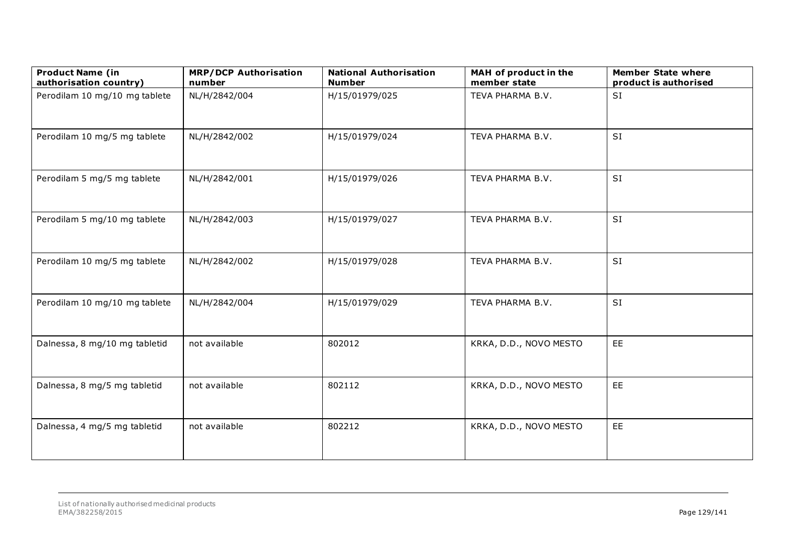| <b>Product Name (in</b><br>authorisation country) | <b>MRP/DCP Authorisation</b><br>number | <b>National Authorisation</b><br><b>Number</b> | MAH of product in the<br>member state | <b>Member State where</b><br>product is authorised |
|---------------------------------------------------|----------------------------------------|------------------------------------------------|---------------------------------------|----------------------------------------------------|
| Perodilam 10 mg/10 mg tablete                     | NL/H/2842/004                          | H/15/01979/025                                 | TEVA PHARMA B.V.                      | SI                                                 |
| Perodilam 10 mg/5 mg tablete                      | NL/H/2842/002                          | H/15/01979/024                                 | TEVA PHARMA B.V.                      | <b>SI</b>                                          |
| Perodilam 5 mg/5 mg tablete                       | NL/H/2842/001                          | H/15/01979/026                                 | TEVA PHARMA B.V.                      | SI                                                 |
| Perodilam 5 mg/10 mg tablete                      | NL/H/2842/003                          | H/15/01979/027                                 | TEVA PHARMA B.V.                      | SI                                                 |
| Perodilam 10 mg/5 mg tablete                      | NL/H/2842/002                          | H/15/01979/028                                 | TEVA PHARMA B.V.                      | <b>SI</b>                                          |
| Perodilam 10 mg/10 mg tablete                     | NL/H/2842/004                          | H/15/01979/029                                 | TEVA PHARMA B.V.                      | SI                                                 |
| Dalnessa, 8 mg/10 mg tabletid                     | not available                          | 802012                                         | KRKA, D.D., NOVO MESTO                | EE                                                 |
| Dalnessa, 8 mg/5 mg tabletid                      | not available                          | 802112                                         | KRKA, D.D., NOVO MESTO                | EE                                                 |
| Dalnessa, 4 mg/5 mg tabletid                      | not available                          | 802212                                         | KRKA, D.D., NOVO MESTO                | EE                                                 |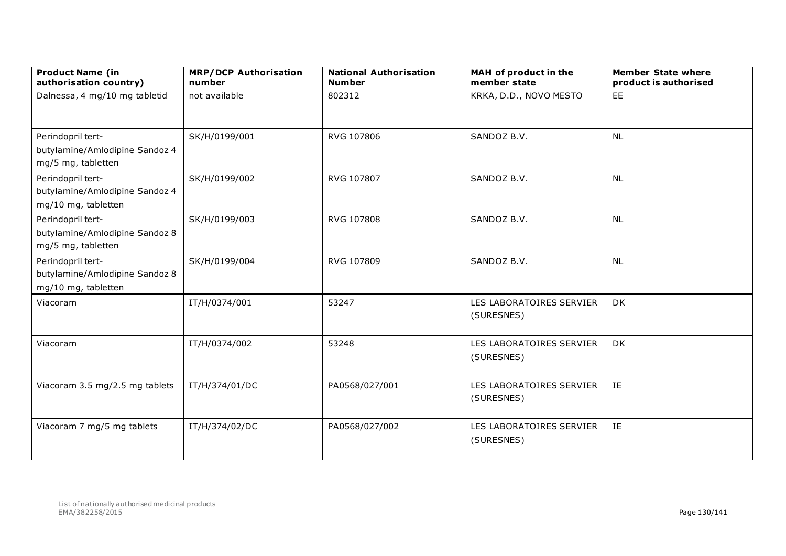| <b>Product Name (in</b><br>authorisation country)                          | <b>MRP/DCP Authorisation</b><br>number | <b>National Authorisation</b><br><b>Number</b> | MAH of product in the<br>member state  | <b>Member State where</b><br>product is authorised |
|----------------------------------------------------------------------------|----------------------------------------|------------------------------------------------|----------------------------------------|----------------------------------------------------|
| Dalnessa, 4 mg/10 mg tabletid                                              | not available                          | 802312                                         | KRKA, D.D., NOVO MESTO                 | EE                                                 |
| Perindopril tert-<br>butylamine/Amlodipine Sandoz 4<br>mg/5 mg, tabletten  | SK/H/0199/001                          | RVG 107806                                     | SANDOZ B.V.                            | <b>NL</b>                                          |
| Perindopril tert-<br>butylamine/Amlodipine Sandoz 4<br>mg/10 mg, tabletten | SK/H/0199/002                          | RVG 107807                                     | SANDOZ B.V.                            | <b>NL</b>                                          |
| Perindopril tert-<br>butylamine/Amlodipine Sandoz 8<br>mg/5 mg, tabletten  | SK/H/0199/003                          | RVG 107808                                     | SANDOZ B.V.                            | <b>NL</b>                                          |
| Perindopril tert-<br>butylamine/Amlodipine Sandoz 8<br>mg/10 mg, tabletten | SK/H/0199/004                          | RVG 107809                                     | SANDOZ B.V.                            | <b>NL</b>                                          |
| Viacoram                                                                   | IT/H/0374/001                          | 53247                                          | LES LABORATOIRES SERVIER<br>(SURESNES) | DK                                                 |
| Viacoram                                                                   | IT/H/0374/002                          | 53248                                          | LES LABORATOIRES SERVIER<br>(SURESNES) | DK                                                 |
| Viacoram 3.5 mg/2.5 mg tablets                                             | IT/H/374/01/DC                         | PA0568/027/001                                 | LES LABORATOIRES SERVIER<br>(SURESNES) | IE                                                 |
| Viacoram 7 mg/5 mg tablets                                                 | IT/H/374/02/DC                         | PA0568/027/002                                 | LES LABORATOIRES SERVIER<br>(SURESNES) | IE                                                 |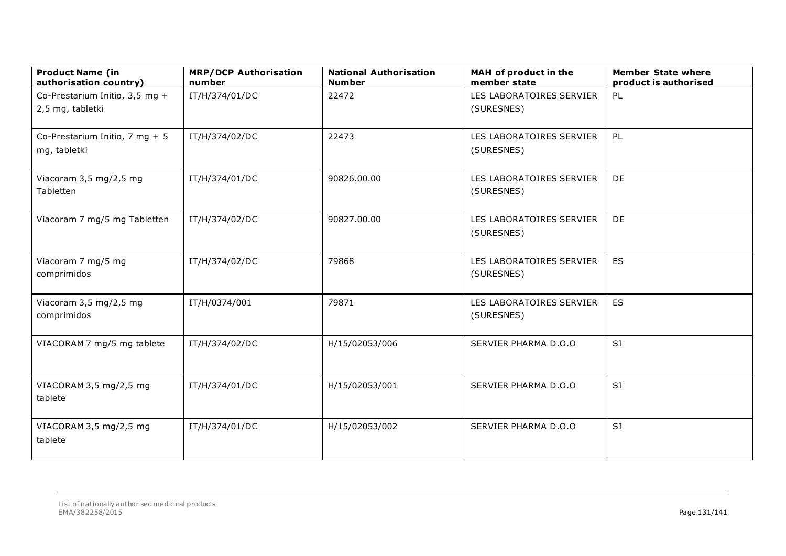| <b>Product Name (in</b><br>authorisation country) | <b>MRP/DCP Authorisation</b><br>number | <b>National Authorisation</b><br><b>Number</b> | MAH of product in the<br>member state | <b>Member State where</b><br>product is authorised |
|---------------------------------------------------|----------------------------------------|------------------------------------------------|---------------------------------------|----------------------------------------------------|
| Co-Prestarium Initio, 3,5 mg +                    | IT/H/374/01/DC                         | 22472                                          | LES LABORATOIRES SERVIER              | PL                                                 |
| 2,5 mg, tabletki                                  |                                        |                                                | (SURESNES)                            |                                                    |
| Co-Prestarium Initio, 7 mg + 5                    | IT/H/374/02/DC                         | 22473                                          | LES LABORATOIRES SERVIER              | PL                                                 |
| mg, tabletki                                      |                                        |                                                | (SURESNES)                            |                                                    |
| Viacoram 3,5 mg/2,5 mg                            | IT/H/374/01/DC                         | 90826.00.00                                    | LES LABORATOIRES SERVIER              | DE                                                 |
| Tabletten                                         |                                        |                                                | (SURESNES)                            |                                                    |
| Viacoram 7 mg/5 mg Tabletten                      | IT/H/374/02/DC                         | 90827.00.00                                    | LES LABORATOIRES SERVIER              | DE                                                 |
|                                                   |                                        |                                                | (SURESNES)                            |                                                    |
| Viacoram 7 mg/5 mg                                | IT/H/374/02/DC                         | 79868                                          | LES LABORATOIRES SERVIER              | ES                                                 |
| comprimidos                                       |                                        |                                                | (SURESNES)                            |                                                    |
| Viacoram 3,5 mg/2,5 mg                            | IT/H/0374/001                          | 79871                                          | LES LABORATOIRES SERVIER              | ES                                                 |
| comprimidos                                       |                                        |                                                | (SURESNES)                            |                                                    |
| VIACORAM 7 mg/5 mg tablete                        | IT/H/374/02/DC                         | H/15/02053/006                                 | SERVIER PHARMA D.O.O                  | SI                                                 |
|                                                   |                                        |                                                |                                       |                                                    |
| VIACORAM 3,5 mg/2,5 mg                            | IT/H/374/01/DC                         | H/15/02053/001                                 | SERVIER PHARMA D.O.O                  | <b>SI</b>                                          |
| tablete                                           |                                        |                                                |                                       |                                                    |
| VIACORAM 3,5 mg/2,5 mg                            | IT/H/374/01/DC                         | H/15/02053/002                                 | SERVIER PHARMA D.O.O                  | SI                                                 |
| tablete                                           |                                        |                                                |                                       |                                                    |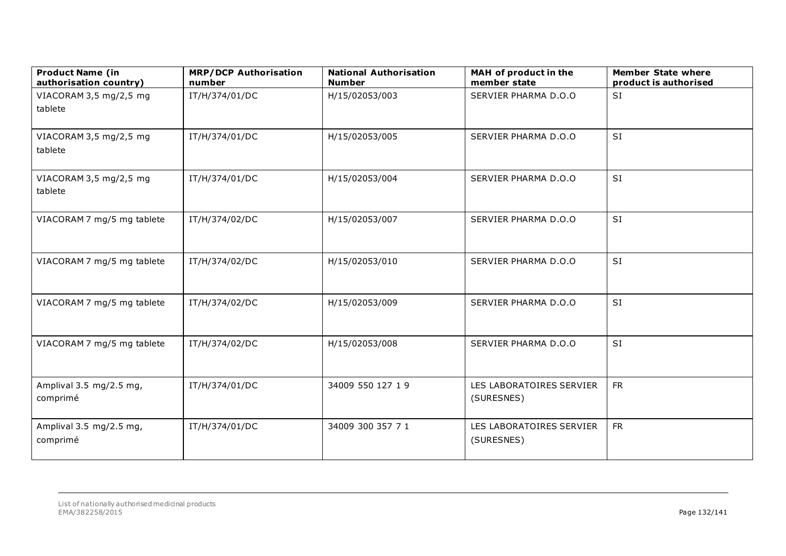| <b>Product Name (in</b><br>authorisation country) | <b>MRP/DCP Authorisation</b><br>number | <b>National Authorisation</b><br><b>Number</b> | MAH of product in the<br>member state  | <b>Member State where</b><br>product is authorised |
|---------------------------------------------------|----------------------------------------|------------------------------------------------|----------------------------------------|----------------------------------------------------|
| VIACORAM 3,5 mg/2,5 mg<br>tablete                 | IT/H/374/01/DC                         | H/15/02053/003                                 | SERVIER PHARMA D.O.O                   | SI                                                 |
| VIACORAM 3,5 mg/2,5 mg<br>tablete                 | IT/H/374/01/DC                         | H/15/02053/005                                 | SERVIER PHARMA D.O.O                   | SI                                                 |
| VIACORAM 3,5 mg/2,5 mg<br>tablete                 | IT/H/374/01/DC                         | H/15/02053/004                                 | SERVIER PHARMA D.O.O                   | SI                                                 |
| VIACORAM 7 mg/5 mg tablete                        | IT/H/374/02/DC                         | H/15/02053/007                                 | SERVIER PHARMA D.O.O                   | SI                                                 |
| VIACORAM 7 mg/5 mg tablete                        | IT/H/374/02/DC                         | H/15/02053/010                                 | SERVIER PHARMA D.O.O                   | SI                                                 |
| VIACORAM 7 mg/5 mg tablete                        | IT/H/374/02/DC                         | H/15/02053/009                                 | SERVIER PHARMA D.O.O                   | SI                                                 |
| VIACORAM 7 mg/5 mg tablete                        | IT/H/374/02/DC                         | H/15/02053/008                                 | SERVIER PHARMA D.O.O                   | SI                                                 |
| Amplival 3.5 mg/2.5 mg,<br>comprimé               | IT/H/374/01/DC                         | 34009 550 127 19                               | LES LABORATOIRES SERVIER<br>(SURESNES) | <b>FR</b>                                          |
| Amplival 3.5 mg/2.5 mg,<br>comprimé               | IT/H/374/01/DC                         | 34009 300 357 7 1                              | LES LABORATOIRES SERVIER<br>(SURESNES) | <b>FR</b>                                          |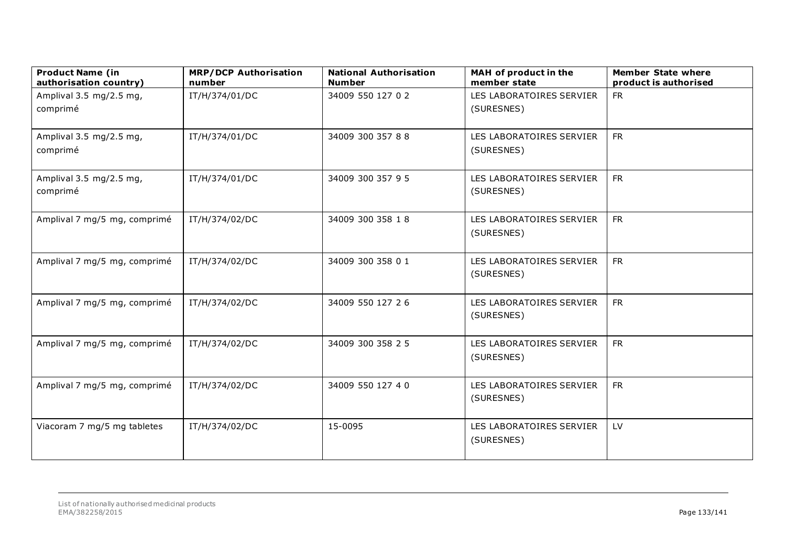| <b>Product Name (in</b><br>authorisation country) | <b>MRP/DCP Authorisation</b><br>number | <b>National Authorisation</b><br><b>Number</b> | MAH of product in the<br>member state  | <b>Member State where</b><br>product is authorised |
|---------------------------------------------------|----------------------------------------|------------------------------------------------|----------------------------------------|----------------------------------------------------|
| Amplival 3.5 mg/2.5 mg,<br>comprimé               | IT/H/374/01/DC                         | 34009 550 127 0 2                              | LES LABORATOIRES SERVIER<br>(SURESNES) | <b>FR</b>                                          |
| Amplival 3.5 mg/2.5 mg,<br>comprimé               | IT/H/374/01/DC                         | 34009 300 357 88                               | LES LABORATOIRES SERVIER<br>(SURESNES) | <b>FR</b>                                          |
| Amplival 3.5 mg/2.5 mg,<br>comprimé               | IT/H/374/01/DC                         | 34009 300 357 95                               | LES LABORATOIRES SERVIER<br>(SURESNES) | <b>FR</b>                                          |
| Amplival 7 mg/5 mg, comprimé                      | IT/H/374/02/DC                         | 34009 300 358 18                               | LES LABORATOIRES SERVIER<br>(SURESNES) | <b>FR</b>                                          |
| Amplival 7 mg/5 mg, comprimé                      | IT/H/374/02/DC                         | 34009 300 358 0 1                              | LES LABORATOIRES SERVIER<br>(SURESNES) | <b>FR</b>                                          |
| Amplival 7 mg/5 mg, comprimé                      | IT/H/374/02/DC                         | 34009 550 127 26                               | LES LABORATOIRES SERVIER<br>(SURESNES) | <b>FR</b>                                          |
| Amplival 7 mg/5 mg, comprimé                      | IT/H/374/02/DC                         | 34009 300 358 2 5                              | LES LABORATOIRES SERVIER<br>(SURESNES) | <b>FR</b>                                          |
| Amplival 7 mg/5 mg, comprimé                      | IT/H/374/02/DC                         | 34009 550 127 4 0                              | LES LABORATOIRES SERVIER<br>(SURESNES) | <b>FR</b>                                          |
| Viacoram 7 mg/5 mg tabletes                       | IT/H/374/02/DC                         | 15-0095                                        | LES LABORATOIRES SERVIER<br>(SURESNES) | LV                                                 |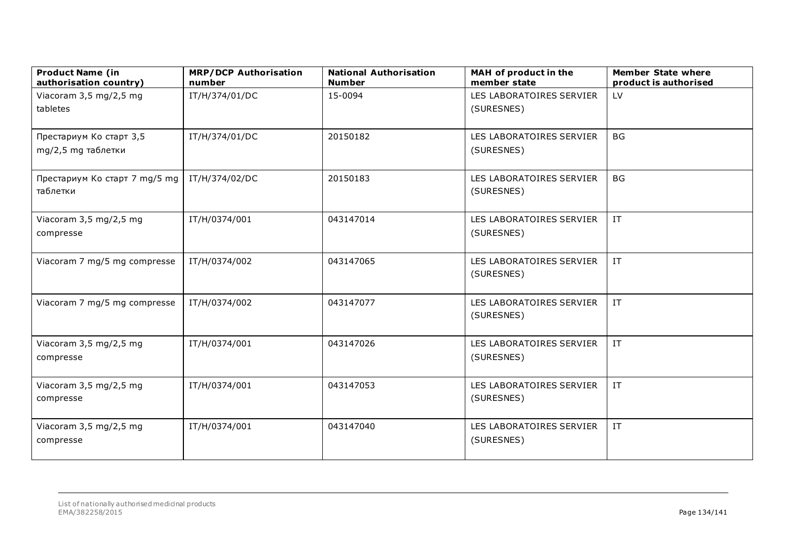| <b>Product Name (in</b><br>authorisation country) | <b>MRP/DCP Authorisation</b><br>number | <b>National Authorisation</b><br><b>Number</b> | MAH of product in the<br>member state | <b>Member State where</b><br>product is authorised |
|---------------------------------------------------|----------------------------------------|------------------------------------------------|---------------------------------------|----------------------------------------------------|
| Viacoram 3,5 mg/2,5 mg                            | IT/H/374/01/DC                         | 15-0094                                        | LES LABORATOIRES SERVIER              | LV                                                 |
| tabletes                                          |                                        |                                                | (SURESNES)                            |                                                    |
| Престариум Ко старт 3,5                           | IT/H/374/01/DC                         | 20150182                                       | LES LABORATOIRES SERVIER              | <b>BG</b>                                          |
| mg/2,5 mg таблетки                                |                                        |                                                | (SURESNES)                            |                                                    |
| Престариум Ко старт 7 mg/5 mg                     | IT/H/374/02/DC                         | 20150183                                       | LES LABORATOIRES SERVIER              | <b>BG</b>                                          |
| таблетки                                          |                                        |                                                | (SURESNES)                            |                                                    |
| Viacoram 3,5 mg/2,5 mg                            | IT/H/0374/001                          | 043147014                                      | LES LABORATOIRES SERVIER              | $\ensuremath{\text{IT}}$                           |
| compresse                                         |                                        |                                                | (SURESNES)                            |                                                    |
| Viacoram 7 mg/5 mg compresse                      | IT/H/0374/002                          | 043147065                                      | LES LABORATOIRES SERVIER              | $\ensuremath{\text{IT}}$                           |
|                                                   |                                        |                                                | (SURESNES)                            |                                                    |
| Viacoram 7 mg/5 mg compresse                      | IT/H/0374/002                          | 043147077                                      | LES LABORATOIRES SERVIER              | $\ensuremath{\text{IT}}$                           |
|                                                   |                                        |                                                | (SURESNES)                            |                                                    |
| Viacoram 3,5 mg/2,5 mg                            | IT/H/0374/001                          | 043147026                                      | LES LABORATOIRES SERVIER              | IT                                                 |
| compresse                                         |                                        |                                                | (SURESNES)                            |                                                    |
| Viacoram 3,5 mg/2,5 mg                            | IT/H/0374/001                          | 043147053                                      | LES LABORATOIRES SERVIER              | $\ensuremath{\text{IT}}$                           |
| compresse                                         |                                        |                                                | (SURESNES)                            |                                                    |
| Viacoram 3,5 mg/2,5 mg                            | IT/H/0374/001                          | 043147040                                      | LES LABORATOIRES SERVIER              | $\ensuremath{\text{IT}}$                           |
| compresse                                         |                                        |                                                | (SURESNES)                            |                                                    |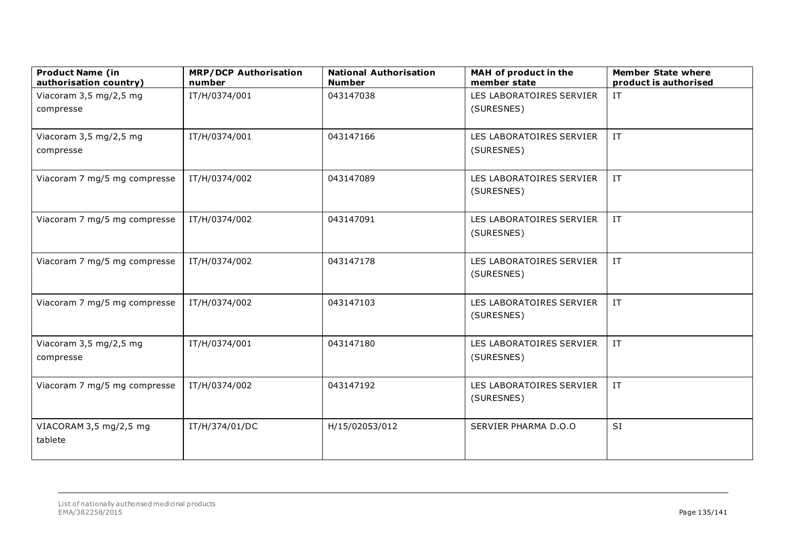| <b>Product Name (in</b><br>authorisation country) | <b>MRP/DCP Authorisation</b><br>number | <b>National Authorisation</b><br><b>Number</b> | MAH of product in the<br>member state | <b>Member State where</b><br>product is authorised |
|---------------------------------------------------|----------------------------------------|------------------------------------------------|---------------------------------------|----------------------------------------------------|
| Viacoram 3,5 mg/2,5 mg                            | IT/H/0374/001                          | 043147038                                      | LES LABORATOIRES SERVIER              | $\ensuremath{\text{IT}}$                           |
| compresse                                         |                                        |                                                | (SURESNES)                            |                                                    |
|                                                   |                                        |                                                |                                       |                                                    |
| Viacoram 3,5 mg/2,5 mg                            | IT/H/0374/001                          | 043147166                                      | LES LABORATOIRES SERVIER              | IT                                                 |
| compresse                                         |                                        |                                                | (SURESNES)                            |                                                    |
| Viacoram 7 mg/5 mg compresse                      | IT/H/0374/002                          | 043147089                                      | LES LABORATOIRES SERVIER              | $\ensuremath{\text{IT}}$                           |
|                                                   |                                        |                                                | (SURESNES)                            |                                                    |
| Viacoram 7 mg/5 mg compresse                      | IT/H/0374/002                          | 043147091                                      | LES LABORATOIRES SERVIER              | IT                                                 |
|                                                   |                                        |                                                | (SURESNES)                            |                                                    |
| Viacoram 7 mg/5 mg compresse                      | IT/H/0374/002                          | 043147178                                      | LES LABORATOIRES SERVIER              | $\ensuremath{\text{IT}}$                           |
|                                                   |                                        |                                                | (SURESNES)                            |                                                    |
| Viacoram 7 mg/5 mg compresse                      | IT/H/0374/002                          | 043147103                                      | LES LABORATOIRES SERVIER              | IT                                                 |
|                                                   |                                        |                                                | (SURESNES)                            |                                                    |
| Viacoram 3,5 mg/2,5 mg                            | IT/H/0374/001                          | 043147180                                      | LES LABORATOIRES SERVIER              | $\ensuremath{\text{IT}}$                           |
| compresse                                         |                                        |                                                | (SURESNES)                            |                                                    |
| Viacoram 7 mg/5 mg compresse                      | IT/H/0374/002                          | 043147192                                      | LES LABORATOIRES SERVIER              | IT                                                 |
|                                                   |                                        |                                                | (SURESNES)                            |                                                    |
| VIACORAM 3,5 mg/2,5 mg                            | IT/H/374/01/DC                         | H/15/02053/012                                 | SERVIER PHARMA D.O.O                  | <b>SI</b>                                          |
| tablete                                           |                                        |                                                |                                       |                                                    |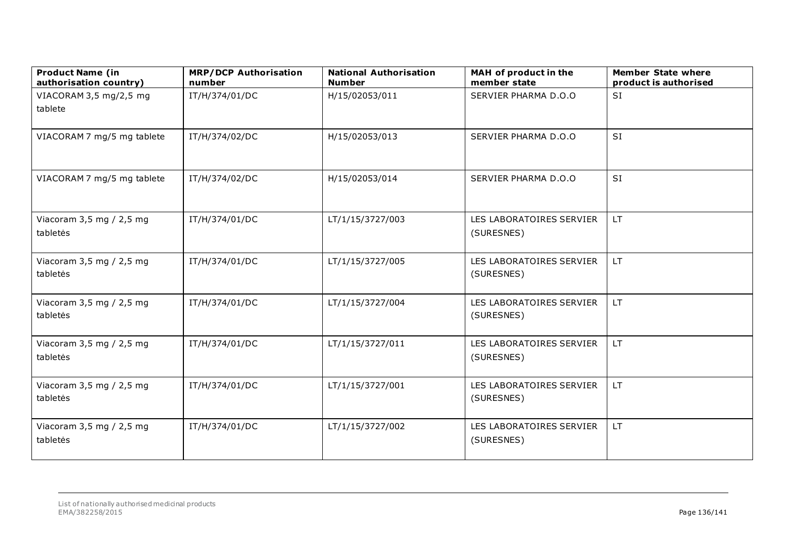| <b>Product Name (in</b><br>authorisation country) | <b>MRP/DCP Authorisation</b><br>number | <b>National Authorisation</b><br><b>Number</b> | MAH of product in the<br>member state  | <b>Member State where</b><br>product is authorised |
|---------------------------------------------------|----------------------------------------|------------------------------------------------|----------------------------------------|----------------------------------------------------|
| VIACORAM 3,5 mg/2,5 mg<br>tablete                 | IT/H/374/01/DC                         | H/15/02053/011                                 | SERVIER PHARMA D.O.O                   | <b>SI</b>                                          |
| VIACORAM 7 mg/5 mg tablete                        | IT/H/374/02/DC                         | H/15/02053/013                                 | SERVIER PHARMA D.O.O                   | <b>SI</b>                                          |
| VIACORAM 7 mg/5 mg tablete                        | IT/H/374/02/DC                         | H/15/02053/014                                 | SERVIER PHARMA D.O.O                   | <b>SI</b>                                          |
| Viacoram 3,5 mg / 2,5 mg<br>tabletės              | IT/H/374/01/DC                         | LT/1/15/3727/003                               | LES LABORATOIRES SERVIER<br>(SURESNES) | LT.                                                |
| Viacoram 3,5 mg / 2,5 mg<br>tabletės              | IT/H/374/01/DC                         | LT/1/15/3727/005                               | LES LABORATOIRES SERVIER<br>(SURESNES) | LT.                                                |
| Viacoram 3,5 mg / 2,5 mg<br>tabletės              | IT/H/374/01/DC                         | LT/1/15/3727/004                               | LES LABORATOIRES SERVIER<br>(SURESNES) | LT.                                                |
| Viacoram 3,5 mg / 2,5 mg<br>tabletės              | IT/H/374/01/DC                         | LT/1/15/3727/011                               | LES LABORATOIRES SERVIER<br>(SURESNES) | LT.                                                |
| Viacoram $3,5$ mg / 2,5 mg<br>tabletės            | IT/H/374/01/DC                         | LT/1/15/3727/001                               | LES LABORATOIRES SERVIER<br>(SURESNES) | LT.                                                |
| Viacoram 3,5 mg / 2,5 mg<br>tabletės              | IT/H/374/01/DC                         | LT/1/15/3727/002                               | LES LABORATOIRES SERVIER<br>(SURESNES) | LT.                                                |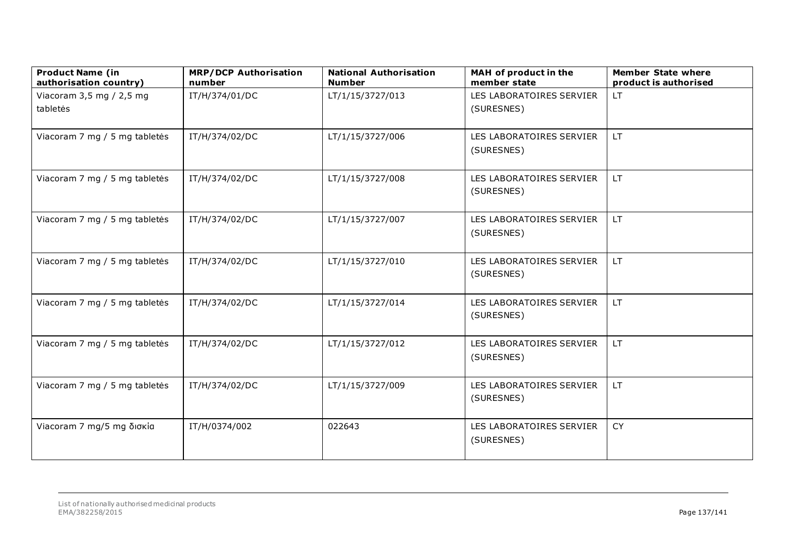| <b>Product Name (in</b><br>authorisation country) | <b>MRP/DCP Authorisation</b><br>number | <b>National Authorisation</b><br><b>Number</b> | MAH of product in the<br>member state  | <b>Member State where</b><br>product is authorised |
|---------------------------------------------------|----------------------------------------|------------------------------------------------|----------------------------------------|----------------------------------------------------|
| Viacoram 3,5 mg / 2,5 mg<br>tabletės              | IT/H/374/01/DC                         | LT/1/15/3727/013                               | LES LABORATOIRES SERVIER<br>(SURESNES) | <b>LT</b>                                          |
|                                                   |                                        |                                                |                                        |                                                    |
| Viacoram 7 mg / 5 mg tabletės                     | IT/H/374/02/DC                         | LT/1/15/3727/006                               | LES LABORATOIRES SERVIER<br>(SURESNES) | LT.                                                |
| Viacoram 7 mg / 5 mg tabletės                     | IT/H/374/02/DC                         | LT/1/15/3727/008                               | LES LABORATOIRES SERVIER<br>(SURESNES) | LT.                                                |
| Viacoram 7 mg / 5 mg tabletės                     | IT/H/374/02/DC                         | LT/1/15/3727/007                               | LES LABORATOIRES SERVIER<br>(SURESNES) | LT.                                                |
| Viacoram 7 mg / 5 mg tabletės                     | IT/H/374/02/DC                         | LT/1/15/3727/010                               | LES LABORATOIRES SERVIER<br>(SURESNES) | LT.                                                |
| Viacoram 7 mg / 5 mg tabletės                     | IT/H/374/02/DC                         | LT/1/15/3727/014                               | LES LABORATOIRES SERVIER<br>(SURESNES) | LT.                                                |
| Viacoram 7 mg / 5 mg tabletės                     | IT/H/374/02/DC                         | LT/1/15/3727/012                               | LES LABORATOIRES SERVIER<br>(SURESNES) | LT.                                                |
| Viacoram 7 mg / 5 mg tabletės                     | IT/H/374/02/DC                         | LT/1/15/3727/009                               | LES LABORATOIRES SERVIER<br>(SURESNES) | LT.                                                |
| Viacoram 7 mg/5 mg δισκία                         | IT/H/0374/002                          | 022643                                         | LES LABORATOIRES SERVIER<br>(SURESNES) | CY                                                 |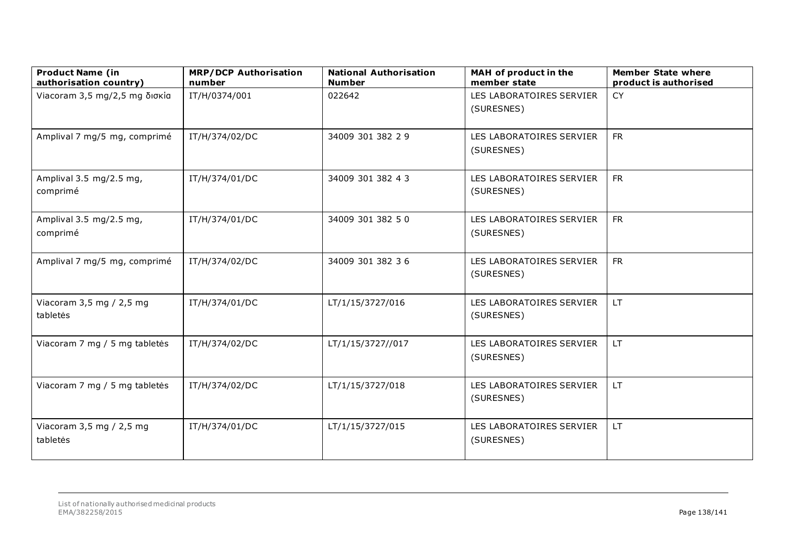| <b>Product Name (in</b><br>authorisation country) | <b>MRP/DCP Authorisation</b><br>number | <b>National Authorisation</b><br><b>Number</b> | MAH of product in the<br>member state  | <b>Member State where</b><br>product is authorised |
|---------------------------------------------------|----------------------------------------|------------------------------------------------|----------------------------------------|----------------------------------------------------|
| Viacoram 3,5 mg/2,5 mg δισκία                     | IT/H/0374/001                          | 022642                                         | LES LABORATOIRES SERVIER<br>(SURESNES) | <b>CY</b>                                          |
| Amplival 7 mg/5 mg, comprimé                      | IT/H/374/02/DC                         | 34009 301 382 2 9                              | LES LABORATOIRES SERVIER<br>(SURESNES) | <b>FR</b>                                          |
| Amplival 3.5 mg/2.5 mg,<br>comprimé               | IT/H/374/01/DC                         | 34009 301 382 4 3                              | LES LABORATOIRES SERVIER<br>(SURESNES) | <b>FR</b>                                          |
| Amplival 3.5 mg/2.5 mg,<br>comprimé               | IT/H/374/01/DC                         | 34009 301 382 50                               | LES LABORATOIRES SERVIER<br>(SURESNES) | <b>FR</b>                                          |
| Amplival 7 mg/5 mg, comprimé                      | IT/H/374/02/DC                         | 34009 301 382 36                               | LES LABORATOIRES SERVIER<br>(SURESNES) | <b>FR</b>                                          |
| Viacoram 3,5 mg / 2,5 mg<br>tabletės              | IT/H/374/01/DC                         | LT/1/15/3727/016                               | LES LABORATOIRES SERVIER<br>(SURESNES) | LT.                                                |
| Viacoram 7 mg / 5 mg tabletės                     | IT/H/374/02/DC                         | LT/1/15/3727//017                              | LES LABORATOIRES SERVIER<br>(SURESNES) | LT.                                                |
| Viacoram 7 mg / 5 mg tabletės                     | IT/H/374/02/DC                         | LT/1/15/3727/018                               | LES LABORATOIRES SERVIER<br>(SURESNES) | LT.                                                |
| Viacoram 3,5 mg / 2,5 mg<br>tabletės              | IT/H/374/01/DC                         | LT/1/15/3727/015                               | LES LABORATOIRES SERVIER<br>(SURESNES) | LT.                                                |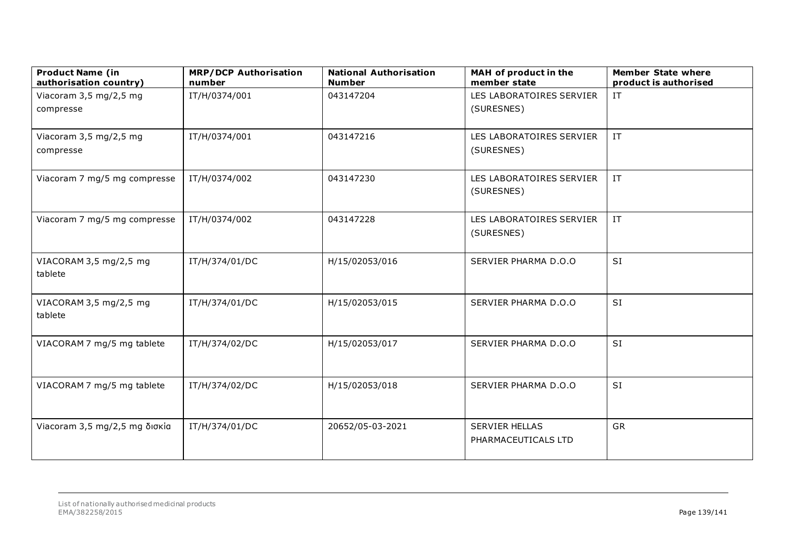| <b>Product Name (in</b><br>authorisation country) | <b>MRP/DCP Authorisation</b><br>number | <b>National Authorisation</b><br><b>Number</b> | MAH of product in the<br>member state | <b>Member State where</b><br>product is authorised |
|---------------------------------------------------|----------------------------------------|------------------------------------------------|---------------------------------------|----------------------------------------------------|
| Viacoram 3,5 mg/2,5 mg                            | IT/H/0374/001                          | 043147204                                      | LES LABORATOIRES SERVIER              | $\ensuremath{\text{IT}}$                           |
| compresse                                         |                                        |                                                | (SURESNES)                            |                                                    |
|                                                   |                                        |                                                |                                       |                                                    |
| Viacoram 3,5 mg/2,5 mg                            | IT/H/0374/001                          | 043147216                                      | LES LABORATOIRES SERVIER              | IT                                                 |
| compresse                                         |                                        |                                                | (SURESNES)                            |                                                    |
| Viacoram 7 mg/5 mg compresse                      | IT/H/0374/002                          | 043147230                                      | LES LABORATOIRES SERVIER              | $\ensuremath{\text{IT}}$                           |
|                                                   |                                        |                                                | (SURESNES)                            |                                                    |
| Viacoram 7 mg/5 mg compresse                      | IT/H/0374/002                          | 043147228                                      | LES LABORATOIRES SERVIER              | IT                                                 |
|                                                   |                                        |                                                | (SURESNES)                            |                                                    |
|                                                   |                                        |                                                |                                       |                                                    |
| VIACORAM 3,5 mg/2,5 mg                            | IT/H/374/01/DC                         | H/15/02053/016                                 | SERVIER PHARMA D.O.O                  | <b>SI</b>                                          |
| tablete                                           |                                        |                                                |                                       |                                                    |
| VIACORAM 3,5 mg/2,5 mg                            | IT/H/374/01/DC                         | H/15/02053/015                                 | SERVIER PHARMA D.O.O                  | <b>SI</b>                                          |
| tablete                                           |                                        |                                                |                                       |                                                    |
|                                                   |                                        |                                                |                                       |                                                    |
| VIACORAM 7 mg/5 mg tablete                        | IT/H/374/02/DC                         | H/15/02053/017                                 | SERVIER PHARMA D.O.O                  | <b>SI</b>                                          |
|                                                   |                                        |                                                |                                       |                                                    |
| VIACORAM 7 mg/5 mg tablete                        | IT/H/374/02/DC                         | H/15/02053/018                                 | SERVIER PHARMA D.O.O                  | <b>SI</b>                                          |
|                                                   |                                        |                                                |                                       |                                                    |
|                                                   |                                        |                                                |                                       |                                                    |
| Viacoram 3,5 mg/2,5 mg δισκία                     | IT/H/374/01/DC                         | 20652/05-03-2021                               | <b>SERVIER HELLAS</b>                 | GR                                                 |
|                                                   |                                        |                                                | PHARMACEUTICALS LTD                   |                                                    |
|                                                   |                                        |                                                |                                       |                                                    |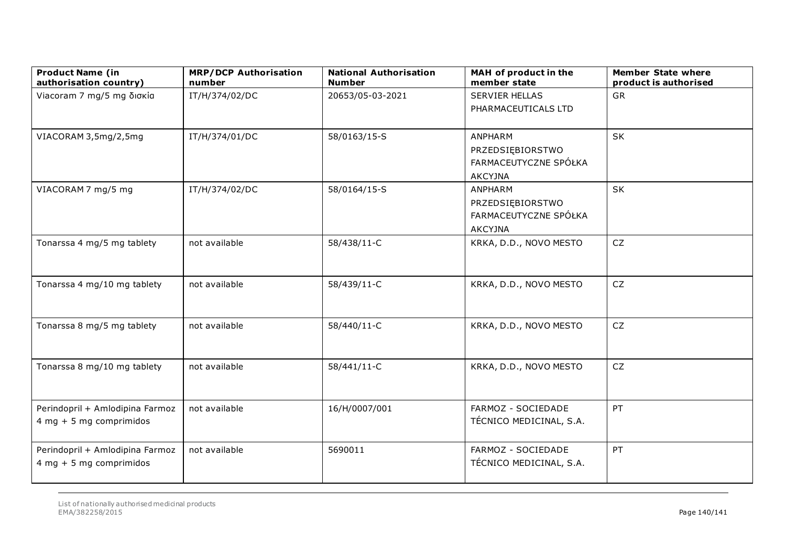| <b>Product Name (in</b><br>authorisation country)            | <b>MRP/DCP Authorisation</b><br>number | <b>National Authorisation</b><br><b>Number</b> | MAH of product in the<br>member state                                  | <b>Member State where</b><br>product is authorised |
|--------------------------------------------------------------|----------------------------------------|------------------------------------------------|------------------------------------------------------------------------|----------------------------------------------------|
| Viacoram 7 mg/5 mg δισκία                                    | IT/H/374/02/DC                         | 20653/05-03-2021                               | <b>SERVIER HELLAS</b><br>PHARMACEUTICALS LTD                           | GR                                                 |
| VIACORAM 3,5mg/2,5mg                                         | IT/H/374/01/DC                         | 58/0163/15-S                                   | ANPHARM<br>PRZEDSIĘBIORSTWO<br>FARMACEUTYCZNE SPÓŁKA<br><b>AKCYJNA</b> | SK                                                 |
| VIACORAM 7 mg/5 mg                                           | IT/H/374/02/DC                         | 58/0164/15-S                                   | ANPHARM<br>PRZEDSIĘBIORSTWO<br>FARMACEUTYCZNE SPÓŁKA<br><b>AKCYJNA</b> | SK                                                 |
| Tonarssa 4 mg/5 mg tablety                                   | not available                          | 58/438/11-C                                    | KRKA, D.D., NOVO MESTO                                                 | CZ                                                 |
| Tonarssa 4 mg/10 mg tablety                                  | not available                          | 58/439/11-C                                    | KRKA, D.D., NOVO MESTO                                                 | CZ                                                 |
| Tonarssa 8 mg/5 mg tablety                                   | not available                          | 58/440/11-C                                    | KRKA, D.D., NOVO MESTO                                                 | ${\sf CZ}$                                         |
| Tonarssa 8 mg/10 mg tablety                                  | not available                          | 58/441/11-C                                    | KRKA, D.D., NOVO MESTO                                                 | CZ                                                 |
| Perindopril + Amlodipina Farmoz<br>$4 mg + 5 mg$ comprimidos | not available                          | 16/H/0007/001                                  | FARMOZ - SOCIEDADE<br>TÉCNICO MEDICINAL, S.A.                          | PT                                                 |
| Perindopril + Amlodipina Farmoz<br>$4 mg + 5 mg$ comprimidos | not available                          | 5690011                                        | FARMOZ - SOCIEDADE<br>TÉCNICO MEDICINAL, S.A.                          | PT                                                 |